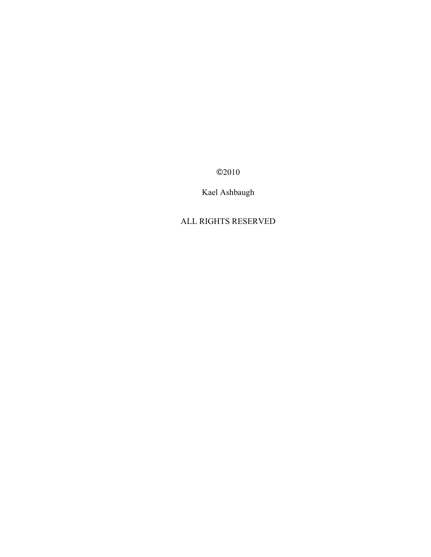©2010

Kael Ashbaugh

ALL RIGHTS RESERVED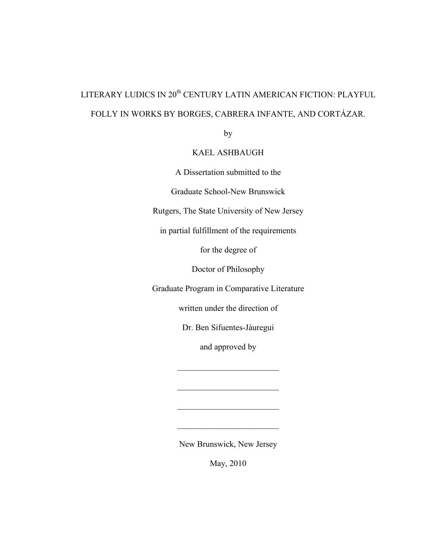# LITERARY LUDICS IN 20<sup>th</sup> CENTURY LATIN AMERICAN FICTION: PLAYFUL FOLLY IN WORKS BY BORGES, CABRERA INFANTE, AND CORTÁZAR.

by

## KAEL ASHBAUGH

A Dissertation submitted to the

Graduate School-New Brunswick

Rutgers, The State University of New Jersey

in partial fulfillment of the requirements

for the degree of

Doctor of Philosophy

Graduate Program in Comparative Literature

written under the direction of

Dr. Ben Sifuentes-Jáuregui

and approved by

 $\mathcal{L}_\text{max}$  , where  $\mathcal{L}_\text{max}$  , we have the set of  $\mathcal{L}_\text{max}$ 

 $\mathcal{L}_\text{max}$  , where  $\mathcal{L}_\text{max}$  , we have the set of  $\mathcal{L}_\text{max}$ 

 $\mathcal{L}_\text{max}$ 

 $\mathcal{L}_\text{max}$  , where  $\mathcal{L}_\text{max}$  , we have the set of  $\mathcal{L}_\text{max}$ 

New Brunswick, New Jersey

May, 2010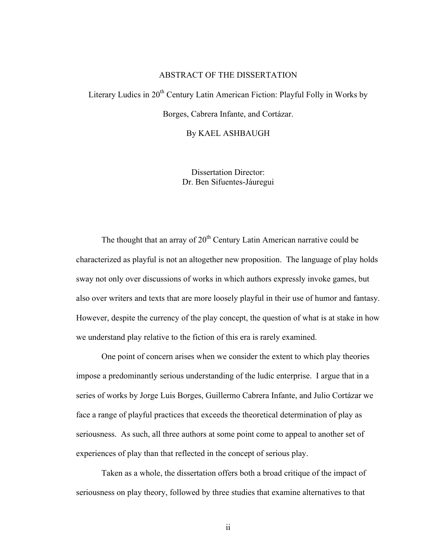## ABSTRACT OF THE DISSERTATION

Literary Ludics in  $20<sup>th</sup>$  Century Latin American Fiction: Playful Folly in Works by Borges, Cabrera Infante, and Cortázar.

By KAEL ASHBAUGH

Dissertation Director: Dr. Ben Sifuentes-Jáuregui

The thought that an array of  $20<sup>th</sup>$  Century Latin American narrative could be characterized as playful is not an altogether new proposition. The language of play holds sway not only over discussions of works in which authors expressly invoke games, but also over writers and texts that are more loosely playful in their use of humor and fantasy. However, despite the currency of the play concept, the question of what is at stake in how we understand play relative to the fiction of this era is rarely examined.

One point of concern arises when we consider the extent to which play theories impose a predominantly serious understanding of the ludic enterprise. I argue that in a series of works by Jorge Luis Borges, Guillermo Cabrera Infante, and Julio Cortázar we face a range of playful practices that exceeds the theoretical determination of play as seriousness. As such, all three authors at some point come to appeal to another set of experiences of play than that reflected in the concept of serious play.

Taken as a whole, the dissertation offers both a broad critique of the impact of seriousness on play theory, followed by three studies that examine alternatives to that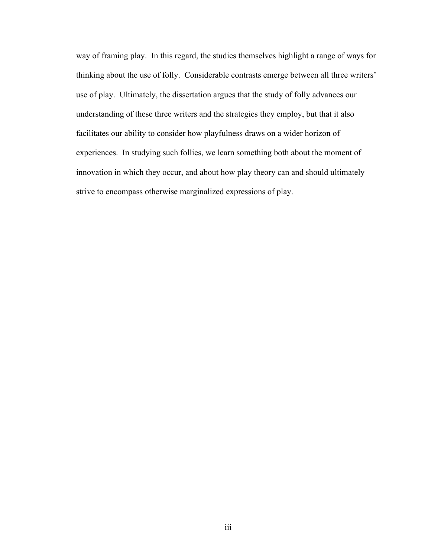way of framing play. In this regard, the studies themselves highlight a range of ways for thinking about the use of folly. Considerable contrasts emerge between all three writers' use of play. Ultimately, the dissertation argues that the study of folly advances our understanding of these three writers and the strategies they employ, but that it also facilitates our ability to consider how playfulness draws on a wider horizon of experiences. In studying such follies, we learn something both about the moment of innovation in which they occur, and about how play theory can and should ultimately strive to encompass otherwise marginalized expressions of play.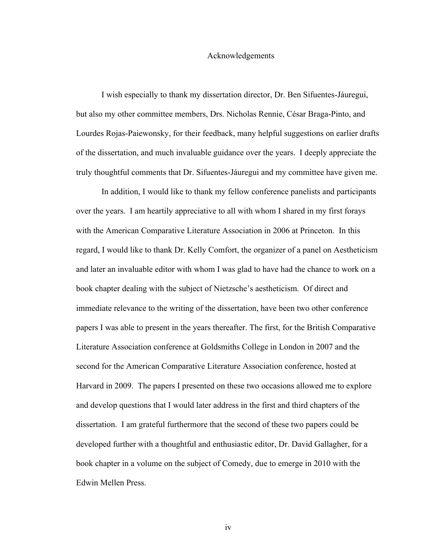### Acknowledgements

I wish especially to thank my dissertation director, Dr. Ben Sifuentes-Jáuregui, but also my other committee members, Drs. Nicholas Rennie, César Braga-Pinto, and Lourdes Rojas-Paiewonsky, for their feedback, many helpful suggestions on earlier drafts of the dissertation, and much invaluable guidance over the years. I deeply appreciate the truly thoughtful comments that Dr. Sifuentes-Jáuregui and my committee have given me.

In addition, I would like to thank my fellow conference panelists and participants over the years. I am heartily appreciative to all with whom I shared in my first forays with the American Comparative Literature Association in 2006 at Princeton. In this regard, I would like to thank Dr. Kelly Comfort, the organizer of a panel on Aestheticism and later an invaluable editor with whom I was glad to have had the chance to work on a book chapter dealing with the subject of Nietzsche's aestheticism. Of direct and immediate relevance to the writing of the dissertation, have been two other conference papers I was able to present in the years thereafter. The first, for the British Comparative Literature Association conference at Goldsmiths College in London in 2007 and the second for the American Comparative Literature Association conference, hosted at Harvard in 2009. The papers I presented on these two occasions allowed me to explore and develop questions that I would later address in the first and third chapters of the dissertation. I am grateful furthermore that the second of these two papers could be developed further with a thoughtful and enthusiastic editor, Dr. David Gallagher, for a book chapter in a volume on the subject of Comedy, due to emerge in 2010 with the Edwin Mellen Press.

iv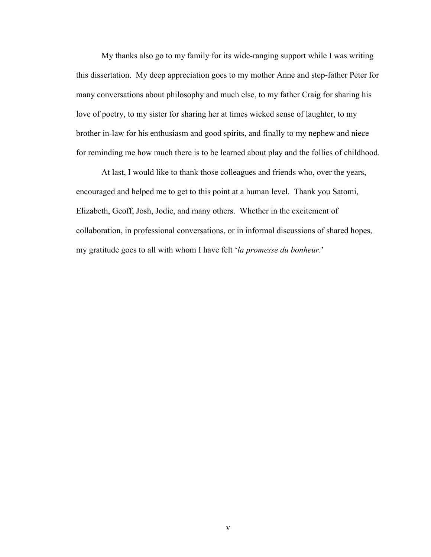My thanks also go to my family for its wide-ranging support while I was writing this dissertation. My deep appreciation goes to my mother Anne and step-father Peter for many conversations about philosophy and much else, to my father Craig for sharing his love of poetry, to my sister for sharing her at times wicked sense of laughter, to my brother in-law for his enthusiasm and good spirits, and finally to my nephew and niece for reminding me how much there is to be learned about play and the follies of childhood.

At last, I would like to thank those colleagues and friends who, over the years, encouraged and helped me to get to this point at a human level. Thank you Satomi, Elizabeth, Geoff, Josh, Jodie, and many others. Whether in the excitement of collaboration, in professional conversations, or in informal discussions of shared hopes, my gratitude goes to all with whom I have felt '*la promesse du bonheur*.'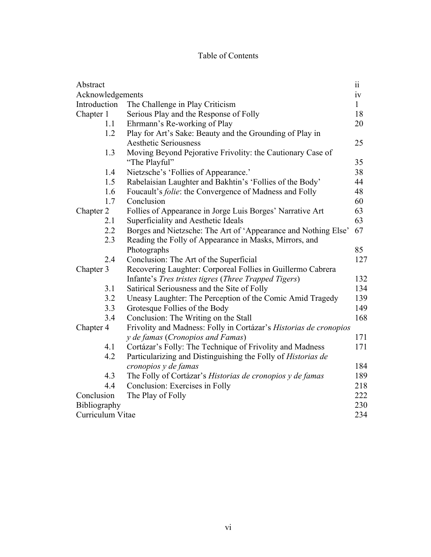# Table of Contents

| Abstract         |                                                                             | $\rm ii$     |
|------------------|-----------------------------------------------------------------------------|--------------|
| Acknowledgements |                                                                             | iv           |
| Introduction     | The Challenge in Play Criticism                                             | $\mathbf{1}$ |
| Chapter 1        | Serious Play and the Response of Folly                                      | 18           |
| 1.1              | Ehrmann's Re-working of Play                                                | 20           |
| 1.2              | Play for Art's Sake: Beauty and the Grounding of Play in                    |              |
|                  | <b>Aesthetic Seriousness</b>                                                | 25           |
| 1.3              | Moving Beyond Pejorative Frivolity: the Cautionary Case of<br>"The Playful" | 35           |
| 1.4              | Nietzsche's 'Follies of Appearance.'                                        | 38           |
| 1.5              | Rabelaisian Laughter and Bakhtin's 'Follies of the Body'                    | 44           |
| 1.6              | Foucault's <i>folie</i> : the Convergence of Madness and Folly              | 48           |
| 1.7              | Conclusion                                                                  | 60           |
| Chapter 2        | Follies of Appearance in Jorge Luis Borges' Narrative Art                   | 63           |
| 2.1              | Superficiality and Aesthetic Ideals                                         | 63           |
| 2.2              | Borges and Nietzsche: The Art of 'Appearance and Nothing Else'              | 67           |
| 2.3              | Reading the Folly of Appearance in Masks, Mirrors, and                      |              |
|                  | Photographs                                                                 | 85           |
| 2.4              | Conclusion: The Art of the Superficial                                      | 127          |
| Chapter 3        | Recovering Laughter: Corporeal Follies in Guillermo Cabrera                 |              |
|                  | Infante's <i>Tres tristes tigres</i> ( <i>Three Trapped Tigers</i> )        | 132          |
| 3.1              | Satirical Seriousness and the Site of Folly                                 | 134          |
| 3.2              | Uneasy Laughter: The Perception of the Comic Amid Tragedy                   | 139          |
| 3.3              | Grotesque Follies of the Body                                               | 149          |
| 3.4              | Conclusion: The Writing on the Stall                                        | 168          |
| Chapter 4        | Frivolity and Madness: Folly in Cortázar's Historias de cronopios           |              |
|                  | y de famas (Cronopios and Famas)                                            | 171          |
| 4.1              | Cortázar's Folly: The Technique of Frivolity and Madness                    | 171          |
| 4.2              | Particularizing and Distinguishing the Folly of Historias de                |              |
|                  | cronopios y de famas                                                        | 184          |
| 4.3              | The Folly of Cortázar's Historias de cronopios y de famas                   | 189          |
| 4.4              | Conclusion: Exercises in Folly                                              | 218          |
| Conclusion       | The Play of Folly                                                           | 222          |
| Bibliography     |                                                                             | 230          |
| Curriculum Vitae |                                                                             | 234          |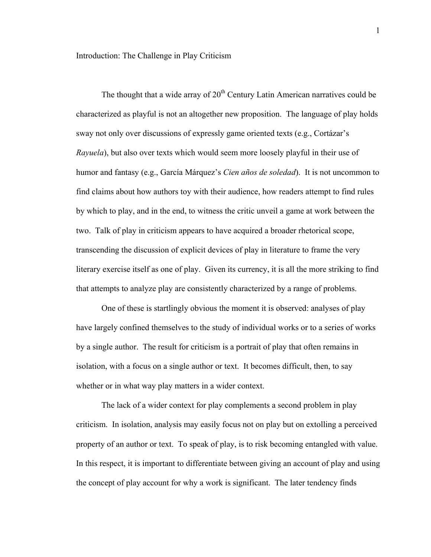The thought that a wide array of  $20<sup>th</sup>$  Century Latin American narratives could be characterized as playful is not an altogether new proposition. The language of play holds sway not only over discussions of expressly game oriented texts (e.g., Cortázar's *Rayuela*), but also over texts which would seem more loosely playful in their use of humor and fantasy (e.g., García Márquez's *Cien años de soledad*). It is not uncommon to find claims about how authors toy with their audience, how readers attempt to find rules by which to play, and in the end, to witness the critic unveil a game at work between the two. Talk of play in criticism appears to have acquired a broader rhetorical scope, transcending the discussion of explicit devices of play in literature to frame the very literary exercise itself as one of play. Given its currency, it is all the more striking to find that attempts to analyze play are consistently characterized by a range of problems.

One of these is startlingly obvious the moment it is observed: analyses of play have largely confined themselves to the study of individual works or to a series of works by a single author. The result for criticism is a portrait of play that often remains in isolation, with a focus on a single author or text. It becomes difficult, then, to say whether or in what way play matters in a wider context.

The lack of a wider context for play complements a second problem in play criticism. In isolation, analysis may easily focus not on play but on extolling a perceived property of an author or text. To speak of play, is to risk becoming entangled with value. In this respect, it is important to differentiate between giving an account of play and using the concept of play account for why a work is significant. The later tendency finds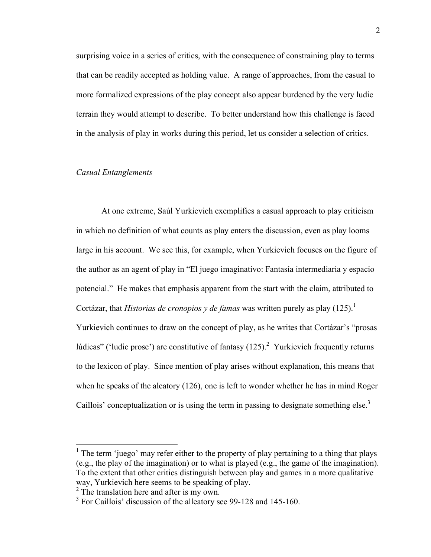surprising voice in a series of critics, with the consequence of constraining play to terms that can be readily accepted as holding value. A range of approaches, from the casual to more formalized expressions of the play concept also appear burdened by the very ludic terrain they would attempt to describe. To better understand how this challenge is faced in the analysis of play in works during this period, let us consider a selection of critics.

## *Casual Entanglements*

At one extreme, Saúl Yurkievich exemplifies a casual approach to play criticism in which no definition of what counts as play enters the discussion, even as play looms large in his account. We see this, for example, when Yurkievich focuses on the figure of the author as an agent of play in "El juego imaginativo: Fantasía intermediaria y espacio potencial." He makes that emphasis apparent from the start with the claim, attributed to Cortázar, that *Historias de cronopios y de famas* was written purely as play  $(125)^{1}$ . Yurkievich continues to draw on the concept of play, as he writes that Cortázar's "prosas lúdicas" ('ludic prose') are constitutive of fantasy  $(125)^2$  Yurkievich frequently returns to the lexicon of play. Since mention of play arises without explanation, this means that when he speaks of the aleatory (126), one is left to wonder whether he has in mind Roger Caillois' conceptualization or is using the term in passing to designate something else.<sup>3</sup>

<sup>&</sup>lt;sup>1</sup> The term 'juego' may refer either to the property of play pertaining to a thing that plays (e.g., the play of the imagination) or to what is played (e.g., the game of the imagination). To the extent that other critics distinguish between play and games in a more qualitative way, Yurkievich here seems to be speaking of play.

 $2^2$  The translation here and after is my own.

<sup>&</sup>lt;sup>3</sup> For Caillois' discussion of the alleatory see 99-128 and 145-160.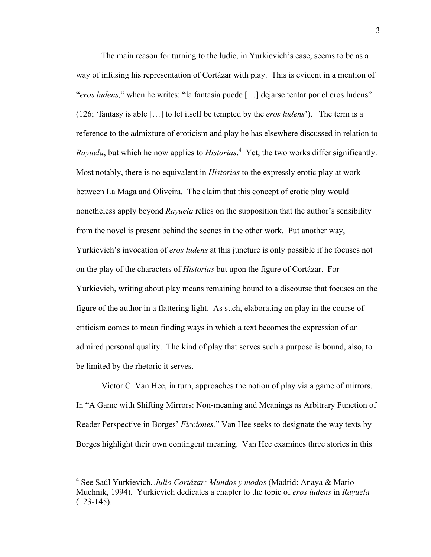The main reason for turning to the ludic, in Yurkievich's case, seems to be as a way of infusing his representation of Cortázar with play. This is evident in a mention of "*eros ludens,*" when he writes: "la fantasia puede […] dejarse tentar por el eros ludens" (126; 'fantasy is able […] to let itself be tempted by the *eros ludens*'). The term is a reference to the admixture of eroticism and play he has elsewhere discussed in relation to *Rayuela*, but which he now applies to *Historias*. 4 Yet, the two works differ significantly. Most notably, there is no equivalent in *Historias* to the expressly erotic play at work between La Maga and Oliveira. The claim that this concept of erotic play would nonetheless apply beyond *Rayuela* relies on the supposition that the author's sensibility from the novel is present behind the scenes in the other work. Put another way, Yurkievich's invocation of *eros ludens* at this juncture is only possible if he focuses not on the play of the characters of *Historias* but upon the figure of Cortázar. For Yurkievich, writing about play means remaining bound to a discourse that focuses on the figure of the author in a flattering light. As such, elaborating on play in the course of criticism comes to mean finding ways in which a text becomes the expression of an admired personal quality. The kind of play that serves such a purpose is bound, also, to be limited by the rhetoric it serves.

Victor C. Van Hee, in turn, approaches the notion of play via a game of mirrors. In "A Game with Shifting Mirrors: Non-meaning and Meanings as Arbitrary Function of Reader Perspective in Borges' *Ficciones,*" Van Hee seeks to designate the way texts by Borges highlight their own contingent meaning. Van Hee examines three stories in this

 <sup>4</sup> See Saúl Yurkievich, *Julio Cortázar: Mundos y modos* (Madrid: Anaya & Mario Muchnik, 1994). Yurkievich dedicates a chapter to the topic of *eros ludens* in *Rayuela* (123-145).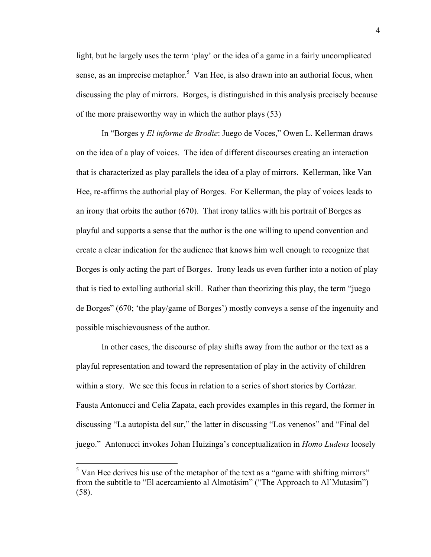light, but he largely uses the term 'play' or the idea of a game in a fairly uncomplicated sense, as an imprecise metaphor.<sup>5</sup> Van Hee, is also drawn into an authorial focus, when discussing the play of mirrors. Borges, is distinguished in this analysis precisely because of the more praiseworthy way in which the author plays (53)

In "Borges y *El informe de Brodie*: Juego de Voces," Owen L. Kellerman draws on the idea of a play of voices. The idea of different discourses creating an interaction that is characterized as play parallels the idea of a play of mirrors. Kellerman, like Van Hee, re-affirms the authorial play of Borges. For Kellerman, the play of voices leads to an irony that orbits the author (670). That irony tallies with his portrait of Borges as playful and supports a sense that the author is the one willing to upend convention and create a clear indication for the audience that knows him well enough to recognize that Borges is only acting the part of Borges. Irony leads us even further into a notion of play that is tied to extolling authorial skill. Rather than theorizing this play, the term "juego de Borges" (670; 'the play/game of Borges') mostly conveys a sense of the ingenuity and possible mischievousness of the author.

In other cases, the discourse of play shifts away from the author or the text as a playful representation and toward the representation of play in the activity of children within a story. We see this focus in relation to a series of short stories by Cortázar. Fausta Antonucci and Celia Zapata, each provides examples in this regard, the former in discussing "La autopista del sur," the latter in discussing "Los venenos" and "Final del juego." Antonucci invokes Johan Huizinga's conceptualization in *Homo Ludens* loosely

 $\frac{5}{5}$  Van Hee derives his use of the metaphor of the text as a "game with shifting mirrors" from the subtitle to "El acercamiento al Almotásim" ("The Approach to Al'Mutasim") (58).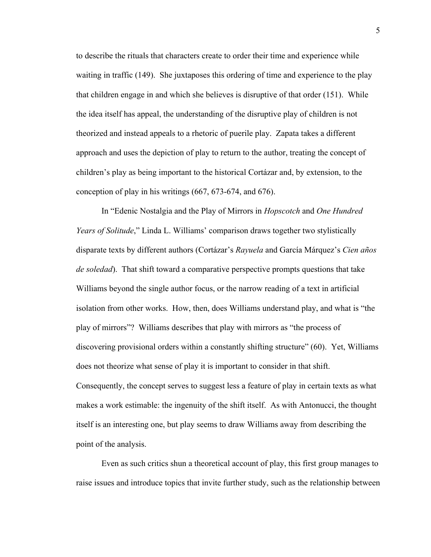to describe the rituals that characters create to order their time and experience while waiting in traffic (149). She juxtaposes this ordering of time and experience to the play that children engage in and which she believes is disruptive of that order (151). While the idea itself has appeal, the understanding of the disruptive play of children is not theorized and instead appeals to a rhetoric of puerile play. Zapata takes a different approach and uses the depiction of play to return to the author, treating the concept of children's play as being important to the historical Cortázar and, by extension, to the conception of play in his writings (667, 673-674, and 676).

In "Edenic Nostalgia and the Play of Mirrors in *Hopscotch* and *One Hundred Years of Solitude*," Linda L. Williams' comparison draws together two stylistically disparate texts by different authors (Cortázar's *Rayuela* and García Márquez's *Cien años de soledad*). That shift toward a comparative perspective prompts questions that take Williams beyond the single author focus, or the narrow reading of a text in artificial isolation from other works. How, then, does Williams understand play, and what is "the play of mirrors"? Williams describes that play with mirrors as "the process of discovering provisional orders within a constantly shifting structure" (60). Yet, Williams does not theorize what sense of play it is important to consider in that shift. Consequently, the concept serves to suggest less a feature of play in certain texts as what makes a work estimable: the ingenuity of the shift itself. As with Antonucci, the thought itself is an interesting one, but play seems to draw Williams away from describing the point of the analysis.

Even as such critics shun a theoretical account of play, this first group manages to raise issues and introduce topics that invite further study, such as the relationship between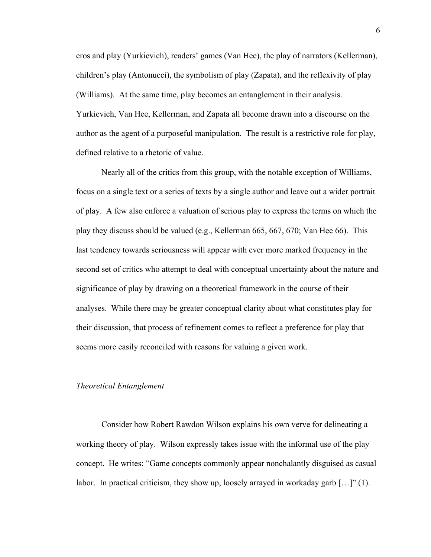eros and play (Yurkievich), readers' games (Van Hee), the play of narrators (Kellerman), children's play (Antonucci), the symbolism of play (Zapata), and the reflexivity of play (Williams). At the same time, play becomes an entanglement in their analysis. Yurkievich, Van Hee, Kellerman, and Zapata all become drawn into a discourse on the author as the agent of a purposeful manipulation. The result is a restrictive role for play, defined relative to a rhetoric of value.

Nearly all of the critics from this group, with the notable exception of Williams, focus on a single text or a series of texts by a single author and leave out a wider portrait of play. A few also enforce a valuation of serious play to express the terms on which the play they discuss should be valued (e.g., Kellerman 665, 667, 670; Van Hee 66). This last tendency towards seriousness will appear with ever more marked frequency in the second set of critics who attempt to deal with conceptual uncertainty about the nature and significance of play by drawing on a theoretical framework in the course of their analyses. While there may be greater conceptual clarity about what constitutes play for their discussion, that process of refinement comes to reflect a preference for play that seems more easily reconciled with reasons for valuing a given work.

#### *Theoretical Entanglement*

Consider how Robert Rawdon Wilson explains his own verve for delineating a working theory of play. Wilson expressly takes issue with the informal use of the play concept. He writes: "Game concepts commonly appear nonchalantly disguised as casual labor. In practical criticism, they show up, loosely arrayed in workaday garb […]" (1).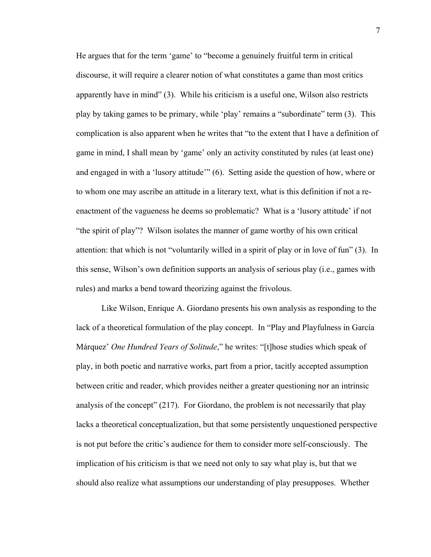He argues that for the term 'game' to "become a genuinely fruitful term in critical discourse, it will require a clearer notion of what constitutes a game than most critics apparently have in mind" (3). While his criticism is a useful one, Wilson also restricts play by taking games to be primary, while 'play' remains a "subordinate" term (3). This complication is also apparent when he writes that "to the extent that I have a definition of game in mind, I shall mean by 'game' only an activity constituted by rules (at least one) and engaged in with a 'lusory attitude'" (6). Setting aside the question of how, where or to whom one may ascribe an attitude in a literary text, what is this definition if not a reenactment of the vagueness he deems so problematic? What is a 'lusory attitude' if not "the spirit of play"? Wilson isolates the manner of game worthy of his own critical attention: that which is not "voluntarily willed in a spirit of play or in love of fun" (3). In this sense, Wilson's own definition supports an analysis of serious play (i.e., games with rules) and marks a bend toward theorizing against the frivolous.

Like Wilson, Enrique A. Giordano presents his own analysis as responding to the lack of a theoretical formulation of the play concept. In "Play and Playfulness in García Márquez' *One Hundred Years of Solitude*," he writes: "[t]hose studies which speak of play, in both poetic and narrative works, part from a prior, tacitly accepted assumption between critic and reader, which provides neither a greater questioning nor an intrinsic analysis of the concept" (217). For Giordano, the problem is not necessarily that play lacks a theoretical conceptualization, but that some persistently unquestioned perspective is not put before the critic's audience for them to consider more self-consciously. The implication of his criticism is that we need not only to say what play is, but that we should also realize what assumptions our understanding of play presupposes. Whether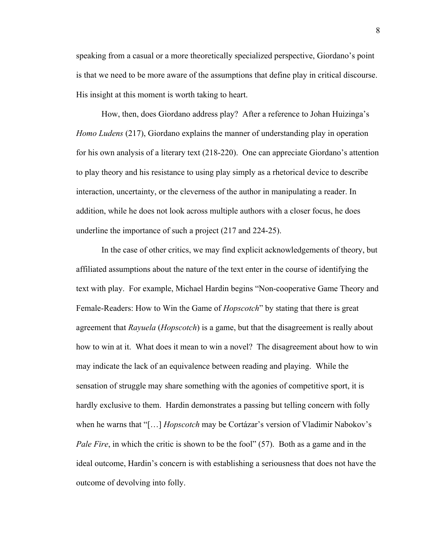speaking from a casual or a more theoretically specialized perspective, Giordano's point is that we need to be more aware of the assumptions that define play in critical discourse. His insight at this moment is worth taking to heart.

How, then, does Giordano address play? After a reference to Johan Huizinga's *Homo Ludens* (217), Giordano explains the manner of understanding play in operation for his own analysis of a literary text (218-220). One can appreciate Giordano's attention to play theory and his resistance to using play simply as a rhetorical device to describe interaction, uncertainty, or the cleverness of the author in manipulating a reader. In addition, while he does not look across multiple authors with a closer focus, he does underline the importance of such a project (217 and 224-25).

In the case of other critics, we may find explicit acknowledgements of theory, but affiliated assumptions about the nature of the text enter in the course of identifying the text with play. For example, Michael Hardin begins "Non-cooperative Game Theory and Female-Readers: How to Win the Game of *Hopscotch*" by stating that there is great agreement that *Rayuela* (*Hopscotch*) is a game, but that the disagreement is really about how to win at it. What does it mean to win a novel? The disagreement about how to win may indicate the lack of an equivalence between reading and playing. While the sensation of struggle may share something with the agonies of competitive sport, it is hardly exclusive to them. Hardin demonstrates a passing but telling concern with folly when he warns that "[…] *Hopscotch* may be Cortázar's version of Vladimir Nabokov's *Pale Fire*, in which the critic is shown to be the fool" (57). Both as a game and in the ideal outcome, Hardin's concern is with establishing a seriousness that does not have the outcome of devolving into folly.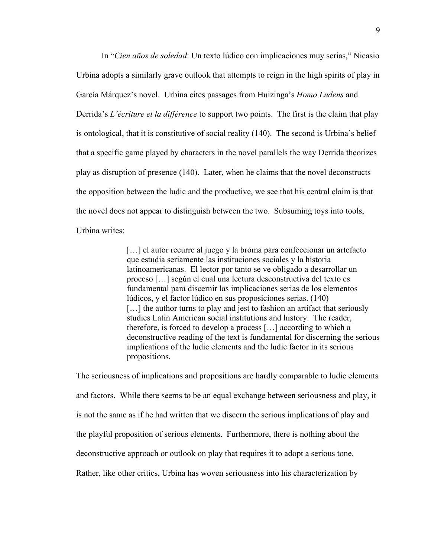In "*Cien años de soledad*: Un texto lúdico con implicaciones muy serias," Nicasio Urbina adopts a similarly grave outlook that attempts to reign in the high spirits of play in García Márquez's novel. Urbina cites passages from Huizinga's *Homo Ludens* and Derrida's *L'écriture et la différence* to support two points. The first is the claim that play is ontological, that it is constitutive of social reality (140). The second is Urbina's belief that a specific game played by characters in the novel parallels the way Derrida theorizes play as disruption of presence (140). Later, when he claims that the novel deconstructs the opposition between the ludic and the productive, we see that his central claim is that the novel does not appear to distinguish between the two. Subsuming toys into tools, Urbina writes:

> [...] el autor recurre al juego y la broma para confeccionar un artefacto que estudia seriamente las instituciones sociales y la historia latinoamericanas. El lector por tanto se ve obligado a desarrollar un proceso […] según el cual una lectura desconstructiva del texto es fundamental para discernir las implicaciones serias de los elementos lúdicos, y el factor lúdico en sus proposiciones serias. (140) [...] the author turns to play and jest to fashion an artifact that seriously studies Latin American social institutions and history. The reader, therefore, is forced to develop a process […] according to which a deconstructive reading of the text is fundamental for discerning the serious implications of the ludic elements and the ludic factor in its serious propositions.

The seriousness of implications and propositions are hardly comparable to ludic elements and factors. While there seems to be an equal exchange between seriousness and play, it is not the same as if he had written that we discern the serious implications of play and the playful proposition of serious elements. Furthermore, there is nothing about the deconstructive approach or outlook on play that requires it to adopt a serious tone. Rather, like other critics, Urbina has woven seriousness into his characterization by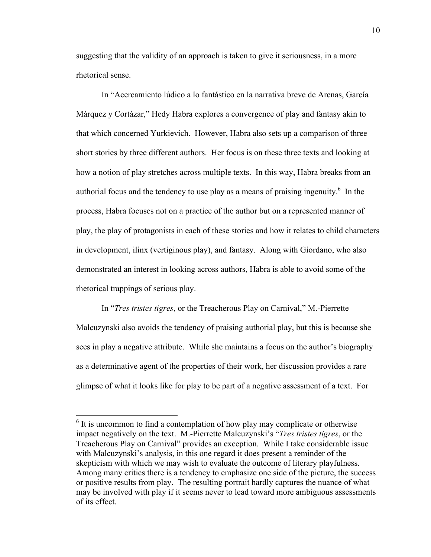suggesting that the validity of an approach is taken to give it seriousness, in a more rhetorical sense.

In "Acercamiento lúdico a lo fantástico en la narrativa breve de Arenas, García Márquez y Cortázar," Hedy Habra explores a convergence of play and fantasy akin to that which concerned Yurkievich. However, Habra also sets up a comparison of three short stories by three different authors. Her focus is on these three texts and looking at how a notion of play stretches across multiple texts. In this way, Habra breaks from an authorial focus and the tendency to use play as a means of praising ingenuity. $<sup>6</sup>$  In the</sup> process, Habra focuses not on a practice of the author but on a represented manner of play, the play of protagonists in each of these stories and how it relates to child characters in development, ilinx (vertiginous play), and fantasy. Along with Giordano, who also demonstrated an interest in looking across authors, Habra is able to avoid some of the rhetorical trappings of serious play.

In "*Tres tristes tigres*, or the Treacherous Play on Carnival," M.-Pierrette Malcuzynski also avoids the tendency of praising authorial play, but this is because she sees in play a negative attribute. While she maintains a focus on the author's biography as a determinative agent of the properties of their work, her discussion provides a rare glimpse of what it looks like for play to be part of a negative assessment of a text. For

 $6$  It is uncommon to find a contemplation of how play may complicate or otherwise impact negatively on the text. M.-Pierrette Malcuzynski's "*Tres tristes tigres*, or the Treacherous Play on Carnival" provides an exception. While I take considerable issue with Malcuzynski's analysis, in this one regard it does present a reminder of the skepticism with which we may wish to evaluate the outcome of literary playfulness. Among many critics there is a tendency to emphasize one side of the picture, the success or positive results from play. The resulting portrait hardly captures the nuance of what may be involved with play if it seems never to lead toward more ambiguous assessments of its effect.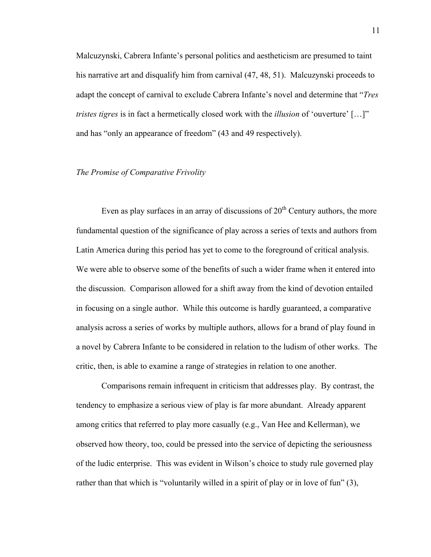Malcuzynski, Cabrera Infante's personal politics and aestheticism are presumed to taint his narrative art and disqualify him from carnival (47, 48, 51). Malcuzynski proceeds to adapt the concept of carnival to exclude Cabrera Infante's novel and determine that "*Tres tristes tigres* is in fact a hermetically closed work with the *illusion* of 'ouverture' […]" and has "only an appearance of freedom" (43 and 49 respectively).

## *The Promise of Comparative Frivolity*

Even as play surfaces in an array of discussions of  $20<sup>th</sup>$  Century authors, the more fundamental question of the significance of play across a series of texts and authors from Latin America during this period has yet to come to the foreground of critical analysis. We were able to observe some of the benefits of such a wider frame when it entered into the discussion. Comparison allowed for a shift away from the kind of devotion entailed in focusing on a single author. While this outcome is hardly guaranteed, a comparative analysis across a series of works by multiple authors, allows for a brand of play found in a novel by Cabrera Infante to be considered in relation to the ludism of other works. The critic, then, is able to examine a range of strategies in relation to one another.

Comparisons remain infrequent in criticism that addresses play. By contrast, the tendency to emphasize a serious view of play is far more abundant. Already apparent among critics that referred to play more casually (e.g., Van Hee and Kellerman), we observed how theory, too, could be pressed into the service of depicting the seriousness of the ludic enterprise. This was evident in Wilson's choice to study rule governed play rather than that which is "voluntarily willed in a spirit of play or in love of fun" (3),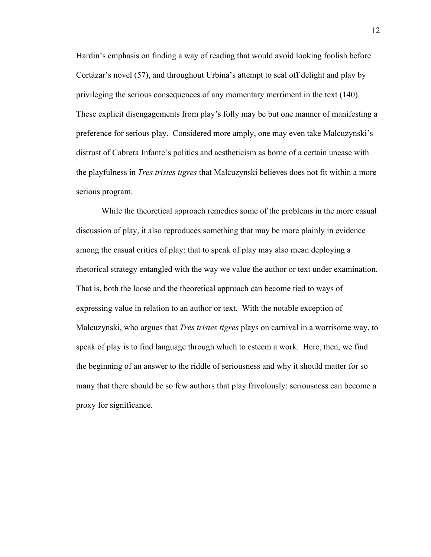Hardin's emphasis on finding a way of reading that would avoid looking foolish before Cortázar's novel (57), and throughout Urbina's attempt to seal off delight and play by privileging the serious consequences of any momentary merriment in the text (140). These explicit disengagements from play's folly may be but one manner of manifesting a preference for serious play. Considered more amply, one may even take Malcuzynski's distrust of Cabrera Infante's politics and aestheticism as borne of a certain unease with the playfulness in *Tres tristes tigres* that Malcuzynski believes does not fit within a more serious program.

While the theoretical approach remedies some of the problems in the more casual discussion of play, it also reproduces something that may be more plainly in evidence among the casual critics of play: that to speak of play may also mean deploying a rhetorical strategy entangled with the way we value the author or text under examination. That is, both the loose and the theoretical approach can become tied to ways of expressing value in relation to an author or text. With the notable exception of Malcuzynski, who argues that *Tres tristes tigres* plays on carnival in a worrisome way, to speak of play is to find language through which to esteem a work. Here, then, we find the beginning of an answer to the riddle of seriousness and why it should matter for so many that there should be so few authors that play frivolously: seriousness can become a proxy for significance.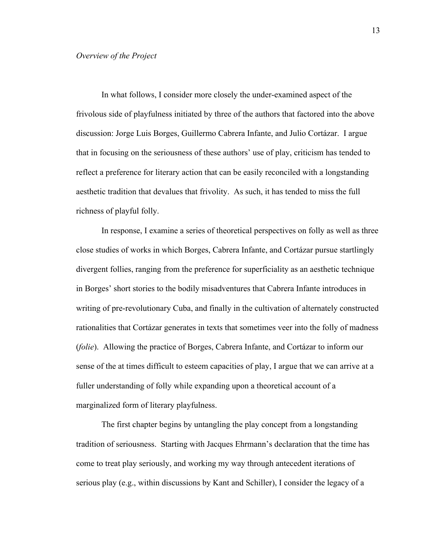In what follows, I consider more closely the under-examined aspect of the frivolous side of playfulness initiated by three of the authors that factored into the above discussion: Jorge Luis Borges, Guillermo Cabrera Infante, and Julio Cortázar. I argue that in focusing on the seriousness of these authors' use of play, criticism has tended to reflect a preference for literary action that can be easily reconciled with a longstanding aesthetic tradition that devalues that frivolity. As such, it has tended to miss the full richness of playful folly.

In response, I examine a series of theoretical perspectives on folly as well as three close studies of works in which Borges, Cabrera Infante, and Cortázar pursue startlingly divergent follies, ranging from the preference for superficiality as an aesthetic technique in Borges' short stories to the bodily misadventures that Cabrera Infante introduces in writing of pre-revolutionary Cuba, and finally in the cultivation of alternately constructed rationalities that Cortázar generates in texts that sometimes veer into the folly of madness (*folie*). Allowing the practice of Borges, Cabrera Infante, and Cortázar to inform our sense of the at times difficult to esteem capacities of play, I argue that we can arrive at a fuller understanding of folly while expanding upon a theoretical account of a marginalized form of literary playfulness.

The first chapter begins by untangling the play concept from a longstanding tradition of seriousness. Starting with Jacques Ehrmann's declaration that the time has come to treat play seriously, and working my way through antecedent iterations of serious play (e.g., within discussions by Kant and Schiller), I consider the legacy of a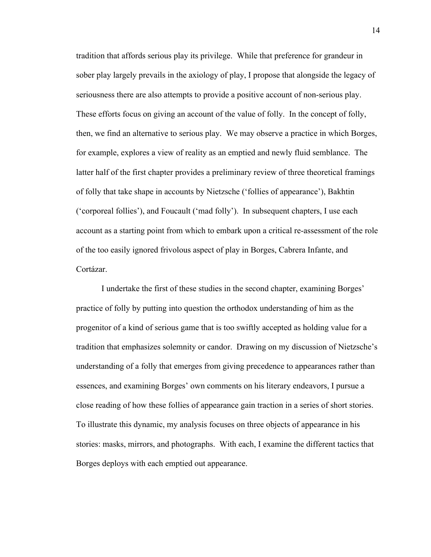tradition that affords serious play its privilege. While that preference for grandeur in sober play largely prevails in the axiology of play, I propose that alongside the legacy of seriousness there are also attempts to provide a positive account of non-serious play. These efforts focus on giving an account of the value of folly. In the concept of folly, then, we find an alternative to serious play. We may observe a practice in which Borges, for example, explores a view of reality as an emptied and newly fluid semblance. The latter half of the first chapter provides a preliminary review of three theoretical framings of folly that take shape in accounts by Nietzsche ('follies of appearance'), Bakhtin ('corporeal follies'), and Foucault ('mad folly'). In subsequent chapters, I use each account as a starting point from which to embark upon a critical re-assessment of the role of the too easily ignored frivolous aspect of play in Borges, Cabrera Infante, and Cortázar.

I undertake the first of these studies in the second chapter, examining Borges' practice of folly by putting into question the orthodox understanding of him as the progenitor of a kind of serious game that is too swiftly accepted as holding value for a tradition that emphasizes solemnity or candor. Drawing on my discussion of Nietzsche's understanding of a folly that emerges from giving precedence to appearances rather than essences, and examining Borges' own comments on his literary endeavors, I pursue a close reading of how these follies of appearance gain traction in a series of short stories. To illustrate this dynamic, my analysis focuses on three objects of appearance in his stories: masks, mirrors, and photographs. With each, I examine the different tactics that Borges deploys with each emptied out appearance.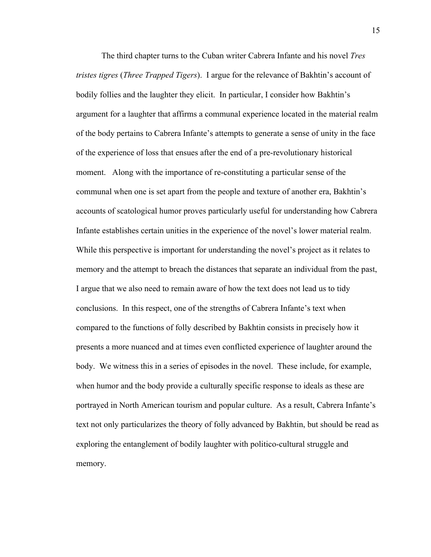The third chapter turns to the Cuban writer Cabrera Infante and his novel *Tres tristes tigres* (*Three Trapped Tigers*). I argue for the relevance of Bakhtin's account of bodily follies and the laughter they elicit. In particular, I consider how Bakhtin's argument for a laughter that affirms a communal experience located in the material realm of the body pertains to Cabrera Infante's attempts to generate a sense of unity in the face of the experience of loss that ensues after the end of a pre-revolutionary historical moment. Along with the importance of re-constituting a particular sense of the communal when one is set apart from the people and texture of another era, Bakhtin's accounts of scatological humor proves particularly useful for understanding how Cabrera Infante establishes certain unities in the experience of the novel's lower material realm. While this perspective is important for understanding the novel's project as it relates to memory and the attempt to breach the distances that separate an individual from the past, I argue that we also need to remain aware of how the text does not lead us to tidy conclusions. In this respect, one of the strengths of Cabrera Infante's text when compared to the functions of folly described by Bakhtin consists in precisely how it presents a more nuanced and at times even conflicted experience of laughter around the body. We witness this in a series of episodes in the novel. These include, for example, when humor and the body provide a culturally specific response to ideals as these are portrayed in North American tourism and popular culture. As a result, Cabrera Infante's text not only particularizes the theory of folly advanced by Bakhtin, but should be read as exploring the entanglement of bodily laughter with politico-cultural struggle and memory.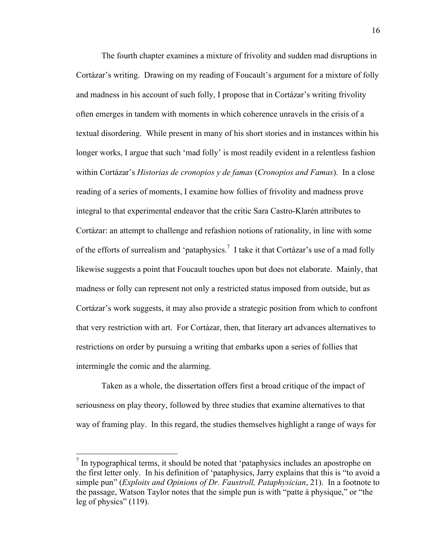The fourth chapter examines a mixture of frivolity and sudden mad disruptions in Cortázar's writing. Drawing on my reading of Foucault's argument for a mixture of folly and madness in his account of such folly, I propose that in Cortázar's writing frivolity often emerges in tandem with moments in which coherence unravels in the crisis of a textual disordering. While present in many of his short stories and in instances within his longer works, I argue that such 'mad folly' is most readily evident in a relentless fashion within Cortázar's *Historias de cronopios y de famas* (*Cronopios and Famas*). In a close reading of a series of moments, I examine how follies of frivolity and madness prove integral to that experimental endeavor that the critic Sara Castro-Klarén attributes to Cortázar: an attempt to challenge and refashion notions of rationality, in line with some of the efforts of surrealism and 'pataphysics.<sup>7</sup> I take it that Cortázar's use of a mad folly likewise suggests a point that Foucault touches upon but does not elaborate. Mainly, that madness or folly can represent not only a restricted status imposed from outside, but as Cortázar's work suggests, it may also provide a strategic position from which to confront that very restriction with art. For Cortázar, then, that literary art advances alternatives to restrictions on order by pursuing a writing that embarks upon a series of follies that intermingle the comic and the alarming.

Taken as a whole, the dissertation offers first a broad critique of the impact of seriousness on play theory, followed by three studies that examine alternatives to that way of framing play. In this regard, the studies themselves highlight a range of ways for

<sup>&</sup>lt;sup>7</sup> In typographical terms, it should be noted that 'pataphysics includes an apostrophe on the first letter only. In his definition of 'pataphysics, Jarry explains that this is "to avoid a simple pun" (*Exploits and Opinions of Dr. Faustroll, Pataphysician*, 21). In a footnote to the passage, Watson Taylor notes that the simple pun is with "patte à physique," or "the leg of physics" (119).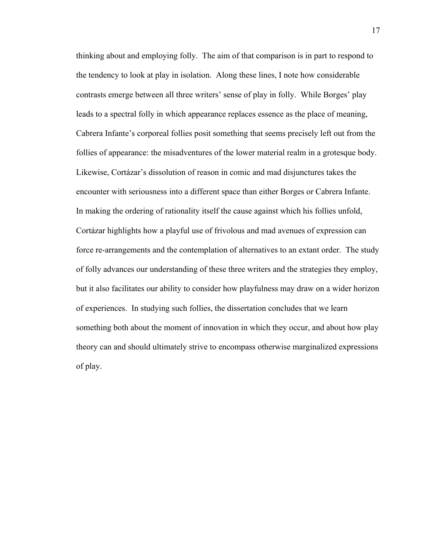thinking about and employing folly. The aim of that comparison is in part to respond to the tendency to look at play in isolation. Along these lines, I note how considerable contrasts emerge between all three writers' sense of play in folly. While Borges' play leads to a spectral folly in which appearance replaces essence as the place of meaning, Cabrera Infante's corporeal follies posit something that seems precisely left out from the follies of appearance: the misadventures of the lower material realm in a grotesque body. Likewise, Cortázar's dissolution of reason in comic and mad disjunctures takes the encounter with seriousness into a different space than either Borges or Cabrera Infante. In making the ordering of rationality itself the cause against which his follies unfold, Cortázar highlights how a playful use of frivolous and mad avenues of expression can force re-arrangements and the contemplation of alternatives to an extant order. The study of folly advances our understanding of these three writers and the strategies they employ, but it also facilitates our ability to consider how playfulness may draw on a wider horizon of experiences. In studying such follies, the dissertation concludes that we learn something both about the moment of innovation in which they occur, and about how play theory can and should ultimately strive to encompass otherwise marginalized expressions of play.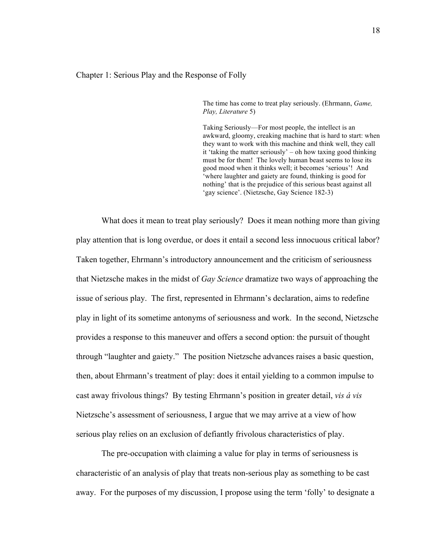## Chapter 1: Serious Play and the Response of Folly

The time has come to treat play seriously. (Ehrmann, *Game, Play, Literature* 5)

Taking Seriously—For most people, the intellect is an awkward, gloomy, creaking machine that is hard to start: when they want to work with this machine and think well, they call it 'taking the matter seriously' – oh how taxing good thinking must be for them! The lovely human beast seems to lose its good mood when it thinks well; it becomes 'serious'! And 'where laughter and gaiety are found, thinking is good for nothing' that is the prejudice of this serious beast against all 'gay science'. (Nietzsche, Gay Science 182-3)

What does it mean to treat play seriously? Does it mean nothing more than giving play attention that is long overdue, or does it entail a second less innocuous critical labor? Taken together, Ehrmann's introductory announcement and the criticism of seriousness that Nietzsche makes in the midst of *Gay Science* dramatize two ways of approaching the issue of serious play. The first, represented in Ehrmann's declaration, aims to redefine play in light of its sometime antonyms of seriousness and work. In the second, Nietzsche provides a response to this maneuver and offers a second option: the pursuit of thought through "laughter and gaiety." The position Nietzsche advances raises a basic question, then, about Ehrmann's treatment of play: does it entail yielding to a common impulse to cast away frivolous things? By testing Ehrmann's position in greater detail, *vis á vis* Nietzsche's assessment of seriousness, I argue that we may arrive at a view of how serious play relies on an exclusion of defiantly frivolous characteristics of play.

The pre-occupation with claiming a value for play in terms of seriousness is characteristic of an analysis of play that treats non-serious play as something to be cast away. For the purposes of my discussion, I propose using the term 'folly' to designate a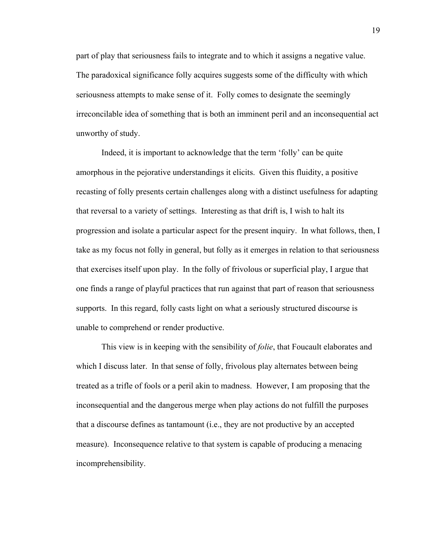part of play that seriousness fails to integrate and to which it assigns a negative value. The paradoxical significance folly acquires suggests some of the difficulty with which seriousness attempts to make sense of it. Folly comes to designate the seemingly irreconcilable idea of something that is both an imminent peril and an inconsequential act unworthy of study.

Indeed, it is important to acknowledge that the term 'folly' can be quite amorphous in the pejorative understandings it elicits. Given this fluidity, a positive recasting of folly presents certain challenges along with a distinct usefulness for adapting that reversal to a variety of settings. Interesting as that drift is, I wish to halt its progression and isolate a particular aspect for the present inquiry. In what follows, then, I take as my focus not folly in general, but folly as it emerges in relation to that seriousness that exercises itself upon play. In the folly of frivolous or superficial play, I argue that one finds a range of playful practices that run against that part of reason that seriousness supports. In this regard, folly casts light on what a seriously structured discourse is unable to comprehend or render productive.

This view is in keeping with the sensibility of *folie*, that Foucault elaborates and which I discuss later. In that sense of folly, frivolous play alternates between being treated as a trifle of fools or a peril akin to madness. However, I am proposing that the inconsequential and the dangerous merge when play actions do not fulfill the purposes that a discourse defines as tantamount (i.e., they are not productive by an accepted measure). Inconsequence relative to that system is capable of producing a menacing incomprehensibility.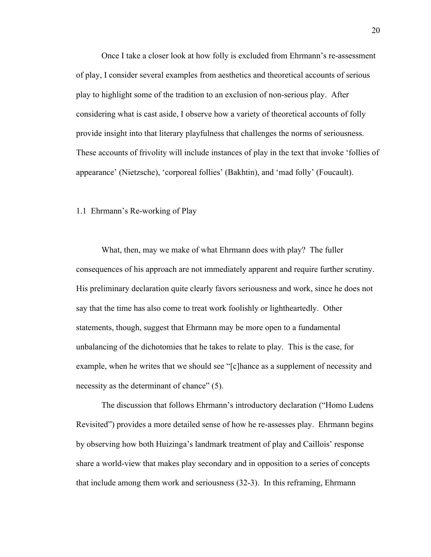Once I take a closer look at how folly is excluded from Ehrmann's re-assessment of play, I consider several examples from aesthetics and theoretical accounts of serious play to highlight some of the tradition to an exclusion of non-serious play. After considering what is cast aside, I observe how a variety of theoretical accounts of folly provide insight into that literary playfulness that challenges the norms of seriousness. These accounts of frivolity will include instances of play in the text that invoke 'follies of appearance' (Nietzsche), 'corporeal follies' (Bakhtin), and 'mad folly' (Foucault).

1.1 Ehrmann's Re-working of Play

What, then, may we make of what Ehrmann does with play? The fuller consequences of his approach are not immediately apparent and require further scrutiny. His preliminary declaration quite clearly favors seriousness and work, since he does not say that the time has also come to treat work foolishly or lightheartedly. Other statements, though, suggest that Ehrmann may be more open to a fundamental unbalancing of the dichotomies that he takes to relate to play. This is the case, for example, when he writes that we should see "[c]hance as a supplement of necessity and necessity as the determinant of chance" (5).

The discussion that follows Ehrmann's introductory declaration ("Homo Ludens Revisited") provides a more detailed sense of how he re-assesses play. Ehrmann begins by observing how both Huizinga's landmark treatment of play and Caillois' response share a world-view that makes play secondary and in opposition to a series of concepts that include among them work and seriousness (32-3). In this reframing, Ehrmann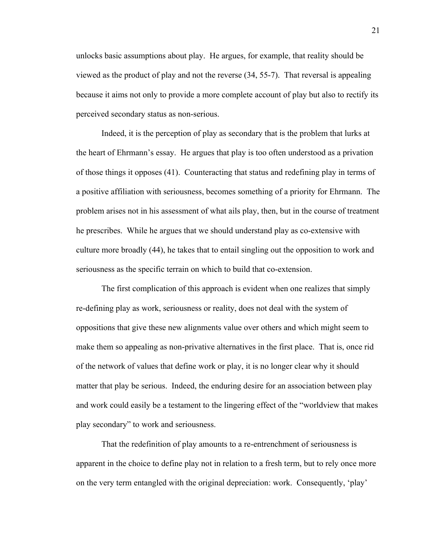unlocks basic assumptions about play. He argues, for example, that reality should be viewed as the product of play and not the reverse (34, 55-7). That reversal is appealing because it aims not only to provide a more complete account of play but also to rectify its perceived secondary status as non-serious.

Indeed, it is the perception of play as secondary that is the problem that lurks at the heart of Ehrmann's essay. He argues that play is too often understood as a privation of those things it opposes (41). Counteracting that status and redefining play in terms of a positive affiliation with seriousness, becomes something of a priority for Ehrmann. The problem arises not in his assessment of what ails play, then, but in the course of treatment he prescribes. While he argues that we should understand play as co-extensive with culture more broadly (44), he takes that to entail singling out the opposition to work and seriousness as the specific terrain on which to build that co-extension.

The first complication of this approach is evident when one realizes that simply re-defining play as work, seriousness or reality, does not deal with the system of oppositions that give these new alignments value over others and which might seem to make them so appealing as non-privative alternatives in the first place. That is, once rid of the network of values that define work or play, it is no longer clear why it should matter that play be serious. Indeed, the enduring desire for an association between play and work could easily be a testament to the lingering effect of the "worldview that makes play secondary" to work and seriousness.

That the redefinition of play amounts to a re-entrenchment of seriousness is apparent in the choice to define play not in relation to a fresh term, but to rely once more on the very term entangled with the original depreciation: work. Consequently, 'play'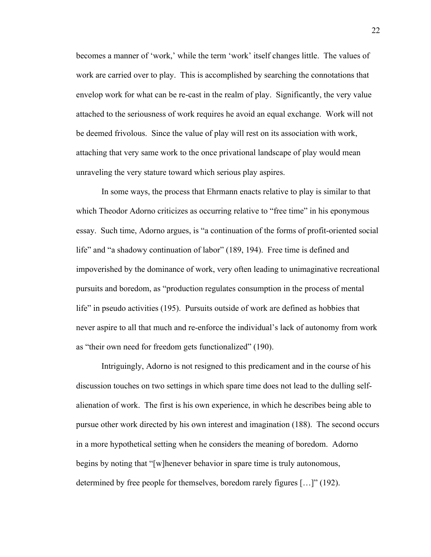becomes a manner of 'work,' while the term 'work' itself changes little. The values of work are carried over to play. This is accomplished by searching the connotations that envelop work for what can be re-cast in the realm of play. Significantly, the very value attached to the seriousness of work requires he avoid an equal exchange. Work will not be deemed frivolous. Since the value of play will rest on its association with work, attaching that very same work to the once privational landscape of play would mean unraveling the very stature toward which serious play aspires.

In some ways, the process that Ehrmann enacts relative to play is similar to that which Theodor Adorno criticizes as occurring relative to "free time" in his eponymous essay. Such time, Adorno argues, is "a continuation of the forms of profit-oriented social life" and "a shadowy continuation of labor" (189, 194). Free time is defined and impoverished by the dominance of work, very often leading to unimaginative recreational pursuits and boredom, as "production regulates consumption in the process of mental life" in pseudo activities (195). Pursuits outside of work are defined as hobbies that never aspire to all that much and re-enforce the individual's lack of autonomy from work as "their own need for freedom gets functionalized" (190).

Intriguingly, Adorno is not resigned to this predicament and in the course of his discussion touches on two settings in which spare time does not lead to the dulling selfalienation of work. The first is his own experience, in which he describes being able to pursue other work directed by his own interest and imagination (188). The second occurs in a more hypothetical setting when he considers the meaning of boredom. Adorno begins by noting that "[w]henever behavior in spare time is truly autonomous, determined by free people for themselves, boredom rarely figures […]" (192).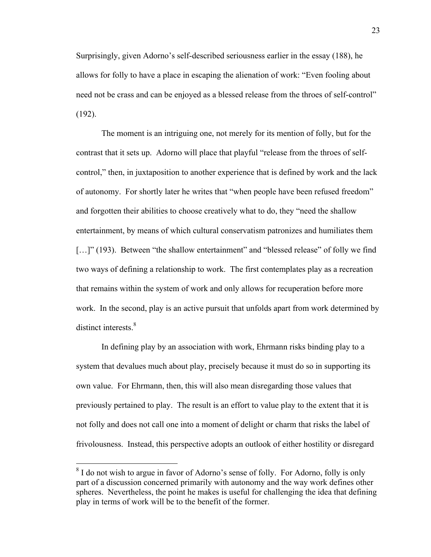Surprisingly, given Adorno's self-described seriousness earlier in the essay (188), he allows for folly to have a place in escaping the alienation of work: "Even fooling about need not be crass and can be enjoyed as a blessed release from the throes of self-control" (192).

The moment is an intriguing one, not merely for its mention of folly, but for the contrast that it sets up. Adorno will place that playful "release from the throes of selfcontrol," then, in juxtaposition to another experience that is defined by work and the lack of autonomy. For shortly later he writes that "when people have been refused freedom" and forgotten their abilities to choose creatively what to do, they "need the shallow entertainment, by means of which cultural conservatism patronizes and humiliates them [...]" (193). Between "the shallow entertainment" and "blessed release" of folly we find two ways of defining a relationship to work. The first contemplates play as a recreation that remains within the system of work and only allows for recuperation before more work. In the second, play is an active pursuit that unfolds apart from work determined by distinct interests.<sup>8</sup>

In defining play by an association with work, Ehrmann risks binding play to a system that devalues much about play, precisely because it must do so in supporting its own value. For Ehrmann, then, this will also mean disregarding those values that previously pertained to play. The result is an effort to value play to the extent that it is not folly and does not call one into a moment of delight or charm that risks the label of frivolousness. Instead, this perspective adopts an outlook of either hostility or disregard

<sup>&</sup>lt;sup>8</sup> I do not wish to argue in favor of Adorno's sense of folly. For Adorno, folly is only part of a discussion concerned primarily with autonomy and the way work defines other spheres. Nevertheless, the point he makes is useful for challenging the idea that defining play in terms of work will be to the benefit of the former.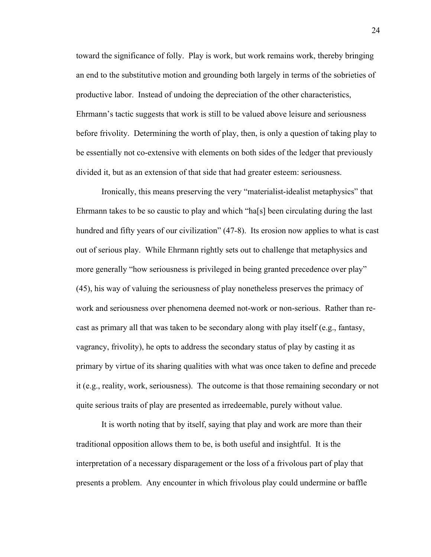toward the significance of folly. Play is work, but work remains work, thereby bringing an end to the substitutive motion and grounding both largely in terms of the sobrieties of productive labor. Instead of undoing the depreciation of the other characteristics, Ehrmann's tactic suggests that work is still to be valued above leisure and seriousness before frivolity. Determining the worth of play, then, is only a question of taking play to be essentially not co-extensive with elements on both sides of the ledger that previously divided it, but as an extension of that side that had greater esteem: seriousness.

Ironically, this means preserving the very "materialist-idealist metaphysics" that Ehrmann takes to be so caustic to play and which "ha[s] been circulating during the last hundred and fifty years of our civilization" (47-8). Its erosion now applies to what is cast out of serious play. While Ehrmann rightly sets out to challenge that metaphysics and more generally "how seriousness is privileged in being granted precedence over play" (45), his way of valuing the seriousness of play nonetheless preserves the primacy of work and seriousness over phenomena deemed not-work or non-serious. Rather than recast as primary all that was taken to be secondary along with play itself (e.g., fantasy, vagrancy, frivolity), he opts to address the secondary status of play by casting it as primary by virtue of its sharing qualities with what was once taken to define and precede it (e.g., reality, work, seriousness). The outcome is that those remaining secondary or not quite serious traits of play are presented as irredeemable, purely without value.

It is worth noting that by itself, saying that play and work are more than their traditional opposition allows them to be, is both useful and insightful. It is the interpretation of a necessary disparagement or the loss of a frivolous part of play that presents a problem. Any encounter in which frivolous play could undermine or baffle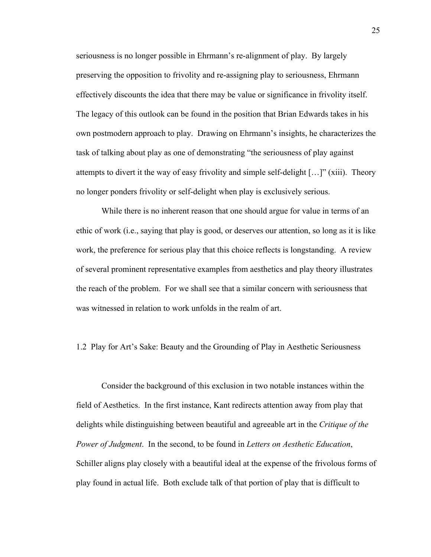seriousness is no longer possible in Ehrmann's re-alignment of play. By largely preserving the opposition to frivolity and re-assigning play to seriousness, Ehrmann effectively discounts the idea that there may be value or significance in frivolity itself. The legacy of this outlook can be found in the position that Brian Edwards takes in his own postmodern approach to play. Drawing on Ehrmann's insights, he characterizes the task of talking about play as one of demonstrating "the seriousness of play against attempts to divert it the way of easy frivolity and simple self-delight […]" (xiii). Theory no longer ponders frivolity or self-delight when play is exclusively serious.

While there is no inherent reason that one should argue for value in terms of an ethic of work (i.e., saying that play is good, or deserves our attention, so long as it is like work, the preference for serious play that this choice reflects is longstanding. A review of several prominent representative examples from aesthetics and play theory illustrates the reach of the problem. For we shall see that a similar concern with seriousness that was witnessed in relation to work unfolds in the realm of art.

1.2 Play for Art's Sake: Beauty and the Grounding of Play in Aesthetic Seriousness

Consider the background of this exclusion in two notable instances within the field of Aesthetics. In the first instance, Kant redirects attention away from play that delights while distinguishing between beautiful and agreeable art in the *Critique of the Power of Judgment*. In the second, to be found in *Letters on Aesthetic Education*, Schiller aligns play closely with a beautiful ideal at the expense of the frivolous forms of play found in actual life. Both exclude talk of that portion of play that is difficult to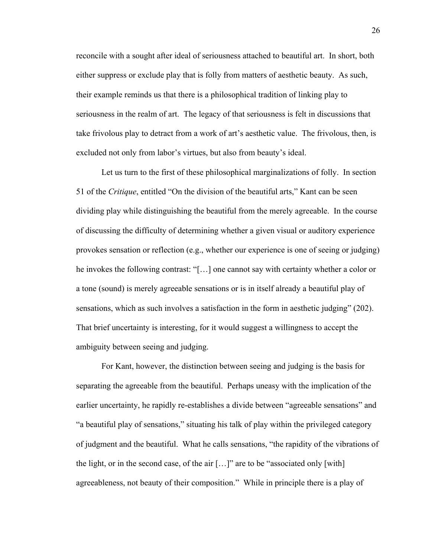reconcile with a sought after ideal of seriousness attached to beautiful art. In short, both either suppress or exclude play that is folly from matters of aesthetic beauty. As such, their example reminds us that there is a philosophical tradition of linking play to seriousness in the realm of art. The legacy of that seriousness is felt in discussions that take frivolous play to detract from a work of art's aesthetic value. The frivolous, then, is excluded not only from labor's virtues, but also from beauty's ideal.

Let us turn to the first of these philosophical marginalizations of folly. In section 51 of the *Critique*, entitled "On the division of the beautiful arts," Kant can be seen dividing play while distinguishing the beautiful from the merely agreeable. In the course of discussing the difficulty of determining whether a given visual or auditory experience provokes sensation or reflection (e.g., whether our experience is one of seeing or judging) he invokes the following contrast: "[…] one cannot say with certainty whether a color or a tone (sound) is merely agreeable sensations or is in itself already a beautiful play of sensations, which as such involves a satisfaction in the form in aesthetic judging" (202). That brief uncertainty is interesting, for it would suggest a willingness to accept the ambiguity between seeing and judging.

For Kant, however, the distinction between seeing and judging is the basis for separating the agreeable from the beautiful. Perhaps uneasy with the implication of the earlier uncertainty, he rapidly re-establishes a divide between "agreeable sensations" and "a beautiful play of sensations," situating his talk of play within the privileged category of judgment and the beautiful. What he calls sensations, "the rapidity of the vibrations of the light, or in the second case, of the air  $[...]$ " are to be "associated only  $[with]$ agreeableness, not beauty of their composition." While in principle there is a play of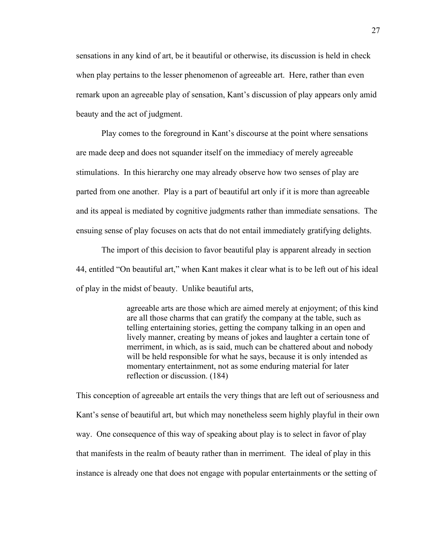sensations in any kind of art, be it beautiful or otherwise, its discussion is held in check when play pertains to the lesser phenomenon of agreeable art. Here, rather than even remark upon an agreeable play of sensation, Kant's discussion of play appears only amid beauty and the act of judgment.

Play comes to the foreground in Kant's discourse at the point where sensations are made deep and does not squander itself on the immediacy of merely agreeable stimulations. In this hierarchy one may already observe how two senses of play are parted from one another. Play is a part of beautiful art only if it is more than agreeable and its appeal is mediated by cognitive judgments rather than immediate sensations. The ensuing sense of play focuses on acts that do not entail immediately gratifying delights.

The import of this decision to favor beautiful play is apparent already in section 44, entitled "On beautiful art," when Kant makes it clear what is to be left out of his ideal of play in the midst of beauty. Unlike beautiful arts,

> agreeable arts are those which are aimed merely at enjoyment; of this kind are all those charms that can gratify the company at the table, such as telling entertaining stories, getting the company talking in an open and lively manner, creating by means of jokes and laughter a certain tone of merriment, in which, as is said, much can be chattered about and nobody will be held responsible for what he says, because it is only intended as momentary entertainment, not as some enduring material for later reflection or discussion. (184)

This conception of agreeable art entails the very things that are left out of seriousness and Kant's sense of beautiful art, but which may nonetheless seem highly playful in their own way. One consequence of this way of speaking about play is to select in favor of play that manifests in the realm of beauty rather than in merriment. The ideal of play in this instance is already one that does not engage with popular entertainments or the setting of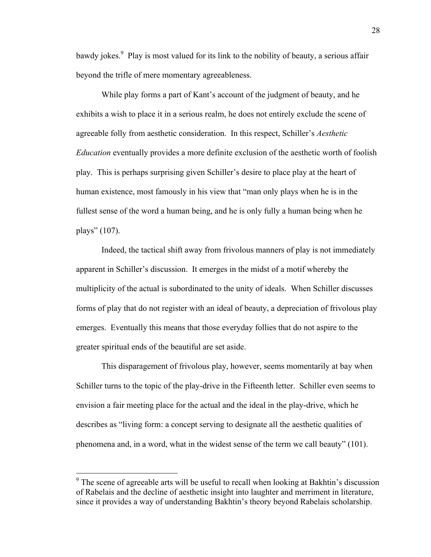bawdy jokes.<sup>9</sup> Play is most valued for its link to the nobility of beauty, a serious affair beyond the trifle of mere momentary agreeableness.

While play forms a part of Kant's account of the judgment of beauty, and he exhibits a wish to place it in a serious realm, he does not entirely exclude the scene of agreeable folly from aesthetic consideration. In this respect, Schiller's *Aesthetic Education* eventually provides a more definite exclusion of the aesthetic worth of foolish play. This is perhaps surprising given Schiller's desire to place play at the heart of human existence, most famously in his view that "man only plays when he is in the fullest sense of the word a human being, and he is only fully a human being when he plays" (107).

Indeed, the tactical shift away from frivolous manners of play is not immediately apparent in Schiller's discussion. It emerges in the midst of a motif whereby the multiplicity of the actual is subordinated to the unity of ideals. When Schiller discusses forms of play that do not register with an ideal of beauty, a depreciation of frivolous play emerges. Eventually this means that those everyday follies that do not aspire to the greater spiritual ends of the beautiful are set aside.

This disparagement of frivolous play, however, seems momentarily at bay when Schiller turns to the topic of the play-drive in the Fifteenth letter. Schiller even seems to envision a fair meeting place for the actual and the ideal in the play-drive, which he describes as "living form: a concept serving to designate all the aesthetic qualities of phenomena and, in a word, what in the widest sense of the term we call beauty" (101).

 $9<sup>9</sup>$  The scene of agreeable arts will be useful to recall when looking at Bakhtin's discussion of Rabelais and the decline of aesthetic insight into laughter and merriment in literature, since it provides a way of understanding Bakhtin's theory beyond Rabelais scholarship.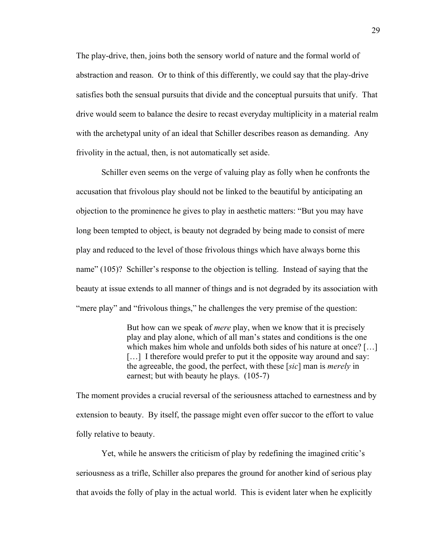The play-drive, then, joins both the sensory world of nature and the formal world of abstraction and reason. Or to think of this differently, we could say that the play-drive satisfies both the sensual pursuits that divide and the conceptual pursuits that unify. That drive would seem to balance the desire to recast everyday multiplicity in a material realm with the archetypal unity of an ideal that Schiller describes reason as demanding. Any frivolity in the actual, then, is not automatically set aside.

Schiller even seems on the verge of valuing play as folly when he confronts the accusation that frivolous play should not be linked to the beautiful by anticipating an objection to the prominence he gives to play in aesthetic matters: "But you may have long been tempted to object, is beauty not degraded by being made to consist of mere play and reduced to the level of those frivolous things which have always borne this name" (105)? Schiller's response to the objection is telling. Instead of saying that the beauty at issue extends to all manner of things and is not degraded by its association with "mere play" and "frivolous things," he challenges the very premise of the question:

> But how can we speak of *mere* play, when we know that it is precisely play and play alone, which of all man's states and conditions is the one which makes him whole and unfolds both sides of his nature at once? [...] [...] I therefore would prefer to put it the opposite way around and say: the agreeable, the good, the perfect, with these [*sic*] man is *merely* in earnest; but with beauty he plays. (105-7)

The moment provides a crucial reversal of the seriousness attached to earnestness and by extension to beauty. By itself, the passage might even offer succor to the effort to value folly relative to beauty.

Yet, while he answers the criticism of play by redefining the imagined critic's seriousness as a trifle, Schiller also prepares the ground for another kind of serious play that avoids the folly of play in the actual world. This is evident later when he explicitly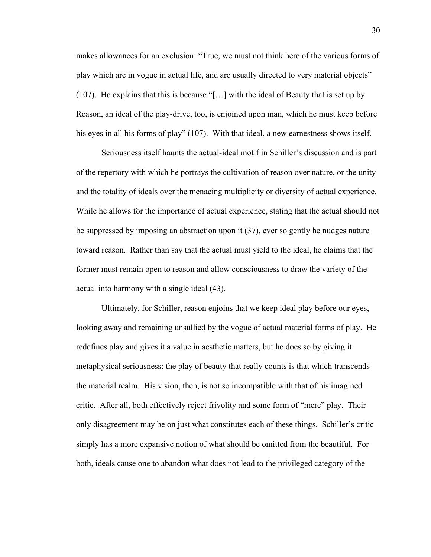makes allowances for an exclusion: "True, we must not think here of the various forms of play which are in vogue in actual life, and are usually directed to very material objects" (107). He explains that this is because "[…] with the ideal of Beauty that is set up by Reason, an ideal of the play-drive, too, is enjoined upon man, which he must keep before his eyes in all his forms of play" (107). With that ideal, a new earnestness shows itself.

Seriousness itself haunts the actual-ideal motif in Schiller's discussion and is part of the repertory with which he portrays the cultivation of reason over nature, or the unity and the totality of ideals over the menacing multiplicity or diversity of actual experience. While he allows for the importance of actual experience, stating that the actual should not be suppressed by imposing an abstraction upon it (37), ever so gently he nudges nature toward reason. Rather than say that the actual must yield to the ideal, he claims that the former must remain open to reason and allow consciousness to draw the variety of the actual into harmony with a single ideal (43).

Ultimately, for Schiller, reason enjoins that we keep ideal play before our eyes, looking away and remaining unsullied by the vogue of actual material forms of play. He redefines play and gives it a value in aesthetic matters, but he does so by giving it metaphysical seriousness: the play of beauty that really counts is that which transcends the material realm. His vision, then, is not so incompatible with that of his imagined critic. After all, both effectively reject frivolity and some form of "mere" play. Their only disagreement may be on just what constitutes each of these things. Schiller's critic simply has a more expansive notion of what should be omitted from the beautiful. For both, ideals cause one to abandon what does not lead to the privileged category of the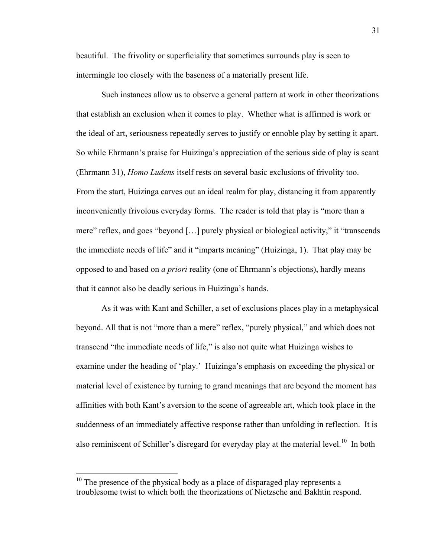beautiful. The frivolity or superficiality that sometimes surrounds play is seen to intermingle too closely with the baseness of a materially present life.

Such instances allow us to observe a general pattern at work in other theorizations that establish an exclusion when it comes to play. Whether what is affirmed is work or the ideal of art, seriousness repeatedly serves to justify or ennoble play by setting it apart. So while Ehrmann's praise for Huizinga's appreciation of the serious side of play is scant (Ehrmann 31), *Homo Ludens* itself rests on several basic exclusions of frivolity too. From the start, Huizinga carves out an ideal realm for play, distancing it from apparently inconveniently frivolous everyday forms. The reader is told that play is "more than a mere" reflex, and goes "beyond […] purely physical or biological activity," it "transcends the immediate needs of life" and it "imparts meaning" (Huizinga, 1). That play may be opposed to and based on *a priori* reality (one of Ehrmann's objections), hardly means that it cannot also be deadly serious in Huizinga's hands.

As it was with Kant and Schiller, a set of exclusions places play in a metaphysical beyond. All that is not "more than a mere" reflex, "purely physical," and which does not transcend "the immediate needs of life," is also not quite what Huizinga wishes to examine under the heading of 'play.' Huizinga's emphasis on exceeding the physical or material level of existence by turning to grand meanings that are beyond the moment has affinities with both Kant's aversion to the scene of agreeable art, which took place in the suddenness of an immediately affective response rather than unfolding in reflection. It is also reminiscent of Schiller's disregard for everyday play at the material level.<sup>10</sup> In both

 $10$  The presence of the physical body as a place of disparaged play represents a troublesome twist to which both the theorizations of Nietzsche and Bakhtin respond.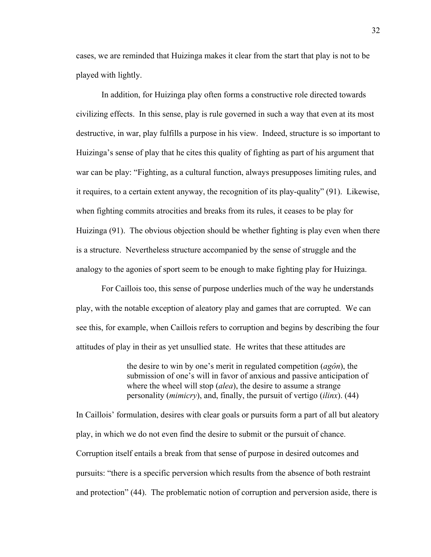cases, we are reminded that Huizinga makes it clear from the start that play is not to be played with lightly.

In addition, for Huizinga play often forms a constructive role directed towards civilizing effects. In this sense, play is rule governed in such a way that even at its most destructive, in war, play fulfills a purpose in his view. Indeed, structure is so important to Huizinga's sense of play that he cites this quality of fighting as part of his argument that war can be play: "Fighting, as a cultural function, always presupposes limiting rules, and it requires, to a certain extent anyway, the recognition of its play-quality" (91). Likewise, when fighting commits atrocities and breaks from its rules, it ceases to be play for Huizinga (91). The obvious objection should be whether fighting is play even when there is a structure. Nevertheless structure accompanied by the sense of struggle and the analogy to the agonies of sport seem to be enough to make fighting play for Huizinga.

For Caillois too, this sense of purpose underlies much of the way he understands play, with the notable exception of aleatory play and games that are corrupted. We can see this, for example, when Caillois refers to corruption and begins by describing the four attitudes of play in their as yet unsullied state. He writes that these attitudes are

> the desire to win by one's merit in regulated competition (*agôn*), the submission of one's will in favor of anxious and passive anticipation of where the wheel will stop (*alea*), the desire to assume a strange personality (*mimicry*), and, finally, the pursuit of vertigo (*ilinx*). (44)

In Caillois' formulation, desires with clear goals or pursuits form a part of all but aleatory play, in which we do not even find the desire to submit or the pursuit of chance. Corruption itself entails a break from that sense of purpose in desired outcomes and pursuits: "there is a specific perversion which results from the absence of both restraint and protection" (44). The problematic notion of corruption and perversion aside, there is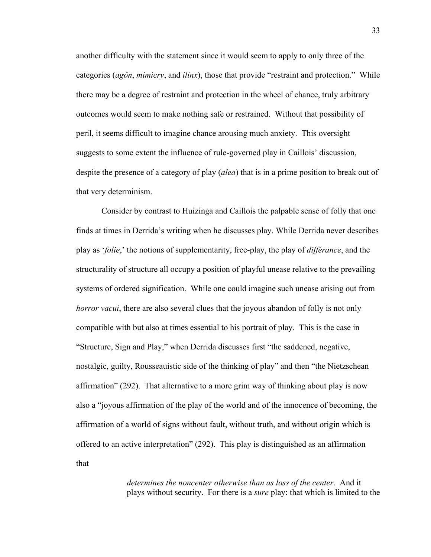another difficulty with the statement since it would seem to apply to only three of the categories (*agôn*, *mimicry*, and *ilinx*), those that provide "restraint and protection." While there may be a degree of restraint and protection in the wheel of chance, truly arbitrary outcomes would seem to make nothing safe or restrained. Without that possibility of peril, it seems difficult to imagine chance arousing much anxiety. This oversight suggests to some extent the influence of rule-governed play in Caillois' discussion, despite the presence of a category of play (*alea*) that is in a prime position to break out of that very determinism.

Consider by contrast to Huizinga and Caillois the palpable sense of folly that one finds at times in Derrida's writing when he discusses play. While Derrida never describes play as '*folie*,' the notions of supplementarity, free-play, the play of *différance*, and the structurality of structure all occupy a position of playful unease relative to the prevailing systems of ordered signification. While one could imagine such unease arising out from *horror vacui*, there are also several clues that the joyous abandon of folly is not only compatible with but also at times essential to his portrait of play. This is the case in "Structure, Sign and Play," when Derrida discusses first "the saddened, negative, nostalgic, guilty, Rousseauistic side of the thinking of play" and then "the Nietzschean affirmation" (292). That alternative to a more grim way of thinking about play is now also a "joyous affirmation of the play of the world and of the innocence of becoming, the affirmation of a world of signs without fault, without truth, and without origin which is offered to an active interpretation" (292). This play is distinguished as an affirmation that

> *determines the noncenter otherwise than as loss of the center*. And it plays without security. For there is a *sure* play: that which is limited to the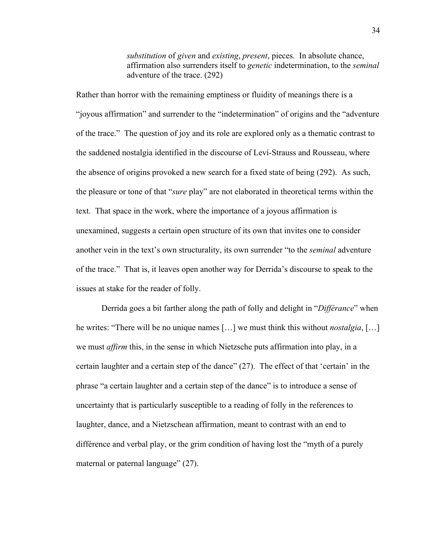*substitution* of *given* and *existing*, *present*, pieces. In absolute chance, affirmation also surrenders itself to *genetic* indetermination, to the *seminal* adventure of the trace. (292)

Rather than horror with the remaining emptiness or fluidity of meanings there is a "joyous affirmation" and surrender to the "indetermination" of origins and the "adventure of the trace." The question of joy and its role are explored only as a thematic contrast to the saddened nostalgia identified in the discourse of Leví-Strauss and Rousseau, where the absence of origins provoked a new search for a fixed state of being (292). As such, the pleasure or tone of that "*sure* play" are not elaborated in theoretical terms within the text. That space in the work, where the importance of a joyous affirmation is unexamined, suggests a certain open structure of its own that invites one to consider another vein in the text's own structurality, its own surrender "to the *seminal* adventure of the trace." That is, it leaves open another way for Derrida's discourse to speak to the issues at stake for the reader of folly.

Derrida goes a bit farther along the path of folly and delight in "*Différance*" when he writes: "There will be no unique names […] we must think this without *nostalgia*, […] we must *affirm* this, in the sense in which Nietzsche puts affirmation into play, in a certain laughter and a certain step of the dance" (27). The effect of that 'certain' in the phrase "a certain laughter and a certain step of the dance" is to introduce a sense of uncertainty that is particularly susceptible to a reading of folly in the references to laughter, dance, and a Nietzschean affirmation, meant to contrast with an end to différence and verbal play, or the grim condition of having lost the "myth of a purely maternal or paternal language" (27).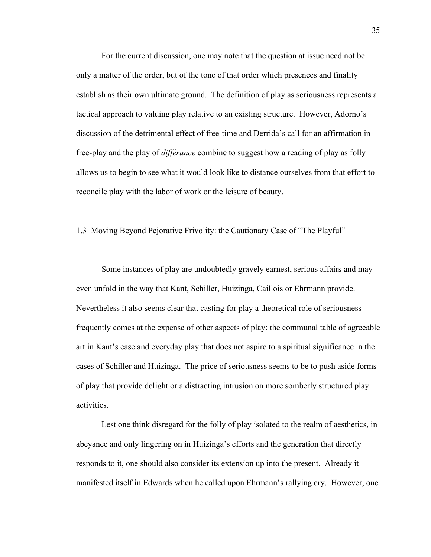For the current discussion, one may note that the question at issue need not be only a matter of the order, but of the tone of that order which presences and finality establish as their own ultimate ground. The definition of play as seriousness represents a tactical approach to valuing play relative to an existing structure. However, Adorno's discussion of the detrimental effect of free-time and Derrida's call for an affirmation in free-play and the play of *différance* combine to suggest how a reading of play as folly allows us to begin to see what it would look like to distance ourselves from that effort to reconcile play with the labor of work or the leisure of beauty.

1.3 Moving Beyond Pejorative Frivolity: the Cautionary Case of "The Playful"

Some instances of play are undoubtedly gravely earnest, serious affairs and may even unfold in the way that Kant, Schiller, Huizinga, Caillois or Ehrmann provide. Nevertheless it also seems clear that casting for play a theoretical role of seriousness frequently comes at the expense of other aspects of play: the communal table of agreeable art in Kant's case and everyday play that does not aspire to a spiritual significance in the cases of Schiller and Huizinga. The price of seriousness seems to be to push aside forms of play that provide delight or a distracting intrusion on more somberly structured play activities.

Lest one think disregard for the folly of play isolated to the realm of aesthetics, in abeyance and only lingering on in Huizinga's efforts and the generation that directly responds to it, one should also consider its extension up into the present. Already it manifested itself in Edwards when he called upon Ehrmann's rallying cry. However, one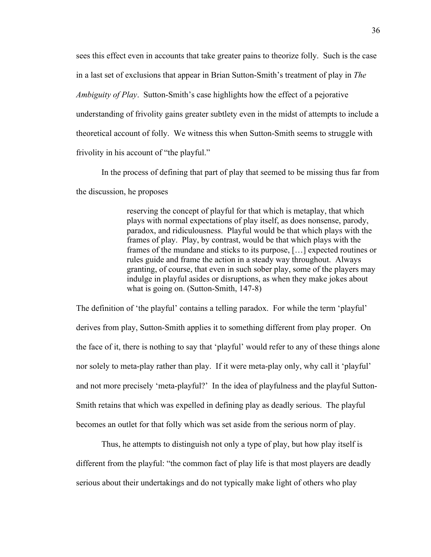sees this effect even in accounts that take greater pains to theorize folly. Such is the case in a last set of exclusions that appear in Brian Sutton-Smith's treatment of play in *The Ambiguity of Play*. Sutton-Smith's case highlights how the effect of a pejorative understanding of frivolity gains greater subtlety even in the midst of attempts to include a theoretical account of folly. We witness this when Sutton-Smith seems to struggle with frivolity in his account of "the playful."

In the process of defining that part of play that seemed to be missing thus far from the discussion, he proposes

> reserving the concept of playful for that which is metaplay, that which plays with normal expectations of play itself, as does nonsense, parody, paradox, and ridiculousness. Playful would be that which plays with the frames of play. Play, by contrast, would be that which plays with the frames of the mundane and sticks to its purpose, […] expected routines or rules guide and frame the action in a steady way throughout. Always granting, of course, that even in such sober play, some of the players may indulge in playful asides or disruptions, as when they make jokes about what is going on. (Sutton-Smith, 147-8)

The definition of 'the playful' contains a telling paradox. For while the term 'playful' derives from play, Sutton-Smith applies it to something different from play proper. On the face of it, there is nothing to say that 'playful' would refer to any of these things alone nor solely to meta-play rather than play. If it were meta-play only, why call it 'playful' and not more precisely 'meta-playful?' In the idea of playfulness and the playful Sutton-Smith retains that which was expelled in defining play as deadly serious. The playful becomes an outlet for that folly which was set aside from the serious norm of play.

Thus, he attempts to distinguish not only a type of play, but how play itself is different from the playful: "the common fact of play life is that most players are deadly serious about their undertakings and do not typically make light of others who play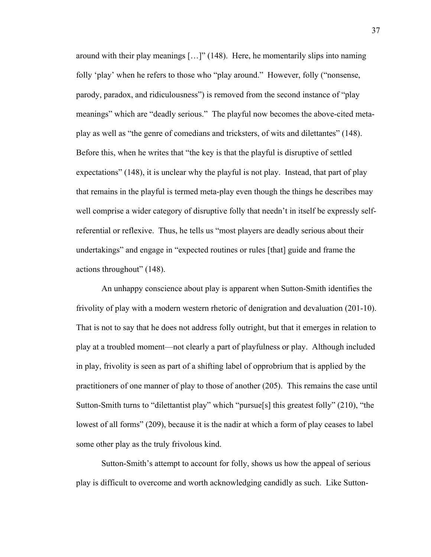around with their play meanings […]" (148). Here, he momentarily slips into naming folly 'play' when he refers to those who "play around." However, folly ("nonsense, parody, paradox, and ridiculousness") is removed from the second instance of "play meanings" which are "deadly serious." The playful now becomes the above-cited metaplay as well as "the genre of comedians and tricksters, of wits and dilettantes" (148). Before this, when he writes that "the key is that the playful is disruptive of settled expectations" (148), it is unclear why the playful is not play. Instead, that part of play that remains in the playful is termed meta-play even though the things he describes may well comprise a wider category of disruptive folly that needn't in itself be expressly selfreferential or reflexive. Thus, he tells us "most players are deadly serious about their undertakings" and engage in "expected routines or rules [that] guide and frame the actions throughout" (148).

An unhappy conscience about play is apparent when Sutton-Smith identifies the frivolity of play with a modern western rhetoric of denigration and devaluation (201-10). That is not to say that he does not address folly outright, but that it emerges in relation to play at a troubled moment—not clearly a part of playfulness or play. Although included in play, frivolity is seen as part of a shifting label of opprobrium that is applied by the practitioners of one manner of play to those of another (205). This remains the case until Sutton-Smith turns to "dilettantist play" which "pursue[s] this greatest folly" (210), "the lowest of all forms" (209), because it is the nadir at which a form of play ceases to label some other play as the truly frivolous kind.

Sutton-Smith's attempt to account for folly, shows us how the appeal of serious play is difficult to overcome and worth acknowledging candidly as such. Like Sutton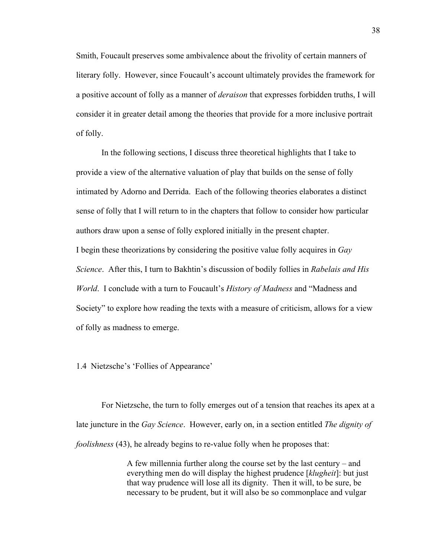Smith, Foucault preserves some ambivalence about the frivolity of certain manners of literary folly. However, since Foucault's account ultimately provides the framework for a positive account of folly as a manner of *deraison* that expresses forbidden truths, I will consider it in greater detail among the theories that provide for a more inclusive portrait of folly.

In the following sections, I discuss three theoretical highlights that I take to provide a view of the alternative valuation of play that builds on the sense of folly intimated by Adorno and Derrida. Each of the following theories elaborates a distinct sense of folly that I will return to in the chapters that follow to consider how particular authors draw upon a sense of folly explored initially in the present chapter. I begin these theorizations by considering the positive value folly acquires in *Gay Science*. After this, I turn to Bakhtin's discussion of bodily follies in *Rabelais and His World*. I conclude with a turn to Foucault's *History of Madness* and "Madness and Society" to explore how reading the texts with a measure of criticism, allows for a view of folly as madness to emerge.

1.4 Nietzsche's 'Follies of Appearance'

For Nietzsche, the turn to folly emerges out of a tension that reaches its apex at a late juncture in the *Gay Science*. However, early on, in a section entitled *The dignity of foolishness* (43), he already begins to re-value folly when he proposes that:

> A few millennia further along the course set by the last century – and everything men do will display the highest prudence [*klugheit*]: but just that way prudence will lose all its dignity. Then it will, to be sure, be necessary to be prudent, but it will also be so commonplace and vulgar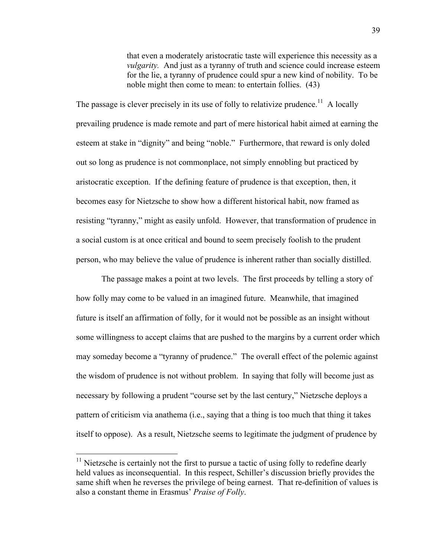that even a moderately aristocratic taste will experience this necessity as a *vulgarity*. And just as a tyranny of truth and science could increase esteem for the lie, a tyranny of prudence could spur a new kind of nobility. To be noble might then come to mean: to entertain follies. (43)

The passage is clever precisely in its use of folly to relativize prudence.<sup>11</sup> A locally prevailing prudence is made remote and part of mere historical habit aimed at earning the esteem at stake in "dignity" and being "noble." Furthermore, that reward is only doled out so long as prudence is not commonplace, not simply ennobling but practiced by aristocratic exception. If the defining feature of prudence is that exception, then, it becomes easy for Nietzsche to show how a different historical habit, now framed as resisting "tyranny," might as easily unfold. However, that transformation of prudence in a social custom is at once critical and bound to seem precisely foolish to the prudent person, who may believe the value of prudence is inherent rather than socially distilled.

The passage makes a point at two levels. The first proceeds by telling a story of how folly may come to be valued in an imagined future. Meanwhile, that imagined future is itself an affirmation of folly, for it would not be possible as an insight without some willingness to accept claims that are pushed to the margins by a current order which may someday become a "tyranny of prudence." The overall effect of the polemic against the wisdom of prudence is not without problem. In saying that folly will become just as necessary by following a prudent "course set by the last century," Nietzsche deploys a pattern of criticism via anathema (i.e., saying that a thing is too much that thing it takes itself to oppose). As a result, Nietzsche seems to legitimate the judgment of prudence by

 $11$  Nietzsche is certainly not the first to pursue a tactic of using folly to redefine dearly held values as inconsequential. In this respect, Schiller's discussion briefly provides the same shift when he reverses the privilege of being earnest. That re-definition of values is also a constant theme in Erasmus' *Praise of Folly*.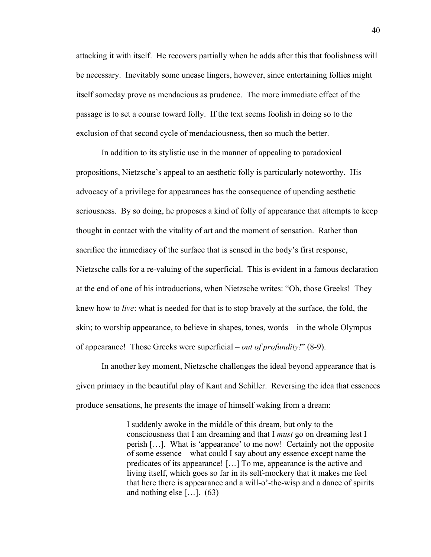attacking it with itself. He recovers partially when he adds after this that foolishness will be necessary. Inevitably some unease lingers, however, since entertaining follies might itself someday prove as mendacious as prudence. The more immediate effect of the passage is to set a course toward folly. If the text seems foolish in doing so to the exclusion of that second cycle of mendaciousness, then so much the better.

In addition to its stylistic use in the manner of appealing to paradoxical propositions, Nietzsche's appeal to an aesthetic folly is particularly noteworthy. His advocacy of a privilege for appearances has the consequence of upending aesthetic seriousness. By so doing, he proposes a kind of folly of appearance that attempts to keep thought in contact with the vitality of art and the moment of sensation. Rather than sacrifice the immediacy of the surface that is sensed in the body's first response, Nietzsche calls for a re-valuing of the superficial. This is evident in a famous declaration at the end of one of his introductions, when Nietzsche writes: "Oh, those Greeks! They knew how to *live*: what is needed for that is to stop bravely at the surface, the fold, the skin; to worship appearance, to believe in shapes, tones, words – in the whole Olympus of appearance! Those Greeks were superficial – *out of profundity!*" (8-9).

In another key moment, Nietzsche challenges the ideal beyond appearance that is given primacy in the beautiful play of Kant and Schiller. Reversing the idea that essences produce sensations, he presents the image of himself waking from a dream:

> I suddenly awoke in the middle of this dream, but only to the consciousness that I am dreaming and that I *must* go on dreaming lest I perish […]. What is 'appearance' to me now! Certainly not the opposite of some essence—what could I say about any essence except name the predicates of its appearance! […] To me, appearance is the active and living itself, which goes so far in its self-mockery that it makes me feel that here there is appearance and a will-o'-the-wisp and a dance of spirits and nothing else  $[\dots]$ . (63)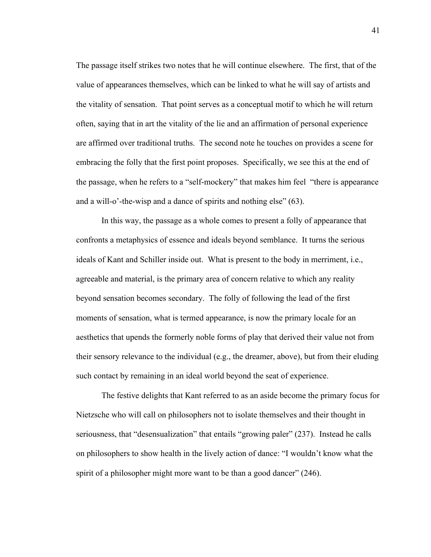The passage itself strikes two notes that he will continue elsewhere. The first, that of the value of appearances themselves, which can be linked to what he will say of artists and the vitality of sensation. That point serves as a conceptual motif to which he will return often, saying that in art the vitality of the lie and an affirmation of personal experience are affirmed over traditional truths. The second note he touches on provides a scene for embracing the folly that the first point proposes. Specifically, we see this at the end of the passage, when he refers to a "self-mockery" that makes him feel "there is appearance and a will-o'-the-wisp and a dance of spirits and nothing else" (63).

In this way, the passage as a whole comes to present a folly of appearance that confronts a metaphysics of essence and ideals beyond semblance. It turns the serious ideals of Kant and Schiller inside out. What is present to the body in merriment, i.e., agreeable and material, is the primary area of concern relative to which any reality beyond sensation becomes secondary. The folly of following the lead of the first moments of sensation, what is termed appearance, is now the primary locale for an aesthetics that upends the formerly noble forms of play that derived their value not from their sensory relevance to the individual (e.g., the dreamer, above), but from their eluding such contact by remaining in an ideal world beyond the seat of experience.

The festive delights that Kant referred to as an aside become the primary focus for Nietzsche who will call on philosophers not to isolate themselves and their thought in seriousness, that "desensualization" that entails "growing paler" (237). Instead he calls on philosophers to show health in the lively action of dance: "I wouldn't know what the spirit of a philosopher might more want to be than a good dancer" (246).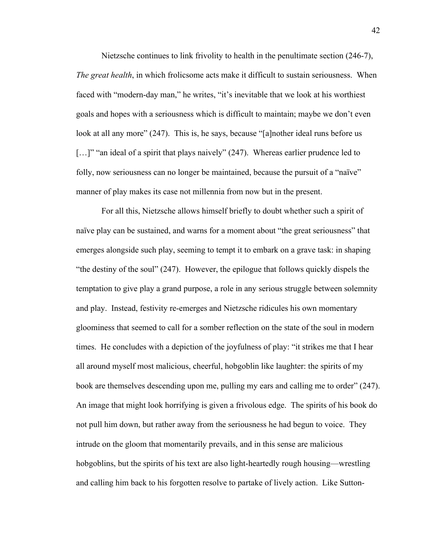Nietzsche continues to link frivolity to health in the penultimate section (246-7), *The great health*, in which frolicsome acts make it difficult to sustain seriousness. When faced with "modern-day man," he writes, "it's inevitable that we look at his worthiest goals and hopes with a seriousness which is difficult to maintain; maybe we don't even look at all any more" (247). This is, he says, because "[a]nother ideal runs before us [...]" "an ideal of a spirit that plays naively" (247). Whereas earlier prudence led to folly, now seriousness can no longer be maintained, because the pursuit of a "naïve" manner of play makes its case not millennia from now but in the present.

For all this, Nietzsche allows himself briefly to doubt whether such a spirit of naïve play can be sustained, and warns for a moment about "the great seriousness" that emerges alongside such play, seeming to tempt it to embark on a grave task: in shaping "the destiny of the soul" (247). However, the epilogue that follows quickly dispels the temptation to give play a grand purpose, a role in any serious struggle between solemnity and play. Instead, festivity re-emerges and Nietzsche ridicules his own momentary gloominess that seemed to call for a somber reflection on the state of the soul in modern times. He concludes with a depiction of the joyfulness of play: "it strikes me that I hear all around myself most malicious, cheerful, hobgoblin like laughter: the spirits of my book are themselves descending upon me, pulling my ears and calling me to order" (247). An image that might look horrifying is given a frivolous edge. The spirits of his book do not pull him down, but rather away from the seriousness he had begun to voice. They intrude on the gloom that momentarily prevails, and in this sense are malicious hobgoblins, but the spirits of his text are also light-heartedly rough housing—wrestling and calling him back to his forgotten resolve to partake of lively action. Like Sutton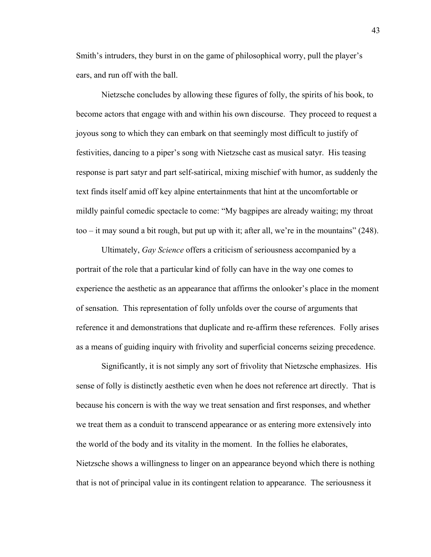Smith's intruders, they burst in on the game of philosophical worry, pull the player's ears, and run off with the ball.

Nietzsche concludes by allowing these figures of folly, the spirits of his book, to become actors that engage with and within his own discourse. They proceed to request a joyous song to which they can embark on that seemingly most difficult to justify of festivities, dancing to a piper's song with Nietzsche cast as musical satyr. His teasing response is part satyr and part self-satirical, mixing mischief with humor, as suddenly the text finds itself amid off key alpine entertainments that hint at the uncomfortable or mildly painful comedic spectacle to come: "My bagpipes are already waiting; my throat too – it may sound a bit rough, but put up with it; after all, we're in the mountains" (248).

Ultimately, *Gay Science* offers a criticism of seriousness accompanied by a portrait of the role that a particular kind of folly can have in the way one comes to experience the aesthetic as an appearance that affirms the onlooker's place in the moment of sensation. This representation of folly unfolds over the course of arguments that reference it and demonstrations that duplicate and re-affirm these references. Folly arises as a means of guiding inquiry with frivolity and superficial concerns seizing precedence.

Significantly, it is not simply any sort of frivolity that Nietzsche emphasizes. His sense of folly is distinctly aesthetic even when he does not reference art directly. That is because his concern is with the way we treat sensation and first responses, and whether we treat them as a conduit to transcend appearance or as entering more extensively into the world of the body and its vitality in the moment. In the follies he elaborates, Nietzsche shows a willingness to linger on an appearance beyond which there is nothing that is not of principal value in its contingent relation to appearance. The seriousness it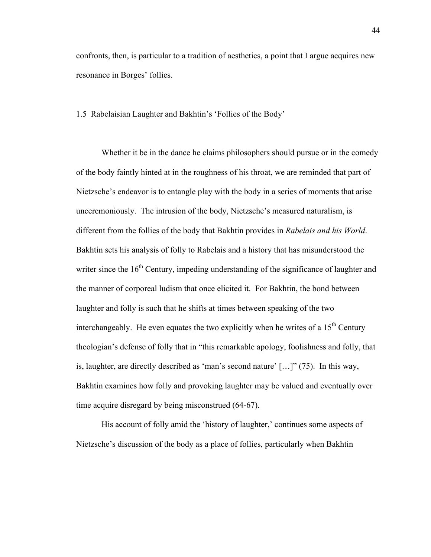confronts, then, is particular to a tradition of aesthetics, a point that I argue acquires new resonance in Borges' follies.

1.5 Rabelaisian Laughter and Bakhtin's 'Follies of the Body'

Whether it be in the dance he claims philosophers should pursue or in the comedy of the body faintly hinted at in the roughness of his throat, we are reminded that part of Nietzsche's endeavor is to entangle play with the body in a series of moments that arise unceremoniously. The intrusion of the body, Nietzsche's measured naturalism, is different from the follies of the body that Bakhtin provides in *Rabelais and his World*. Bakhtin sets his analysis of folly to Rabelais and a history that has misunderstood the writer since the  $16<sup>th</sup>$  Century, impeding understanding of the significance of laughter and the manner of corporeal ludism that once elicited it. For Bakhtin, the bond between laughter and folly is such that he shifts at times between speaking of the two interchangeably. He even equates the two explicitly when he writes of a  $15<sup>th</sup>$  Century theologian's defense of folly that in "this remarkable apology, foolishness and folly, that is, laughter, are directly described as 'man's second nature' […]" (75). In this way, Bakhtin examines how folly and provoking laughter may be valued and eventually over time acquire disregard by being misconstrued (64-67).

His account of folly amid the 'history of laughter,' continues some aspects of Nietzsche's discussion of the body as a place of follies, particularly when Bakhtin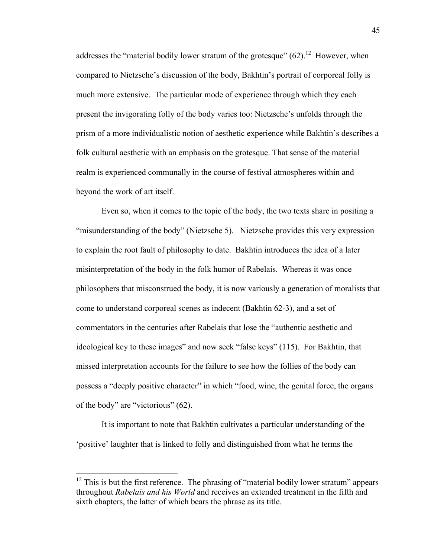addresses the "material bodily lower stratum of the grotesque"  $(62)$ .<sup>12</sup> However, when compared to Nietzsche's discussion of the body, Bakhtin's portrait of corporeal folly is much more extensive. The particular mode of experience through which they each present the invigorating folly of the body varies too: Nietzsche's unfolds through the prism of a more individualistic notion of aesthetic experience while Bakhtin's describes a folk cultural aesthetic with an emphasis on the grotesque. That sense of the material realm is experienced communally in the course of festival atmospheres within and beyond the work of art itself.

Even so, when it comes to the topic of the body, the two texts share in positing a "misunderstanding of the body" (Nietzsche 5). Nietzsche provides this very expression to explain the root fault of philosophy to date. Bakhtin introduces the idea of a later misinterpretation of the body in the folk humor of Rabelais. Whereas it was once philosophers that misconstrued the body, it is now variously a generation of moralists that come to understand corporeal scenes as indecent (Bakhtin 62-3), and a set of commentators in the centuries after Rabelais that lose the "authentic aesthetic and ideological key to these images" and now seek "false keys" (115). For Bakhtin, that missed interpretation accounts for the failure to see how the follies of the body can possess a "deeply positive character" in which "food, wine, the genital force, the organs of the body" are "victorious" (62).

It is important to note that Bakhtin cultivates a particular understanding of the 'positive' laughter that is linked to folly and distinguished from what he terms the

 $12$  This is but the first reference. The phrasing of "material bodily lower stratum" appears throughout *Rabelais and his World* and receives an extended treatment in the fifth and sixth chapters, the latter of which bears the phrase as its title.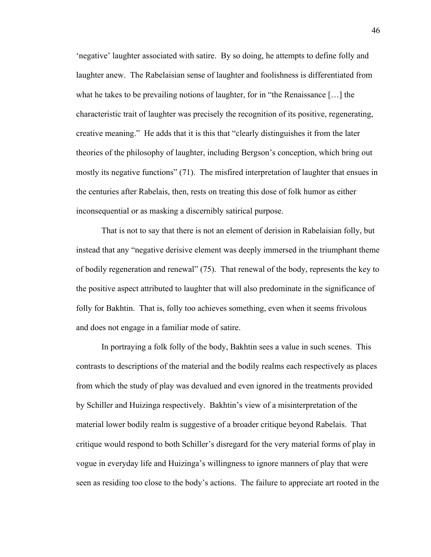'negative' laughter associated with satire. By so doing, he attempts to define folly and laughter anew. The Rabelaisian sense of laughter and foolishness is differentiated from what he takes to be prevailing notions of laughter, for in "the Renaissance […] the characteristic trait of laughter was precisely the recognition of its positive, regenerating, creative meaning." He adds that it is this that "clearly distinguishes it from the later theories of the philosophy of laughter, including Bergson's conception, which bring out mostly its negative functions" (71). The misfired interpretation of laughter that ensues in the centuries after Rabelais, then, rests on treating this dose of folk humor as either inconsequential or as masking a discernibly satirical purpose.

That is not to say that there is not an element of derision in Rabelaisian folly, but instead that any "negative derisive element was deeply immersed in the triumphant theme of bodily regeneration and renewal" (75). That renewal of the body, represents the key to the positive aspect attributed to laughter that will also predominate in the significance of folly for Bakhtin. That is, folly too achieves something, even when it seems frivolous and does not engage in a familiar mode of satire.

In portraying a folk folly of the body, Bakhtin sees a value in such scenes. This contrasts to descriptions of the material and the bodily realms each respectively as places from which the study of play was devalued and even ignored in the treatments provided by Schiller and Huizinga respectively. Bakhtin's view of a misinterpretation of the material lower bodily realm is suggestive of a broader critique beyond Rabelais. That critique would respond to both Schiller's disregard for the very material forms of play in vogue in everyday life and Huizinga's willingness to ignore manners of play that were seen as residing too close to the body's actions. The failure to appreciate art rooted in the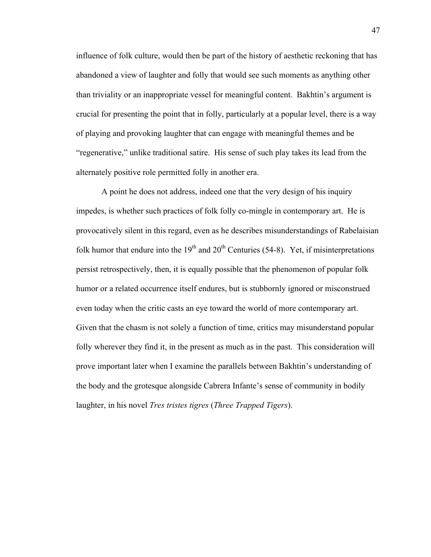influence of folk culture, would then be part of the history of aesthetic reckoning that has abandoned a view of laughter and folly that would see such moments as anything other than triviality or an inappropriate vessel for meaningful content. Bakhtin's argument is crucial for presenting the point that in folly, particularly at a popular level, there is a way of playing and provoking laughter that can engage with meaningful themes and be "regenerative," unlike traditional satire. His sense of such play takes its lead from the alternately positive role permitted folly in another era.

A point he does not address, indeed one that the very design of his inquiry impedes, is whether such practices of folk folly co-mingle in contemporary art. He is provocatively silent in this regard, even as he describes misunderstandings of Rabelaisian folk humor that endure into the  $19<sup>th</sup>$  and  $20<sup>th</sup>$  Centuries (54-8). Yet, if misinterpretations persist retrospectively, then, it is equally possible that the phenomenon of popular folk humor or a related occurrence itself endures, but is stubbornly ignored or misconstrued even today when the critic casts an eye toward the world of more contemporary art. Given that the chasm is not solely a function of time, critics may misunderstand popular folly wherever they find it, in the present as much as in the past. This consideration will prove important later when I examine the parallels between Bakhtin's understanding of the body and the grotesque alongside Cabrera Infante's sense of community in bodily laughter, in his novel *Tres tristes tigres* (*Three Trapped Tigers*).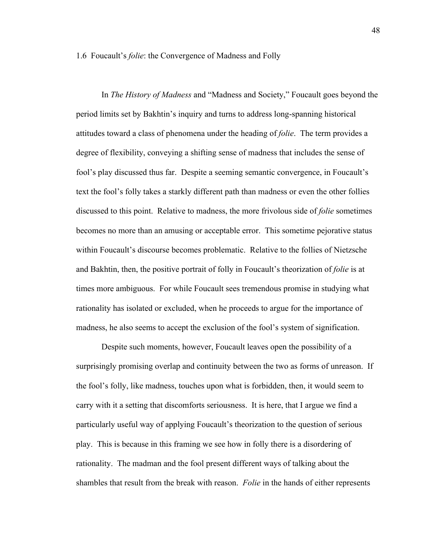1.6 Foucault's *folie*: the Convergence of Madness and Folly

In *The History of Madness* and "Madness and Society," Foucault goes beyond the period limits set by Bakhtin's inquiry and turns to address long-spanning historical attitudes toward a class of phenomena under the heading of *folie*. The term provides a degree of flexibility, conveying a shifting sense of madness that includes the sense of fool's play discussed thus far. Despite a seeming semantic convergence, in Foucault's text the fool's folly takes a starkly different path than madness or even the other follies discussed to this point. Relative to madness, the more frivolous side of *folie* sometimes becomes no more than an amusing or acceptable error. This sometime pejorative status within Foucault's discourse becomes problematic. Relative to the follies of Nietzsche and Bakhtin, then, the positive portrait of folly in Foucault's theorization of *folie* is at times more ambiguous. For while Foucault sees tremendous promise in studying what rationality has isolated or excluded, when he proceeds to argue for the importance of madness, he also seems to accept the exclusion of the fool's system of signification.

Despite such moments, however, Foucault leaves open the possibility of a surprisingly promising overlap and continuity between the two as forms of unreason. If the fool's folly, like madness, touches upon what is forbidden, then, it would seem to carry with it a setting that discomforts seriousness. It is here, that I argue we find a particularly useful way of applying Foucault's theorization to the question of serious play. This is because in this framing we see how in folly there is a disordering of rationality. The madman and the fool present different ways of talking about the shambles that result from the break with reason. *Folie* in the hands of either represents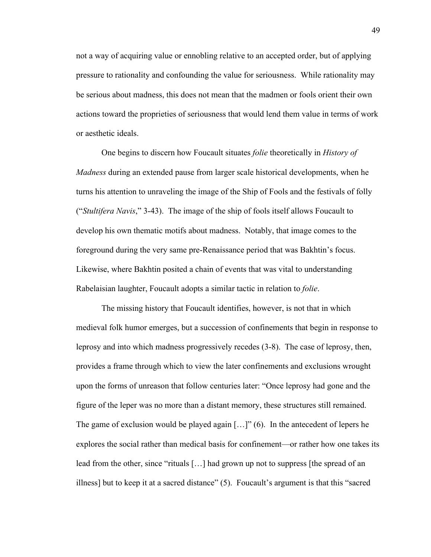not a way of acquiring value or ennobling relative to an accepted order, but of applying pressure to rationality and confounding the value for seriousness. While rationality may be serious about madness, this does not mean that the madmen or fools orient their own actions toward the proprieties of seriousness that would lend them value in terms of work or aesthetic ideals.

One begins to discern how Foucault situates *folie* theoretically in *History of Madness* during an extended pause from larger scale historical developments, when he turns his attention to unraveling the image of the Ship of Fools and the festivals of folly ("*Stultifera Navis*," 3-43). The image of the ship of fools itself allows Foucault to develop his own thematic motifs about madness. Notably, that image comes to the foreground during the very same pre-Renaissance period that was Bakhtin's focus. Likewise, where Bakhtin posited a chain of events that was vital to understanding Rabelaisian laughter, Foucault adopts a similar tactic in relation to *folie*.

The missing history that Foucault identifies, however, is not that in which medieval folk humor emerges, but a succession of confinements that begin in response to leprosy and into which madness progressively recedes (3-8). The case of leprosy, then, provides a frame through which to view the later confinements and exclusions wrought upon the forms of unreason that follow centuries later: "Once leprosy had gone and the figure of the leper was no more than a distant memory, these structures still remained. The game of exclusion would be played again  $[...]$  (6). In the antecedent of lepers he explores the social rather than medical basis for confinement—or rather how one takes its lead from the other, since "rituals [...] had grown up not to suppress [the spread of an illness] but to keep it at a sacred distance" (5). Foucault's argument is that this "sacred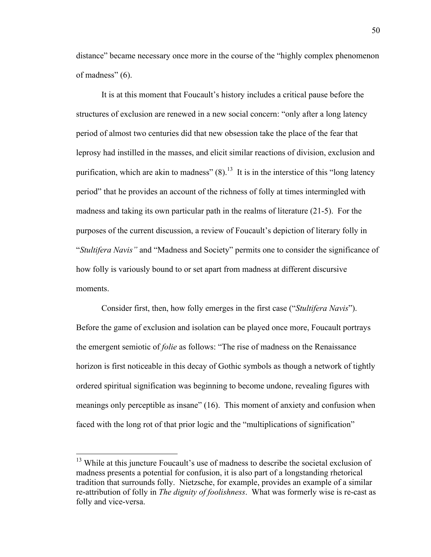distance" became necessary once more in the course of the "highly complex phenomenon of madness" (6).

It is at this moment that Foucault's history includes a critical pause before the structures of exclusion are renewed in a new social concern: "only after a long latency period of almost two centuries did that new obsession take the place of the fear that leprosy had instilled in the masses, and elicit similar reactions of division, exclusion and purification, which are akin to madness"  $(8)$ .<sup>13</sup> It is in the interstice of this "long latency" period" that he provides an account of the richness of folly at times intermingled with madness and taking its own particular path in the realms of literature (21-5). For the purposes of the current discussion, a review of Foucault's depiction of literary folly in "*Stultifera Navis"* and "Madness and Society" permits one to consider the significance of how folly is variously bound to or set apart from madness at different discursive moments.

Consider first, then, how folly emerges in the first case ("*Stultifera Navis*"). Before the game of exclusion and isolation can be played once more, Foucault portrays the emergent semiotic of *folie* as follows: "The rise of madness on the Renaissance horizon is first noticeable in this decay of Gothic symbols as though a network of tightly ordered spiritual signification was beginning to become undone, revealing figures with meanings only perceptible as insane" (16). This moment of anxiety and confusion when faced with the long rot of that prior logic and the "multiplications of signification"

<sup>&</sup>lt;sup>13</sup> While at this juncture Foucault's use of madness to describe the societal exclusion of madness presents a potential for confusion, it is also part of a longstanding rhetorical tradition that surrounds folly. Nietzsche, for example, provides an example of a similar re-attribution of folly in *The dignity of foolishness*. What was formerly wise is re-cast as folly and vice-versa.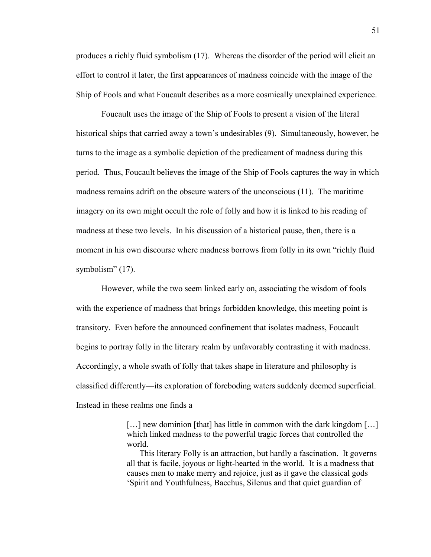produces a richly fluid symbolism (17). Whereas the disorder of the period will elicit an effort to control it later, the first appearances of madness coincide with the image of the Ship of Fools and what Foucault describes as a more cosmically unexplained experience.

Foucault uses the image of the Ship of Fools to present a vision of the literal historical ships that carried away a town's undesirables (9). Simultaneously, however, he turns to the image as a symbolic depiction of the predicament of madness during this period. Thus, Foucault believes the image of the Ship of Fools captures the way in which madness remains adrift on the obscure waters of the unconscious (11). The maritime imagery on its own might occult the role of folly and how it is linked to his reading of madness at these two levels. In his discussion of a historical pause, then, there is a moment in his own discourse where madness borrows from folly in its own "richly fluid symbolism" (17).

However, while the two seem linked early on, associating the wisdom of fools with the experience of madness that brings forbidden knowledge, this meeting point is transitory. Even before the announced confinement that isolates madness, Foucault begins to portray folly in the literary realm by unfavorably contrasting it with madness. Accordingly, a whole swath of folly that takes shape in literature and philosophy is classified differently—its exploration of foreboding waters suddenly deemed superficial. Instead in these realms one finds a

> [...] new dominion [that] has little in common with the dark kingdom [...] which linked madness to the powerful tragic forces that controlled the world.

> This literary Folly is an attraction, but hardly a fascination. It governs all that is facile, joyous or light-hearted in the world. It is a madness that causes men to make merry and rejoice, just as it gave the classical gods 'Spirit and Youthfulness, Bacchus, Silenus and that quiet guardian of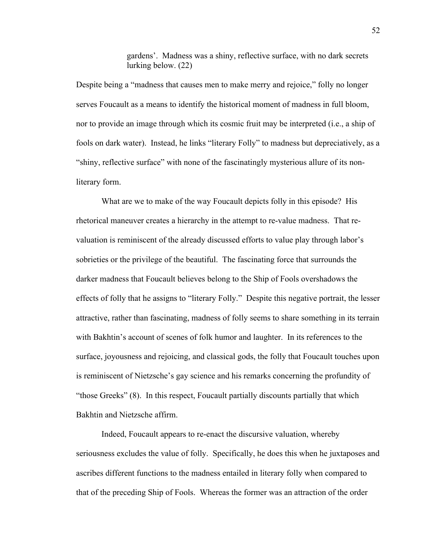gardens'. Madness was a shiny, reflective surface, with no dark secrets lurking below. (22)

Despite being a "madness that causes men to make merry and rejoice," folly no longer serves Foucault as a means to identify the historical moment of madness in full bloom, nor to provide an image through which its cosmic fruit may be interpreted (i.e., a ship of fools on dark water). Instead, he links "literary Folly" to madness but depreciatively, as a "shiny, reflective surface" with none of the fascinatingly mysterious allure of its nonliterary form.

What are we to make of the way Foucault depicts folly in this episode? His rhetorical maneuver creates a hierarchy in the attempt to re-value madness. That revaluation is reminiscent of the already discussed efforts to value play through labor's sobrieties or the privilege of the beautiful. The fascinating force that surrounds the darker madness that Foucault believes belong to the Ship of Fools overshadows the effects of folly that he assigns to "literary Folly." Despite this negative portrait, the lesser attractive, rather than fascinating, madness of folly seems to share something in its terrain with Bakhtin's account of scenes of folk humor and laughter. In its references to the surface, joyousness and rejoicing, and classical gods, the folly that Foucault touches upon is reminiscent of Nietzsche's gay science and his remarks concerning the profundity of "those Greeks" (8). In this respect, Foucault partially discounts partially that which Bakhtin and Nietzsche affirm.

Indeed, Foucault appears to re-enact the discursive valuation, whereby seriousness excludes the value of folly. Specifically, he does this when he juxtaposes and ascribes different functions to the madness entailed in literary folly when compared to that of the preceding Ship of Fools. Whereas the former was an attraction of the order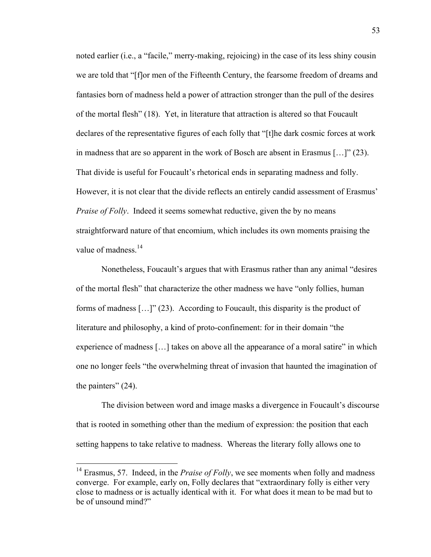noted earlier (i.e., a "facile," merry-making, rejoicing) in the case of its less shiny cousin we are told that "[f]or men of the Fifteenth Century, the fearsome freedom of dreams and fantasies born of madness held a power of attraction stronger than the pull of the desires of the mortal flesh" (18). Yet, in literature that attraction is altered so that Foucault declares of the representative figures of each folly that "[t]he dark cosmic forces at work in madness that are so apparent in the work of Bosch are absent in Erasmus […]" (23). That divide is useful for Foucault's rhetorical ends in separating madness and folly. However, it is not clear that the divide reflects an entirely candid assessment of Erasmus' *Praise of Folly.* Indeed it seems somewhat reductive, given the by no means straightforward nature of that encomium, which includes its own moments praising the value of madness  $^{14}$ .

Nonetheless, Foucault's argues that with Erasmus rather than any animal "desires of the mortal flesh" that characterize the other madness we have "only follies, human forms of madness […]" (23). According to Foucault, this disparity is the product of literature and philosophy, a kind of proto-confinement: for in their domain "the experience of madness […] takes on above all the appearance of a moral satire" in which one no longer feels "the overwhelming threat of invasion that haunted the imagination of the painters" (24).

The division between word and image masks a divergence in Foucault's discourse that is rooted in something other than the medium of expression: the position that each setting happens to take relative to madness. Whereas the literary folly allows one to

<sup>&</sup>lt;sup>14</sup> Erasmus, 57. Indeed, in the *Praise of Folly*, we see moments when folly and madness converge. For example, early on, Folly declares that "extraordinary folly is either very close to madness or is actually identical with it. For what does it mean to be mad but to be of unsound mind?"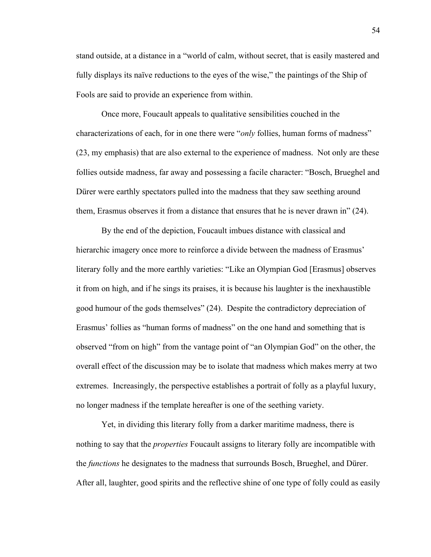stand outside, at a distance in a "world of calm, without secret, that is easily mastered and fully displays its naïve reductions to the eyes of the wise," the paintings of the Ship of Fools are said to provide an experience from within.

Once more, Foucault appeals to qualitative sensibilities couched in the characterizations of each, for in one there were "*only* follies, human forms of madness" (23, my emphasis) that are also external to the experience of madness. Not only are these follies outside madness, far away and possessing a facile character: "Bosch, Brueghel and Dürer were earthly spectators pulled into the madness that they saw seething around them, Erasmus observes it from a distance that ensures that he is never drawn in" (24).

By the end of the depiction, Foucault imbues distance with classical and hierarchic imagery once more to reinforce a divide between the madness of Erasmus' literary folly and the more earthly varieties: "Like an Olympian God [Erasmus] observes it from on high, and if he sings its praises, it is because his laughter is the inexhaustible good humour of the gods themselves" (24). Despite the contradictory depreciation of Erasmus' follies as "human forms of madness" on the one hand and something that is observed "from on high" from the vantage point of "an Olympian God" on the other, the overall effect of the discussion may be to isolate that madness which makes merry at two extremes. Increasingly, the perspective establishes a portrait of folly as a playful luxury, no longer madness if the template hereafter is one of the seething variety.

Yet, in dividing this literary folly from a darker maritime madness, there is nothing to say that the *properties* Foucault assigns to literary folly are incompatible with the *functions* he designates to the madness that surrounds Bosch, Brueghel, and Dürer. After all, laughter, good spirits and the reflective shine of one type of folly could as easily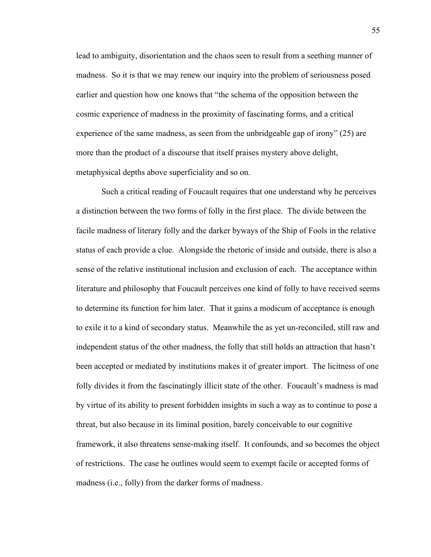lead to ambiguity, disorientation and the chaos seen to result from a seething manner of madness. So it is that we may renew our inquiry into the problem of seriousness posed earlier and question how one knows that "the schema of the opposition between the cosmic experience of madness in the proximity of fascinating forms, and a critical experience of the same madness, as seen from the unbridgeable gap of irony" (25) are more than the product of a discourse that itself praises mystery above delight, metaphysical depths above superficiality and so on.

Such a critical reading of Foucault requires that one understand why he perceives a distinction between the two forms of folly in the first place. The divide between the facile madness of literary folly and the darker byways of the Ship of Fools in the relative status of each provide a clue. Alongside the rhetoric of inside and outside, there is also a sense of the relative institutional inclusion and exclusion of each. The acceptance within literature and philosophy that Foucault perceives one kind of folly to have received seems to determine its function for him later. That it gains a modicum of acceptance is enough to exile it to a kind of secondary status. Meanwhile the as yet un-reconciled, still raw and independent status of the other madness, the folly that still holds an attraction that hasn't been accepted or mediated by institutions makes it of greater import. The licitness of one folly divides it from the fascinatingly illicit state of the other. Foucault's madness is mad by virtue of its ability to present forbidden insights in such a way as to continue to pose a threat, but also because in its liminal position, barely conceivable to our cognitive framework, it also threatens sense-making itself. It confounds, and so becomes the object of restrictions. The case he outlines would seem to exempt facile or accepted forms of madness (i.e., folly) from the darker forms of madness.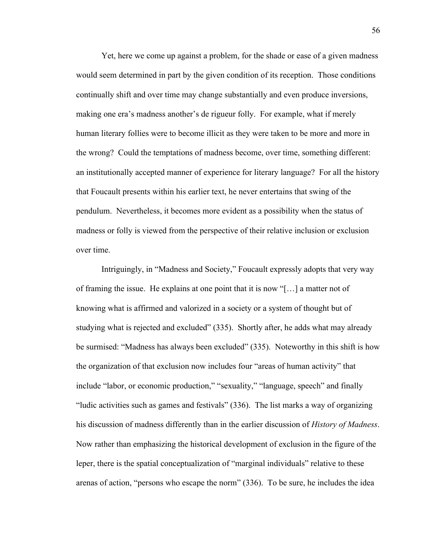Yet, here we come up against a problem, for the shade or ease of a given madness would seem determined in part by the given condition of its reception. Those conditions continually shift and over time may change substantially and even produce inversions, making one era's madness another's de rigueur folly. For example, what if merely human literary follies were to become illicit as they were taken to be more and more in the wrong? Could the temptations of madness become, over time, something different: an institutionally accepted manner of experience for literary language? For all the history that Foucault presents within his earlier text, he never entertains that swing of the pendulum. Nevertheless, it becomes more evident as a possibility when the status of madness or folly is viewed from the perspective of their relative inclusion or exclusion over time.

Intriguingly, in "Madness and Society," Foucault expressly adopts that very way of framing the issue. He explains at one point that it is now "[…] a matter not of knowing what is affirmed and valorized in a society or a system of thought but of studying what is rejected and excluded" (335). Shortly after, he adds what may already be surmised: "Madness has always been excluded" (335). Noteworthy in this shift is how the organization of that exclusion now includes four "areas of human activity" that include "labor, or economic production," "sexuality," "language, speech" and finally "ludic activities such as games and festivals" (336). The list marks a way of organizing his discussion of madness differently than in the earlier discussion of *History of Madness*. Now rather than emphasizing the historical development of exclusion in the figure of the leper, there is the spatial conceptualization of "marginal individuals" relative to these arenas of action, "persons who escape the norm" (336). To be sure, he includes the idea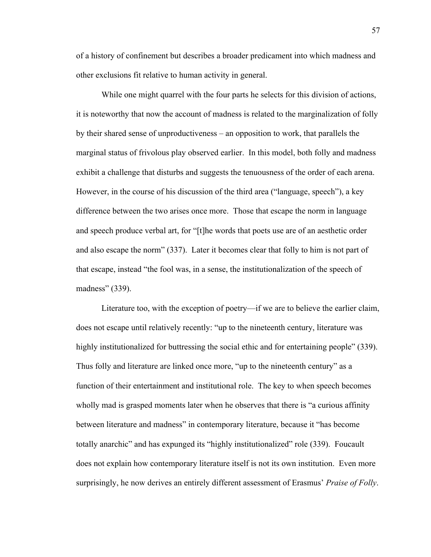of a history of confinement but describes a broader predicament into which madness and other exclusions fit relative to human activity in general.

While one might quarrel with the four parts he selects for this division of actions, it is noteworthy that now the account of madness is related to the marginalization of folly by their shared sense of unproductiveness – an opposition to work, that parallels the marginal status of frivolous play observed earlier. In this model, both folly and madness exhibit a challenge that disturbs and suggests the tenuousness of the order of each arena. However, in the course of his discussion of the third area ("language, speech"), a key difference between the two arises once more. Those that escape the norm in language and speech produce verbal art, for "[t]he words that poets use are of an aesthetic order and also escape the norm" (337). Later it becomes clear that folly to him is not part of that escape, instead "the fool was, in a sense, the institutionalization of the speech of madness" (339).

Literature too, with the exception of poetry—if we are to believe the earlier claim, does not escape until relatively recently: "up to the nineteenth century, literature was highly institutionalized for buttressing the social ethic and for entertaining people" (339). Thus folly and literature are linked once more, "up to the nineteenth century" as a function of their entertainment and institutional role. The key to when speech becomes wholly mad is grasped moments later when he observes that there is "a curious affinity between literature and madness" in contemporary literature, because it "has become totally anarchic" and has expunged its "highly institutionalized" role (339). Foucault does not explain how contemporary literature itself is not its own institution. Even more surprisingly, he now derives an entirely different assessment of Erasmus' *Praise of Folly*.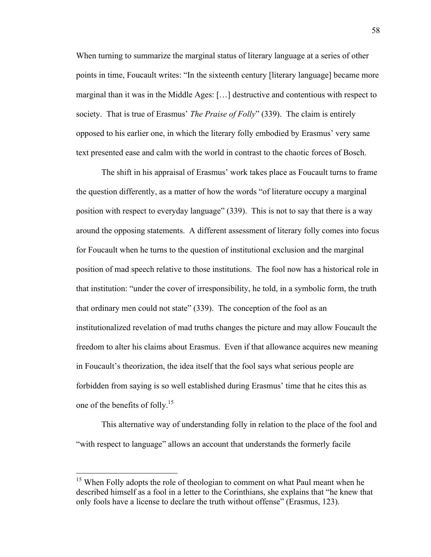When turning to summarize the marginal status of literary language at a series of other points in time, Foucault writes: "In the sixteenth century [literary language] became more marginal than it was in the Middle Ages: […] destructive and contentious with respect to society. That is true of Erasmus' *The Praise of Folly*" (339). The claim is entirely opposed to his earlier one, in which the literary folly embodied by Erasmus' very same text presented ease and calm with the world in contrast to the chaotic forces of Bosch.

The shift in his appraisal of Erasmus' work takes place as Foucault turns to frame the question differently, as a matter of how the words "of literature occupy a marginal position with respect to everyday language" (339). This is not to say that there is a way around the opposing statements. A different assessment of literary folly comes into focus for Foucault when he turns to the question of institutional exclusion and the marginal position of mad speech relative to those institutions. The fool now has a historical role in that institution: "under the cover of irresponsibility, he told, in a symbolic form, the truth that ordinary men could not state" (339). The conception of the fool as an institutionalized revelation of mad truths changes the picture and may allow Foucault the freedom to alter his claims about Erasmus. Even if that allowance acquires new meaning in Foucault's theorization, the idea itself that the fool says what serious people are forbidden from saying is so well established during Erasmus' time that he cites this as one of the benefits of folly.<sup>15</sup>

This alternative way of understanding folly in relation to the place of the fool and "with respect to language" allows an account that understands the formerly facile

<sup>&</sup>lt;sup>15</sup> When Folly adopts the role of theologian to comment on what Paul meant when he described himself as a fool in a letter to the Corinthians, she explains that "he knew that only fools have a license to declare the truth without offense" (Erasmus, 123).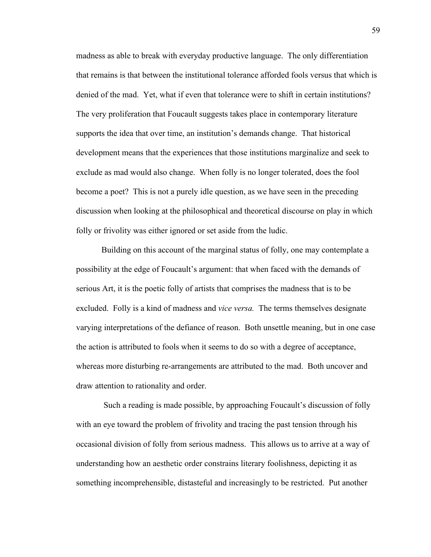madness as able to break with everyday productive language. The only differentiation that remains is that between the institutional tolerance afforded fools versus that which is denied of the mad. Yet, what if even that tolerance were to shift in certain institutions? The very proliferation that Foucault suggests takes place in contemporary literature supports the idea that over time, an institution's demands change. That historical development means that the experiences that those institutions marginalize and seek to exclude as mad would also change. When folly is no longer tolerated, does the fool become a poet? This is not a purely idle question, as we have seen in the preceding discussion when looking at the philosophical and theoretical discourse on play in which folly or frivolity was either ignored or set aside from the ludic.

Building on this account of the marginal status of folly, one may contemplate a possibility at the edge of Foucault's argument: that when faced with the demands of serious Art, it is the poetic folly of artists that comprises the madness that is to be excluded. Folly is a kind of madness and *vice versa.* The terms themselves designate varying interpretations of the defiance of reason. Both unsettle meaning, but in one case the action is attributed to fools when it seems to do so with a degree of acceptance, whereas more disturbing re-arrangements are attributed to the mad. Both uncover and draw attention to rationality and order.

 Such a reading is made possible, by approaching Foucault's discussion of folly with an eye toward the problem of frivolity and tracing the past tension through his occasional division of folly from serious madness. This allows us to arrive at a way of understanding how an aesthetic order constrains literary foolishness, depicting it as something incomprehensible, distasteful and increasingly to be restricted. Put another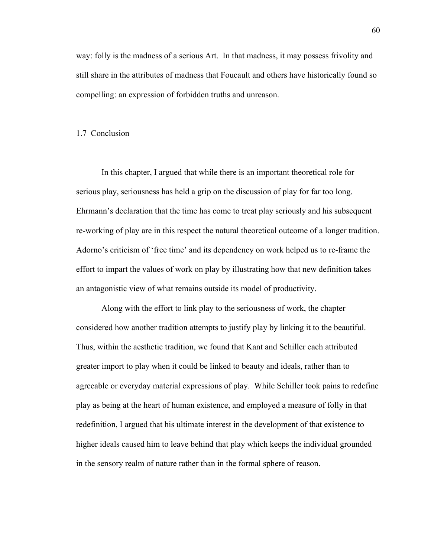way: folly is the madness of a serious Art. In that madness, it may possess frivolity and still share in the attributes of madness that Foucault and others have historically found so compelling: an expression of forbidden truths and unreason.

## 1.7 Conclusion

In this chapter, I argued that while there is an important theoretical role for serious play, seriousness has held a grip on the discussion of play for far too long. Ehrmann's declaration that the time has come to treat play seriously and his subsequent re-working of play are in this respect the natural theoretical outcome of a longer tradition. Adorno's criticism of 'free time' and its dependency on work helped us to re-frame the effort to impart the values of work on play by illustrating how that new definition takes an antagonistic view of what remains outside its model of productivity.

Along with the effort to link play to the seriousness of work, the chapter considered how another tradition attempts to justify play by linking it to the beautiful. Thus, within the aesthetic tradition, we found that Kant and Schiller each attributed greater import to play when it could be linked to beauty and ideals, rather than to agreeable or everyday material expressions of play. While Schiller took pains to redefine play as being at the heart of human existence, and employed a measure of folly in that redefinition, I argued that his ultimate interest in the development of that existence to higher ideals caused him to leave behind that play which keeps the individual grounded in the sensory realm of nature rather than in the formal sphere of reason.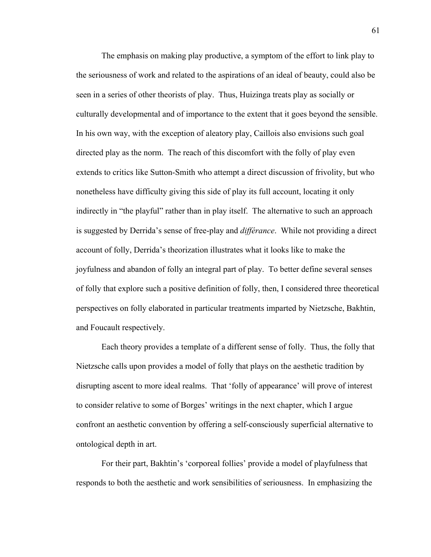The emphasis on making play productive, a symptom of the effort to link play to the seriousness of work and related to the aspirations of an ideal of beauty, could also be seen in a series of other theorists of play. Thus, Huizinga treats play as socially or culturally developmental and of importance to the extent that it goes beyond the sensible. In his own way, with the exception of aleatory play, Caillois also envisions such goal directed play as the norm. The reach of this discomfort with the folly of play even extends to critics like Sutton-Smith who attempt a direct discussion of frivolity, but who nonetheless have difficulty giving this side of play its full account, locating it only indirectly in "the playful" rather than in play itself. The alternative to such an approach is suggested by Derrida's sense of free-play and *différance*. While not providing a direct account of folly, Derrida's theorization illustrates what it looks like to make the joyfulness and abandon of folly an integral part of play. To better define several senses of folly that explore such a positive definition of folly, then, I considered three theoretical perspectives on folly elaborated in particular treatments imparted by Nietzsche, Bakhtin, and Foucault respectively.

Each theory provides a template of a different sense of folly. Thus, the folly that Nietzsche calls upon provides a model of folly that plays on the aesthetic tradition by disrupting ascent to more ideal realms. That 'folly of appearance' will prove of interest to consider relative to some of Borges' writings in the next chapter, which I argue confront an aesthetic convention by offering a self-consciously superficial alternative to ontological depth in art.

For their part, Bakhtin's 'corporeal follies' provide a model of playfulness that responds to both the aesthetic and work sensibilities of seriousness. In emphasizing the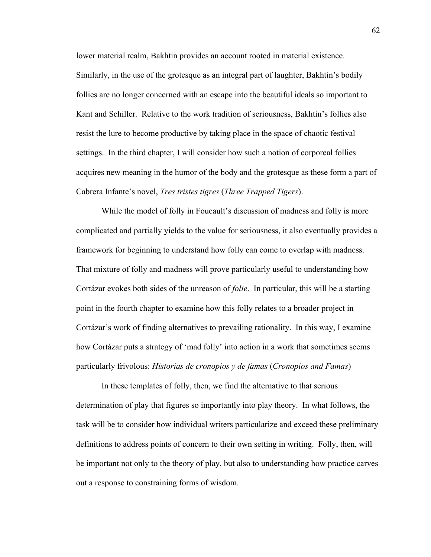lower material realm, Bakhtin provides an account rooted in material existence. Similarly, in the use of the grotesque as an integral part of laughter, Bakhtin's bodily follies are no longer concerned with an escape into the beautiful ideals so important to Kant and Schiller. Relative to the work tradition of seriousness, Bakhtin's follies also resist the lure to become productive by taking place in the space of chaotic festival settings. In the third chapter, I will consider how such a notion of corporeal follies acquires new meaning in the humor of the body and the grotesque as these form a part of Cabrera Infante's novel, *Tres tristes tigres* (*Three Trapped Tigers*).

While the model of folly in Foucault's discussion of madness and folly is more complicated and partially yields to the value for seriousness, it also eventually provides a framework for beginning to understand how folly can come to overlap with madness. That mixture of folly and madness will prove particularly useful to understanding how Cortázar evokes both sides of the unreason of *folie*. In particular, this will be a starting point in the fourth chapter to examine how this folly relates to a broader project in Cortázar's work of finding alternatives to prevailing rationality. In this way, I examine how Cortázar puts a strategy of 'mad folly' into action in a work that sometimes seems particularly frivolous: *Historias de cronopios y de famas* (*Cronopios and Famas*)

In these templates of folly, then, we find the alternative to that serious determination of play that figures so importantly into play theory. In what follows, the task will be to consider how individual writers particularize and exceed these preliminary definitions to address points of concern to their own setting in writing. Folly, then, will be important not only to the theory of play, but also to understanding how practice carves out a response to constraining forms of wisdom.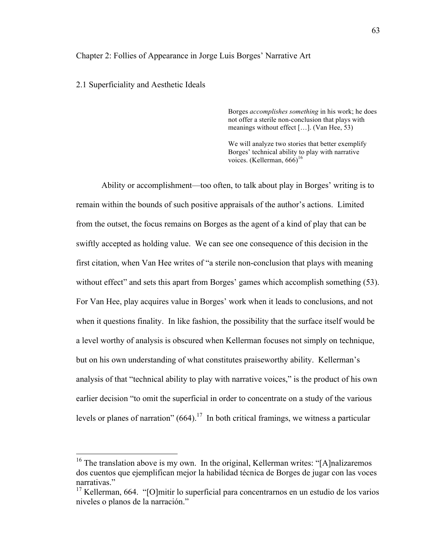## Chapter 2: Follies of Appearance in Jorge Luis Borges' Narrative Art

## 2.1 Superficiality and Aesthetic Ideals

Borges *accomplishes something* in his work; he does not offer a sterile non-conclusion that plays with meanings without effect […]. (Van Hee, 53)

We will analyze two stories that better exemplify Borges' technical ability to play with narrative voices. (Kellerman, 666)<sup>16</sup>

Ability or accomplishment—too often, to talk about play in Borges' writing is to remain within the bounds of such positive appraisals of the author's actions. Limited from the outset, the focus remains on Borges as the agent of a kind of play that can be swiftly accepted as holding value. We can see one consequence of this decision in the first citation, when Van Hee writes of "a sterile non-conclusion that plays with meaning without effect" and sets this apart from Borges' games which accomplish something (53). For Van Hee, play acquires value in Borges' work when it leads to conclusions, and not when it questions finality. In like fashion, the possibility that the surface itself would be a level worthy of analysis is obscured when Kellerman focuses not simply on technique, but on his own understanding of what constitutes praiseworthy ability. Kellerman's analysis of that "technical ability to play with narrative voices," is the product of his own earlier decision "to omit the superficial in order to concentrate on a study of the various levels or planes of narration"  $(664)$ .<sup>17</sup> In both critical framings, we witness a particular

<sup>&</sup>lt;sup>16</sup> The translation above is my own. In the original, Kellerman writes: "[A]nalizaremos dos cuentos que ejemplifican mejor la habilidad técnica de Borges de jugar con las voces narrativas."

 $17$  Kellerman, 664. "[O]mitir lo superficial para concentrarnos en un estudio de los varios niveles o planos de la narración."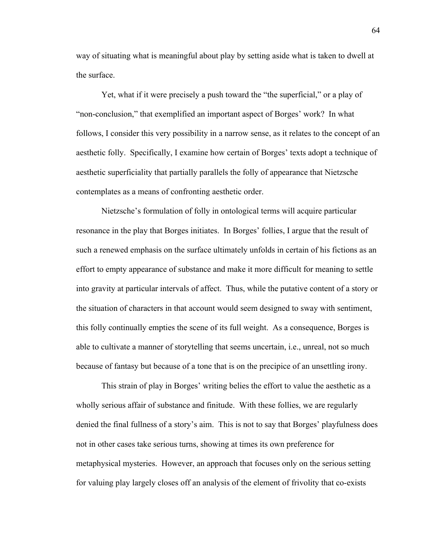way of situating what is meaningful about play by setting aside what is taken to dwell at the surface.

Yet, what if it were precisely a push toward the "the superficial," or a play of "non-conclusion," that exemplified an important aspect of Borges' work? In what follows, I consider this very possibility in a narrow sense, as it relates to the concept of an aesthetic folly. Specifically, I examine how certain of Borges' texts adopt a technique of aesthetic superficiality that partially parallels the folly of appearance that Nietzsche contemplates as a means of confronting aesthetic order.

Nietzsche's formulation of folly in ontological terms will acquire particular resonance in the play that Borges initiates. In Borges' follies, I argue that the result of such a renewed emphasis on the surface ultimately unfolds in certain of his fictions as an effort to empty appearance of substance and make it more difficult for meaning to settle into gravity at particular intervals of affect. Thus, while the putative content of a story or the situation of characters in that account would seem designed to sway with sentiment, this folly continually empties the scene of its full weight. As a consequence, Borges is able to cultivate a manner of storytelling that seems uncertain, i.e., unreal, not so much because of fantasy but because of a tone that is on the precipice of an unsettling irony.

This strain of play in Borges' writing belies the effort to value the aesthetic as a wholly serious affair of substance and finitude. With these follies, we are regularly denied the final fullness of a story's aim. This is not to say that Borges' playfulness does not in other cases take serious turns, showing at times its own preference for metaphysical mysteries. However, an approach that focuses only on the serious setting for valuing play largely closes off an analysis of the element of frivolity that co-exists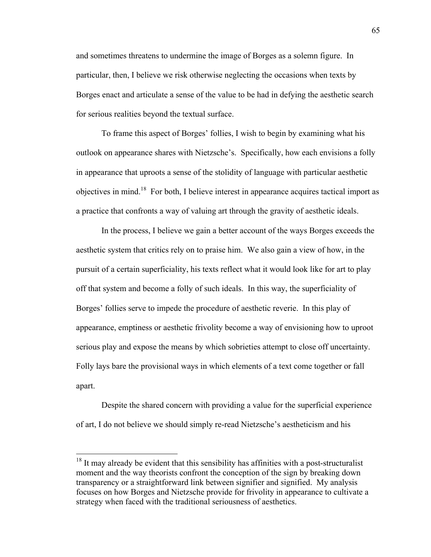and sometimes threatens to undermine the image of Borges as a solemn figure. In particular, then, I believe we risk otherwise neglecting the occasions when texts by Borges enact and articulate a sense of the value to be had in defying the aesthetic search for serious realities beyond the textual surface.

To frame this aspect of Borges' follies, I wish to begin by examining what his outlook on appearance shares with Nietzsche's. Specifically, how each envisions a folly in appearance that uproots a sense of the stolidity of language with particular aesthetic objectives in mind.18 For both, I believe interest in appearance acquires tactical import as a practice that confronts a way of valuing art through the gravity of aesthetic ideals.

In the process, I believe we gain a better account of the ways Borges exceeds the aesthetic system that critics rely on to praise him. We also gain a view of how, in the pursuit of a certain superficiality, his texts reflect what it would look like for art to play off that system and become a folly of such ideals. In this way, the superficiality of Borges' follies serve to impede the procedure of aesthetic reverie. In this play of appearance, emptiness or aesthetic frivolity become a way of envisioning how to uproot serious play and expose the means by which sobrieties attempt to close off uncertainty. Folly lays bare the provisional ways in which elements of a text come together or fall apart.

Despite the shared concern with providing a value for the superficial experience of art, I do not believe we should simply re-read Nietzsche's aestheticism and his

 $18$  It may already be evident that this sensibility has affinities with a post-structuralist moment and the way theorists confront the conception of the sign by breaking down transparency or a straightforward link between signifier and signified. My analysis focuses on how Borges and Nietzsche provide for frivolity in appearance to cultivate a strategy when faced with the traditional seriousness of aesthetics.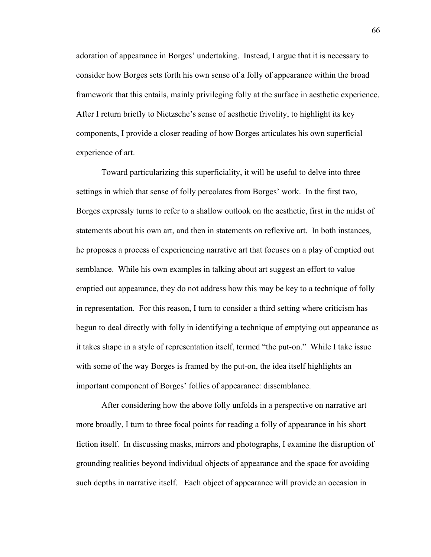adoration of appearance in Borges' undertaking. Instead, I argue that it is necessary to consider how Borges sets forth his own sense of a folly of appearance within the broad framework that this entails, mainly privileging folly at the surface in aesthetic experience. After I return briefly to Nietzsche's sense of aesthetic frivolity, to highlight its key components, I provide a closer reading of how Borges articulates his own superficial experience of art.

Toward particularizing this superficiality, it will be useful to delve into three settings in which that sense of folly percolates from Borges' work. In the first two, Borges expressly turns to refer to a shallow outlook on the aesthetic, first in the midst of statements about his own art, and then in statements on reflexive art. In both instances, he proposes a process of experiencing narrative art that focuses on a play of emptied out semblance. While his own examples in talking about art suggest an effort to value emptied out appearance, they do not address how this may be key to a technique of folly in representation. For this reason, I turn to consider a third setting where criticism has begun to deal directly with folly in identifying a technique of emptying out appearance as it takes shape in a style of representation itself, termed "the put-on." While I take issue with some of the way Borges is framed by the put-on, the idea itself highlights an important component of Borges' follies of appearance: dissemblance.

After considering how the above folly unfolds in a perspective on narrative art more broadly, I turn to three focal points for reading a folly of appearance in his short fiction itself. In discussing masks, mirrors and photographs, I examine the disruption of grounding realities beyond individual objects of appearance and the space for avoiding such depths in narrative itself. Each object of appearance will provide an occasion in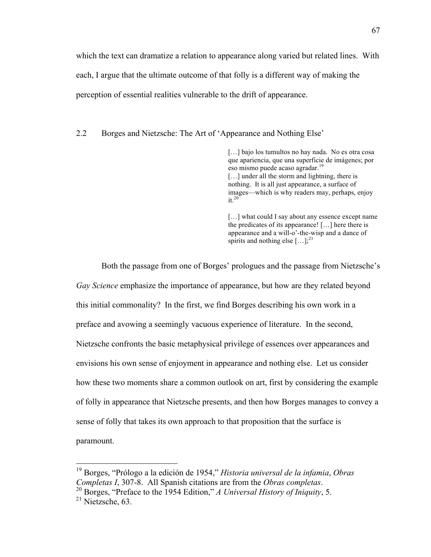which the text can dramatize a relation to appearance along varied but related lines. With each, I argue that the ultimate outcome of that folly is a different way of making the perception of essential realities vulnerable to the drift of appearance.

2.2 Borges and Nietzsche: The Art of 'Appearance and Nothing Else'

[...] bajo los tumultos no hay nada. No es otra cosa que apariencia, que una superficie de imágenes; por eso mismo puede acaso agradar.<sup>19</sup> [...] under all the storm and lightning, there is nothing. It is all just appearance, a surface of images—which is why readers may, perhaps, enjoy  $it^{20}$ 

[...] what could I say about any essence except name the predicates of its appearance! […] here there is appearance and a will-o'-the-wisp and a dance of spirits and nothing else  $[\dots]$ ;<sup>21</sup>

Both the passage from one of Borges' prologues and the passage from Nietzsche's *Gay Science* emphasize the importance of appearance, but how are they related beyond this initial commonality? In the first, we find Borges describing his own work in a preface and avowing a seemingly vacuous experience of literature. In the second, Nietzsche confronts the basic metaphysical privilege of essences over appearances and envisions his own sense of enjoyment in appearance and nothing else. Let us consider how these two moments share a common outlook on art, first by considering the example of folly in appearance that Nietzsche presents, and then how Borges manages to convey a sense of folly that takes its own approach to that proposition that the surface is paramount.

 <sup>19</sup> Borges, "Prólogo a la edición de 1954," *Historia universal de la infamia*, *Obras Completas I*, 307-8. All Spanish citations are from the *Obras completas*. 20 Borges, "Preface to the 1954 Edition," *A Universal History of Iniquity*, 5.

 $21$  Nietzsche, 63.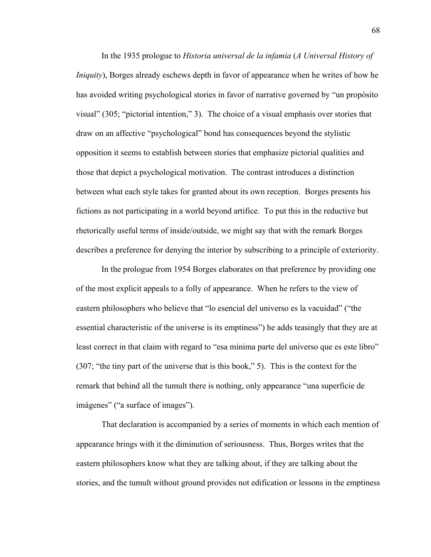In the 1935 prologue to *Historia universal de la infamia* (*A Universal History of Iniquity*), Borges already eschews depth in favor of appearance when he writes of how he has avoided writing psychological stories in favor of narrative governed by "un propósito visual" (305; "pictorial intention," 3). The choice of a visual emphasis over stories that draw on an affective "psychological" bond has consequences beyond the stylistic opposition it seems to establish between stories that emphasize pictorial qualities and those that depict a psychological motivation. The contrast introduces a distinction between what each style takes for granted about its own reception. Borges presents his fictions as not participating in a world beyond artifice. To put this in the reductive but rhetorically useful terms of inside/outside, we might say that with the remark Borges describes a preference for denying the interior by subscribing to a principle of exteriority.

In the prologue from 1954 Borges elaborates on that preference by providing one of the most explicit appeals to a folly of appearance. When he refers to the view of eastern philosophers who believe that "lo esencial del universo es la vacuidad" ("the essential characteristic of the universe is its emptiness") he adds teasingly that they are at least correct in that claim with regard to "esa mínima parte del universo que es este libro" (307; "the tiny part of the universe that is this book," 5). This is the context for the remark that behind all the tumult there is nothing, only appearance "una superficie de imágenes" ("a surface of images").

That declaration is accompanied by a series of moments in which each mention of appearance brings with it the diminution of seriousness. Thus, Borges writes that the eastern philosophers know what they are talking about, if they are talking about the stories, and the tumult without ground provides not edification or lessons in the emptiness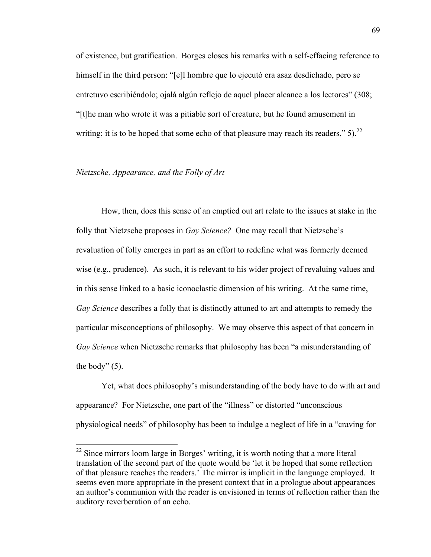of existence, but gratification. Borges closes his remarks with a self-effacing reference to himself in the third person: "[e]l hombre que lo ejecutó era asaz desdichado, pero se entretuvo escribiéndolo; ojalá algún reflejo de aquel placer alcance a los lectores" (308; "[t]he man who wrote it was a pitiable sort of creature, but he found amusement in writing; it is to be hoped that some echo of that pleasure may reach its readers,"  $5$ ).<sup>22</sup>

# *Nietzsche, Appearance, and the Folly of Art*

How, then, does this sense of an emptied out art relate to the issues at stake in the folly that Nietzsche proposes in *Gay Science?* One may recall that Nietzsche's revaluation of folly emerges in part as an effort to redefine what was formerly deemed wise (e.g., prudence). As such, it is relevant to his wider project of revaluing values and in this sense linked to a basic iconoclastic dimension of his writing. At the same time, *Gay Science* describes a folly that is distinctly attuned to art and attempts to remedy the particular misconceptions of philosophy. We may observe this aspect of that concern in *Gay Science* when Nietzsche remarks that philosophy has been "a misunderstanding of the body"  $(5)$ .

Yet, what does philosophy's misunderstanding of the body have to do with art and appearance? For Nietzsche, one part of the "illness" or distorted "unconscious physiological needs" of philosophy has been to indulge a neglect of life in a "craving for

<sup>&</sup>lt;sup>22</sup> Since mirrors loom large in Borges' writing, it is worth noting that a more literal translation of the second part of the quote would be 'let it be hoped that some reflection of that pleasure reaches the readers.' The mirror is implicit in the language employed. It seems even more appropriate in the present context that in a prologue about appearances an author's communion with the reader is envisioned in terms of reflection rather than the auditory reverberation of an echo.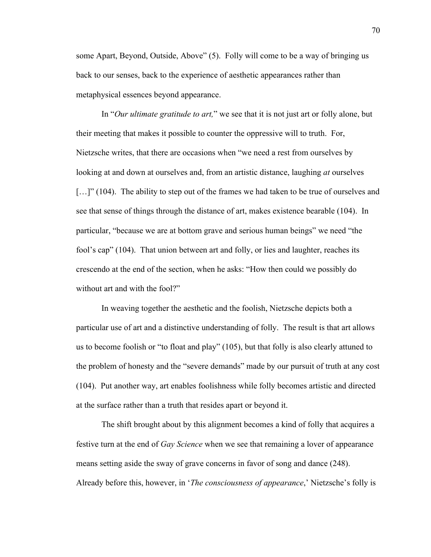some Apart, Beyond, Outside, Above" (5). Folly will come to be a way of bringing us back to our senses, back to the experience of aesthetic appearances rather than metaphysical essences beyond appearance.

In "*Our ultimate gratitude to art,*" we see that it is not just art or folly alone, but their meeting that makes it possible to counter the oppressive will to truth. For, Nietzsche writes, that there are occasions when "we need a rest from ourselves by looking at and down at ourselves and, from an artistic distance, laughing *at* ourselves [...]" (104). The ability to step out of the frames we had taken to be true of ourselves and see that sense of things through the distance of art, makes existence bearable (104). In particular, "because we are at bottom grave and serious human beings" we need "the fool's cap" (104). That union between art and folly, or lies and laughter, reaches its crescendo at the end of the section, when he asks: "How then could we possibly do without art and with the fool?"

In weaving together the aesthetic and the foolish, Nietzsche depicts both a particular use of art and a distinctive understanding of folly. The result is that art allows us to become foolish or "to float and play" (105), but that folly is also clearly attuned to the problem of honesty and the "severe demands" made by our pursuit of truth at any cost (104). Put another way, art enables foolishness while folly becomes artistic and directed at the surface rather than a truth that resides apart or beyond it.

The shift brought about by this alignment becomes a kind of folly that acquires a festive turn at the end of *Gay Science* when we see that remaining a lover of appearance means setting aside the sway of grave concerns in favor of song and dance (248). Already before this, however, in '*The consciousness of appearance*,' Nietzsche's folly is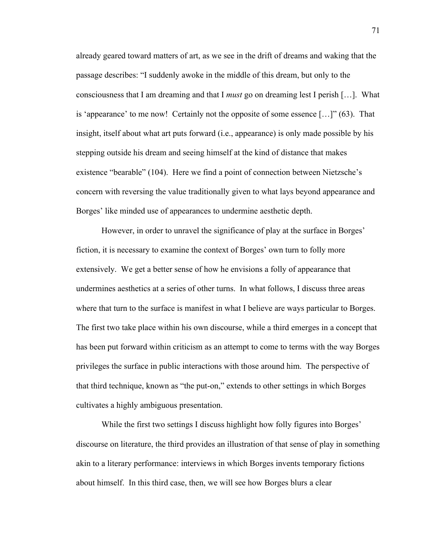already geared toward matters of art, as we see in the drift of dreams and waking that the passage describes: "I suddenly awoke in the middle of this dream, but only to the consciousness that I am dreaming and that I *must* go on dreaming lest I perish […]. What is 'appearance' to me now! Certainly not the opposite of some essence […]" (63). That insight, itself about what art puts forward (i.e., appearance) is only made possible by his stepping outside his dream and seeing himself at the kind of distance that makes existence "bearable" (104). Here we find a point of connection between Nietzsche's concern with reversing the value traditionally given to what lays beyond appearance and Borges' like minded use of appearances to undermine aesthetic depth.

However, in order to unravel the significance of play at the surface in Borges' fiction, it is necessary to examine the context of Borges' own turn to folly more extensively. We get a better sense of how he envisions a folly of appearance that undermines aesthetics at a series of other turns. In what follows, I discuss three areas where that turn to the surface is manifest in what I believe are ways particular to Borges. The first two take place within his own discourse, while a third emerges in a concept that has been put forward within criticism as an attempt to come to terms with the way Borges privileges the surface in public interactions with those around him. The perspective of that third technique, known as "the put-on," extends to other settings in which Borges cultivates a highly ambiguous presentation.

While the first two settings I discuss highlight how folly figures into Borges' discourse on literature, the third provides an illustration of that sense of play in something akin to a literary performance: interviews in which Borges invents temporary fictions about himself. In this third case, then, we will see how Borges blurs a clear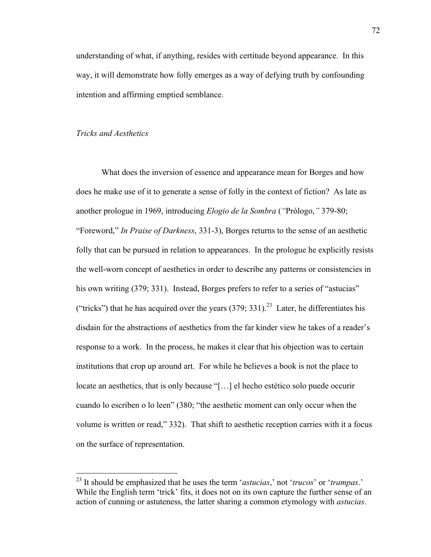understanding of what, if anything, resides with certitude beyond appearance. In this way, it will demonstrate how folly emerges as a way of defying truth by confounding intention and affirming emptied semblance.

# *Tricks and Aesthetics*

What does the inversion of essence and appearance mean for Borges and how does he make use of it to generate a sense of folly in the context of fiction? As late as another prologue in 1969, introducing *Elogio de la Sombra* (*"*Prólogo,*"* 379-80; "Foreword," *In Praise of Darkness*, 331-3), Borges returns to the sense of an aesthetic folly that can be pursued in relation to appearances. In the prologue he explicitly resists the well-worn concept of aesthetics in order to describe any patterns or consistencies in his own writing (379; 331). Instead, Borges prefers to refer to a series of "astucias" ("tricks") that he has acquired over the years  $(379; 331)$ .<sup>23</sup> Later, he differentiates his disdain for the abstractions of aesthetics from the far kinder view he takes of a reader's response to a work. In the process, he makes it clear that his objection was to certain institutions that crop up around art. For while he believes a book is not the place to locate an aesthetics, that is only because "[…] el hecho estético solo puede occurir cuando lo escriben o lo leen" (380; "the aesthetic moment can only occur when the volume is written or read," 332). That shift to aesthetic reception carries with it a focus on the surface of representation.

 <sup>23</sup> It should be emphasized that he uses the term '*astucias*,' not '*trucos*' or '*trampas*.' While the English term 'trick' fits, it does not on its own capture the further sense of an action of cunning or astuteness, the latter sharing a common etymology with *astucias*.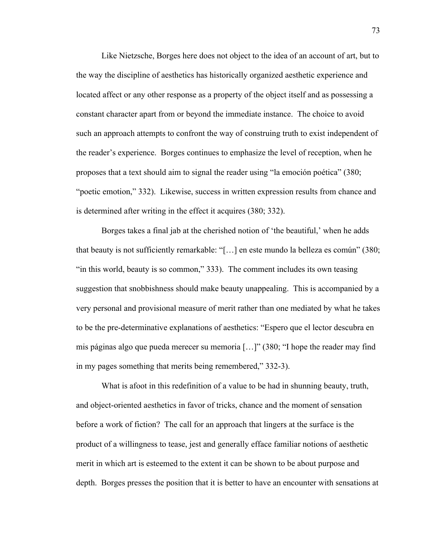Like Nietzsche, Borges here does not object to the idea of an account of art, but to the way the discipline of aesthetics has historically organized aesthetic experience and located affect or any other response as a property of the object itself and as possessing a constant character apart from or beyond the immediate instance. The choice to avoid such an approach attempts to confront the way of construing truth to exist independent of the reader's experience. Borges continues to emphasize the level of reception, when he proposes that a text should aim to signal the reader using "la emoción poética" (380; "poetic emotion," 332). Likewise, success in written expression results from chance and is determined after writing in the effect it acquires (380; 332).

Borges takes a final jab at the cherished notion of 'the beautiful,' when he adds that beauty is not sufficiently remarkable: "[…] en este mundo la belleza es común" (380; "in this world, beauty is so common," 333). The comment includes its own teasing suggestion that snobbishness should make beauty unappealing. This is accompanied by a very personal and provisional measure of merit rather than one mediated by what he takes to be the pre-determinative explanations of aesthetics: "Espero que el lector descubra en mis páginas algo que pueda merecer su memoria […]" (380; "I hope the reader may find in my pages something that merits being remembered," 332-3).

What is afoot in this redefinition of a value to be had in shunning beauty, truth, and object-oriented aesthetics in favor of tricks, chance and the moment of sensation before a work of fiction? The call for an approach that lingers at the surface is the product of a willingness to tease, jest and generally efface familiar notions of aesthetic merit in which art is esteemed to the extent it can be shown to be about purpose and depth. Borges presses the position that it is better to have an encounter with sensations at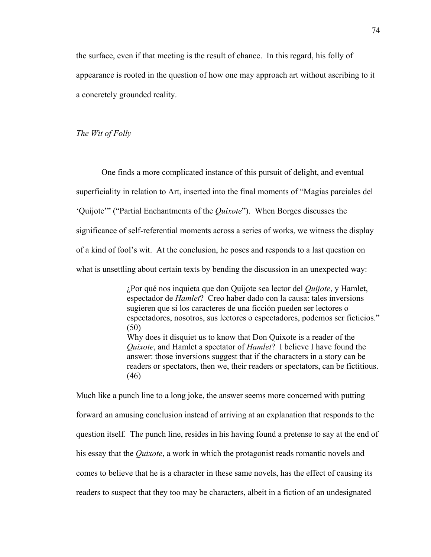the surface, even if that meeting is the result of chance. In this regard, his folly of appearance is rooted in the question of how one may approach art without ascribing to it a concretely grounded reality.

*The Wit of Folly*

One finds a more complicated instance of this pursuit of delight, and eventual superficiality in relation to Art, inserted into the final moments of "Magias parciales del 'Quijote'" ("Partial Enchantments of the *Quixote*"). When Borges discusses the significance of self-referential moments across a series of works, we witness the display of a kind of fool's wit. At the conclusion, he poses and responds to a last question on what is unsettling about certain texts by bending the discussion in an unexpected way:

> ¿Por qué nos inquieta que don Quijote sea lector del *Quijote*, y Hamlet, espectador de *Hamlet*? Creo haber dado con la causa: tales inversions sugieren que si los caracteres de una ficción pueden ser lectores o espectadores, nosotros, sus lectores o espectadores, podemos ser ficticios." (50) Why does it disquiet us to know that Don Quixote is a reader of the *Quixote*, and Hamlet a spectator of *Hamlet*? I believe I have found the answer: those inversions suggest that if the characters in a story can be readers or spectators, then we, their readers or spectators, can be fictitious. (46)

Much like a punch line to a long joke, the answer seems more concerned with putting forward an amusing conclusion instead of arriving at an explanation that responds to the question itself. The punch line, resides in his having found a pretense to say at the end of his essay that the *Quixote*, a work in which the protagonist reads romantic novels and comes to believe that he is a character in these same novels, has the effect of causing its readers to suspect that they too may be characters, albeit in a fiction of an undesignated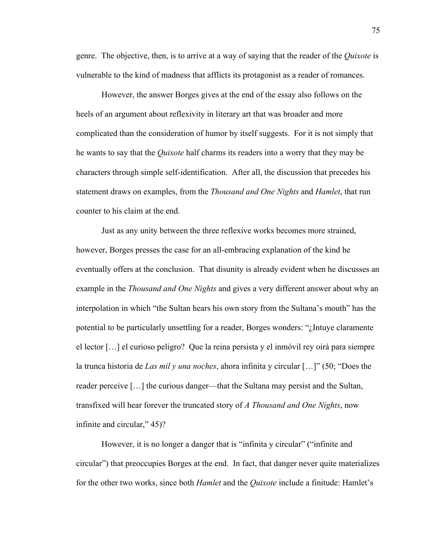genre. The objective, then, is to arrive at a way of saying that the reader of the *Quixote* is vulnerable to the kind of madness that afflicts its protagonist as a reader of romances.

However, the answer Borges gives at the end of the essay also follows on the heels of an argument about reflexivity in literary art that was broader and more complicated than the consideration of humor by itself suggests. For it is not simply that he wants to say that the *Quixote* half charms its readers into a worry that they may be characters through simple self-identification. After all, the discussion that precedes his statement draws on examples, from the *Thousand and One Nights* and *Hamlet*, that run counter to his claim at the end.

Just as any unity between the three reflexive works becomes more strained, however, Borges presses the case for an all-embracing explanation of the kind he eventually offers at the conclusion. That disunity is already evident when he discusses an example in the *Thousand and One Nights* and gives a very different answer about why an interpolation in which "the Sultan hears his own story from the Sultana's mouth" has the potential to be particularly unsettling for a reader, Borges wonders: "¿Intuye claramente el lector […] el curioso peligro? Que la reina persista y el inmóvil rey oirá para siempre la trunca historia de *Las mil y una noches*, ahora infinita y circular […]" (50; "Does the reader perceive […] the curious danger—that the Sultana may persist and the Sultan, transfixed will hear forever the truncated story of *A Thousand and One Nights*, now infinite and circular," 45)?

However, it is no longer a danger that is "infinita y circular" ("infinite and circular") that preoccupies Borges at the end. In fact, that danger never quite materializes for the other two works, since both *Hamlet* and the *Quixote* include a finitude: Hamlet's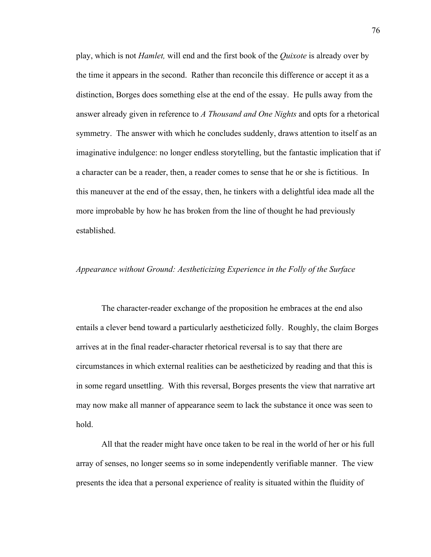play, which is not *Hamlet,* will end and the first book of the *Quixote* is already over by the time it appears in the second. Rather than reconcile this difference or accept it as a distinction, Borges does something else at the end of the essay. He pulls away from the answer already given in reference to *A Thousand and One Nights* and opts for a rhetorical symmetry. The answer with which he concludes suddenly, draws attention to itself as an imaginative indulgence: no longer endless storytelling, but the fantastic implication that if a character can be a reader, then, a reader comes to sense that he or she is fictitious. In this maneuver at the end of the essay, then, he tinkers with a delightful idea made all the more improbable by how he has broken from the line of thought he had previously established.

#### *Appearance without Ground: Aestheticizing Experience in the Folly of the Surface*

The character-reader exchange of the proposition he embraces at the end also entails a clever bend toward a particularly aestheticized folly. Roughly, the claim Borges arrives at in the final reader-character rhetorical reversal is to say that there are circumstances in which external realities can be aestheticized by reading and that this is in some regard unsettling. With this reversal, Borges presents the view that narrative art may now make all manner of appearance seem to lack the substance it once was seen to hold.

All that the reader might have once taken to be real in the world of her or his full array of senses, no longer seems so in some independently verifiable manner. The view presents the idea that a personal experience of reality is situated within the fluidity of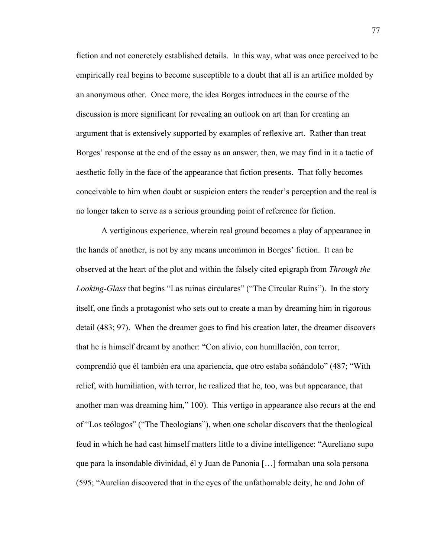fiction and not concretely established details. In this way, what was once perceived to be empirically real begins to become susceptible to a doubt that all is an artifice molded by an anonymous other. Once more, the idea Borges introduces in the course of the discussion is more significant for revealing an outlook on art than for creating an argument that is extensively supported by examples of reflexive art. Rather than treat Borges' response at the end of the essay as an answer, then, we may find in it a tactic of aesthetic folly in the face of the appearance that fiction presents. That folly becomes conceivable to him when doubt or suspicion enters the reader's perception and the real is no longer taken to serve as a serious grounding point of reference for fiction.

A vertiginous experience, wherein real ground becomes a play of appearance in the hands of another, is not by any means uncommon in Borges' fiction. It can be observed at the heart of the plot and within the falsely cited epigraph from *Through the Looking-Glass* that begins "Las ruinas circulares" ("The Circular Ruins"). In the story itself, one finds a protagonist who sets out to create a man by dreaming him in rigorous detail (483; 97). When the dreamer goes to find his creation later, the dreamer discovers that he is himself dreamt by another: "Con alivio, con humillación, con terror, comprendió que él también era una apariencia, que otro estaba soñándolo" (487; "With relief, with humiliation, with terror, he realized that he, too, was but appearance, that another man was dreaming him," 100). This vertigo in appearance also recurs at the end of "Los teólogos" ("The Theologians"), when one scholar discovers that the theological feud in which he had cast himself matters little to a divine intelligence: "Aureliano supo que para la insondable divinidad, él y Juan de Panonia […] formaban una sola persona (595; "Aurelian discovered that in the eyes of the unfathomable deity, he and John of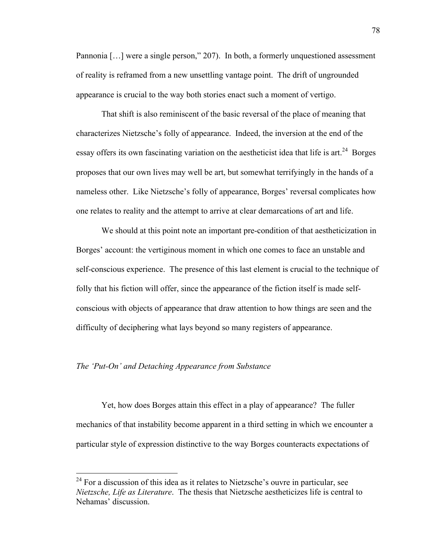Pannonia [...] were a single person," 207). In both, a formerly unquestioned assessment of reality is reframed from a new unsettling vantage point. The drift of ungrounded appearance is crucial to the way both stories enact such a moment of vertigo.

That shift is also reminiscent of the basic reversal of the place of meaning that characterizes Nietzsche's folly of appearance. Indeed, the inversion at the end of the essay offers its own fascinating variation on the aestheticist idea that life is art.<sup>24</sup> Borges proposes that our own lives may well be art, but somewhat terrifyingly in the hands of a nameless other. Like Nietzsche's folly of appearance, Borges' reversal complicates how one relates to reality and the attempt to arrive at clear demarcations of art and life.

We should at this point note an important pre-condition of that aestheticization in Borges' account: the vertiginous moment in which one comes to face an unstable and self-conscious experience. The presence of this last element is crucial to the technique of folly that his fiction will offer, since the appearance of the fiction itself is made selfconscious with objects of appearance that draw attention to how things are seen and the difficulty of deciphering what lays beyond so many registers of appearance.

# *The 'Put-On' and Detaching Appearance from Substance*

Yet, how does Borges attain this effect in a play of appearance? The fuller mechanics of that instability become apparent in a third setting in which we encounter a particular style of expression distinctive to the way Borges counteracts expectations of

 $^{24}$  For a discussion of this idea as it relates to Nietzsche's ouvre in particular, see *Nietzsche, Life as Literature*. The thesis that Nietzsche aestheticizes life is central to Nehamas' discussion.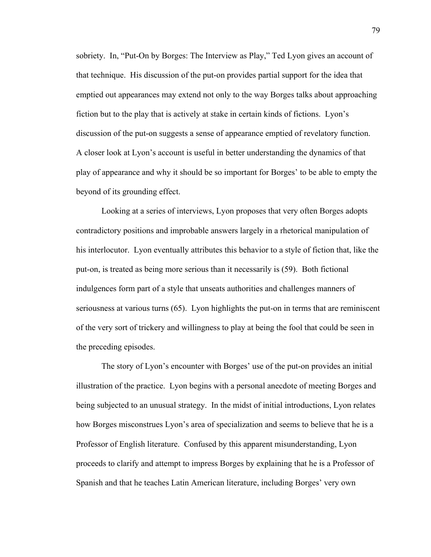sobriety. In, "Put-On by Borges: The Interview as Play," Ted Lyon gives an account of that technique. His discussion of the put-on provides partial support for the idea that emptied out appearances may extend not only to the way Borges talks about approaching fiction but to the play that is actively at stake in certain kinds of fictions. Lyon's discussion of the put-on suggests a sense of appearance emptied of revelatory function. A closer look at Lyon's account is useful in better understanding the dynamics of that play of appearance and why it should be so important for Borges' to be able to empty the beyond of its grounding effect.

Looking at a series of interviews, Lyon proposes that very often Borges adopts contradictory positions and improbable answers largely in a rhetorical manipulation of his interlocutor. Lyon eventually attributes this behavior to a style of fiction that, like the put-on, is treated as being more serious than it necessarily is (59). Both fictional indulgences form part of a style that unseats authorities and challenges manners of seriousness at various turns (65). Lyon highlights the put-on in terms that are reminiscent of the very sort of trickery and willingness to play at being the fool that could be seen in the preceding episodes.

The story of Lyon's encounter with Borges' use of the put-on provides an initial illustration of the practice. Lyon begins with a personal anecdote of meeting Borges and being subjected to an unusual strategy. In the midst of initial introductions, Lyon relates how Borges misconstrues Lyon's area of specialization and seems to believe that he is a Professor of English literature. Confused by this apparent misunderstanding, Lyon proceeds to clarify and attempt to impress Borges by explaining that he is a Professor of Spanish and that he teaches Latin American literature, including Borges' very own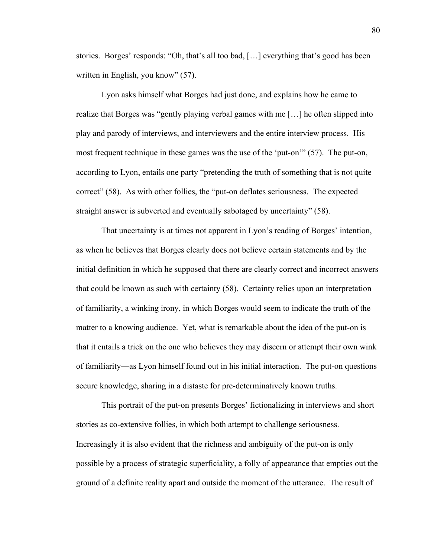stories. Borges' responds: "Oh, that's all too bad, […] everything that's good has been written in English, you know" (57).

Lyon asks himself what Borges had just done, and explains how he came to realize that Borges was "gently playing verbal games with me […] he often slipped into play and parody of interviews, and interviewers and the entire interview process. His most frequent technique in these games was the use of the 'put-on'" (57). The put-on, according to Lyon, entails one party "pretending the truth of something that is not quite correct" (58). As with other follies, the "put-on deflates seriousness. The expected straight answer is subverted and eventually sabotaged by uncertainty" (58).

That uncertainty is at times not apparent in Lyon's reading of Borges' intention, as when he believes that Borges clearly does not believe certain statements and by the initial definition in which he supposed that there are clearly correct and incorrect answers that could be known as such with certainty (58). Certainty relies upon an interpretation of familiarity, a winking irony, in which Borges would seem to indicate the truth of the matter to a knowing audience. Yet, what is remarkable about the idea of the put-on is that it entails a trick on the one who believes they may discern or attempt their own wink of familiarity—as Lyon himself found out in his initial interaction. The put-on questions secure knowledge, sharing in a distaste for pre-determinatively known truths.

This portrait of the put-on presents Borges' fictionalizing in interviews and short stories as co-extensive follies, in which both attempt to challenge seriousness. Increasingly it is also evident that the richness and ambiguity of the put-on is only possible by a process of strategic superficiality, a folly of appearance that empties out the ground of a definite reality apart and outside the moment of the utterance. The result of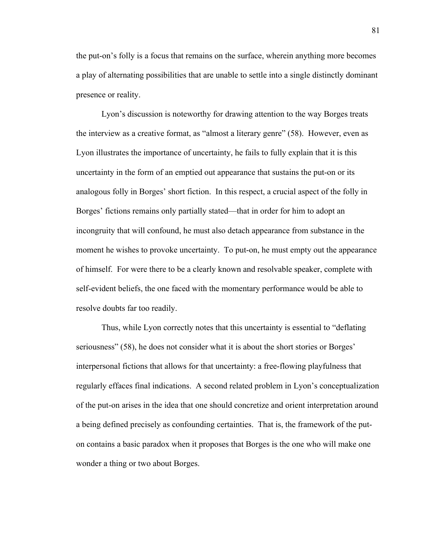the put-on's folly is a focus that remains on the surface, wherein anything more becomes a play of alternating possibilities that are unable to settle into a single distinctly dominant presence or reality.

Lyon's discussion is noteworthy for drawing attention to the way Borges treats the interview as a creative format, as "almost a literary genre" (58). However, even as Lyon illustrates the importance of uncertainty, he fails to fully explain that it is this uncertainty in the form of an emptied out appearance that sustains the put-on or its analogous folly in Borges' short fiction. In this respect, a crucial aspect of the folly in Borges' fictions remains only partially stated—that in order for him to adopt an incongruity that will confound, he must also detach appearance from substance in the moment he wishes to provoke uncertainty. To put-on, he must empty out the appearance of himself. For were there to be a clearly known and resolvable speaker, complete with self-evident beliefs, the one faced with the momentary performance would be able to resolve doubts far too readily.

Thus, while Lyon correctly notes that this uncertainty is essential to "deflating seriousness" (58), he does not consider what it is about the short stories or Borges' interpersonal fictions that allows for that uncertainty: a free-flowing playfulness that regularly effaces final indications. A second related problem in Lyon's conceptualization of the put-on arises in the idea that one should concretize and orient interpretation around a being defined precisely as confounding certainties. That is, the framework of the puton contains a basic paradox when it proposes that Borges is the one who will make one wonder a thing or two about Borges.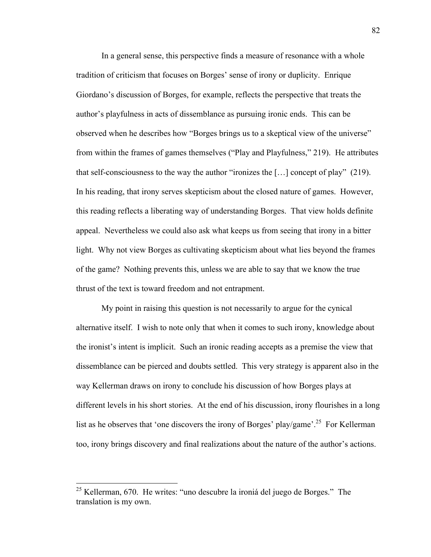In a general sense, this perspective finds a measure of resonance with a whole tradition of criticism that focuses on Borges' sense of irony or duplicity. Enrique Giordano's discussion of Borges, for example, reflects the perspective that treats the author's playfulness in acts of dissemblance as pursuing ironic ends. This can be observed when he describes how "Borges brings us to a skeptical view of the universe" from within the frames of games themselves ("Play and Playfulness," 219). He attributes that self-consciousness to the way the author "ironizes the [...] concept of play" (219). In his reading, that irony serves skepticism about the closed nature of games. However, this reading reflects a liberating way of understanding Borges. That view holds definite appeal. Nevertheless we could also ask what keeps us from seeing that irony in a bitter light. Why not view Borges as cultivating skepticism about what lies beyond the frames of the game? Nothing prevents this, unless we are able to say that we know the true thrust of the text is toward freedom and not entrapment.

My point in raising this question is not necessarily to argue for the cynical alternative itself. I wish to note only that when it comes to such irony, knowledge about the ironist's intent is implicit. Such an ironic reading accepts as a premise the view that dissemblance can be pierced and doubts settled. This very strategy is apparent also in the way Kellerman draws on irony to conclude his discussion of how Borges plays at different levels in his short stories. At the end of his discussion, irony flourishes in a long list as he observes that 'one discovers the irony of Borges' play/game'.<sup>25</sup> For Kellerman too, irony brings discovery and final realizations about the nature of the author's actions.

 <sup>25</sup> Kellerman, 670. He writes: "uno descubre la ironiá del juego de Borges." The translation is my own.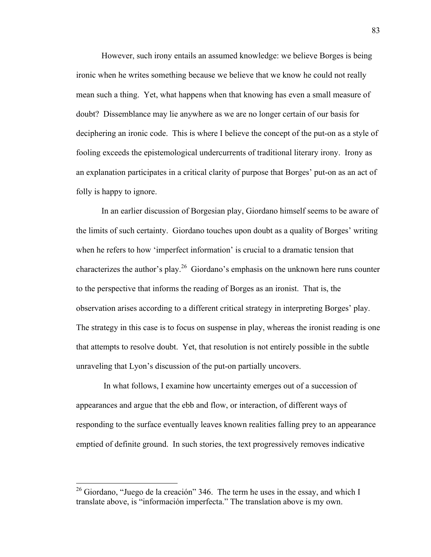However, such irony entails an assumed knowledge: we believe Borges is being ironic when he writes something because we believe that we know he could not really mean such a thing. Yet, what happens when that knowing has even a small measure of doubt? Dissemblance may lie anywhere as we are no longer certain of our basis for deciphering an ironic code. This is where I believe the concept of the put-on as a style of fooling exceeds the epistemological undercurrents of traditional literary irony. Irony as an explanation participates in a critical clarity of purpose that Borges' put-on as an act of folly is happy to ignore.

In an earlier discussion of Borgesian play, Giordano himself seems to be aware of the limits of such certainty. Giordano touches upon doubt as a quality of Borges' writing when he refers to how 'imperfect information' is crucial to a dramatic tension that characterizes the author's play.26 Giordano's emphasis on the unknown here runs counter to the perspective that informs the reading of Borges as an ironist. That is, the observation arises according to a different critical strategy in interpreting Borges' play. The strategy in this case is to focus on suspense in play, whereas the ironist reading is one that attempts to resolve doubt. Yet, that resolution is not entirely possible in the subtle unraveling that Lyon's discussion of the put-on partially uncovers.

 In what follows, I examine how uncertainty emerges out of a succession of appearances and argue that the ebb and flow, or interaction, of different ways of responding to the surface eventually leaves known realities falling prey to an appearance emptied of definite ground. In such stories, the text progressively removes indicative

 $26$  Giordano, "Juego de la creación" 346. The term he uses in the essay, and which I translate above, is "información imperfecta." The translation above is my own.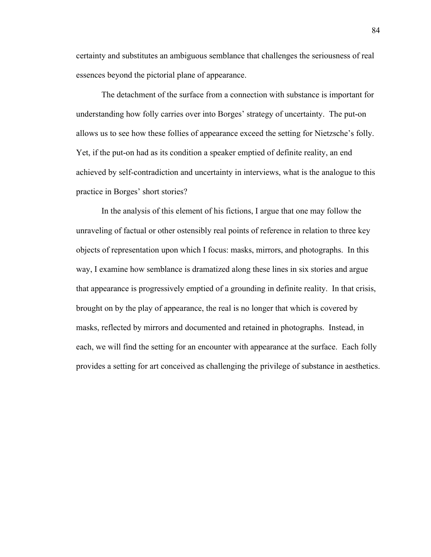certainty and substitutes an ambiguous semblance that challenges the seriousness of real essences beyond the pictorial plane of appearance.

The detachment of the surface from a connection with substance is important for understanding how folly carries over into Borges' strategy of uncertainty. The put-on allows us to see how these follies of appearance exceed the setting for Nietzsche's folly. Yet, if the put-on had as its condition a speaker emptied of definite reality, an end achieved by self-contradiction and uncertainty in interviews, what is the analogue to this practice in Borges' short stories?

In the analysis of this element of his fictions, I argue that one may follow the unraveling of factual or other ostensibly real points of reference in relation to three key objects of representation upon which I focus: masks, mirrors, and photographs. In this way, I examine how semblance is dramatized along these lines in six stories and argue that appearance is progressively emptied of a grounding in definite reality. In that crisis, brought on by the play of appearance, the real is no longer that which is covered by masks, reflected by mirrors and documented and retained in photographs. Instead, in each, we will find the setting for an encounter with appearance at the surface. Each folly provides a setting for art conceived as challenging the privilege of substance in aesthetics.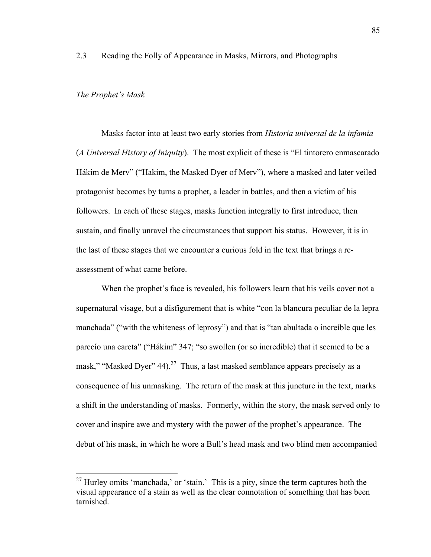2.3 Reading the Folly of Appearance in Masks, Mirrors, and Photographs

# *The Prophet's Mask*

Masks factor into at least two early stories from *Historia universal de la infamia*  (*A Universal History of Iniquity*). The most explicit of these is "El tintorero enmascarado Hákim de Merv" ("Hakim, the Masked Dyer of Merv"), where a masked and later veiled protagonist becomes by turns a prophet, a leader in battles, and then a victim of his followers. In each of these stages, masks function integrally to first introduce, then sustain, and finally unravel the circumstances that support his status. However, it is in the last of these stages that we encounter a curious fold in the text that brings a reassessment of what came before.

When the prophet's face is revealed, his followers learn that his veils cover not a supernatural visage, but a disfigurement that is white "con la blancura peculiar de la lepra manchada" ("with the whiteness of leprosy") and that is "tan abultada o increíble que les parecío una careta" ("Hákim" 347; "so swollen (or so incredible) that it seemed to be a mask," "Masked Dyer" 44).<sup>27</sup> Thus, a last masked semblance appears precisely as a consequence of his unmasking. The return of the mask at this juncture in the text, marks a shift in the understanding of masks. Formerly, within the story, the mask served only to cover and inspire awe and mystery with the power of the prophet's appearance. The debut of his mask, in which he wore a Bull's head mask and two blind men accompanied

 $27$  Hurley omits 'manchada,' or 'stain.' This is a pity, since the term captures both the visual appearance of a stain as well as the clear connotation of something that has been tarnished.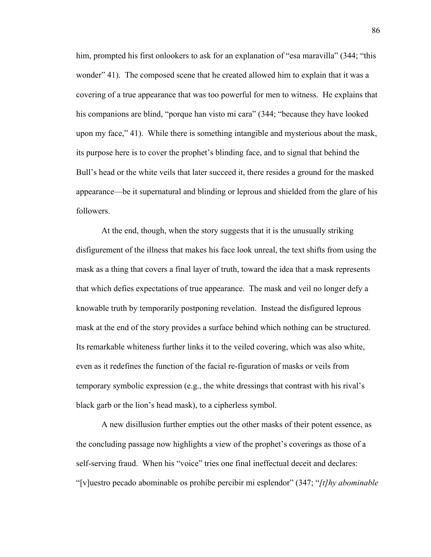him, prompted his first onlookers to ask for an explanation of "esa maravilla" (344; "this wonder" 41). The composed scene that he created allowed him to explain that it was a covering of a true appearance that was too powerful for men to witness. He explains that his companions are blind, "porque han visto mi cara" (344; "because they have looked upon my face," 41). While there is something intangible and mysterious about the mask, its purpose here is to cover the prophet's blinding face, and to signal that behind the Bull's head or the white veils that later succeed it, there resides a ground for the masked appearance—be it supernatural and blinding or leprous and shielded from the glare of his followers.

At the end, though, when the story suggests that it is the unusually striking disfigurement of the illness that makes his face look unreal, the text shifts from using the mask as a thing that covers a final layer of truth, toward the idea that a mask represents that which defies expectations of true appearance. The mask and veil no longer defy a knowable truth by temporarily postponing revelation. Instead the disfigured leprous mask at the end of the story provides a surface behind which nothing can be structured. Its remarkable whiteness further links it to the veiled covering, which was also white, even as it redefines the function of the facial re-figuration of masks or veils from temporary symbolic expression (e.g., the white dressings that contrast with his rival's black garb or the lion's head mask), to a cipherless symbol.

A new disillusion further empties out the other masks of their potent essence, as the concluding passage now highlights a view of the prophet's coverings as those of a self-serving fraud. When his "voice" tries one final ineffectual deceit and declares: "[v]uestro pecado abominable os prohíbe percibir mi esplendor" (347; "*[t]hy abominable*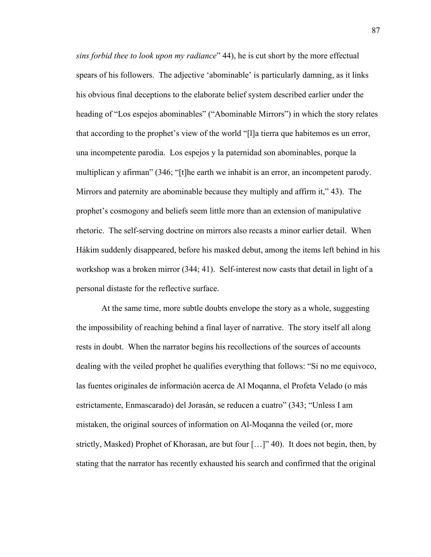*sins forbid thee to look upon my radiance*" 44), he is cut short by the more effectual spears of his followers. The adjective 'abominable' is particularly damning, as it links his obvious final deceptions to the elaborate belief system described earlier under the heading of "Los espejos abominables" ("Abominable Mirrors") in which the story relates that according to the prophet's view of the world "[l]a tierra que habitemos es un error, una incompetente parodia. Los espejos y la paternidad son abominables, porque la multiplican y afirman" (346; "[t]he earth we inhabit is an error, an incompetent parody. Mirrors and paternity are abominable because they multiply and affirm it," 43). The prophet's cosmogony and beliefs seem little more than an extension of manipulative rhetoric. The self-serving doctrine on mirrors also recasts a minor earlier detail. When Hákim suddenly disappeared, before his masked debut, among the items left behind in his workshop was a broken mirror (344; 41). Self-interest now casts that detail in light of a personal distaste for the reflective surface.

At the same time, more subtle doubts envelope the story as a whole, suggesting the impossibility of reaching behind a final layer of narrative. The story itself all along rests in doubt. When the narrator begins his recollections of the sources of accounts dealing with the veiled prophet he qualifies everything that follows: "Si no me equivoco, las fuentes originales de información acerca de Al Moqanna, el Profeta Velado (o más estrictamente, Enmascarado) del Jorasán, se reducen a cuatro" (343; "Unless I am mistaken, the original sources of information on Al-Moqanna the veiled (or, more strictly, Masked) Prophet of Khorasan, are but four […]" 40). It does not begin, then, by stating that the narrator has recently exhausted his search and confirmed that the original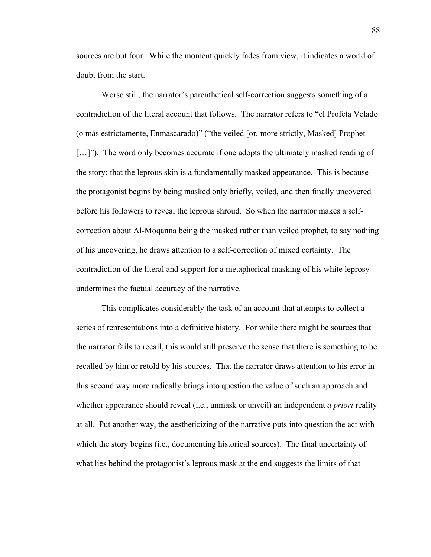sources are but four. While the moment quickly fades from view, it indicates a world of doubt from the start.

Worse still, the narrator's parenthetical self-correction suggests something of a contradiction of the literal account that follows. The narrator refers to "el Profeta Velado (o más estrictamente, Enmascarado)" ("the veiled [or, more strictly, Masked] Prophet [...]"). The word only becomes accurate if one adopts the ultimately masked reading of the story: that the leprous skin is a fundamentally masked appearance. This is because the protagonist begins by being masked only briefly, veiled, and then finally uncovered before his followers to reveal the leprous shroud. So when the narrator makes a selfcorrection about Al-Moqanna being the masked rather than veiled prophet, to say nothing of his uncovering, he draws attention to a self-correction of mixed certainty. The contradiction of the literal and support for a metaphorical masking of his white leprosy undermines the factual accuracy of the narrative.

This complicates considerably the task of an account that attempts to collect a series of representations into a definitive history. For while there might be sources that the narrator fails to recall, this would still preserve the sense that there is something to be recalled by him or retold by his sources. That the narrator draws attention to his error in this second way more radically brings into question the value of such an approach and whether appearance should reveal (i.e., unmask or unveil) an independent *a priori* reality at all. Put another way, the aestheticizing of the narrative puts into question the act with which the story begins (i.e., documenting historical sources). The final uncertainty of what lies behind the protagonist's leprous mask at the end suggests the limits of that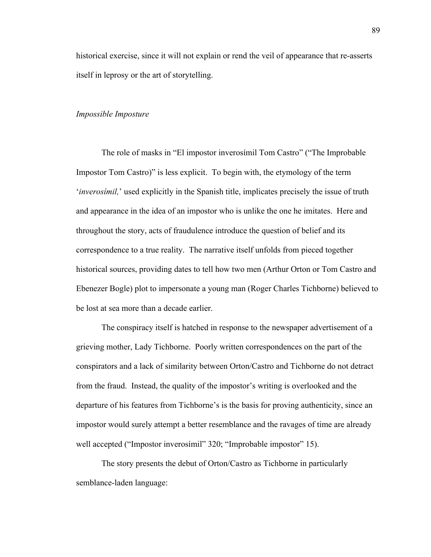historical exercise, since it will not explain or rend the veil of appearance that re-asserts itself in leprosy or the art of storytelling.

# *Impossible Imposture*

The role of masks in "El impostor inverosímil Tom Castro" ("The Improbable Impostor Tom Castro)" is less explicit. To begin with, the etymology of the term '*inverosímil,*' used explicitly in the Spanish title, implicates precisely the issue of truth and appearance in the idea of an impostor who is unlike the one he imitates. Here and throughout the story, acts of fraudulence introduce the question of belief and its correspondence to a true reality. The narrative itself unfolds from pieced together historical sources, providing dates to tell how two men (Arthur Orton or Tom Castro and Ebenezer Bogle) plot to impersonate a young man (Roger Charles Tichborne) believed to be lost at sea more than a decade earlier.

The conspiracy itself is hatched in response to the newspaper advertisement of a grieving mother, Lady Tichborne. Poorly written correspondences on the part of the conspirators and a lack of similarity between Orton/Castro and Tichborne do not detract from the fraud. Instead, the quality of the impostor's writing is overlooked and the departure of his features from Tichborne's is the basis for proving authenticity, since an impostor would surely attempt a better resemblance and the ravages of time are already well accepted ("Impostor inverosímil" 320; "Improbable impostor" 15).

The story presents the debut of Orton/Castro as Tichborne in particularly semblance-laden language: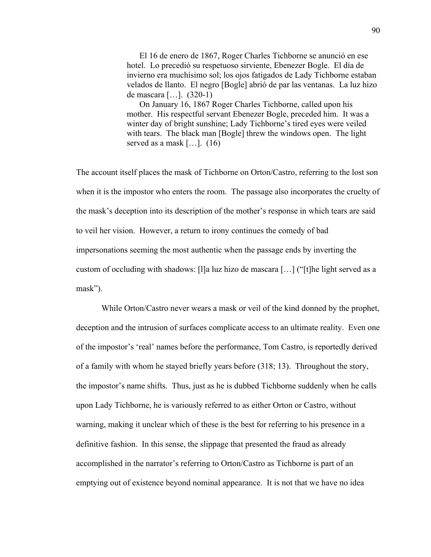El 16 de enero de 1867, Roger Charles Tichborne se anunció en ese hotel. Lo precedió su respetuoso sirviente, Ebenezer Bogle. El día de invierno era muchísimo sol; los ojos fatigados de Lady Tichborne estaban velados de llanto. El negro [Bogle] abrió de par las ventanas. La luz hizo de mascara […]. (320-1)

On January 16, 1867 Roger Charles Tichborne, called upon his mother. His respectful servant Ebenezer Bogle, preceded him. It was a winter day of bright sunshine; Lady Tichborne's tired eyes were veiled with tears. The black man [Bogle] threw the windows open. The light served as a mask [...]. (16)

The account itself places the mask of Tichborne on Orton/Castro, referring to the lost son when it is the impostor who enters the room. The passage also incorporates the cruelty of the mask's deception into its description of the mother's response in which tears are said to veil her vision. However, a return to irony continues the comedy of bad impersonations seeming the most authentic when the passage ends by inverting the custom of occluding with shadows: [I]a luz hizo de mascara [...] ("[t]he light served as a mask").

While Orton/Castro never wears a mask or veil of the kind donned by the prophet, deception and the intrusion of surfaces complicate access to an ultimate reality. Even one of the impostor's 'real' names before the performance, Tom Castro, is reportedly derived of a family with whom he stayed briefly years before (318; 13). Throughout the story, the impostor's name shifts. Thus, just as he is dubbed Tichborne suddenly when he calls upon Lady Tichborne, he is variously referred to as either Orton or Castro, without warning, making it unclear which of these is the best for referring to his presence in a definitive fashion. In this sense, the slippage that presented the fraud as already accomplished in the narrator's referring to Orton/Castro as Tichborne is part of an emptying out of existence beyond nominal appearance. It is not that we have no idea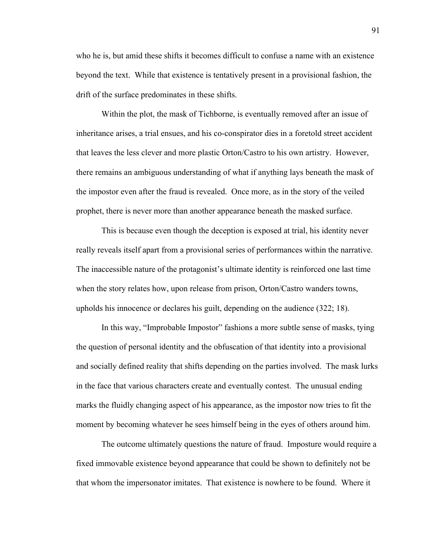who he is, but amid these shifts it becomes difficult to confuse a name with an existence beyond the text. While that existence is tentatively present in a provisional fashion, the drift of the surface predominates in these shifts.

Within the plot, the mask of Tichborne, is eventually removed after an issue of inheritance arises, a trial ensues, and his co-conspirator dies in a foretold street accident that leaves the less clever and more plastic Orton/Castro to his own artistry. However, there remains an ambiguous understanding of what if anything lays beneath the mask of the impostor even after the fraud is revealed. Once more, as in the story of the veiled prophet, there is never more than another appearance beneath the masked surface.

This is because even though the deception is exposed at trial, his identity never really reveals itself apart from a provisional series of performances within the narrative. The inaccessible nature of the protagonist's ultimate identity is reinforced one last time when the story relates how, upon release from prison, Orton/Castro wanders towns, upholds his innocence or declares his guilt, depending on the audience (322; 18).

In this way, "Improbable Impostor" fashions a more subtle sense of masks, tying the question of personal identity and the obfuscation of that identity into a provisional and socially defined reality that shifts depending on the parties involved. The mask lurks in the face that various characters create and eventually contest. The unusual ending marks the fluidly changing aspect of his appearance, as the impostor now tries to fit the moment by becoming whatever he sees himself being in the eyes of others around him.

The outcome ultimately questions the nature of fraud. Imposture would require a fixed immovable existence beyond appearance that could be shown to definitely not be that whom the impersonator imitates. That existence is nowhere to be found. Where it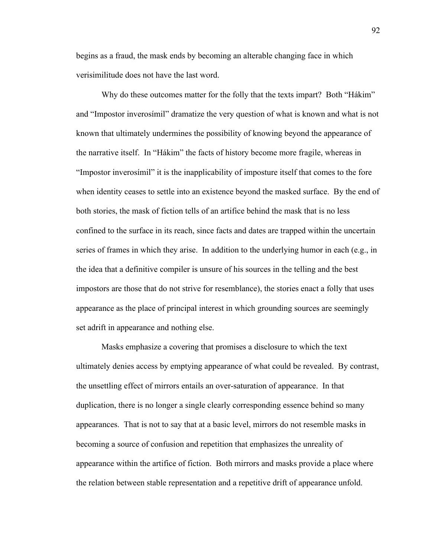begins as a fraud, the mask ends by becoming an alterable changing face in which verisimilitude does not have the last word.

Why do these outcomes matter for the folly that the texts impart? Both "Hákim" and "Impostor inverosímil" dramatize the very question of what is known and what is not known that ultimately undermines the possibility of knowing beyond the appearance of the narrative itself. In "Hákim" the facts of history become more fragile, whereas in "Impostor inverosímil" it is the inapplicability of imposture itself that comes to the fore when identity ceases to settle into an existence beyond the masked surface. By the end of both stories, the mask of fiction tells of an artifice behind the mask that is no less confined to the surface in its reach, since facts and dates are trapped within the uncertain series of frames in which they arise. In addition to the underlying humor in each (e.g., in the idea that a definitive compiler is unsure of his sources in the telling and the best impostors are those that do not strive for resemblance), the stories enact a folly that uses appearance as the place of principal interest in which grounding sources are seemingly set adrift in appearance and nothing else.

Masks emphasize a covering that promises a disclosure to which the text ultimately denies access by emptying appearance of what could be revealed. By contrast, the unsettling effect of mirrors entails an over-saturation of appearance. In that duplication, there is no longer a single clearly corresponding essence behind so many appearances. That is not to say that at a basic level, mirrors do not resemble masks in becoming a source of confusion and repetition that emphasizes the unreality of appearance within the artifice of fiction. Both mirrors and masks provide a place where the relation between stable representation and a repetitive drift of appearance unfold.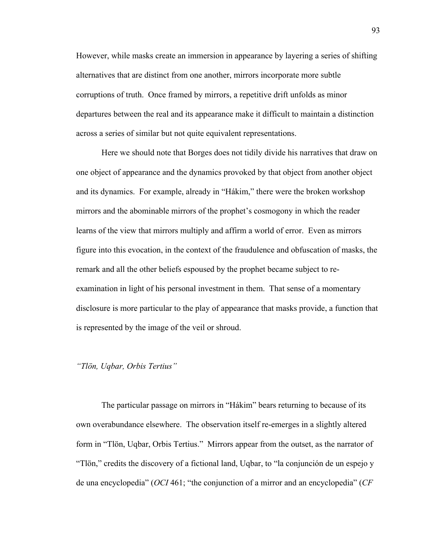However, while masks create an immersion in appearance by layering a series of shifting alternatives that are distinct from one another, mirrors incorporate more subtle corruptions of truth. Once framed by mirrors, a repetitive drift unfolds as minor departures between the real and its appearance make it difficult to maintain a distinction across a series of similar but not quite equivalent representations.

Here we should note that Borges does not tidily divide his narratives that draw on one object of appearance and the dynamics provoked by that object from another object and its dynamics. For example, already in "Hákim," there were the broken workshop mirrors and the abominable mirrors of the prophet's cosmogony in which the reader learns of the view that mirrors multiply and affirm a world of error. Even as mirrors figure into this evocation, in the context of the fraudulence and obfuscation of masks, the remark and all the other beliefs espoused by the prophet became subject to reexamination in light of his personal investment in them. That sense of a momentary disclosure is more particular to the play of appearance that masks provide, a function that is represented by the image of the veil or shroud.

# *"Tlön, Uqbar, Orbis Tertius"*

The particular passage on mirrors in "Hákim" bears returning to because of its own overabundance elsewhere. The observation itself re-emerges in a slightly altered form in "Tlön, Uqbar, Orbis Tertius." Mirrors appear from the outset, as the narrator of "Tlön," credits the discovery of a fictional land, Uqbar, to "la conjunción de un espejo y de una encyclopedia" (*OCI* 461; "the conjunction of a mirror and an encyclopedia" (*CF*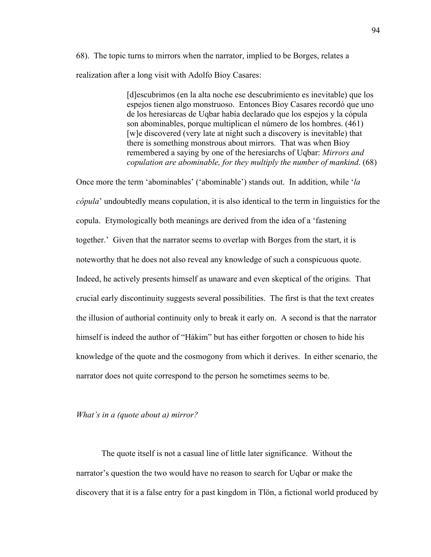68). The topic turns to mirrors when the narrator, implied to be Borges, relates a realization after a long visit with Adolfo Bioy Casares:

> [d]escubrimos (en la alta noche ese descubrimiento es inevitable) que los espejos tienen algo monstruoso. Entonces Bioy Casares recordó que uno de los heresiarcas de Uqbar había declarado que los espejos y la cópula son abominables, porque multiplican el número de los hombres. (461) [w]e discovered (very late at night such a discovery is inevitable) that there is something monstrous about mirrors. That was when Bioy remembered a saying by one of the heresiarchs of Uqbar: *Mirrors and copulation are abominable, for they multiply the number of mankind*. (68)

Once more the term 'abominables' ('abominable') stands out. In addition, while '*la cópula*' undoubtedly means copulation, it is also identical to the term in linguistics for the copula. Etymologically both meanings are derived from the idea of a 'fastening together.' Given that the narrator seems to overlap with Borges from the start, it is noteworthy that he does not also reveal any knowledge of such a conspicuous quote. Indeed, he actively presents himself as unaware and even skeptical of the origins. That crucial early discontinuity suggests several possibilities. The first is that the text creates the illusion of authorial continuity only to break it early on. A second is that the narrator himself is indeed the author of "Hákim" but has either forgotten or chosen to hide his knowledge of the quote and the cosmogony from which it derives. In either scenario, the narrator does not quite correspond to the person he sometimes seems to be.

### *What's in a (quote about a) mirror?*

The quote itself is not a casual line of little later significance. Without the narrator's question the two would have no reason to search for Uqbar or make the discovery that it is a false entry for a past kingdom in Tlön, a fictional world produced by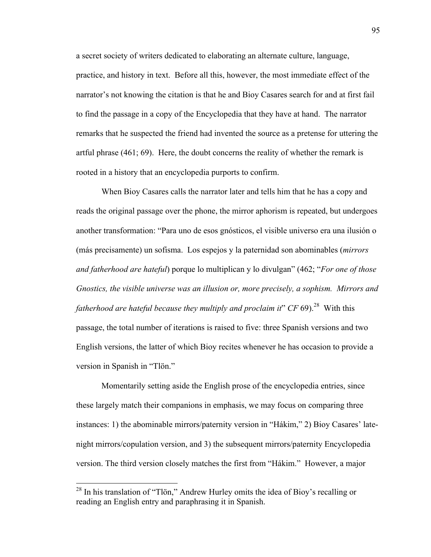a secret society of writers dedicated to elaborating an alternate culture, language, practice, and history in text. Before all this, however, the most immediate effect of the narrator's not knowing the citation is that he and Bioy Casares search for and at first fail to find the passage in a copy of the Encyclopedia that they have at hand. The narrator remarks that he suspected the friend had invented the source as a pretense for uttering the artful phrase (461; 69). Here, the doubt concerns the reality of whether the remark is rooted in a history that an encyclopedia purports to confirm.

When Bioy Casares calls the narrator later and tells him that he has a copy and reads the original passage over the phone, the mirror aphorism is repeated, but undergoes another transformation: "Para uno de esos gnósticos, el visible universo era una ilusión o (más precisamente) un sofisma. Los espejos y la paternidad son abominables (*mirrors and fatherhood are hateful*) porque lo multiplican y lo divulgan" (462; "*For one of those Gnostics, the visible universe was an illusion or, more precisely, a sophism. Mirrors and fatherhood are hateful because they multiply and proclaim it*"  $CF 69$ ).<sup>28</sup> With this passage, the total number of iterations is raised to five: three Spanish versions and two English versions, the latter of which Bioy recites whenever he has occasion to provide a version in Spanish in "Tlön."

Momentarily setting aside the English prose of the encyclopedia entries, since these largely match their companions in emphasis, we may focus on comparing three instances: 1) the abominable mirrors/paternity version in "Hákim," 2) Bioy Casares' latenight mirrors/copulation version, and 3) the subsequent mirrors/paternity Encyclopedia version. The third version closely matches the first from "Hákim." However, a major

 $^{28}$  In his translation of "Tlön," Andrew Hurley omits the idea of Bioy's recalling or reading an English entry and paraphrasing it in Spanish.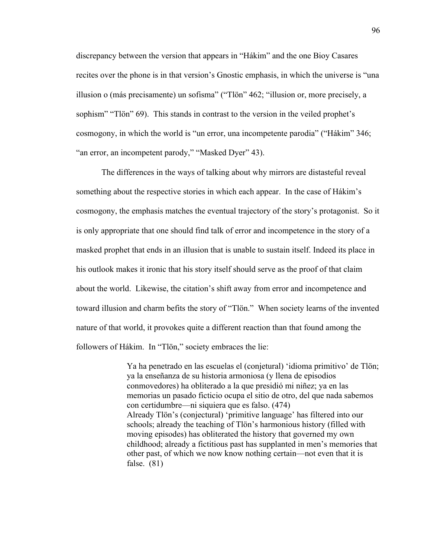discrepancy between the version that appears in "Hákim" and the one Bioy Casares recites over the phone is in that version's Gnostic emphasis, in which the universe is "una illusion o (más precisamente) un sofisma" ("Tlön" 462; "illusion or, more precisely, a sophism" "Tlön" 69). This stands in contrast to the version in the veiled prophet's cosmogony, in which the world is "un error, una incompetente parodia" ("Hákim" 346; "an error, an incompetent parody," "Masked Dyer" 43).

The differences in the ways of talking about why mirrors are distasteful reveal something about the respective stories in which each appear. In the case of Hákim's cosmogony, the emphasis matches the eventual trajectory of the story's protagonist. So it is only appropriate that one should find talk of error and incompetence in the story of a masked prophet that ends in an illusion that is unable to sustain itself. Indeed its place in his outlook makes it ironic that his story itself should serve as the proof of that claim about the world. Likewise, the citation's shift away from error and incompetence and toward illusion and charm befits the story of "Tlön." When society learns of the invented nature of that world, it provokes quite a different reaction than that found among the followers of Hákim. In "Tlön," society embraces the lie:

> Ya ha penetrado en las escuelas el (conjetural) 'idioma primitivo' de Tlön; ya la enseñanza de su historia armoniosa (y llena de episodios conmovedores) ha obliterado a la que presidió mi niñez; ya en las memorias un pasado ficticio ocupa el sitio de otro, del que nada sabemos con certidumbre—ni siquiera que es falso. (474) Already Tlön's (conjectural) 'primitive language' has filtered into our schools; already the teaching of Tlön's harmonious history (filled with moving episodes) has obliterated the history that governed my own childhood; already a fictitious past has supplanted in men's memories that other past, of which we now know nothing certain—not even that it is false. (81)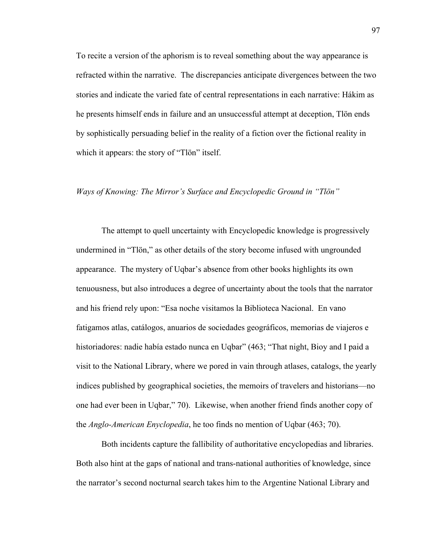To recite a version of the aphorism is to reveal something about the way appearance is refracted within the narrative. The discrepancies anticipate divergences between the two stories and indicate the varied fate of central representations in each narrative: Hákim as he presents himself ends in failure and an unsuccessful attempt at deception, Tlön ends by sophistically persuading belief in the reality of a fiction over the fictional reality in which it appears: the story of "Tlön" itself.

#### *Ways of Knowing: The Mirror's Surface and Encyclopedic Ground in "Tlön"*

The attempt to quell uncertainty with Encyclopedic knowledge is progressively undermined in "Tlön," as other details of the story become infused with ungrounded appearance. The mystery of Uqbar's absence from other books highlights its own tenuousness, but also introduces a degree of uncertainty about the tools that the narrator and his friend rely upon: "Esa noche visitamos la Biblioteca Nacional. En vano fatigamos atlas, catálogos, anuarios de sociedades geográficos, memorias de viajeros e historiadores: nadie había estado nunca en Uqbar" (463; "That night, Bioy and I paid a visit to the National Library, where we pored in vain through atlases, catalogs, the yearly indices published by geographical societies, the memoirs of travelers and historians—no one had ever been in Uqbar," 70). Likewise, when another friend finds another copy of the *Anglo-American Enyclopedia*, he too finds no mention of Uqbar (463; 70).

Both incidents capture the fallibility of authoritative encyclopedias and libraries. Both also hint at the gaps of national and trans-national authorities of knowledge, since the narrator's second nocturnal search takes him to the Argentine National Library and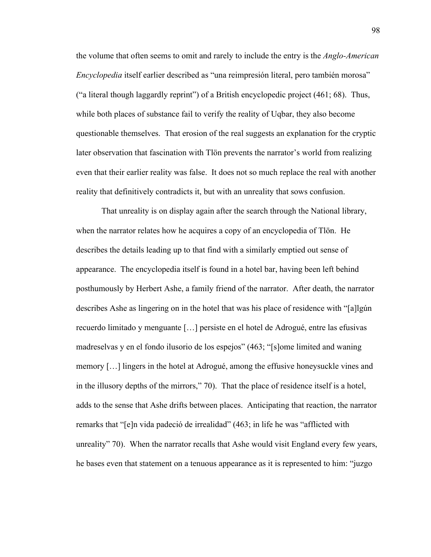the volume that often seems to omit and rarely to include the entry is the *Anglo-American Encyclopedia* itself earlier described as "una reimpresión literal, pero también morosa" ("a literal though laggardly reprint") of a British encyclopedic project  $(461; 68)$ . Thus, while both places of substance fail to verify the reality of Uqbar, they also become questionable themselves. That erosion of the real suggests an explanation for the cryptic later observation that fascination with Tlön prevents the narrator's world from realizing even that their earlier reality was false. It does not so much replace the real with another reality that definitively contradicts it, but with an unreality that sows confusion.

That unreality is on display again after the search through the National library, when the narrator relates how he acquires a copy of an encyclopedia of Tlön. He describes the details leading up to that find with a similarly emptied out sense of appearance. The encyclopedia itself is found in a hotel bar, having been left behind posthumously by Herbert Ashe, a family friend of the narrator. After death, the narrator describes Ashe as lingering on in the hotel that was his place of residence with "[a]lgún recuerdo limitado y menguante […] persiste en el hotel de Adrogué, entre las efusivas madreselvas y en el fondo ilusorio de los espejos" (463; "[s]ome limited and waning memory […] lingers in the hotel at Adrogué, among the effusive honeysuckle vines and in the illusory depths of the mirrors," 70). That the place of residence itself is a hotel, adds to the sense that Ashe drifts between places. Anticipating that reaction, the narrator remarks that "[e]n vida padeció de irrealidad" (463; in life he was "afflicted with unreality" 70). When the narrator recalls that Ashe would visit England every few years, he bases even that statement on a tenuous appearance as it is represented to him: "juzgo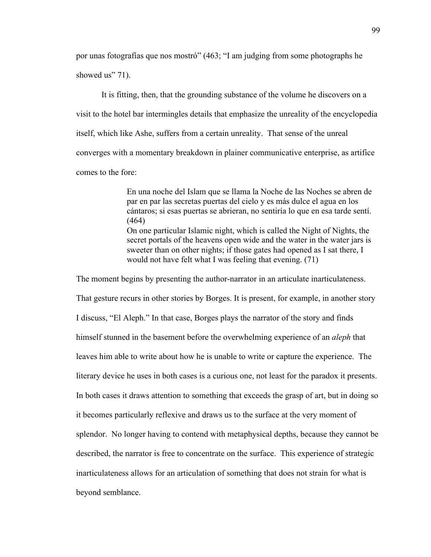por unas fotografías que nos mostró" (463; "I am judging from some photographs he showed us" 71).

It is fitting, then, that the grounding substance of the volume he discovers on a visit to the hotel bar intermingles details that emphasize the unreality of the encyclopedia itself, which like Ashe, suffers from a certain unreality. That sense of the unreal converges with a momentary breakdown in plainer communicative enterprise, as artifice comes to the fore:

> En una noche del Islam que se llama la Noche de las Noches se abren de par en par las secretas puertas del cielo y es más dulce el agua en los cántaros; si esas puertas se abrieran, no sentiría lo que en esa tarde sentí. (464) On one particular Islamic night, which is called the Night of Nights, the secret portals of the heavens open wide and the water in the water jars is sweeter than on other nights; if those gates had opened as I sat there, I would not have felt what I was feeling that evening. (71)

The moment begins by presenting the author-narrator in an articulate inarticulateness. That gesture recurs in other stories by Borges. It is present, for example, in another story I discuss, "El Aleph." In that case, Borges plays the narrator of the story and finds himself stunned in the basement before the overwhelming experience of an *aleph* that leaves him able to write about how he is unable to write or capture the experience. The literary device he uses in both cases is a curious one, not least for the paradox it presents. In both cases it draws attention to something that exceeds the grasp of art, but in doing so it becomes particularly reflexive and draws us to the surface at the very moment of splendor. No longer having to contend with metaphysical depths, because they cannot be described, the narrator is free to concentrate on the surface. This experience of strategic inarticulateness allows for an articulation of something that does not strain for what is beyond semblance.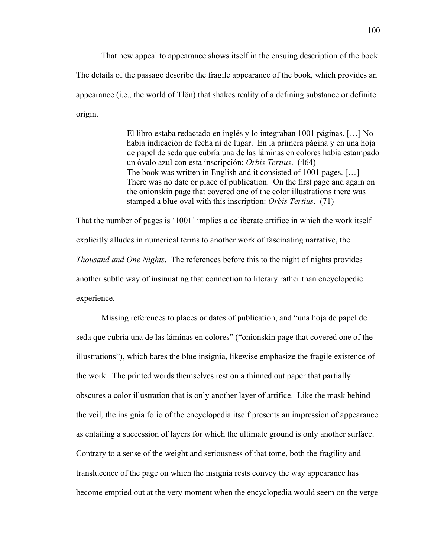That new appeal to appearance shows itself in the ensuing description of the book. The details of the passage describe the fragile appearance of the book, which provides an appearance (i.e., the world of Tlön) that shakes reality of a defining substance or definite origin.

> El libro estaba redactado en inglés y lo integraban 1001 páginas. […] No había indicación de fecha ni de lugar. En la primera página y en una hoja de papel de seda que cubría una de las láminas en colores había estampado un óvalo azul con esta inscripción: *Orbis Tertius*. (464) The book was written in English and it consisted of 1001 pages. […] There was no date or place of publication. On the first page and again on the onionskin page that covered one of the color illustrations there was stamped a blue oval with this inscription: *Orbis Tertius*. (71)

That the number of pages is '1001' implies a deliberate artifice in which the work itself explicitly alludes in numerical terms to another work of fascinating narrative, the *Thousand and One Nights*. The references before this to the night of nights provides another subtle way of insinuating that connection to literary rather than encyclopedic experience.

Missing references to places or dates of publication, and "una hoja de papel de seda que cubría una de las láminas en colores" ("onionskin page that covered one of the illustrations"), which bares the blue insignia, likewise emphasize the fragile existence of the work. The printed words themselves rest on a thinned out paper that partially obscures a color illustration that is only another layer of artifice. Like the mask behind the veil, the insignia folio of the encyclopedia itself presents an impression of appearance as entailing a succession of layers for which the ultimate ground is only another surface. Contrary to a sense of the weight and seriousness of that tome, both the fragility and translucence of the page on which the insignia rests convey the way appearance has become emptied out at the very moment when the encyclopedia would seem on the verge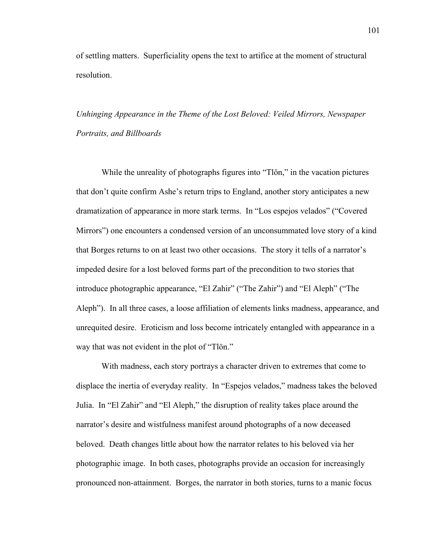of settling matters. Superficiality opens the text to artifice at the moment of structural resolution.

*Unhinging Appearance in the Theme of the Lost Beloved: Veiled Mirrors, Newspaper Portraits, and Billboards*

While the unreality of photographs figures into "Tlön," in the vacation pictures that don't quite confirm Ashe's return trips to England, another story anticipates a new dramatization of appearance in more stark terms. In "Los espejos velados" ("Covered Mirrors") one encounters a condensed version of an unconsummated love story of a kind that Borges returns to on at least two other occasions. The story it tells of a narrator's impeded desire for a lost beloved forms part of the precondition to two stories that introduce photographic appearance, "El Zahir" ("The Zahir") and "El Aleph" ("The Aleph"). In all three cases, a loose affiliation of elements links madness, appearance, and unrequited desire. Eroticism and loss become intricately entangled with appearance in a way that was not evident in the plot of "Tlön."

With madness, each story portrays a character driven to extremes that come to displace the inertia of everyday reality. In "Espejos velados," madness takes the beloved Julia. In "El Zahir" and "El Aleph," the disruption of reality takes place around the narrator's desire and wistfulness manifest around photographs of a now deceased beloved. Death changes little about how the narrator relates to his beloved via her photographic image. In both cases, photographs provide an occasion for increasingly pronounced non-attainment. Borges, the narrator in both stories, turns to a manic focus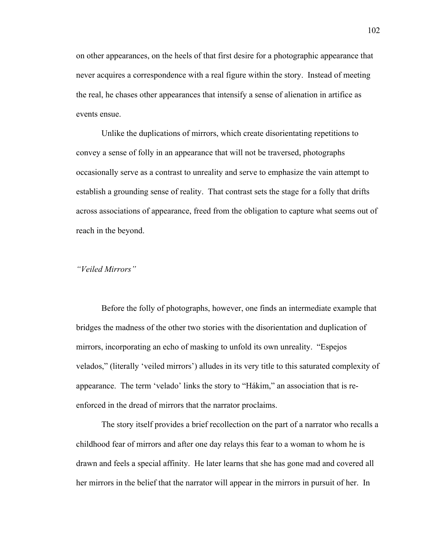on other appearances, on the heels of that first desire for a photographic appearance that never acquires a correspondence with a real figure within the story. Instead of meeting the real, he chases other appearances that intensify a sense of alienation in artifice as events ensue.

Unlike the duplications of mirrors, which create disorientating repetitions to convey a sense of folly in an appearance that will not be traversed, photographs occasionally serve as a contrast to unreality and serve to emphasize the vain attempt to establish a grounding sense of reality. That contrast sets the stage for a folly that drifts across associations of appearance, freed from the obligation to capture what seems out of reach in the beyond.

# *"Veiled Mirrors"*

Before the folly of photographs, however, one finds an intermediate example that bridges the madness of the other two stories with the disorientation and duplication of mirrors, incorporating an echo of masking to unfold its own unreality. "Espejos velados," (literally 'veiled mirrors') alludes in its very title to this saturated complexity of appearance. The term 'velado' links the story to "Hákim," an association that is reenforced in the dread of mirrors that the narrator proclaims.

The story itself provides a brief recollection on the part of a narrator who recalls a childhood fear of mirrors and after one day relays this fear to a woman to whom he is drawn and feels a special affinity. He later learns that she has gone mad and covered all her mirrors in the belief that the narrator will appear in the mirrors in pursuit of her. In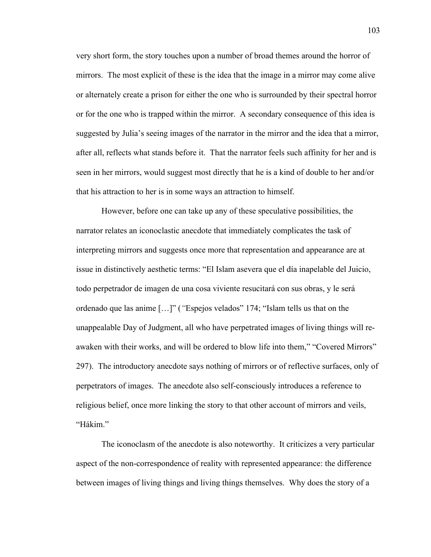very short form, the story touches upon a number of broad themes around the horror of mirrors. The most explicit of these is the idea that the image in a mirror may come alive or alternately create a prison for either the one who is surrounded by their spectral horror or for the one who is trapped within the mirror. A secondary consequence of this idea is suggested by Julia's seeing images of the narrator in the mirror and the idea that a mirror, after all, reflects what stands before it. That the narrator feels such affinity for her and is seen in her mirrors, would suggest most directly that he is a kind of double to her and/or that his attraction to her is in some ways an attraction to himself.

However, before one can take up any of these speculative possibilities, the narrator relates an iconoclastic anecdote that immediately complicates the task of interpreting mirrors and suggests once more that representation and appearance are at issue in distinctively aesthetic terms: "El Islam asevera que el día inapelable del Juicio, todo perpetrador de imagen de una cosa viviente resucitará con sus obras, y le será ordenado que las anime […]" (*"*Espejos velados" 174; "Islam tells us that on the unappealable Day of Judgment, all who have perpetrated images of living things will reawaken with their works, and will be ordered to blow life into them," "Covered Mirrors" 297). The introductory anecdote says nothing of mirrors or of reflective surfaces, only of perpetrators of images. The anecdote also self-consciously introduces a reference to religious belief, once more linking the story to that other account of mirrors and veils, "Hákim."

The iconoclasm of the anecdote is also noteworthy. It criticizes a very particular aspect of the non-correspondence of reality with represented appearance: the difference between images of living things and living things themselves. Why does the story of a

103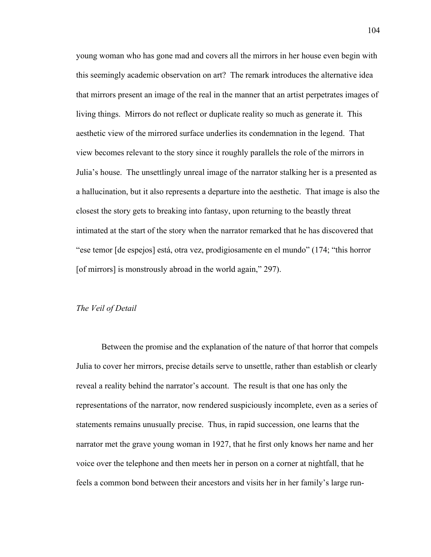young woman who has gone mad and covers all the mirrors in her house even begin with this seemingly academic observation on art? The remark introduces the alternative idea that mirrors present an image of the real in the manner that an artist perpetrates images of living things. Mirrors do not reflect or duplicate reality so much as generate it. This aesthetic view of the mirrored surface underlies its condemnation in the legend. That view becomes relevant to the story since it roughly parallels the role of the mirrors in Julia's house. The unsettlingly unreal image of the narrator stalking her is a presented as a hallucination, but it also represents a departure into the aesthetic. That image is also the closest the story gets to breaking into fantasy, upon returning to the beastly threat intimated at the start of the story when the narrator remarked that he has discovered that "ese temor [de espejos] está, otra vez, prodigiosamente en el mundo" (174; "this horror [of mirrors] is monstrously abroad in the world again," 297).

## *The Veil of Detail*

Between the promise and the explanation of the nature of that horror that compels Julia to cover her mirrors, precise details serve to unsettle, rather than establish or clearly reveal a reality behind the narrator's account. The result is that one has only the representations of the narrator, now rendered suspiciously incomplete, even as a series of statements remains unusually precise. Thus, in rapid succession, one learns that the narrator met the grave young woman in 1927, that he first only knows her name and her voice over the telephone and then meets her in person on a corner at nightfall, that he feels a common bond between their ancestors and visits her in her family's large run-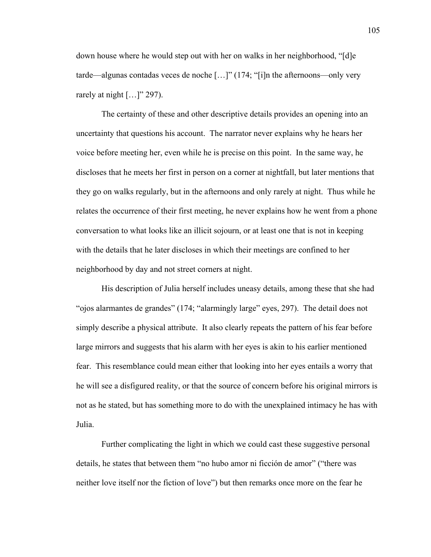down house where he would step out with her on walks in her neighborhood, "[d]e tarde—algunas contadas veces de noche […]" (174; "[i]n the afternoons—only very rarely at night  $[...]$ " 297).

The certainty of these and other descriptive details provides an opening into an uncertainty that questions his account. The narrator never explains why he hears her voice before meeting her, even while he is precise on this point. In the same way, he discloses that he meets her first in person on a corner at nightfall, but later mentions that they go on walks regularly, but in the afternoons and only rarely at night. Thus while he relates the occurrence of their first meeting, he never explains how he went from a phone conversation to what looks like an illicit sojourn, or at least one that is not in keeping with the details that he later discloses in which their meetings are confined to her neighborhood by day and not street corners at night.

His description of Julia herself includes uneasy details, among these that she had "ojos alarmantes de grandes" (174; "alarmingly large" eyes, 297). The detail does not simply describe a physical attribute. It also clearly repeats the pattern of his fear before large mirrors and suggests that his alarm with her eyes is akin to his earlier mentioned fear. This resemblance could mean either that looking into her eyes entails a worry that he will see a disfigured reality, or that the source of concern before his original mirrors is not as he stated, but has something more to do with the unexplained intimacy he has with Julia.

Further complicating the light in which we could cast these suggestive personal details, he states that between them "no hubo amor ni ficción de amor" ("there was neither love itself nor the fiction of love") but then remarks once more on the fear he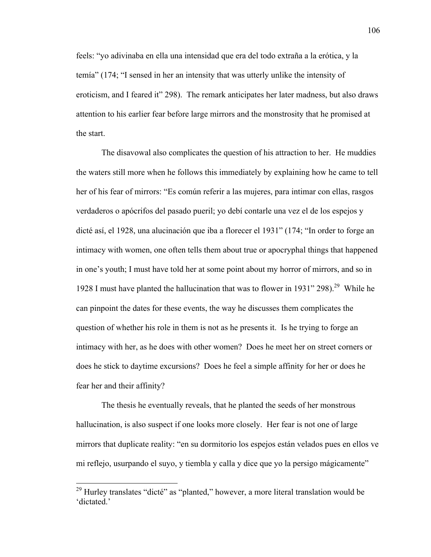feels: "yo adivinaba en ella una intensidad que era del todo extraña a la erótica, y la temía" (174; "I sensed in her an intensity that was utterly unlike the intensity of eroticism, and I feared it" 298). The remark anticipates her later madness, but also draws attention to his earlier fear before large mirrors and the monstrosity that he promised at the start.

The disavowal also complicates the question of his attraction to her. He muddies the waters still more when he follows this immediately by explaining how he came to tell her of his fear of mirrors: "Es común referir a las mujeres, para intimar con ellas, rasgos verdaderos o apócrifos del pasado pueril; yo debí contarle una vez el de los espejos y dicté así, el 1928, una alucinación que iba a florecer el 1931" (174; "In order to forge an intimacy with women, one often tells them about true or apocryphal things that happened in one's youth; I must have told her at some point about my horror of mirrors, and so in 1928 I must have planted the hallucination that was to flower in 1931" 298).<sup>29</sup> While he can pinpoint the dates for these events, the way he discusses them complicates the question of whether his role in them is not as he presents it. Is he trying to forge an intimacy with her, as he does with other women? Does he meet her on street corners or does he stick to daytime excursions? Does he feel a simple affinity for her or does he fear her and their affinity?

The thesis he eventually reveals, that he planted the seeds of her monstrous hallucination, is also suspect if one looks more closely. Her fear is not one of large mirrors that duplicate reality: "en su dormitorio los espejos están velados pues en ellos ve mi reflejo, usurpando el suyo, y tiembla y calla y dice que yo la persigo mágicamente"

 $^{29}$  Hurley translates "dicté" as "planted," however, a more literal translation would be 'dictated.'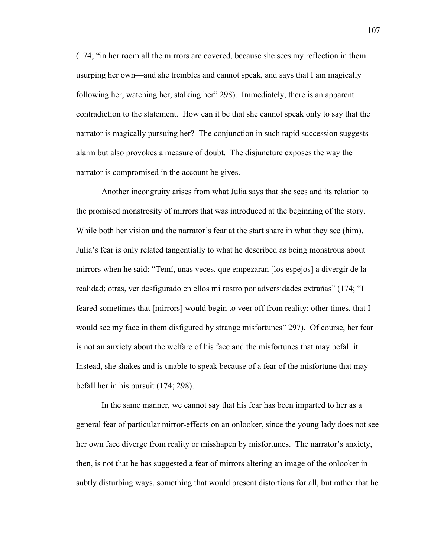(174; "in her room all the mirrors are covered, because she sees my reflection in them usurping her own—and she trembles and cannot speak, and says that I am magically following her, watching her, stalking her" 298). Immediately, there is an apparent contradiction to the statement. How can it be that she cannot speak only to say that the narrator is magically pursuing her? The conjunction in such rapid succession suggests alarm but also provokes a measure of doubt. The disjuncture exposes the way the narrator is compromised in the account he gives.

Another incongruity arises from what Julia says that she sees and its relation to the promised monstrosity of mirrors that was introduced at the beginning of the story. While both her vision and the narrator's fear at the start share in what they see (him), Julia's fear is only related tangentially to what he described as being monstrous about mirrors when he said: "Temí, unas veces, que empezaran [los espejos] a divergir de la realidad; otras, ver desfigurado en ellos mi rostro por adversidades extrañas" (174; "I feared sometimes that [mirrors] would begin to veer off from reality; other times, that I would see my face in them disfigured by strange misfortunes" 297). Of course, her fear is not an anxiety about the welfare of his face and the misfortunes that may befall it. Instead, she shakes and is unable to speak because of a fear of the misfortune that may befall her in his pursuit (174; 298).

In the same manner, we cannot say that his fear has been imparted to her as a general fear of particular mirror-effects on an onlooker, since the young lady does not see her own face diverge from reality or misshapen by misfortunes. The narrator's anxiety, then, is not that he has suggested a fear of mirrors altering an image of the onlooker in subtly disturbing ways, something that would present distortions for all, but rather that he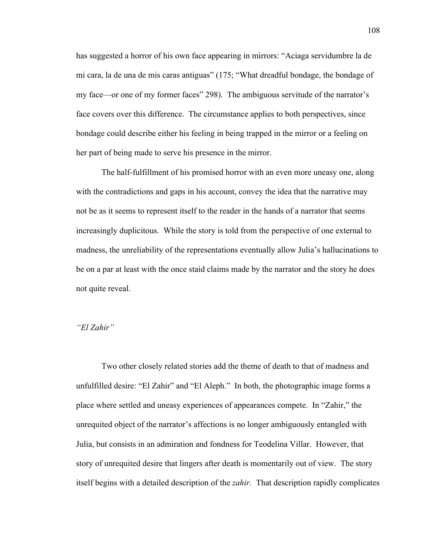has suggested a horror of his own face appearing in mirrors: "Aciaga servidumbre la de mi cara, la de una de mis caras antiguas" (175; "What dreadful bondage, the bondage of my face—or one of my former faces" 298). The ambiguous servitude of the narrator's face covers over this difference. The circumstance applies to both perspectives, since bondage could describe either his feeling in being trapped in the mirror or a feeling on her part of being made to serve his presence in the mirror.

The half-fulfillment of his promised horror with an even more uneasy one, along with the contradictions and gaps in his account, convey the idea that the narrative may not be as it seems to represent itself to the reader in the hands of a narrator that seems increasingly duplicitous. While the story is told from the perspective of one external to madness, the unreliability of the representations eventually allow Julia's hallucinations to be on a par at least with the once staid claims made by the narrator and the story he does not quite reveal.

#### *"El Zahir"*

Two other closely related stories add the theme of death to that of madness and unfulfilled desire: "El Zahir" and "El Aleph." In both, the photographic image forms a place where settled and uneasy experiences of appearances compete. In "Zahir," the unrequited object of the narrator's affections is no longer ambiguously entangled with Julia, but consists in an admiration and fondness for Teodelina Villar. However, that story of unrequited desire that lingers after death is momentarily out of view. The story itself begins with a detailed description of the *zahir.* That description rapidly complicates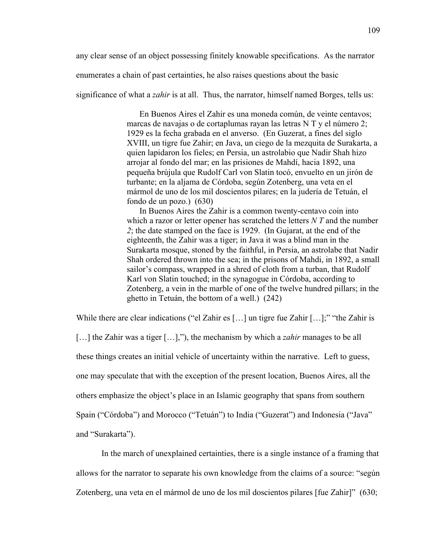any clear sense of an object possessing finitely knowable specifications. As the narrator

enumerates a chain of past certainties, he also raises questions about the basic

significance of what a *zahir* is at all. Thus, the narrator, himself named Borges, tells us:

En Buenos Aires el Zahir es una moneda común, de veinte centavos; marcas de navajas o de cortaplumas rayan las letras N T y el número 2; 1929 es la fecha grabada en el anverso. (En Guzerat, a fines del siglo XVIII, un tigre fue Zahir; en Java, un ciego de la mezquita de Surakarta, a quien lapidaron los fieles; en Persia, un astrolabio que Nadir Shah hizo arrojar al fondo del mar; en las prisiones de Mahdí, hacia 1892, una pequeña brújula que Rudolf Carl von Slatin tocó, envuelto en un jirón de turbante; en la aljama de Córdoba, según Zotenberg, una veta en el mármol de uno de los mil doscientos pilares; en la judería de Tetuán, el fondo de un pozo.) (630)

In Buenos Aires the Zahir is a common twenty-centavo coin into which a razor or letter opener has scratched the letters *N T* and the number *2*; the date stamped on the face is 1929. (In Gujarat, at the end of the eighteenth, the Zahir was a tiger; in Java it was a blind man in the Surakarta mosque, stoned by the faithful, in Persia, an astrolabe that Nadir Shah ordered thrown into the sea; in the prisons of Mahdi, in 1892, a small sailor's compass, wrapped in a shred of cloth from a turban, that Rudolf Karl von Slatin touched; in the synagogue in Córdoba, according to Zotenberg, a vein in the marble of one of the twelve hundred pillars; in the ghetto in Tetuán, the bottom of a well.) (242)

While there are clear indications ("el Zahir es [...] un tigre fue Zahir [...];" "the Zahir is

[...] the Zahir was a tiger [...],"), the mechanism by which a *zahir* manages to be all these things creates an initial vehicle of uncertainty within the narrative. Left to guess, one may speculate that with the exception of the present location, Buenos Aires, all the others emphasize the object's place in an Islamic geography that spans from southern Spain ("Córdoba") and Morocco ("Tetuán") to India ("Guzerat") and Indonesia ("Java" and "Surakarta").

In the march of unexplained certainties, there is a single instance of a framing that allows for the narrator to separate his own knowledge from the claims of a source: "según Zotenberg, una veta en el mármol de uno de los mil doscientos pilares [fue Zahir]" (630;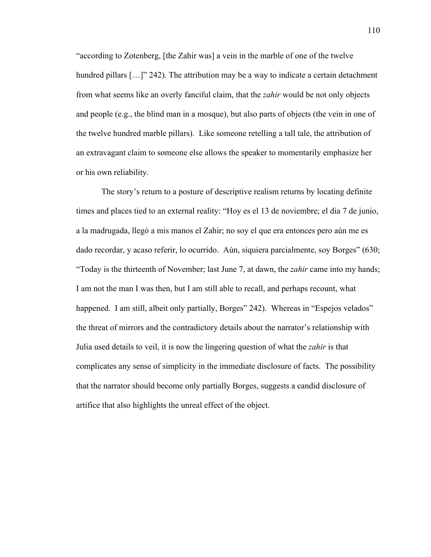"according to Zotenberg, [the Zahir was] a vein in the marble of one of the twelve hundred pillars [...]" 242). The attribution may be a way to indicate a certain detachment from what seems like an overly fanciful claim, that the *zahir* would be not only objects and people (e.g., the blind man in a mosque), but also parts of objects (the vein in one of the twelve hundred marble pillars). Like someone retelling a tall tale, the attribution of an extravagant claim to someone else allows the speaker to momentarily emphasize her or his own reliability.

The story's return to a posture of descriptive realism returns by locating definite times and places tied to an external reality: "Hoy es el 13 de noviembre; el dia 7 de junio, a la madrugada, llegó a mis manos el Zahir; no soy el que era entonces pero aún me es dado recordar, y acaso referir, lo ocurrido. Aún, siquiera parcialmente, soy Borges" (630; "Today is the thirteenth of November; last June 7, at dawn, the *zahir* came into my hands; I am not the man I was then, but I am still able to recall, and perhaps recount, what happened. I am still, albeit only partially, Borges" 242). Whereas in "Espejos velados" the threat of mirrors and the contradictory details about the narrator's relationship with Julia used details to veil, it is now the lingering question of what the *zahir* is that complicates any sense of simplicity in the immediate disclosure of facts. The possibility that the narrator should become only partially Borges, suggests a candid disclosure of artifice that also highlights the unreal effect of the object.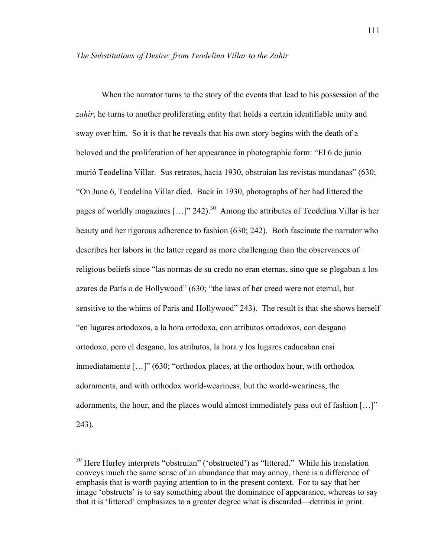When the narrator turns to the story of the events that lead to his possession of the *zahir*, he turns to another proliferating entity that holds a certain identifiable unity and sway over him. So it is that he reveals that his own story begins with the death of a beloved and the proliferation of her appearance in photographic form: "El 6 de junio murió Teodelina Villar. Sus retratos, hacia 1930, obstruían las revistas mundanas" (630; "On June 6, Teodelina Villar died. Back in 1930, photographs of her had littered the pages of worldly magazines  $[...]$ " 242).<sup>30</sup> Among the attributes of Teodelina Villar is her beauty and her rigorous adherence to fashion (630; 242). Both fascinate the narrator who describes her labors in the latter regard as more challenging than the observances of religious beliefs since "las normas de su credo no eran eternas, sino que se plegaban a los azares de París o de Hollywood" (630; "the laws of her creed were not eternal, but sensitive to the whims of Paris and Hollywood" 243). The result is that she shows herself "en lugares ortodoxos, a la hora ortodoxa, con atributos ortodoxos, con desgano ortodoxo, pero el desgano, los atributos, la hora y los lugares caducaban casi inmediatamente […]" (630; "orthodox places, at the orthodox hour, with orthodox adornments, and with orthodox world-weariness, but the world-weariness, the adornments, the hour, and the places would almost immediately pass out of fashion […]" 243).

<sup>&</sup>lt;sup>30</sup> Here Hurley interprets "obstruian" ('obstructed') as "littered." While his translation conveys much the same sense of an abundance that may annoy, there is a difference of emphasis that is worth paying attention to in the present context. For to say that her image 'obstructs' is to say something about the dominance of appearance, whereas to say that it is 'littered' emphasizes to a greater degree what is discarded—detritus in print.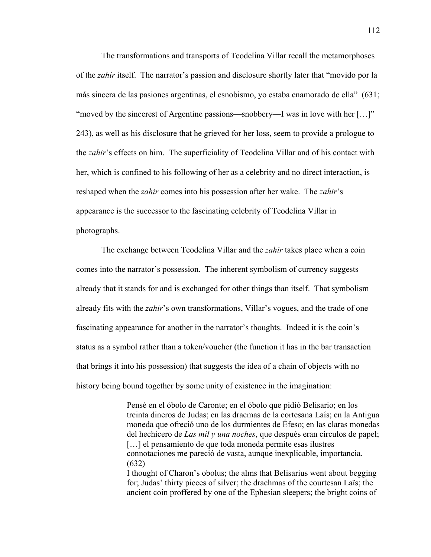The transformations and transports of Teodelina Villar recall the metamorphoses of the *zahir* itself. The narrator's passion and disclosure shortly later that "movido por la más sincera de las pasiones argentinas, el esnobismo, yo estaba enamorado de ella" (631; "moved by the sincerest of Argentine passions—snobbery—I was in love with her […]" 243), as well as his disclosure that he grieved for her loss, seem to provide a prologue to the *zahir*'s effects on him. The superficiality of Teodelina Villar and of his contact with her, which is confined to his following of her as a celebrity and no direct interaction, is reshaped when the *zahir* comes into his possession after her wake. The *zahir*'s appearance is the successor to the fascinating celebrity of Teodelina Villar in photographs.

112

The exchange between Teodelina Villar and the *zahir* takes place when a coin comes into the narrator's possession. The inherent symbolism of currency suggests already that it stands for and is exchanged for other things than itself. That symbolism already fits with the *zahir*'s own transformations, Villar's vogues, and the trade of one fascinating appearance for another in the narrator's thoughts. Indeed it is the coin's status as a symbol rather than a token/voucher (the function it has in the bar transaction that brings it into his possession) that suggests the idea of a chain of objects with no history being bound together by some unity of existence in the imagination:

> Pensé en el óbolo de Caronte; en el óbolo que pidió Belisario; en los treinta dineros de Judas; en las dracmas de la cortesana Laís; en la Antigua moneda que ofreció uno de los durmientes de Éfeso; en las claras monedas del hechicero de *Las mil y una noches*, que después eran círculos de papel; [...] el pensamiento de que toda moneda permite esas ilustres connotaciones me pareció de vasta, aunque inexplicable, importancia. (632) I thought of Charon's obolus; the alms that Belisarius went about begging for; Judas' thirty pieces of silver; the drachmas of the courtesan Laïs; the

ancient coin proffered by one of the Ephesian sleepers; the bright coins of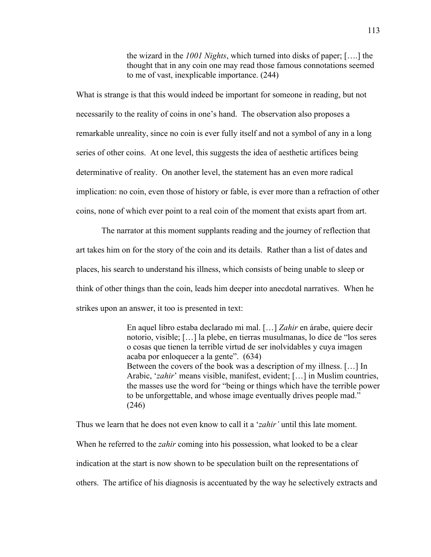the wizard in the *1001 Nights*, which turned into disks of paper; [….] the thought that in any coin one may read those famous connotations seemed to me of vast, inexplicable importance. (244)

What is strange is that this would indeed be important for someone in reading, but not necessarily to the reality of coins in one's hand. The observation also proposes a remarkable unreality, since no coin is ever fully itself and not a symbol of any in a long series of other coins. At one level, this suggests the idea of aesthetic artifices being determinative of reality. On another level, the statement has an even more radical implication: no coin, even those of history or fable, is ever more than a refraction of other coins, none of which ever point to a real coin of the moment that exists apart from art.

The narrator at this moment supplants reading and the journey of reflection that art takes him on for the story of the coin and its details. Rather than a list of dates and places, his search to understand his illness, which consists of being unable to sleep or think of other things than the coin, leads him deeper into anecdotal narratives. When he strikes upon an answer, it too is presented in text:

> En aquel libro estaba declarado mi mal. […] *Zahir* en árabe, quiere decir notorio, visible; […] la plebe, en tierras musulmanas, lo dice de "los seres o cosas que tienen la terrible virtud de ser inolvidables y cuya imagen acaba por enloquecer a la gente". (634) Between the covers of the book was a description of my illness. […] In Arabic, '*zahir*' means visible, manifest, evident; […] in Muslim countries, the masses use the word for "being or things which have the terrible power to be unforgettable, and whose image eventually drives people mad." (246)

Thus we learn that he does not even know to call it a '*zahir'* until this late moment. When he referred to the *zahir* coming into his possession, what looked to be a clear indication at the start is now shown to be speculation built on the representations of others. The artifice of his diagnosis is accentuated by the way he selectively extracts and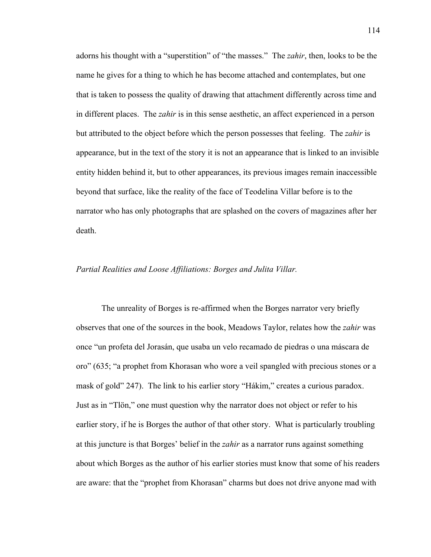adorns his thought with a "superstition" of "the masses." The *zahir*, then, looks to be the name he gives for a thing to which he has become attached and contemplates, but one that is taken to possess the quality of drawing that attachment differently across time and in different places. The *zahir* is in this sense aesthetic, an affect experienced in a person but attributed to the object before which the person possesses that feeling. The *zahir* is appearance, but in the text of the story it is not an appearance that is linked to an invisible entity hidden behind it, but to other appearances, its previous images remain inaccessible beyond that surface, like the reality of the face of Teodelina Villar before is to the narrator who has only photographs that are splashed on the covers of magazines after her death.

#### *Partial Realities and Loose Affiliations: Borges and Julita Villar.*

The unreality of Borges is re-affirmed when the Borges narrator very briefly observes that one of the sources in the book, Meadows Taylor, relates how the *zahir* was once "un profeta del Jorasán, que usaba un velo recamado de piedras o una máscara de oro" (635; "a prophet from Khorasan who wore a veil spangled with precious stones or a mask of gold" 247). The link to his earlier story "Hákim," creates a curious paradox. Just as in "Tlön," one must question why the narrator does not object or refer to his earlier story, if he is Borges the author of that other story. What is particularly troubling at this juncture is that Borges' belief in the *zahir* as a narrator runs against something about which Borges as the author of his earlier stories must know that some of his readers are aware: that the "prophet from Khorasan" charms but does not drive anyone mad with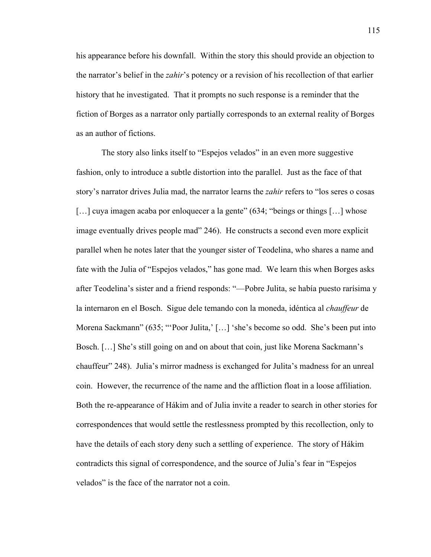his appearance before his downfall. Within the story this should provide an objection to the narrator's belief in the *zahir*'s potency or a revision of his recollection of that earlier history that he investigated. That it prompts no such response is a reminder that the fiction of Borges as a narrator only partially corresponds to an external reality of Borges as an author of fictions.

The story also links itself to "Espejos velados" in an even more suggestive fashion, only to introduce a subtle distortion into the parallel. Just as the face of that story's narrator drives Julia mad, the narrator learns the *zahir* refers to "los seres o cosas [...] cuya imagen acaba por enloquecer a la gente" (634; "beings or things [...] whose image eventually drives people mad" 246). He constructs a second even more explicit parallel when he notes later that the younger sister of Teodelina, who shares a name and fate with the Julia of "Espejos velados," has gone mad. We learn this when Borges asks after Teodelina's sister and a friend responds: "—Pobre Julita, se había puesto rarísima y la internaron en el Bosch. Sigue dele temando con la moneda, idéntica al *chauffeur* de Morena Sackmann" (635; "'Poor Julita,' […] 'she's become so odd. She's been put into Bosch. […] She's still going on and on about that coin, just like Morena Sackmann's chauffeur" 248). Julia's mirror madness is exchanged for Julita's madness for an unreal coin. However, the recurrence of the name and the affliction float in a loose affiliation. Both the re-appearance of Hákim and of Julia invite a reader to search in other stories for correspondences that would settle the restlessness prompted by this recollection, only to have the details of each story deny such a settling of experience. The story of Hákim contradicts this signal of correspondence, and the source of Julia's fear in "Espejos velados" is the face of the narrator not a coin.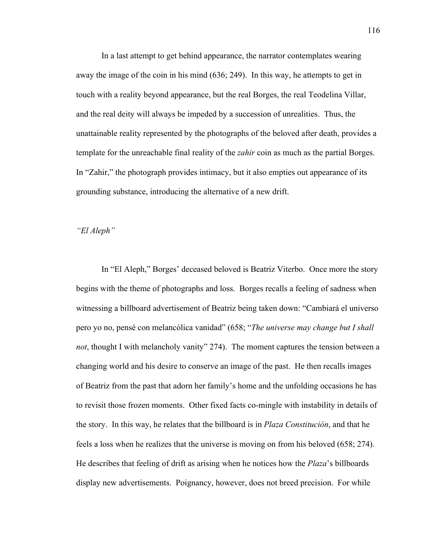In a last attempt to get behind appearance, the narrator contemplates wearing away the image of the coin in his mind (636; 249). In this way, he attempts to get in touch with a reality beyond appearance, but the real Borges, the real Teodelina Villar, and the real deity will always be impeded by a succession of unrealities. Thus, the unattainable reality represented by the photographs of the beloved after death, provides a template for the unreachable final reality of the *zahir* coin as much as the partial Borges. In "Zahir," the photograph provides intimacy, but it also empties out appearance of its grounding substance, introducing the alternative of a new drift.

*"El Aleph"*

In "El Aleph," Borges' deceased beloved is Beatriz Viterbo. Once more the story begins with the theme of photographs and loss. Borges recalls a feeling of sadness when witnessing a billboard advertisement of Beatriz being taken down: "Cambiará el universo pero yo no, pensé con melancólica vanidad" (658; "*The universe may change but I shall not*, thought I with melancholy vanity" 274). The moment captures the tension between a changing world and his desire to conserve an image of the past. He then recalls images of Beatriz from the past that adorn her family's home and the unfolding occasions he has to revisit those frozen moments. Other fixed facts co-mingle with instability in details of the story. In this way, he relates that the billboard is in *Plaza Constitución*, and that he feels a loss when he realizes that the universe is moving on from his beloved (658; 274). He describes that feeling of drift as arising when he notices how the *Plaza*'s billboards display new advertisements. Poignancy, however, does not breed precision. For while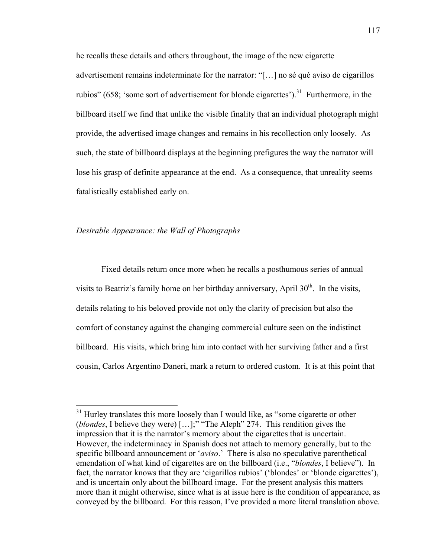he recalls these details and others throughout, the image of the new cigarette advertisement remains indeterminate for the narrator: "[…] no sé qué aviso de cigarillos rubios" (658; 'some sort of advertisement for blonde cigarettes').<sup>31</sup> Furthermore, in the billboard itself we find that unlike the visible finality that an individual photograph might provide, the advertised image changes and remains in his recollection only loosely. As such, the state of billboard displays at the beginning prefigures the way the narrator will lose his grasp of definite appearance at the end. As a consequence, that unreality seems fatalistically established early on.

# *Desirable Appearance: the Wall of Photographs*

Fixed details return once more when he recalls a posthumous series of annual visits to Beatriz's family home on her birthday anniversary, April  $30<sup>th</sup>$ . In the visits, details relating to his beloved provide not only the clarity of precision but also the comfort of constancy against the changing commercial culture seen on the indistinct billboard. His visits, which bring him into contact with her surviving father and a first cousin, Carlos Argentino Daneri, mark a return to ordered custom. It is at this point that

 $31$  Hurley translates this more loosely than I would like, as "some cigarette or other (*blondes*, I believe they were) […];" "The Aleph" 274. This rendition gives the impression that it is the narrator's memory about the cigarettes that is uncertain. However, the indeterminacy in Spanish does not attach to memory generally, but to the specific billboard announcement or '*aviso*.' There is also no speculative parenthetical emendation of what kind of cigarettes are on the billboard (i.e., "*blondes*, I believe"). In fact, the narrator knows that they are 'cigarillos rubios' ('blondes' or 'blonde cigarettes'), and is uncertain only about the billboard image. For the present analysis this matters more than it might otherwise, since what is at issue here is the condition of appearance, as conveyed by the billboard. For this reason, I've provided a more literal translation above.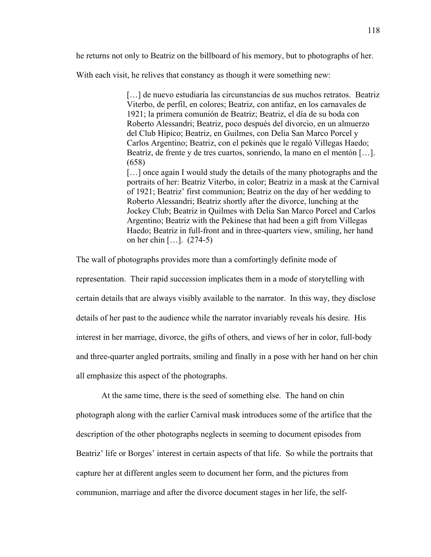he returns not only to Beatriz on the billboard of his memory, but to photographs of her.

With each visit, he relives that constancy as though it were something new:

[...] de nuevo estudiaría las circunstancias de sus muchos retratos. Beatriz Viterbo, de perfil, en colores; Beatriz, con antifaz, en los carnavales de 1921; la primera comunión de Beatriz; Beatriz, el día de su boda con Roberto Alessandri; Beatriz, poco después del divorcio, en un almuerzo del Club Hípico; Beatriz, en Guilmes, con Delia San Marco Porcel y Carlos Argentino; Beatriz, con el pekinés que le regaló Villegas Haedo; Beatriz, de frente y de tres cuartos, sonriendo, la mano en el mentón […]. (658)

[...] once again I would study the details of the many photographs and the portraits of her: Beatriz Viterbo, in color; Beatriz in a mask at the Carnival of 1921; Beatriz' first communion; Beatriz on the day of her wedding to Roberto Alessandri; Beatriz shortly after the divorce, lunching at the Jockey Club; Beatriz in Quilmes with Delia San Marco Porcel and Carlos Argentino; Beatriz with the Pekinese that had been a gift from Villegas Haedo; Beatriz in full-front and in three-quarters view, smiling, her hand on her chin […]. (274-5)

The wall of photographs provides more than a comfortingly definite mode of

representation. Their rapid succession implicates them in a mode of storytelling with certain details that are always visibly available to the narrator. In this way, they disclose details of her past to the audience while the narrator invariably reveals his desire. His interest in her marriage, divorce, the gifts of others, and views of her in color, full-body and three-quarter angled portraits, smiling and finally in a pose with her hand on her chin all emphasize this aspect of the photographs.

At the same time, there is the seed of something else. The hand on chin photograph along with the earlier Carnival mask introduces some of the artifice that the description of the other photographs neglects in seeming to document episodes from Beatriz' life or Borges' interest in certain aspects of that life. So while the portraits that capture her at different angles seem to document her form, and the pictures from communion, marriage and after the divorce document stages in her life, the self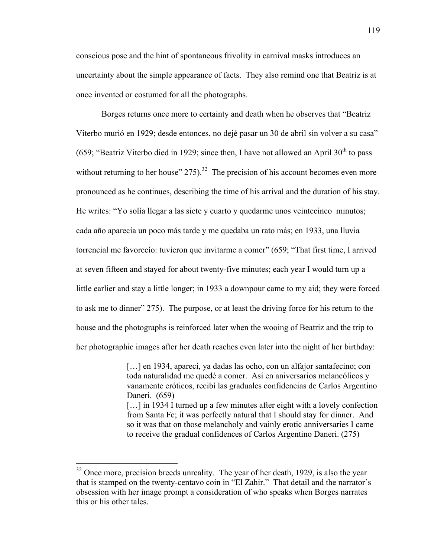conscious pose and the hint of spontaneous frivolity in carnival masks introduces an uncertainty about the simple appearance of facts. They also remind one that Beatriz is at once invented or costumed for all the photographs.

Borges returns once more to certainty and death when he observes that "Beatriz Viterbo murió en 1929; desde entonces, no dejé pasar un 30 de abril sin volver a su casa" (659; "Beatriz Viterbo died in 1929; since then, I have not allowed an April  $30<sup>th</sup>$  to pass without returning to her house"  $275$ ).<sup>32</sup> The precision of his account becomes even more pronounced as he continues, describing the time of his arrival and the duration of his stay. He writes: "Yo solía llegar a las siete y cuarto y quedarme unos veintecinco minutos; cada año aparecía un poco más tarde y me quedaba un rato más; en 1933, una lluvia torrencial me favorecío: tuvieron que invitarme a comer" (659; "That first time, I arrived at seven fifteen and stayed for about twenty-five minutes; each year I would turn up a little earlier and stay a little longer; in 1933 a downpour came to my aid; they were forced to ask me to dinner" 275). The purpose, or at least the driving force for his return to the house and the photographs is reinforced later when the wooing of Beatriz and the trip to her photographic images after her death reaches even later into the night of her birthday:

> [...] en 1934, aparecí, ya dadas las ocho, con un alfajor santafecino; con toda naturalidad me quedé a comer. Así en aniversarios melancólicos y vanamente eróticos, recibí las graduales confidencias de Carlos Argentino Daneri. (659) [...] in 1934 I turned up a few minutes after eight with a lovely confection from Santa Fe; it was perfectly natural that I should stay for dinner. And so it was that on those melancholy and vainly erotic anniversaries I came to receive the gradual confidences of Carlos Argentino Daneri. (275)

 $32$  Once more, precision breeds unreality. The year of her death, 1929, is also the year that is stamped on the twenty-centavo coin in "El Zahir." That detail and the narrator's obsession with her image prompt a consideration of who speaks when Borges narrates this or his other tales.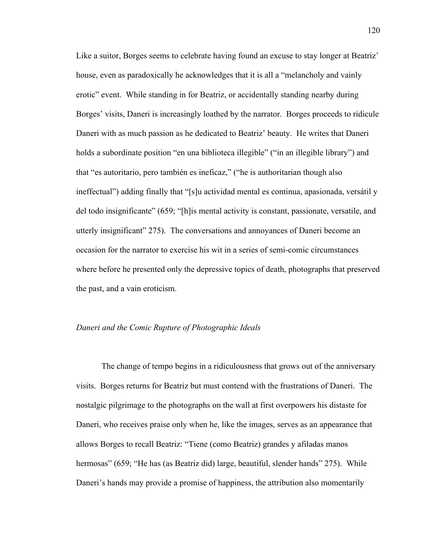Like a suitor, Borges seems to celebrate having found an excuse to stay longer at Beatriz' house, even as paradoxically he acknowledges that it is all a "melancholy and vainly erotic" event. While standing in for Beatriz, or accidentally standing nearby during Borges' visits, Daneri is increasingly loathed by the narrator. Borges proceeds to ridicule Daneri with as much passion as he dedicated to Beatriz' beauty. He writes that Daneri holds a subordinate position "en una biblioteca illegible" ("in an illegible library") and that "es autoritario, pero también es ineficaz," ("he is authoritarian though also ineffectual") adding finally that "[s]u actividad mental es continua, apasionada, versátil y del todo insignificante" (659; "[h]is mental activity is constant, passionate, versatile, and utterly insignificant" 275). The conversations and annoyances of Daneri become an occasion for the narrator to exercise his wit in a series of semi-comic circumstances where before he presented only the depressive topics of death, photographs that preserved the past, and a vain eroticism.

# *Daneri and the Comic Rupture of Photographic Ideals*

The change of tempo begins in a ridiculousness that grows out of the anniversary visits. Borges returns for Beatriz but must contend with the frustrations of Daneri. The nostalgic pilgrimage to the photographs on the wall at first overpowers his distaste for Daneri, who receives praise only when he, like the images, serves as an appearance that allows Borges to recall Beatriz: "Tiene (como Beatriz) grandes y afiladas manos hermosas" (659; "He has (as Beatriz did) large, beautiful, slender hands" 275). While Daneri's hands may provide a promise of happiness, the attribution also momentarily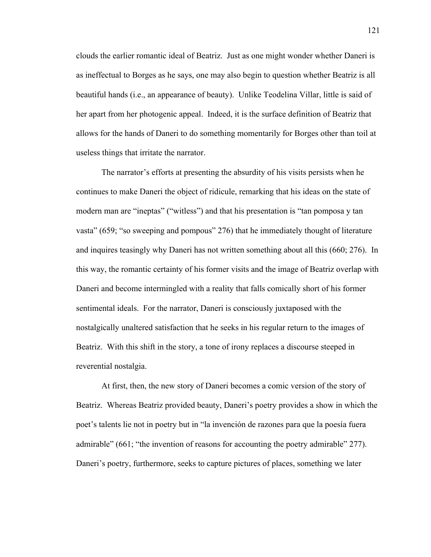clouds the earlier romantic ideal of Beatriz. Just as one might wonder whether Daneri is as ineffectual to Borges as he says, one may also begin to question whether Beatriz is all beautiful hands (i.e., an appearance of beauty). Unlike Teodelina Villar, little is said of her apart from her photogenic appeal. Indeed, it is the surface definition of Beatriz that allows for the hands of Daneri to do something momentarily for Borges other than toil at useless things that irritate the narrator.

The narrator's efforts at presenting the absurdity of his visits persists when he continues to make Daneri the object of ridicule, remarking that his ideas on the state of modern man are "ineptas" ("witless") and that his presentation is "tan pomposa y tan vasta" (659; "so sweeping and pompous" 276) that he immediately thought of literature and inquires teasingly why Daneri has not written something about all this (660; 276). In this way, the romantic certainty of his former visits and the image of Beatriz overlap with Daneri and become intermingled with a reality that falls comically short of his former sentimental ideals. For the narrator, Daneri is consciously juxtaposed with the nostalgically unaltered satisfaction that he seeks in his regular return to the images of Beatriz. With this shift in the story, a tone of irony replaces a discourse steeped in reverential nostalgia.

At first, then, the new story of Daneri becomes a comic version of the story of Beatriz. Whereas Beatriz provided beauty, Daneri's poetry provides a show in which the poet's talents lie not in poetry but in "la invención de razones para que la poesía fuera admirable" (661; "the invention of reasons for accounting the poetry admirable" 277). Daneri's poetry, furthermore, seeks to capture pictures of places, something we later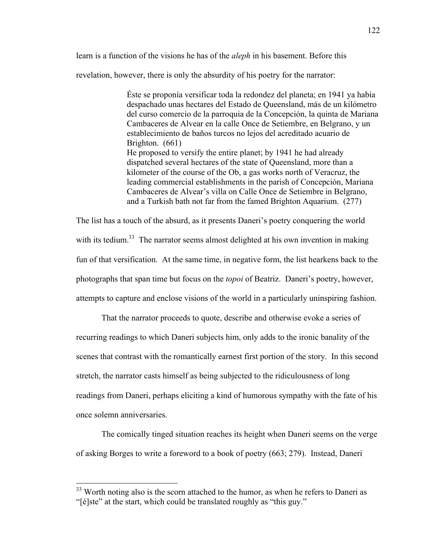learn is a function of the visions he has of the *aleph* in his basement. Before this

revelation, however, there is only the absurdity of his poetry for the narrator:

Éste se proponía versificar toda la redondez del planeta; en 1941 ya había despachado unas hectares del Estado de Queensland, más de un kilómetro del curso comercio de la parroquia de la Concepción, la quinta de Mariana Cambaceres de Alvear en la calle Once de Setiembre, en Belgrano, y un establecimiento de baños turcos no lejos del acreditado acuario de Brighton. (661) He proposed to versify the entire planet; by 1941 he had already dispatched several hectares of the state of Queensland, more than a kilometer of the course of the Ob, a gas works north of Veracruz, the leading commercial establishments in the parish of Concepción, Mariana Cambaceres de Alvear's villa on Calle Once de Setiembre in Belgrano, and a Turkish bath not far from the famed Brighton Aquarium. (277)

The list has a touch of the absurd, as it presents Daneri's poetry conquering the world with its tedium.<sup>33</sup> The narrator seems almost delighted at his own invention in making fun of that versification. At the same time, in negative form, the list hearkens back to the photographs that span time but focus on the *topoi* of Beatriz. Daneri's poetry, however, attempts to capture and enclose visions of the world in a particularly uninspiring fashion.

That the narrator proceeds to quote, describe and otherwise evoke a series of recurring readings to which Daneri subjects him, only adds to the ironic banality of the scenes that contrast with the romantically earnest first portion of the story. In this second stretch, the narrator casts himself as being subjected to the ridiculousness of long readings from Daneri, perhaps eliciting a kind of humorous sympathy with the fate of his once solemn anniversaries.

The comically tinged situation reaches its height when Daneri seems on the verge of asking Borges to write a foreword to a book of poetry (663; 279). Instead, Daneri

<sup>&</sup>lt;sup>33</sup> Worth noting also is the scorn attached to the humor, as when he refers to Daneri as "[é]ste" at the start, which could be translated roughly as "this guy."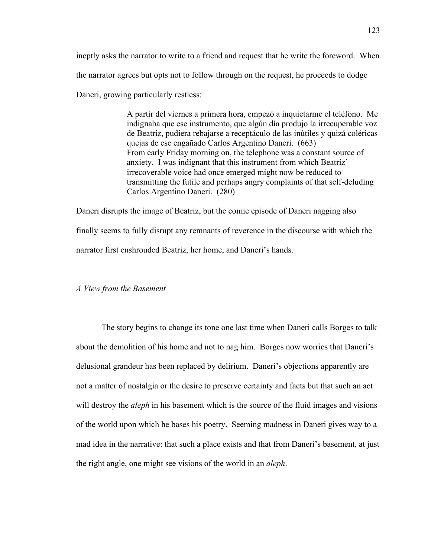ineptly asks the narrator to write to a friend and request that he write the foreword. When the narrator agrees but opts not to follow through on the request, he proceeds to dodge Daneri, growing particularly restless:

> A partir del viernes a primera hora, empezó a inquietarme el teléfono. Me indignaba que ese instrumento, que algún día produjo la irrecuperable voz de Beatriz, pudiera rebajarse a receptáculo de las inútiles y quizá coléricas quejas de ese engañado Carlos Argentino Daneri. (663) From early Friday morning on, the telephone was a constant source of anxiety. I was indignant that this instrument from which Beatriz' irrecoverable voice had once emerged might now be reduced to transmitting the futile and perhaps angry complaints of that self-deluding Carlos Argentino Daneri. (280)

Daneri disrupts the image of Beatriz, but the comic episode of Daneri nagging also finally seems to fully disrupt any remnants of reverence in the discourse with which the narrator first enshrouded Beatriz, her home, and Daneri's hands.

#### *A View from the Basement*

The story begins to change its tone one last time when Daneri calls Borges to talk about the demolition of his home and not to nag him. Borges now worries that Daneri's delusional grandeur has been replaced by delirium. Daneri's objections apparently are not a matter of nostalgia or the desire to preserve certainty and facts but that such an act will destroy the *aleph* in his basement which is the source of the fluid images and visions of the world upon which he bases his poetry. Seeming madness in Daneri gives way to a mad idea in the narrative: that such a place exists and that from Daneri's basement, at just the right angle, one might see visions of the world in an *aleph*.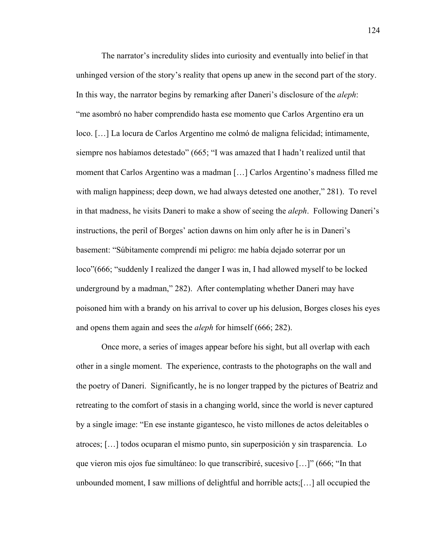The narrator's incredulity slides into curiosity and eventually into belief in that unhinged version of the story's reality that opens up anew in the second part of the story. In this way, the narrator begins by remarking after Daneri's disclosure of the *aleph*: "me asombró no haber comprendido hasta ese momento que Carlos Argentino era un loco. […] La locura de Carlos Argentino me colmó de maligna felicidad; íntimamente, siempre nos habíamos detestado" (665; "I was amazed that I hadn't realized until that moment that Carlos Argentino was a madman […] Carlos Argentino's madness filled me with malign happiness; deep down, we had always detested one another," 281). To revel in that madness, he visits Daneri to make a show of seeing the *aleph*. Following Daneri's instructions, the peril of Borges' action dawns on him only after he is in Daneri's basement: "Súbitamente comprendí mi peligro: me había dejado soterrar por un loco"(666; "suddenly I realized the danger I was in, I had allowed myself to be locked underground by a madman," 282). After contemplating whether Daneri may have poisoned him with a brandy on his arrival to cover up his delusion, Borges closes his eyes and opens them again and sees the *aleph* for himself (666; 282).

Once more, a series of images appear before his sight, but all overlap with each other in a single moment. The experience, contrasts to the photographs on the wall and the poetry of Daneri. Significantly, he is no longer trapped by the pictures of Beatriz and retreating to the comfort of stasis in a changing world, since the world is never captured by a single image: "En ese instante gigantesco, he visto millones de actos deleitables o atroces; […] todos ocuparan el mismo punto, sin superposición y sin trasparencia. Lo que vieron mis ojos fue simultáneo: lo que transcribiré, sucesivo […]" (666; "In that unbounded moment, I saw millions of delightful and horrible acts;[…] all occupied the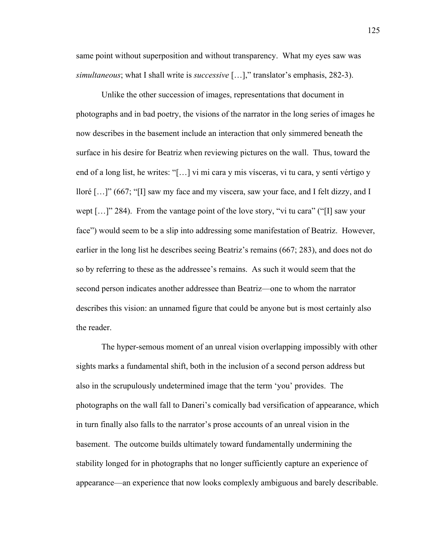same point without superposition and without transparency. What my eyes saw was *simultaneous*; what I shall write is *successive* […]," translator's emphasis, 282-3).

Unlike the other succession of images, representations that document in photographs and in bad poetry, the visions of the narrator in the long series of images he now describes in the basement include an interaction that only simmered beneath the surface in his desire for Beatriz when reviewing pictures on the wall. Thus, toward the end of a long list, he writes: "[…] vi mi cara y mis vísceras, vi tu cara, y sentí vértigo y lloré […]" (667; "[I] saw my face and my viscera, saw your face, and I felt dizzy, and I wept [...]" 284). From the vantage point of the love story, "vi tu cara" ("[I] saw your face") would seem to be a slip into addressing some manifestation of Beatriz. However, earlier in the long list he describes seeing Beatriz's remains (667; 283), and does not do so by referring to these as the addressee's remains. As such it would seem that the second person indicates another addressee than Beatriz—one to whom the narrator describes this vision: an unnamed figure that could be anyone but is most certainly also the reader.

The hyper-semous moment of an unreal vision overlapping impossibly with other sights marks a fundamental shift, both in the inclusion of a second person address but also in the scrupulously undetermined image that the term 'you' provides. The photographs on the wall fall to Daneri's comically bad versification of appearance, which in turn finally also falls to the narrator's prose accounts of an unreal vision in the basement. The outcome builds ultimately toward fundamentally undermining the stability longed for in photographs that no longer sufficiently capture an experience of appearance—an experience that now looks complexly ambiguous and barely describable.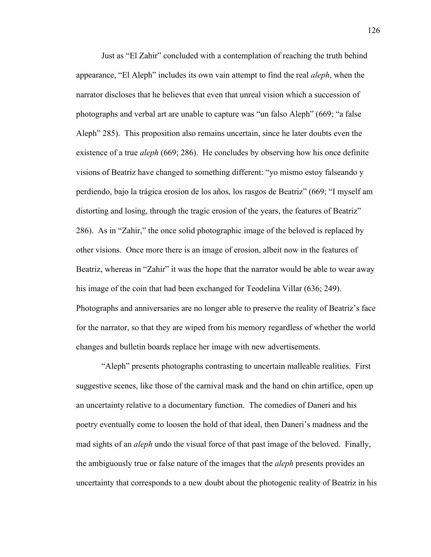Just as "El Zahir" concluded with a contemplation of reaching the truth behind appearance, "El Aleph" includes its own vain attempt to find the real *aleph*, when the narrator discloses that he believes that even that unreal vision which a succession of photographs and verbal art are unable to capture was "un falso Aleph" (669; "a false Aleph" 285). This proposition also remains uncertain, since he later doubts even the existence of a true *aleph* (669; 286). He concludes by observing how his once definite visions of Beatriz have changed to something different: "yo mismo estoy falseando y perdiendo, bajo la trágica erosion de los años, los rasgos de Beatriz" (669; "I myself am distorting and losing, through the tragic erosion of the years, the features of Beatriz" 286). As in "Zahir," the once solid photographic image of the beloved is replaced by other visions. Once more there is an image of erosion, albeit now in the features of Beatriz, whereas in "Zahir" it was the hope that the narrator would be able to wear away his image of the coin that had been exchanged for Teodelina Villar (636; 249). Photographs and anniversaries are no longer able to preserve the reality of Beatriz's face for the narrator, so that they are wiped from his memory regardless of whether the world changes and bulletin boards replace her image with new advertisements.

"Aleph" presents photographs contrasting to uncertain malleable realities. First suggestive scenes, like those of the carnival mask and the hand on chin artifice, open up an uncertainty relative to a documentary function. The comedies of Daneri and his poetry eventually come to loosen the hold of that ideal, then Daneri's madness and the mad sights of an *aleph* undo the visual force of that past image of the beloved. Finally, the ambiguously true or false nature of the images that the *aleph* presents provides an uncertainty that corresponds to a new doubt about the photogenic reality of Beatriz in his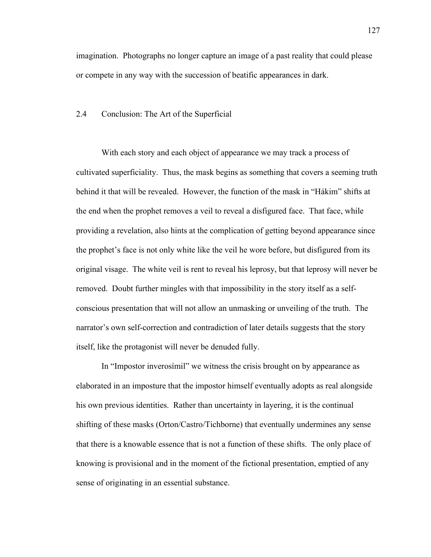imagination. Photographs no longer capture an image of a past reality that could please or compete in any way with the succession of beatific appearances in dark.

#### 2.4 Conclusion: The Art of the Superficial

With each story and each object of appearance we may track a process of cultivated superficiality. Thus, the mask begins as something that covers a seeming truth behind it that will be revealed. However, the function of the mask in "Hákim" shifts at the end when the prophet removes a veil to reveal a disfigured face. That face, while providing a revelation, also hints at the complication of getting beyond appearance since the prophet's face is not only white like the veil he wore before, but disfigured from its original visage. The white veil is rent to reveal his leprosy, but that leprosy will never be removed. Doubt further mingles with that impossibility in the story itself as a selfconscious presentation that will not allow an unmasking or unveiling of the truth. The narrator's own self-correction and contradiction of later details suggests that the story itself, like the protagonist will never be denuded fully.

In "Impostor inverosímil" we witness the crisis brought on by appearance as elaborated in an imposture that the impostor himself eventually adopts as real alongside his own previous identities. Rather than uncertainty in layering, it is the continual shifting of these masks (Orton/Castro/Tichborne) that eventually undermines any sense that there is a knowable essence that is not a function of these shifts. The only place of knowing is provisional and in the moment of the fictional presentation, emptied of any sense of originating in an essential substance.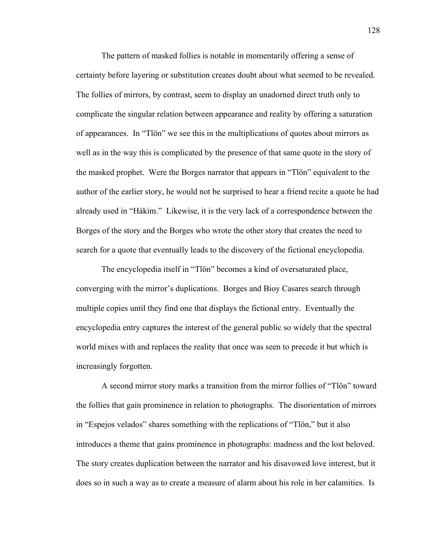The pattern of masked follies is notable in momentarily offering a sense of certainty before layering or substitution creates doubt about what seemed to be revealed. The follies of mirrors, by contrast, seem to display an unadorned direct truth only to complicate the singular relation between appearance and reality by offering a saturation of appearances. In "Tlön" we see this in the multiplications of quotes about mirrors as well as in the way this is complicated by the presence of that same quote in the story of the masked prophet. Were the Borges narrator that appears in "Tlön" equivalent to the author of the earlier story, he would not be surprised to hear a friend recite a quote he had already used in "Hákim." Likewise, it is the very lack of a correspondence between the Borges of the story and the Borges who wrote the other story that creates the need to search for a quote that eventually leads to the discovery of the fictional encyclopedia.

The encyclopedia itself in "Tlön" becomes a kind of oversaturated place, converging with the mirror's duplications. Borges and Bioy Casares search through multiple copies until they find one that displays the fictional entry. Eventually the encyclopedia entry captures the interest of the general public so widely that the spectral world mixes with and replaces the reality that once was seen to precede it but which is increasingly forgotten.

A second mirror story marks a transition from the mirror follies of "Tlön" toward the follies that gain prominence in relation to photographs. The disorientation of mirrors in "Espejos velados" shares something with the replications of "Tlön," but it also introduces a theme that gains prominence in photographs: madness and the lost beloved. The story creates duplication between the narrator and his disavowed love interest, but it does so in such a way as to create a measure of alarm about his role in her calamities. Is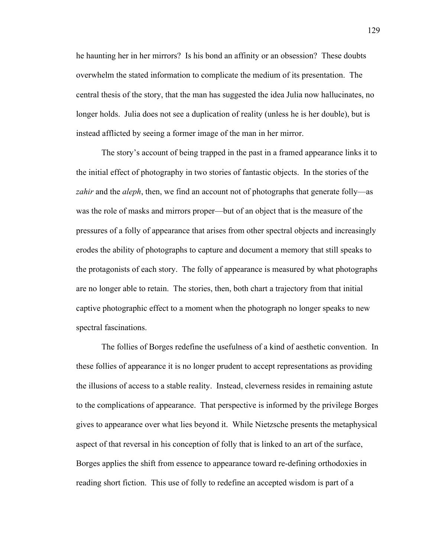he haunting her in her mirrors? Is his bond an affinity or an obsession? These doubts overwhelm the stated information to complicate the medium of its presentation. The central thesis of the story, that the man has suggested the idea Julia now hallucinates, no longer holds. Julia does not see a duplication of reality (unless he is her double), but is instead afflicted by seeing a former image of the man in her mirror.

The story's account of being trapped in the past in a framed appearance links it to the initial effect of photography in two stories of fantastic objects. In the stories of the *zahir* and the *aleph*, then, we find an account not of photographs that generate folly—as was the role of masks and mirrors proper—but of an object that is the measure of the pressures of a folly of appearance that arises from other spectral objects and increasingly erodes the ability of photographs to capture and document a memory that still speaks to the protagonists of each story. The folly of appearance is measured by what photographs are no longer able to retain. The stories, then, both chart a trajectory from that initial captive photographic effect to a moment when the photograph no longer speaks to new spectral fascinations.

The follies of Borges redefine the usefulness of a kind of aesthetic convention. In these follies of appearance it is no longer prudent to accept representations as providing the illusions of access to a stable reality. Instead, cleverness resides in remaining astute to the complications of appearance. That perspective is informed by the privilege Borges gives to appearance over what lies beyond it. While Nietzsche presents the metaphysical aspect of that reversal in his conception of folly that is linked to an art of the surface, Borges applies the shift from essence to appearance toward re-defining orthodoxies in reading short fiction. This use of folly to redefine an accepted wisdom is part of a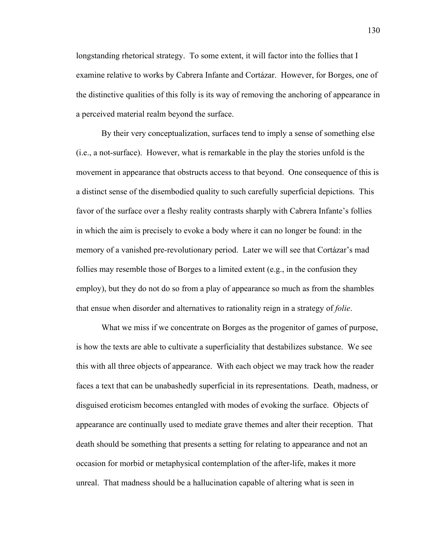longstanding rhetorical strategy. To some extent, it will factor into the follies that I examine relative to works by Cabrera Infante and Cortázar. However, for Borges, one of the distinctive qualities of this folly is its way of removing the anchoring of appearance in a perceived material realm beyond the surface.

By their very conceptualization, surfaces tend to imply a sense of something else (i.e., a not-surface). However, what is remarkable in the play the stories unfold is the movement in appearance that obstructs access to that beyond. One consequence of this is a distinct sense of the disembodied quality to such carefully superficial depictions. This favor of the surface over a fleshy reality contrasts sharply with Cabrera Infante's follies in which the aim is precisely to evoke a body where it can no longer be found: in the memory of a vanished pre-revolutionary period. Later we will see that Cortázar's mad follies may resemble those of Borges to a limited extent (e.g., in the confusion they employ), but they do not do so from a play of appearance so much as from the shambles that ensue when disorder and alternatives to rationality reign in a strategy of *folie*.

What we miss if we concentrate on Borges as the progenitor of games of purpose, is how the texts are able to cultivate a superficiality that destabilizes substance. We see this with all three objects of appearance. With each object we may track how the reader faces a text that can be unabashedly superficial in its representations. Death, madness, or disguised eroticism becomes entangled with modes of evoking the surface. Objects of appearance are continually used to mediate grave themes and alter their reception. That death should be something that presents a setting for relating to appearance and not an occasion for morbid or metaphysical contemplation of the after-life, makes it more unreal. That madness should be a hallucination capable of altering what is seen in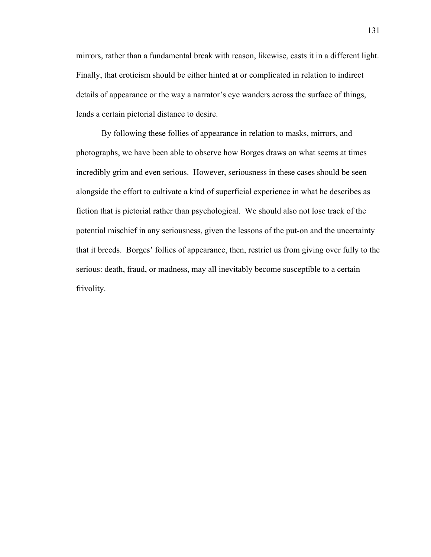mirrors, rather than a fundamental break with reason, likewise, casts it in a different light. Finally, that eroticism should be either hinted at or complicated in relation to indirect details of appearance or the way a narrator's eye wanders across the surface of things, lends a certain pictorial distance to desire.

By following these follies of appearance in relation to masks, mirrors, and photographs, we have been able to observe how Borges draws on what seems at times incredibly grim and even serious. However, seriousness in these cases should be seen alongside the effort to cultivate a kind of superficial experience in what he describes as fiction that is pictorial rather than psychological. We should also not lose track of the potential mischief in any seriousness, given the lessons of the put-on and the uncertainty that it breeds. Borges' follies of appearance, then, restrict us from giving over fully to the serious: death, fraud, or madness, may all inevitably become susceptible to a certain frivolity.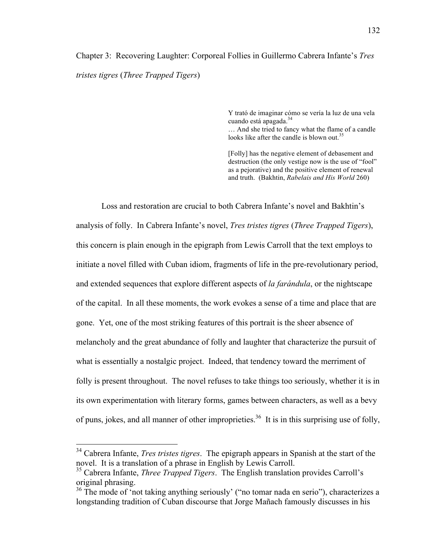# Chapter 3: Recovering Laughter: Corporeal Follies in Guillermo Cabrera Infante's *Tres tristes tigres* (*Three Trapped Tigers*)

Y trató de imaginar cómo se vería la luz de una vela cuando está apagada.<sup>34</sup>

… And she tried to fancy what the flame of a candle looks like after the candle is blown out.<sup>35</sup>

[Folly] has the negative element of debasement and destruction (the only vestige now is the use of "fool" as a pejorative) and the positive element of renewal and truth. (Bakhtin, *Rabelais and His World* 260)

Loss and restoration are crucial to both Cabrera Infante's novel and Bakhtin's analysis of folly. In Cabrera Infante's novel, *Tres tristes tigres* (*Three Trapped Tigers*), this concern is plain enough in the epigraph from Lewis Carroll that the text employs to initiate a novel filled with Cuban idiom, fragments of life in the pre-revolutionary period, and extended sequences that explore different aspects of *la farándula*, or the nightscape of the capital. In all these moments, the work evokes a sense of a time and place that are gone. Yet, one of the most striking features of this portrait is the sheer absence of melancholy and the great abundance of folly and laughter that characterize the pursuit of what is essentially a nostalgic project. Indeed, that tendency toward the merriment of folly is present throughout. The novel refuses to take things too seriously, whether it is in its own experimentation with literary forms, games between characters, as well as a bevy of puns, jokes, and all manner of other improprieties.<sup>36</sup> It is in this surprising use of folly,

 <sup>34</sup> Cabrera Infante, *Tres tristes tigres*. The epigraph appears in Spanish at the start of the novel. It is a translation of a phrase in English by Lewis Carroll.

<sup>35</sup> Cabrera Infante, *Three Trapped Tigers*. The English translation provides Carroll's original phrasing.

<sup>&</sup>lt;sup>36</sup> The mode of 'not taking anything seriously' ("no tomar nada en serio"), characterizes a longstanding tradition of Cuban discourse that Jorge Mañach famously discusses in his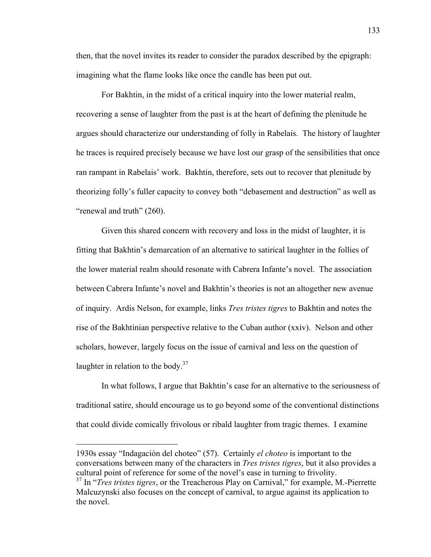then, that the novel invites its reader to consider the paradox described by the epigraph: imagining what the flame looks like once the candle has been put out.

For Bakhtin, in the midst of a critical inquiry into the lower material realm, recovering a sense of laughter from the past is at the heart of defining the plenitude he argues should characterize our understanding of folly in Rabelais. The history of laughter he traces is required precisely because we have lost our grasp of the sensibilities that once ran rampant in Rabelais' work. Bakhtin, therefore, sets out to recover that plenitude by theorizing folly's fuller capacity to convey both "debasement and destruction" as well as "renewal and truth" (260).

Given this shared concern with recovery and loss in the midst of laughter, it is fitting that Bakhtin's demarcation of an alternative to satirical laughter in the follies of the lower material realm should resonate with Cabrera Infante's novel. The association between Cabrera Infante's novel and Bakhtin's theories is not an altogether new avenue of inquiry. Ardis Nelson, for example, links *Tres tristes tigres* to Bakhtin and notes the rise of the Bakhtinian perspective relative to the Cuban author (xxiv). Nelson and other scholars, however, largely focus on the issue of carnival and less on the question of laughter in relation to the body. $37$ 

In what follows, I argue that Bakhtin's case for an alternative to the seriousness of traditional satire, should encourage us to go beyond some of the conventional distinctions that could divide comically frivolous or ribald laughter from tragic themes. I examine

1

<sup>1930</sup>s essay "Indagación del choteo" (57). Certainly *el choteo* is important to the conversations between many of the characters in *Tres tristes tigres*, but it also provides a cultural point of reference for some of the novel's ease in turning to frivolity.

<sup>&</sup>lt;sup>37</sup> In "*Tres tristes tigres*, or the Treacherous Play on Carnival," for example, M.-Pierrette Malcuzynski also focuses on the concept of carnival, to argue against its application to the novel.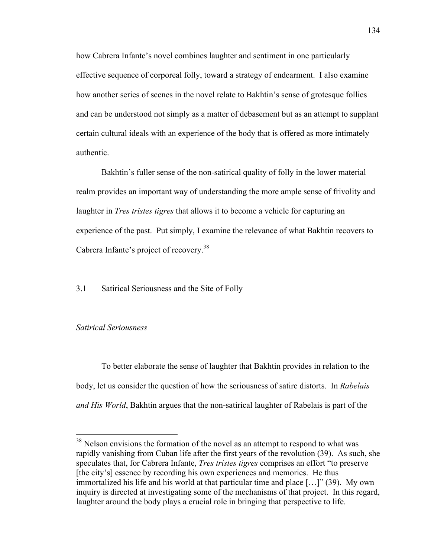how Cabrera Infante's novel combines laughter and sentiment in one particularly effective sequence of corporeal folly, toward a strategy of endearment. I also examine how another series of scenes in the novel relate to Bakhtin's sense of grotesque follies and can be understood not simply as a matter of debasement but as an attempt to supplant certain cultural ideals with an experience of the body that is offered as more intimately authentic.

Bakhtin's fuller sense of the non-satirical quality of folly in the lower material realm provides an important way of understanding the more ample sense of frivolity and laughter in *Tres tristes tigres* that allows it to become a vehicle for capturing an experience of the past. Put simply, I examine the relevance of what Bakhtin recovers to Cabrera Infante's project of recovery.<sup>38</sup>

3.1 Satirical Seriousness and the Site of Folly

# *Satirical Seriousness*

To better elaborate the sense of laughter that Bakhtin provides in relation to the body, let us consider the question of how the seriousness of satire distorts. In *Rabelais and His World*, Bakhtin argues that the non-satirical laughter of Rabelais is part of the

 $38$  Nelson envisions the formation of the novel as an attempt to respond to what was rapidly vanishing from Cuban life after the first years of the revolution (39). As such, she speculates that, for Cabrera Infante, *Tres tristes tigres* comprises an effort "to preserve [the city's] essence by recording his own experiences and memories. He thus immortalized his life and his world at that particular time and place […]" (39). My own inquiry is directed at investigating some of the mechanisms of that project. In this regard, laughter around the body plays a crucial role in bringing that perspective to life.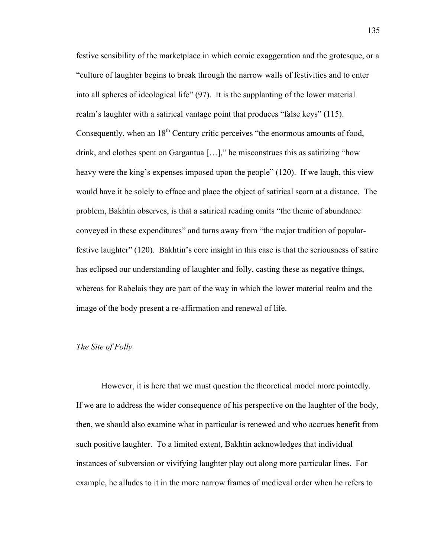festive sensibility of the marketplace in which comic exaggeration and the grotesque, or a "culture of laughter begins to break through the narrow walls of festivities and to enter into all spheres of ideological life" (97). It is the supplanting of the lower material realm's laughter with a satirical vantage point that produces "false keys" (115). Consequently, when an  $18<sup>th</sup>$  Century critic perceives "the enormous amounts of food, drink, and clothes spent on Gargantua […]," he misconstrues this as satirizing "how heavy were the king's expenses imposed upon the people" (120). If we laugh, this view would have it be solely to efface and place the object of satirical scorn at a distance. The problem, Bakhtin observes, is that a satirical reading omits "the theme of abundance conveyed in these expenditures" and turns away from "the major tradition of popularfestive laughter" (120). Bakhtin's core insight in this case is that the seriousness of satire has eclipsed our understanding of laughter and folly, casting these as negative things, whereas for Rabelais they are part of the way in which the lower material realm and the image of the body present a re-affirmation and renewal of life.

# *The Site of Folly*

However, it is here that we must question the theoretical model more pointedly. If we are to address the wider consequence of his perspective on the laughter of the body, then, we should also examine what in particular is renewed and who accrues benefit from such positive laughter. To a limited extent, Bakhtin acknowledges that individual instances of subversion or vivifying laughter play out along more particular lines. For example, he alludes to it in the more narrow frames of medieval order when he refers to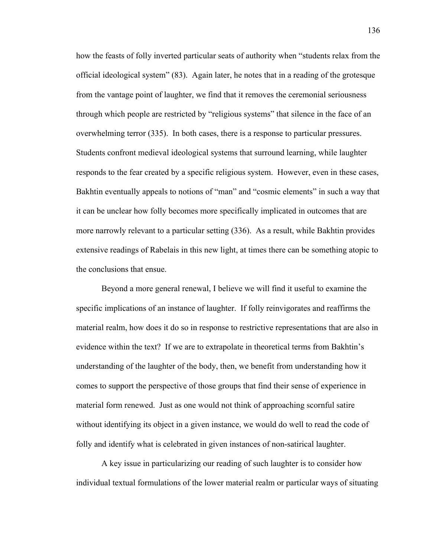how the feasts of folly inverted particular seats of authority when "students relax from the official ideological system" (83). Again later, he notes that in a reading of the grotesque from the vantage point of laughter, we find that it removes the ceremonial seriousness through which people are restricted by "religious systems" that silence in the face of an overwhelming terror (335). In both cases, there is a response to particular pressures. Students confront medieval ideological systems that surround learning, while laughter responds to the fear created by a specific religious system. However, even in these cases, Bakhtin eventually appeals to notions of "man" and "cosmic elements" in such a way that it can be unclear how folly becomes more specifically implicated in outcomes that are more narrowly relevant to a particular setting (336). As a result, while Bakhtin provides extensive readings of Rabelais in this new light, at times there can be something atopic to the conclusions that ensue.

Beyond a more general renewal, I believe we will find it useful to examine the specific implications of an instance of laughter. If folly reinvigorates and reaffirms the material realm, how does it do so in response to restrictive representations that are also in evidence within the text? If we are to extrapolate in theoretical terms from Bakhtin's understanding of the laughter of the body, then, we benefit from understanding how it comes to support the perspective of those groups that find their sense of experience in material form renewed. Just as one would not think of approaching scornful satire without identifying its object in a given instance, we would do well to read the code of folly and identify what is celebrated in given instances of non-satirical laughter.

A key issue in particularizing our reading of such laughter is to consider how individual textual formulations of the lower material realm or particular ways of situating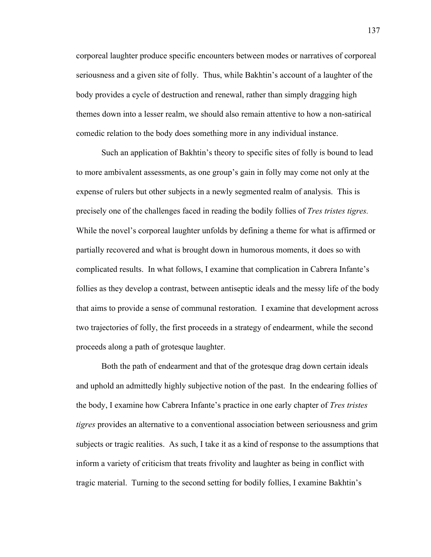corporeal laughter produce specific encounters between modes or narratives of corporeal seriousness and a given site of folly. Thus, while Bakhtin's account of a laughter of the body provides a cycle of destruction and renewal, rather than simply dragging high themes down into a lesser realm, we should also remain attentive to how a non-satirical comedic relation to the body does something more in any individual instance.

Such an application of Bakhtin's theory to specific sites of folly is bound to lead to more ambivalent assessments, as one group's gain in folly may come not only at the expense of rulers but other subjects in a newly segmented realm of analysis. This is precisely one of the challenges faced in reading the bodily follies of *Tres tristes tigres.* While the novel's corporeal laughter unfolds by defining a theme for what is affirmed or partially recovered and what is brought down in humorous moments, it does so with complicated results. In what follows, I examine that complication in Cabrera Infante's follies as they develop a contrast, between antiseptic ideals and the messy life of the body that aims to provide a sense of communal restoration. I examine that development across two trajectories of folly, the first proceeds in a strategy of endearment, while the second proceeds along a path of grotesque laughter.

Both the path of endearment and that of the grotesque drag down certain ideals and uphold an admittedly highly subjective notion of the past. In the endearing follies of the body, I examine how Cabrera Infante's practice in one early chapter of *Tres tristes tigres* provides an alternative to a conventional association between seriousness and grim subjects or tragic realities. As such, I take it as a kind of response to the assumptions that inform a variety of criticism that treats frivolity and laughter as being in conflict with tragic material. Turning to the second setting for bodily follies, I examine Bakhtin's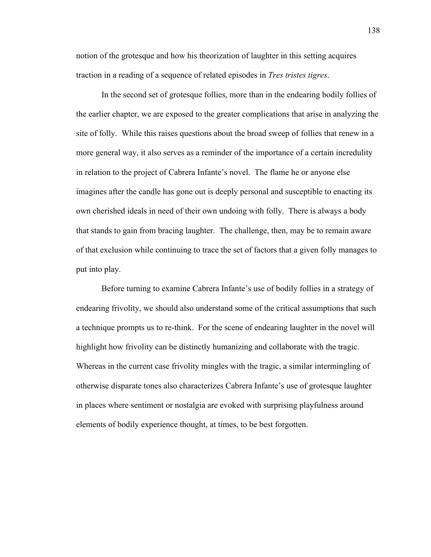notion of the grotesque and how his theorization of laughter in this setting acquires traction in a reading of a sequence of related episodes in *Tres tristes tigres*.

In the second set of grotesque follies, more than in the endearing bodily follies of the earlier chapter, we are exposed to the greater complications that arise in analyzing the site of folly. While this raises questions about the broad sweep of follies that renew in a more general way, it also serves as a reminder of the importance of a certain incredulity in relation to the project of Cabrera Infante's novel. The flame he or anyone else imagines after the candle has gone out is deeply personal and susceptible to enacting its own cherished ideals in need of their own undoing with folly. There is always a body that stands to gain from bracing laughter. The challenge, then, may be to remain aware of that exclusion while continuing to trace the set of factors that a given folly manages to put into play.

Before turning to examine Cabrera Infante's use of bodily follies in a strategy of endearing frivolity, we should also understand some of the critical assumptions that such a technique prompts us to re-think. For the scene of endearing laughter in the novel will highlight how frivolity can be distinctly humanizing and collaborate with the tragic. Whereas in the current case frivolity mingles with the tragic, a similar intermingling of otherwise disparate tones also characterizes Cabrera Infante's use of grotesque laughter in places where sentiment or nostalgia are evoked with surprising playfulness around elements of bodily experience thought, at times, to be best forgotten.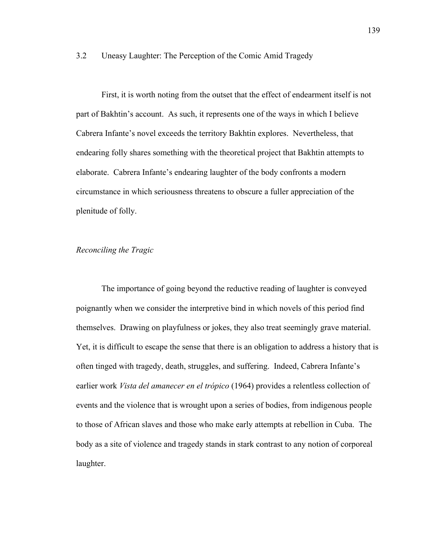## 3.2 Uneasy Laughter: The Perception of the Comic Amid Tragedy

First, it is worth noting from the outset that the effect of endearment itself is not part of Bakhtin's account. As such, it represents one of the ways in which I believe Cabrera Infante's novel exceeds the territory Bakhtin explores. Nevertheless, that endearing folly shares something with the theoretical project that Bakhtin attempts to elaborate. Cabrera Infante's endearing laughter of the body confronts a modern circumstance in which seriousness threatens to obscure a fuller appreciation of the plenitude of folly.

## *Reconciling the Tragic*

The importance of going beyond the reductive reading of laughter is conveyed poignantly when we consider the interpretive bind in which novels of this period find themselves. Drawing on playfulness or jokes, they also treat seemingly grave material. Yet, it is difficult to escape the sense that there is an obligation to address a history that is often tinged with tragedy, death, struggles, and suffering. Indeed, Cabrera Infante's earlier work *Vista del amanecer en el trópico* (1964) provides a relentless collection of events and the violence that is wrought upon a series of bodies, from indigenous people to those of African slaves and those who make early attempts at rebellion in Cuba. The body as a site of violence and tragedy stands in stark contrast to any notion of corporeal laughter.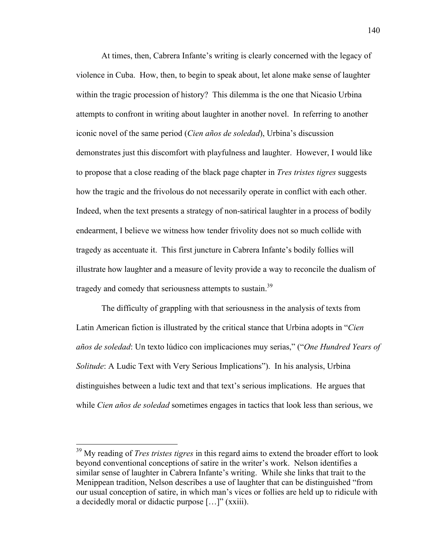At times, then, Cabrera Infante's writing is clearly concerned with the legacy of violence in Cuba. How, then, to begin to speak about, let alone make sense of laughter within the tragic procession of history? This dilemma is the one that Nicasio Urbina attempts to confront in writing about laughter in another novel. In referring to another iconic novel of the same period (*Cien años de soledad*), Urbina's discussion demonstrates just this discomfort with playfulness and laughter. However, I would like to propose that a close reading of the black page chapter in *Tres tristes tigres* suggests how the tragic and the frivolous do not necessarily operate in conflict with each other. Indeed, when the text presents a strategy of non-satirical laughter in a process of bodily endearment, I believe we witness how tender frivolity does not so much collide with tragedy as accentuate it. This first juncture in Cabrera Infante's bodily follies will illustrate how laughter and a measure of levity provide a way to reconcile the dualism of tragedy and comedy that seriousness attempts to sustain.<sup>39</sup>

The difficulty of grappling with that seriousness in the analysis of texts from Latin American fiction is illustrated by the critical stance that Urbina adopts in "*Cien años de soledad*: Un texto lúdico con implicaciones muy serias," ("*One Hundred Years of Solitude*: A Ludic Text with Very Serious Implications"). In his analysis, Urbina distinguishes between a ludic text and that text's serious implications. He argues that while *Cien años de soledad* sometimes engages in tactics that look less than serious, we

 <sup>39</sup> My reading of *Tres tristes tigres* in this regard aims to extend the broader effort to look beyond conventional conceptions of satire in the writer's work. Nelson identifies a similar sense of laughter in Cabrera Infante's writing. While she links that trait to the Menippean tradition, Nelson describes a use of laughter that can be distinguished "from our usual conception of satire, in which man's vices or follies are held up to ridicule with a decidedly moral or didactic purpose […]" (xxiii).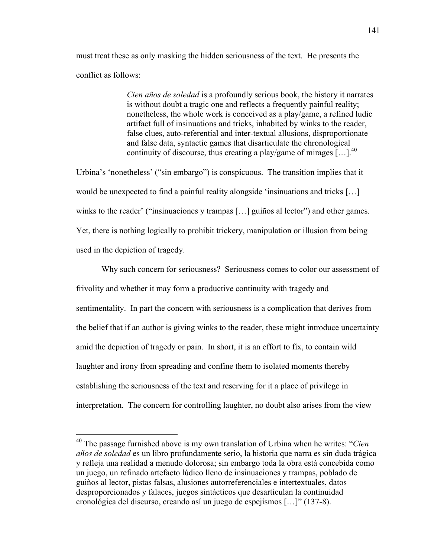must treat these as only masking the hidden seriousness of the text. He presents the conflict as follows:

> *Cien años de soledad* is a profoundly serious book, the history it narrates is without doubt a tragic one and reflects a frequently painful reality; nonetheless, the whole work is conceived as a play/game, a refined ludic artifact full of insinuations and tricks, inhabited by winks to the reader, false clues, auto-referential and inter-textual allusions, disproportionate and false data, syntactic games that disarticulate the chronological continuity of discourse, thus creating a play/game of mirages  $[...]$ <sup>40</sup>

Urbina's 'nonetheless' ("sin embargo") is conspicuous. The transition implies that it would be unexpected to find a painful reality alongside 'insinuations and tricks […] winks to the reader' ("insinuaciones y trampas […] guiños al lector") and other games. Yet, there is nothing logically to prohibit trickery, manipulation or illusion from being used in the depiction of tragedy.

Why such concern for seriousness? Seriousness comes to color our assessment of frivolity and whether it may form a productive continuity with tragedy and sentimentality. In part the concern with seriousness is a complication that derives from the belief that if an author is giving winks to the reader, these might introduce uncertainty amid the depiction of tragedy or pain. In short, it is an effort to fix, to contain wild laughter and irony from spreading and confine them to isolated moments thereby establishing the seriousness of the text and reserving for it a place of privilege in interpretation. The concern for controlling laughter, no doubt also arises from the view

 <sup>40</sup> The passage furnished above is my own translation of Urbina when he writes: "*Cien años de soledad* es un libro profundamente serio, la historia que narra es sin duda trágica y refleja una realidad a menudo dolorosa; sin embargo toda la obra está concebida como un juego, un refinado artefacto lúdico lleno de insinuaciones y trampas, poblado de guiños al lector, pistas falsas, alusiones autorreferenciales e intertextuales, datos desproporcionados y falaces, juegos sintácticos que desarticulan la continuidad cronológica del discurso, creando así un juego de espejísmos […]" (137-8).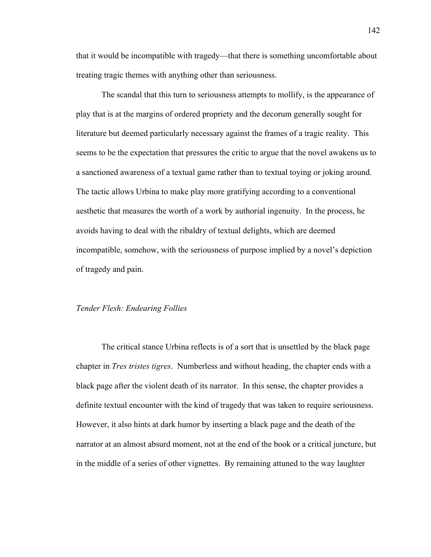that it would be incompatible with tragedy—that there is something uncomfortable about treating tragic themes with anything other than seriousness.

The scandal that this turn to seriousness attempts to mollify, is the appearance of play that is at the margins of ordered propriety and the decorum generally sought for literature but deemed particularly necessary against the frames of a tragic reality. This seems to be the expectation that pressures the critic to argue that the novel awakens us to a sanctioned awareness of a textual game rather than to textual toying or joking around. The tactic allows Urbina to make play more gratifying according to a conventional aesthetic that measures the worth of a work by authorial ingenuity. In the process, he avoids having to deal with the ribaldry of textual delights, which are deemed incompatible, somehow, with the seriousness of purpose implied by a novel's depiction of tragedy and pain.

#### *Tender Flesh: Endearing Follies*

The critical stance Urbina reflects is of a sort that is unsettled by the black page chapter in *Tres tristes tigres*. Numberless and without heading, the chapter ends with a black page after the violent death of its narrator. In this sense, the chapter provides a definite textual encounter with the kind of tragedy that was taken to require seriousness. However, it also hints at dark humor by inserting a black page and the death of the narrator at an almost absurd moment, not at the end of the book or a critical juncture, but in the middle of a series of other vignettes. By remaining attuned to the way laughter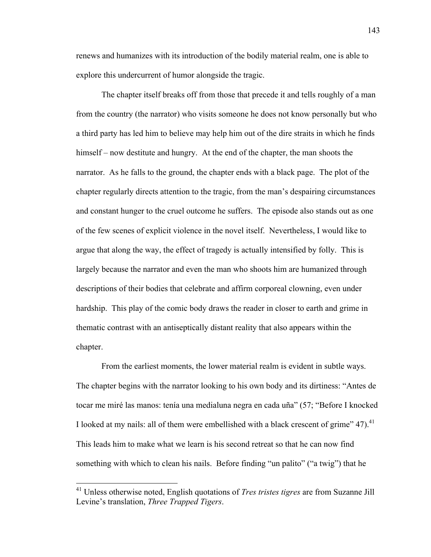renews and humanizes with its introduction of the bodily material realm, one is able to explore this undercurrent of humor alongside the tragic.

The chapter itself breaks off from those that precede it and tells roughly of a man from the country (the narrator) who visits someone he does not know personally but who a third party has led him to believe may help him out of the dire straits in which he finds himself – now destitute and hungry. At the end of the chapter, the man shoots the narrator. As he falls to the ground, the chapter ends with a black page. The plot of the chapter regularly directs attention to the tragic, from the man's despairing circumstances and constant hunger to the cruel outcome he suffers. The episode also stands out as one of the few scenes of explicit violence in the novel itself. Nevertheless, I would like to argue that along the way, the effect of tragedy is actually intensified by folly. This is largely because the narrator and even the man who shoots him are humanized through descriptions of their bodies that celebrate and affirm corporeal clowning, even under hardship. This play of the comic body draws the reader in closer to earth and grime in thematic contrast with an antiseptically distant reality that also appears within the chapter.

From the earliest moments, the lower material realm is evident in subtle ways. The chapter begins with the narrator looking to his own body and its dirtiness: "Antes de tocar me miré las manos: tenía una medialuna negra en cada uña" (57; "Before I knocked I looked at my nails: all of them were embellished with a black crescent of grime"  $47$ ).<sup>41</sup> This leads him to make what we learn is his second retreat so that he can now find something with which to clean his nails. Before finding "un palito" ("a twig") that he

 <sup>41</sup> Unless otherwise noted, English quotations of *Tres tristes tigres* are from Suzanne Jill Levine's translation, *Three Trapped Tigers*.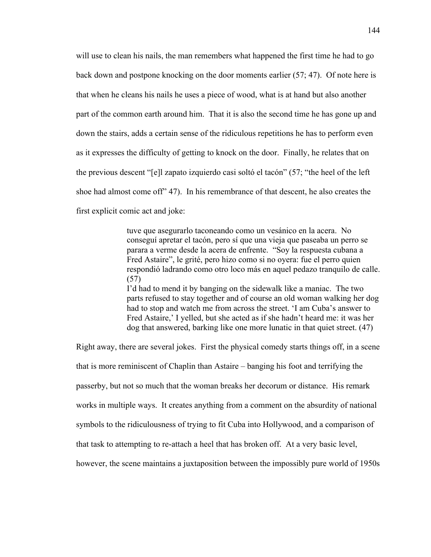will use to clean his nails, the man remembers what happened the first time he had to go back down and postpone knocking on the door moments earlier (57; 47). Of note here is that when he cleans his nails he uses a piece of wood, what is at hand but also another part of the common earth around him. That it is also the second time he has gone up and down the stairs, adds a certain sense of the ridiculous repetitions he has to perform even as it expresses the difficulty of getting to knock on the door. Finally, he relates that on the previous descent "[e]l zapato izquierdo casi soltó el tacón" (57; "the heel of the left shoe had almost come off" 47). In his remembrance of that descent, he also creates the first explicit comic act and joke:

> tuve que asegurarlo taconeando como un vesánico en la acera. No conseguí apretar el tacón, pero sí que una vieja que paseaba un perro se parara a verme desde la acera de enfrente. "Soy la respuesta cubana a Fred Astaire", le grité, pero hizo como si no oyera: fue el perro quien respondió ladrando como otro loco más en aquel pedazo tranquilo de calle. (57) I'd had to mend it by banging on the sidewalk like a maniac. The two

> parts refused to stay together and of course an old woman walking her dog had to stop and watch me from across the street. 'I am Cuba's answer to Fred Astaire,' I yelled, but she acted as if she hadn't heard me: it was her dog that answered, barking like one more lunatic in that quiet street. (47)

Right away, there are several jokes. First the physical comedy starts things off, in a scene that is more reminiscent of Chaplin than Astaire – banging his foot and terrifying the passerby, but not so much that the woman breaks her decorum or distance. His remark works in multiple ways. It creates anything from a comment on the absurdity of national symbols to the ridiculousness of trying to fit Cuba into Hollywood, and a comparison of that task to attempting to re-attach a heel that has broken off. At a very basic level, however, the scene maintains a juxtaposition between the impossibly pure world of 1950s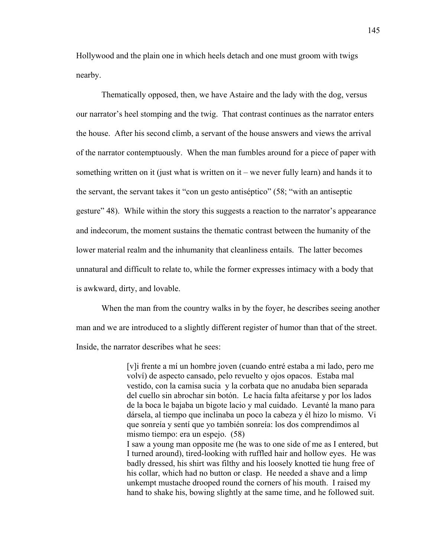Hollywood and the plain one in which heels detach and one must groom with twigs nearby.

Thematically opposed, then, we have Astaire and the lady with the dog, versus our narrator's heel stomping and the twig. That contrast continues as the narrator enters the house. After his second climb, a servant of the house answers and views the arrival of the narrator contemptuously. When the man fumbles around for a piece of paper with something written on it (just what is written on it – we never fully learn) and hands it to the servant, the servant takes it "con un gesto antiséptico" (58; "with an antiseptic gesture" 48). While within the story this suggests a reaction to the narrator's appearance and indecorum, the moment sustains the thematic contrast between the humanity of the lower material realm and the inhumanity that cleanliness entails. The latter becomes unnatural and difficult to relate to, while the former expresses intimacy with a body that is awkward, dirty, and lovable.

When the man from the country walks in by the foyer, he describes seeing another man and we are introduced to a slightly different register of humor than that of the street. Inside, the narrator describes what he sees:

> [v]i frente a mí un hombre joven (cuando entré estaba a mi lado, pero me volví) de aspecto cansado, pelo revuelto y ojos opacos. Estaba mal vestido, con la camisa sucia y la corbata que no anudaba bien separada del cuello sin abrochar sin botón. Le hacía falta afeitarse y por los lados de la boca le bajaba un bigote lacio y mal cuidado. Levanté la mano para dársela, al tiempo que inclinaba un poco la cabeza y él hizo lo mismo. Vi que sonreía y sentí que yo también sonreía: los dos comprendimos al mismo tiempo: era un espejo. (58) I saw a young man opposite me (he was to one side of me as I entered, but I turned around), tired-looking with ruffled hair and hollow eyes. He was badly dressed, his shirt was filthy and his loosely knotted tie hung free of his collar, which had no button or clasp. He needed a shave and a limp unkempt mustache drooped round the corners of his mouth. I raised my hand to shake his, bowing slightly at the same time, and he followed suit.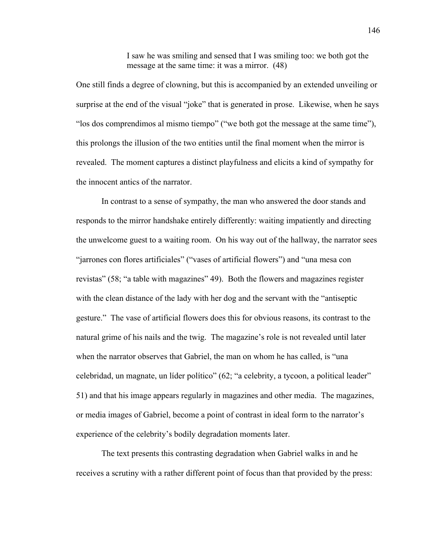I saw he was smiling and sensed that I was smiling too: we both got the message at the same time: it was a mirror. (48)

One still finds a degree of clowning, but this is accompanied by an extended unveiling or surprise at the end of the visual "joke" that is generated in prose. Likewise, when he says "los dos comprendimos al mismo tiempo" ("we both got the message at the same time"), this prolongs the illusion of the two entities until the final moment when the mirror is revealed. The moment captures a distinct playfulness and elicits a kind of sympathy for the innocent antics of the narrator.

In contrast to a sense of sympathy, the man who answered the door stands and responds to the mirror handshake entirely differently: waiting impatiently and directing the unwelcome guest to a waiting room. On his way out of the hallway, the narrator sees "jarrones con flores artificiales" ("vases of artificial flowers") and "una mesa con revistas" (58; "a table with magazines" 49). Both the flowers and magazines register with the clean distance of the lady with her dog and the servant with the "antiseptic gesture." The vase of artificial flowers does this for obvious reasons, its contrast to the natural grime of his nails and the twig. The magazine's role is not revealed until later when the narrator observes that Gabriel, the man on whom he has called, is "una celebridad, un magnate, un líder político" (62; "a celebrity, a tycoon, a political leader" 51) and that his image appears regularly in magazines and other media. The magazines, or media images of Gabriel, become a point of contrast in ideal form to the narrator's experience of the celebrity's bodily degradation moments later.

The text presents this contrasting degradation when Gabriel walks in and he receives a scrutiny with a rather different point of focus than that provided by the press: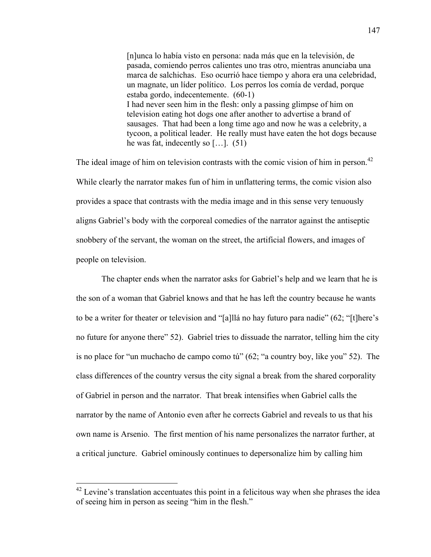[n]unca lo había visto en persona: nada más que en la televisión, de pasada, comiendo perros calientes uno tras otro, mientras anunciaba una marca de salchichas. Eso ocurrió hace tiempo y ahora era una celebridad, un magnate, un líder político. Los perros los comía de verdad, porque estaba gordo, indecentemente. (60-1) I had never seen him in the flesh: only a passing glimpse of him on television eating hot dogs one after another to advertise a brand of sausages. That had been a long time ago and now he was a celebrity, a tycoon, a political leader. He really must have eaten the hot dogs because he was fat, indecently so […]. (51)

The ideal image of him on television contrasts with the comic vision of him in person.<sup>42</sup> While clearly the narrator makes fun of him in unflattering terms, the comic vision also provides a space that contrasts with the media image and in this sense very tenuously aligns Gabriel's body with the corporeal comedies of the narrator against the antiseptic snobbery of the servant, the woman on the street, the artificial flowers, and images of people on television.

The chapter ends when the narrator asks for Gabriel's help and we learn that he is the son of a woman that Gabriel knows and that he has left the country because he wants to be a writer for theater or television and "[a]llá no hay futuro para nadie" (62; "[t]here's no future for anyone there" 52). Gabriel tries to dissuade the narrator, telling him the city is no place for "un muchacho de campo como tú" (62; "a country boy, like you" 52). The class differences of the country versus the city signal a break from the shared corporality of Gabriel in person and the narrator. That break intensifies when Gabriel calls the narrator by the name of Antonio even after he corrects Gabriel and reveals to us that his own name is Arsenio. The first mention of his name personalizes the narrator further, at a critical juncture. Gabriel ominously continues to depersonalize him by calling him

 $42$  Levine's translation accentuates this point in a felicitous way when she phrases the idea of seeing him in person as seeing "him in the flesh."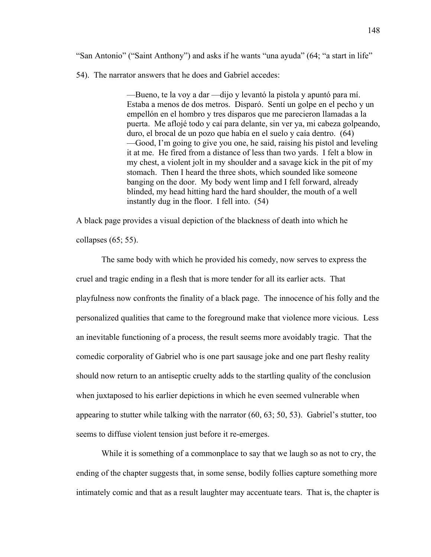"San Antonio" ("Saint Anthony") and asks if he wants "una ayuda" (64; "a start in life"

54). The narrator answers that he does and Gabriel accedes:

—Bueno, te la voy a dar —dijo y levantó la pistola y apuntó para mí. Estaba a menos de dos metros. Disparó. Sentí un golpe en el pecho y un empellón en el hombro y tres disparos que me parecieron llamadas a la puerta. Me aflojé todo y caí para delante, sin ver ya, mi cabeza golpeando, duro, el brocal de un pozo que había en el suelo y caía dentro. (64) —Good, I'm going to give you one, he said, raising his pistol and leveling it at me. He fired from a distance of less than two yards. I felt a blow in my chest, a violent jolt in my shoulder and a savage kick in the pit of my stomach. Then I heard the three shots, which sounded like someone banging on the door. My body went limp and I fell forward, already blinded, my head hitting hard the hard shoulder, the mouth of a well instantly dug in the floor. I fell into. (54)

A black page provides a visual depiction of the blackness of death into which he collapses (65; 55).

The same body with which he provided his comedy, now serves to express the cruel and tragic ending in a flesh that is more tender for all its earlier acts. That playfulness now confronts the finality of a black page. The innocence of his folly and the personalized qualities that came to the foreground make that violence more vicious. Less an inevitable functioning of a process, the result seems more avoidably tragic. That the comedic corporality of Gabriel who is one part sausage joke and one part fleshy reality should now return to an antiseptic cruelty adds to the startling quality of the conclusion when juxtaposed to his earlier depictions in which he even seemed vulnerable when appearing to stutter while talking with the narrator (60, 63; 50, 53). Gabriel's stutter, too seems to diffuse violent tension just before it re-emerges.

While it is something of a commonplace to say that we laugh so as not to cry, the ending of the chapter suggests that, in some sense, bodily follies capture something more intimately comic and that as a result laughter may accentuate tears. That is, the chapter is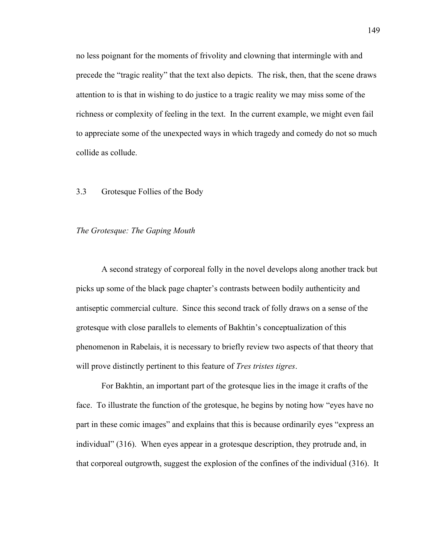no less poignant for the moments of frivolity and clowning that intermingle with and precede the "tragic reality" that the text also depicts. The risk, then, that the scene draws attention to is that in wishing to do justice to a tragic reality we may miss some of the richness or complexity of feeling in the text. In the current example, we might even fail to appreciate some of the unexpected ways in which tragedy and comedy do not so much collide as collude.

## 3.3 Grotesque Follies of the Body

## *The Grotesque: The Gaping Mouth*

A second strategy of corporeal folly in the novel develops along another track but picks up some of the black page chapter's contrasts between bodily authenticity and antiseptic commercial culture. Since this second track of folly draws on a sense of the grotesque with close parallels to elements of Bakhtin's conceptualization of this phenomenon in Rabelais, it is necessary to briefly review two aspects of that theory that will prove distinctly pertinent to this feature of *Tres tristes tigres*.

For Bakhtin, an important part of the grotesque lies in the image it crafts of the face. To illustrate the function of the grotesque, he begins by noting how "eyes have no part in these comic images" and explains that this is because ordinarily eyes "express an individual" (316). When eyes appear in a grotesque description, they protrude and, in that corporeal outgrowth, suggest the explosion of the confines of the individual (316). It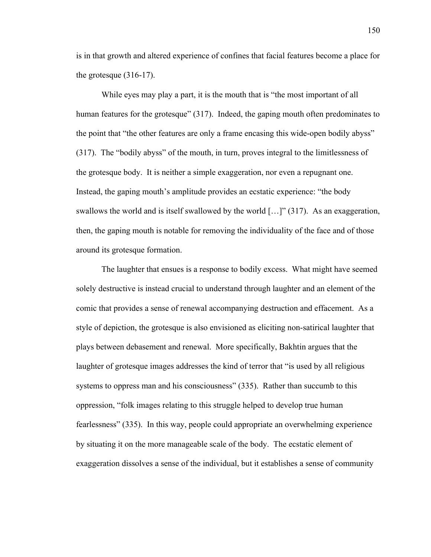is in that growth and altered experience of confines that facial features become a place for the grotesque (316-17).

While eyes may play a part, it is the mouth that is "the most important of all human features for the grotesque" (317). Indeed, the gaping mouth often predominates to the point that "the other features are only a frame encasing this wide-open bodily abyss" (317). The "bodily abyss" of the mouth, in turn, proves integral to the limitlessness of the grotesque body. It is neither a simple exaggeration, nor even a repugnant one. Instead, the gaping mouth's amplitude provides an ecstatic experience: "the body swallows the world and is itself swallowed by the world […]" (317). As an exaggeration, then, the gaping mouth is notable for removing the individuality of the face and of those around its grotesque formation.

The laughter that ensues is a response to bodily excess. What might have seemed solely destructive is instead crucial to understand through laughter and an element of the comic that provides a sense of renewal accompanying destruction and effacement. As a style of depiction, the grotesque is also envisioned as eliciting non-satirical laughter that plays between debasement and renewal. More specifically, Bakhtin argues that the laughter of grotesque images addresses the kind of terror that "is used by all religious systems to oppress man and his consciousness" (335). Rather than succumb to this oppression, "folk images relating to this struggle helped to develop true human fearlessness" (335). In this way, people could appropriate an overwhelming experience by situating it on the more manageable scale of the body. The ecstatic element of exaggeration dissolves a sense of the individual, but it establishes a sense of community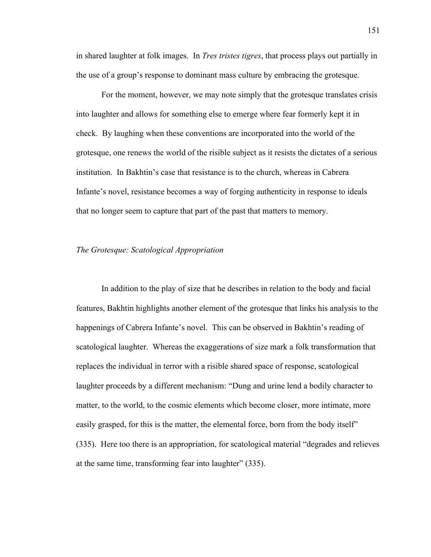in shared laughter at folk images. In *Tres tristes tigres*, that process plays out partially in the use of a group's response to dominant mass culture by embracing the grotesque.

For the moment, however, we may note simply that the grotesque translates crisis into laughter and allows for something else to emerge where fear formerly kept it in check. By laughing when these conventions are incorporated into the world of the grotesque, one renews the world of the risible subject as it resists the dictates of a serious institution. In Bakhtin's case that resistance is to the church, whereas in Cabrera Infante's novel, resistance becomes a way of forging authenticity in response to ideals that no longer seem to capture that part of the past that matters to memory.

# *The Grotesque: Scatological Appropriation*

In addition to the play of size that he describes in relation to the body and facial features, Bakhtin highlights another element of the grotesque that links his analysis to the happenings of Cabrera Infante's novel. This can be observed in Bakhtin's reading of scatological laughter. Whereas the exaggerations of size mark a folk transformation that replaces the individual in terror with a risible shared space of response, scatological laughter proceeds by a different mechanism: "Dung and urine lend a bodily character to matter, to the world, to the cosmic elements which become closer, more intimate, more easily grasped, for this is the matter, the elemental force, born from the body itself" (335). Here too there is an appropriation, for scatological material "degrades and relieves at the same time, transforming fear into laughter" (335).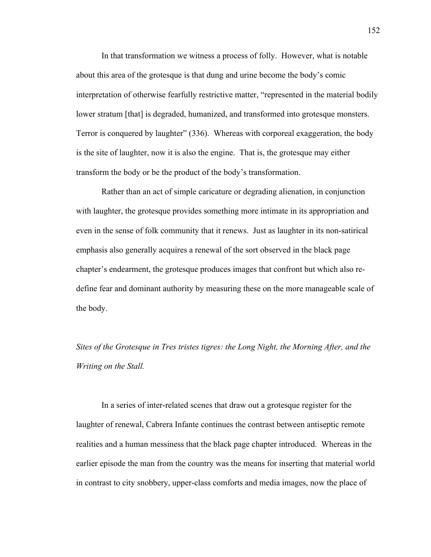In that transformation we witness a process of folly. However, what is notable about this area of the grotesque is that dung and urine become the body's comic interpretation of otherwise fearfully restrictive matter, "represented in the material bodily lower stratum [that] is degraded, humanized, and transformed into grotesque monsters. Terror is conquered by laughter" (336). Whereas with corporeal exaggeration, the body is the site of laughter, now it is also the engine. That is, the grotesque may either transform the body or be the product of the body's transformation.

Rather than an act of simple caricature or degrading alienation, in conjunction with laughter, the grotesque provides something more intimate in its appropriation and even in the sense of folk community that it renews. Just as laughter in its non-satirical emphasis also generally acquires a renewal of the sort observed in the black page chapter's endearment, the grotesque produces images that confront but which also redefine fear and dominant authority by measuring these on the more manageable scale of the body.

*Sites of the Grotesque in Tres tristes tigres: the Long Night, the Morning After, and the Writing on the Stall.*

In a series of inter-related scenes that draw out a grotesque register for the laughter of renewal, Cabrera Infante continues the contrast between antiseptic remote realities and a human messiness that the black page chapter introduced. Whereas in the earlier episode the man from the country was the means for inserting that material world in contrast to city snobbery, upper-class comforts and media images, now the place of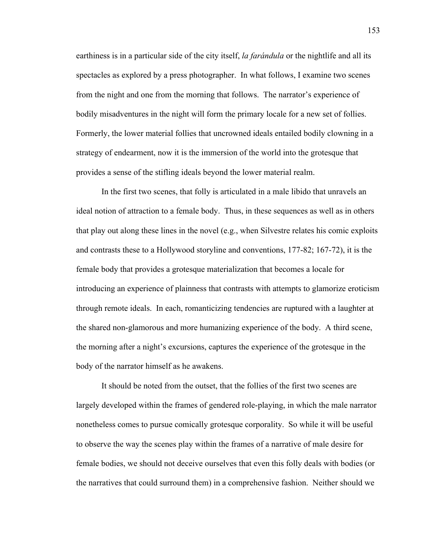earthiness is in a particular side of the city itself, *la farándula* or the nightlife and all its spectacles as explored by a press photographer. In what follows, I examine two scenes from the night and one from the morning that follows. The narrator's experience of bodily misadventures in the night will form the primary locale for a new set of follies. Formerly, the lower material follies that uncrowned ideals entailed bodily clowning in a strategy of endearment, now it is the immersion of the world into the grotesque that provides a sense of the stifling ideals beyond the lower material realm.

In the first two scenes, that folly is articulated in a male libido that unravels an ideal notion of attraction to a female body. Thus, in these sequences as well as in others that play out along these lines in the novel (e.g., when Silvestre relates his comic exploits and contrasts these to a Hollywood storyline and conventions, 177-82; 167-72), it is the female body that provides a grotesque materialization that becomes a locale for introducing an experience of plainness that contrasts with attempts to glamorize eroticism through remote ideals. In each, romanticizing tendencies are ruptured with a laughter at the shared non-glamorous and more humanizing experience of the body. A third scene, the morning after a night's excursions, captures the experience of the grotesque in the body of the narrator himself as he awakens.

It should be noted from the outset, that the follies of the first two scenes are largely developed within the frames of gendered role-playing, in which the male narrator nonetheless comes to pursue comically grotesque corporality. So while it will be useful to observe the way the scenes play within the frames of a narrative of male desire for female bodies, we should not deceive ourselves that even this folly deals with bodies (or the narratives that could surround them) in a comprehensive fashion. Neither should we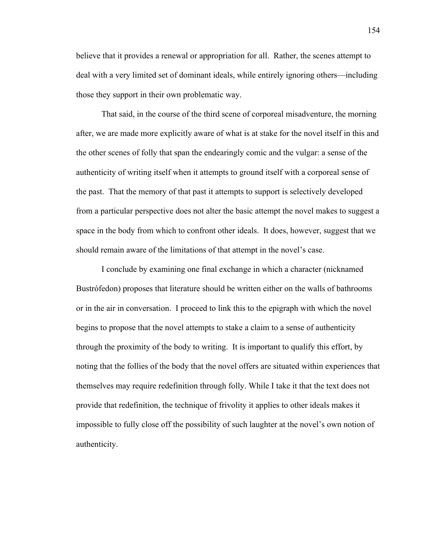believe that it provides a renewal or appropriation for all. Rather, the scenes attempt to deal with a very limited set of dominant ideals, while entirely ignoring others—including those they support in their own problematic way.

That said, in the course of the third scene of corporeal misadventure, the morning after, we are made more explicitly aware of what is at stake for the novel itself in this and the other scenes of folly that span the endearingly comic and the vulgar: a sense of the authenticity of writing itself when it attempts to ground itself with a corporeal sense of the past. That the memory of that past it attempts to support is selectively developed from a particular perspective does not alter the basic attempt the novel makes to suggest a space in the body from which to confront other ideals. It does, however, suggest that we should remain aware of the limitations of that attempt in the novel's case.

I conclude by examining one final exchange in which a character (nicknamed Bustrófedon) proposes that literature should be written either on the walls of bathrooms or in the air in conversation. I proceed to link this to the epigraph with which the novel begins to propose that the novel attempts to stake a claim to a sense of authenticity through the proximity of the body to writing. It is important to qualify this effort, by noting that the follies of the body that the novel offers are situated within experiences that themselves may require redefinition through folly. While I take it that the text does not provide that redefinition, the technique of frivolity it applies to other ideals makes it impossible to fully close off the possibility of such laughter at the novel's own notion of authenticity.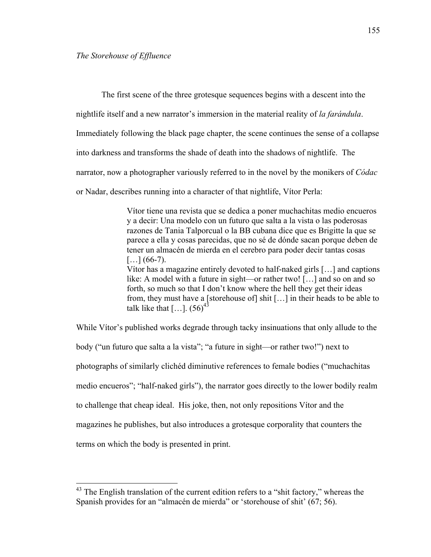The first scene of the three grotesque sequences begins with a descent into the

nightlife itself and a new narrator's immersion in the material reality of *la farándula*.

Immediately following the black page chapter, the scene continues the sense of a collapse

into darkness and transforms the shade of death into the shadows of nightlife. The

narrator, now a photographer variously referred to in the novel by the monikers of *Códac*

or Nadar, describes running into a character of that nightlife, Vítor Perla:

Vítor tiene una revista que se dedica a poner muchachitas medio encueros y a decir: Una modelo con un futuro que salta a la vista o las poderosas razones de Tania Talporcual o la BB cubana dice que es Brigitte la que se parece a ella y cosas parecidas, que no sé de dónde sacan porque deben de tener un almacén de mierda en el cerebro para poder decir tantas cosas  $[\dots]$  (66-7). Vítor has a magazine entirely devoted to half-naked girls […] and captions like: A model with a future in sight—or rather two! […] and so on and so forth, so much so that I don't know where the hell they get their ideas from, they must have a [storehouse of] shit […] in their heads to be able to talk like that  $[\dots]$ . (56)<sup>43</sup>

While Vítor's published works degrade through tacky insinuations that only allude to the body ("un futuro que salta a la vista"; "a future in sight—or rather two!") next to photographs of similarly clichéd diminutive references to female bodies ("muchachitas medio encueros"; "half-naked girls"), the narrator goes directly to the lower bodily realm to challenge that cheap ideal. His joke, then, not only repositions Vítor and the magazines he publishes, but also introduces a grotesque corporality that counters the terms on which the body is presented in print.

<sup>&</sup>lt;sup>43</sup> The English translation of the current edition refers to a "shit factory," whereas the Spanish provides for an "almacén de mierda" or 'storehouse of shit' (67; 56).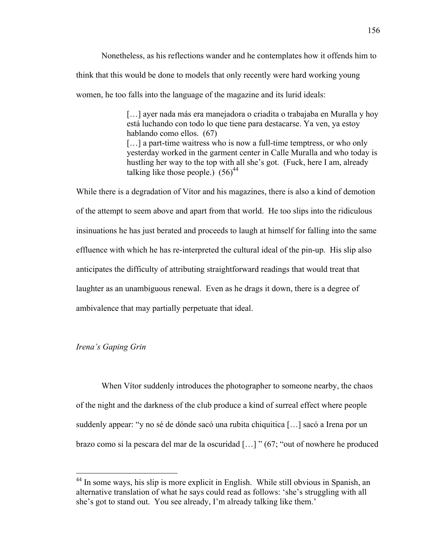Nonetheless, as his reflections wander and he contemplates how it offends him to think that this would be done to models that only recently were hard working young women, he too falls into the language of the magazine and its lurid ideals:

> [...] ayer nada más era manejadora o criadita o trabajaba en Muralla y hoy está luchando con todo lo que tiene para destacarse. Ya ven, ya estoy hablando como ellos. (67) [...] a part-time waitress who is now a full-time temptress, or who only yesterday worked in the garment center in Calle Muralla and who today is hustling her way to the top with all she's got. (Fuck, here I am, already talking like those people.)  $(56)^{44}$

While there is a degradation of Vítor and his magazines, there is also a kind of demotion of the attempt to seem above and apart from that world. He too slips into the ridiculous insinuations he has just berated and proceeds to laugh at himself for falling into the same effluence with which he has re-interpreted the cultural ideal of the pin-up. His slip also anticipates the difficulty of attributing straightforward readings that would treat that laughter as an unambiguous renewal. Even as he drags it down, there is a degree of ambivalence that may partially perpetuate that ideal.

## *Irena's Gaping Grin*

When Vítor suddenly introduces the photographer to someone nearby, the chaos of the night and the darkness of the club produce a kind of surreal effect where people suddenly appear: "y no sé de dónde sacó una rubita chiquitica […] sacó a Irena por un brazo como si la pescara del mar de la oscuridad […] " (67; "out of nowhere he produced

 <sup>44</sup> In some ways, his slip is more explicit in English. While still obvious in Spanish, an alternative translation of what he says could read as follows: 'she's struggling with all she's got to stand out. You see already, I'm already talking like them.'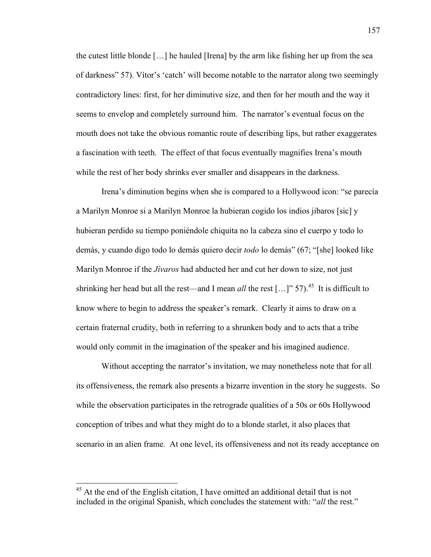the cutest little blonde […] he hauled [Irena] by the arm like fishing her up from the sea of darkness" 57). Vítor's 'catch' will become notable to the narrator along two seemingly contradictory lines: first, for her diminutive size, and then for her mouth and the way it seems to envelop and completely surround him. The narrator's eventual focus on the mouth does not take the obvious romantic route of describing lips, but rather exaggerates a fascination with teeth. The effect of that focus eventually magnifies Irena's mouth while the rest of her body shrinks ever smaller and disappears in the darkness.

Irena's diminution begins when she is compared to a Hollywood icon: "se parecía a Marilyn Monroe si a Marilyn Monroe la hubieran cogido los indios jibaros [sic] y hubieran perdido su tiempo poniéndole chiquita no la cabeza sino el cuerpo y todo lo demás, y cuando digo todo lo demás quiero decir *todo* lo demás" (67; "[she] looked like Marilyn Monroe if the *Jívaros* had abducted her and cut her down to size, not just shrinking her head but all the rest—and I mean *all* the rest [...]" 57).<sup>45</sup> It is difficult to know where to begin to address the speaker's remark. Clearly it aims to draw on a certain fraternal crudity, both in referring to a shrunken body and to acts that a tribe would only commit in the imagination of the speaker and his imagined audience.

Without accepting the narrator's invitation, we may nonetheless note that for all its offensiveness, the remark also presents a bizarre invention in the story he suggests. So while the observation participates in the retrograde qualities of a 50s or 60s Hollywood conception of tribes and what they might do to a blonde starlet, it also places that scenario in an alien frame. At one level, its offensiveness and not its ready acceptance on

 $45$  At the end of the English citation. I have omitted an additional detail that is not included in the original Spanish, which concludes the statement with: "*all* the rest."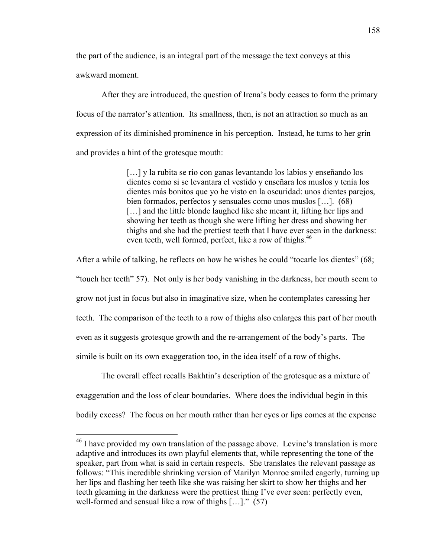the part of the audience, is an integral part of the message the text conveys at this awkward moment.

After they are introduced, the question of Irena's body ceases to form the primary focus of the narrator's attention. Its smallness, then, is not an attraction so much as an expression of its diminished prominence in his perception. Instead, he turns to her grin and provides a hint of the grotesque mouth:

> […] y la rubita se río con ganas levantando los labios y enseñando los dientes como si se levantara el vestido y enseñara los muslos y tenía los dientes más bonitos que yo he visto en la oscuridad: unos dientes parejos, bien formados, perfectos y sensuales como unos muslos […]. (68) [...] and the little blonde laughed like she meant it, lifting her lips and showing her teeth as though she were lifting her dress and showing her thighs and she had the prettiest teeth that I have ever seen in the darkness: even teeth, well formed, perfect, like a row of thighs.<sup>46</sup>

After a while of talking, he reflects on how he wishes he could "tocarle los dientes" (68; "touch her teeth" 57). Not only is her body vanishing in the darkness, her mouth seem to grow not just in focus but also in imaginative size, when he contemplates caressing her teeth. The comparison of the teeth to a row of thighs also enlarges this part of her mouth even as it suggests grotesque growth and the re-arrangement of the body's parts. The simile is built on its own exaggeration too, in the idea itself of a row of thighs.

The overall effect recalls Bakhtin's description of the grotesque as a mixture of exaggeration and the loss of clear boundaries. Where does the individual begin in this bodily excess? The focus on her mouth rather than her eyes or lips comes at the expense

 $^{46}$  I have provided my own translation of the passage above. Levine's translation is more adaptive and introduces its own playful elements that, while representing the tone of the speaker, part from what is said in certain respects. She translates the relevant passage as follows: "This incredible shrinking version of Marilyn Monroe smiled eagerly, turning up her lips and flashing her teeth like she was raising her skirt to show her thighs and her teeth gleaming in the darkness were the prettiest thing I've ever seen: perfectly even, well-formed and sensual like a row of thighs […]." (57)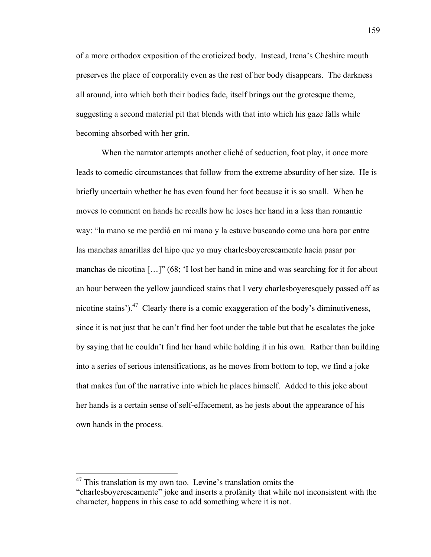of a more orthodox exposition of the eroticized body. Instead, Irena's Cheshire mouth preserves the place of corporality even as the rest of her body disappears. The darkness all around, into which both their bodies fade, itself brings out the grotesque theme, suggesting a second material pit that blends with that into which his gaze falls while becoming absorbed with her grin.

When the narrator attempts another cliché of seduction, foot play, it once more leads to comedic circumstances that follow from the extreme absurdity of her size. He is briefly uncertain whether he has even found her foot because it is so small. When he moves to comment on hands he recalls how he loses her hand in a less than romantic way: "la mano se me perdió en mi mano y la estuve buscando como una hora por entre las manchas amarillas del hipo que yo muy charlesboyerescamente hacía pasar por manchas de nicotina […]" (68; 'I lost her hand in mine and was searching for it for about an hour between the yellow jaundiced stains that I very charlesboyeresquely passed off as nicotine stains').47 Clearly there is a comic exaggeration of the body's diminutiveness, since it is not just that he can't find her foot under the table but that he escalates the joke by saying that he couldn't find her hand while holding it in his own. Rather than building into a series of serious intensifications, as he moves from bottom to top, we find a joke that makes fun of the narrative into which he places himself. Added to this joke about her hands is a certain sense of self-effacement, as he jests about the appearance of his own hands in the process.

 $47$  This translation is my own too. Levine's translation omits the

<sup>&</sup>quot;charlesboyerescamente" joke and inserts a profanity that while not inconsistent with the character, happens in this case to add something where it is not.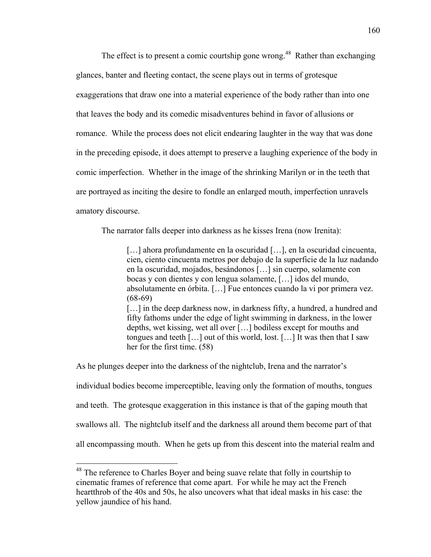The effect is to present a comic courtship gone wrong.<sup>48</sup> Rather than exchanging glances, banter and fleeting contact, the scene plays out in terms of grotesque exaggerations that draw one into a material experience of the body rather than into one that leaves the body and its comedic misadventures behind in favor of allusions or romance. While the process does not elicit endearing laughter in the way that was done in the preceding episode, it does attempt to preserve a laughing experience of the body in comic imperfection. Whether in the image of the shrinking Marilyn or in the teeth that are portrayed as inciting the desire to fondle an enlarged mouth, imperfection unravels amatory discourse.

The narrator falls deeper into darkness as he kisses Irena (now Irenita):

[...] ahora profundamente en la oscuridad [...], en la oscuridad cincuenta, cien, ciento cincuenta metros por debajo de la superficie de la luz nadando en la oscuridad, mojados, besándonos […] sin cuerpo, solamente con bocas y con dientes y con lengua solamente, […] idos del mundo, absolutamente en órbita. […] Fue entonces cuando la vi por primera vez.  $(68-69)$ [...] in the deep darkness now, in darkness fifty, a hundred, a hundred and fifty fathoms under the edge of light swimming in darkness, in the lower depths, wet kissing, wet all over […] bodiless except for mouths and tongues and teeth […] out of this world, lost. […] It was then that I saw her for the first time. (58)

As he plunges deeper into the darkness of the nightclub, Irena and the narrator's individual bodies become imperceptible, leaving only the formation of mouths, tongues and teeth. The grotesque exaggeration in this instance is that of the gaping mouth that swallows all. The nightclub itself and the darkness all around them become part of that all encompassing mouth. When he gets up from this descent into the material realm and

<sup>&</sup>lt;sup>48</sup> The reference to Charles Boyer and being suave relate that folly in courtship to cinematic frames of reference that come apart. For while he may act the French heartthrob of the 40s and 50s, he also uncovers what that ideal masks in his case: the yellow jaundice of his hand.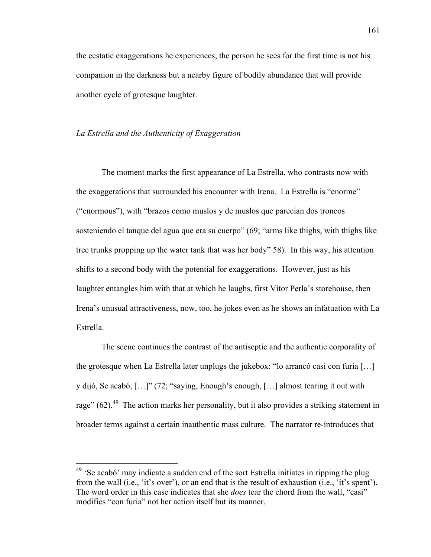the ecstatic exaggerations he experiences, the person he sees for the first time is not his companion in the darkness but a nearby figure of bodily abundance that will provide another cycle of grotesque laughter.

## *La Estrella and the Authenticity of Exaggeration*

The moment marks the first appearance of La Estrella, who contrasts now with the exaggerations that surrounded his encounter with Irena. La Estrella is "enorme" ("enormous"), with "brazos como muslos y de muslos que parecían dos troncos sosteniendo el tanque del agua que era su cuerpo" (69; "arms like thighs, with thighs like tree trunks propping up the water tank that was her body" 58). In this way, his attention shifts to a second body with the potential for exaggerations. However, just as his laughter entangles him with that at which he laughs, first Vítor Perla's storehouse, then Irena's unusual attractiveness, now, too, he jokes even as he shows an infatuation with La Estrella.

The scene continues the contrast of the antiseptic and the authentic corporality of the grotesque when La Estrella later unplugs the jukebox: "lo arrancó casi con furia […] y dijó, Se acabó, […]" (72; "saying, Enough's enough, […] almost tearing it out with rage"  $(62)$ <sup>49</sup>. The action marks her personality, but it also provides a striking statement in broader terms against a certain inauthentic mass culture. The narrator re-introduces that

<sup>&</sup>lt;sup>49</sup> 'Se acabó' may indicate a sudden end of the sort Estrella initiates in ripping the plug from the wall (i.e., 'it's over'), or an end that is the result of exhaustion (i.e., 'it's spent'). The word order in this case indicates that she *does* tear the chord from the wall, "casi" modifies "con furia" not her action itself but its manner.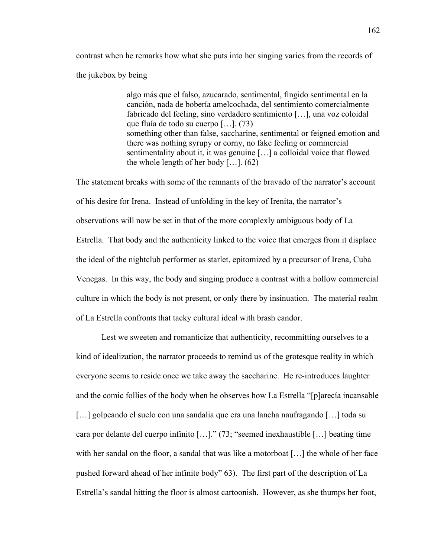contrast when he remarks how what she puts into her singing varies from the records of the jukebox by being

> algo más que el falso, azucarado, sentimental, fingido sentimental en la canción, nada de bobería amelcochada, del sentimiento comercialmente fabricado del feeling, sino verdadero sentimiento […], una voz coloidal que fluía de todo su cuerpo […]. (73) something other than false, saccharine, sentimental or feigned emotion and there was nothing syrupy or corny, no fake feeling or commercial sentimentality about it, it was genuine […] a colloidal voice that flowed the whole length of her body  $[\dots]$ . (62)

The statement breaks with some of the remnants of the bravado of the narrator's account of his desire for Irena. Instead of unfolding in the key of Irenita, the narrator's observations will now be set in that of the more complexly ambiguous body of La Estrella. That body and the authenticity linked to the voice that emerges from it displace the ideal of the nightclub performer as starlet, epitomized by a precursor of Irena, Cuba Venegas. In this way, the body and singing produce a contrast with a hollow commercial culture in which the body is not present, or only there by insinuation. The material realm of La Estrella confronts that tacky cultural ideal with brash candor.

Lest we sweeten and romanticize that authenticity, recommitting ourselves to a kind of idealization, the narrator proceeds to remind us of the grotesque reality in which everyone seems to reside once we take away the saccharine. He re-introduces laughter and the comic follies of the body when he observes how La Estrella "[p]arecía incansable […] golpeando el suelo con una sandalia que era una lancha naufragando […] toda su cara por delante del cuerpo infinito […]." (73; "seemed inexhaustible […] beating time with her sandal on the floor, a sandal that was like a motorboat [...] the whole of her face pushed forward ahead of her infinite body" 63). The first part of the description of La Estrella's sandal hitting the floor is almost cartoonish. However, as she thumps her foot,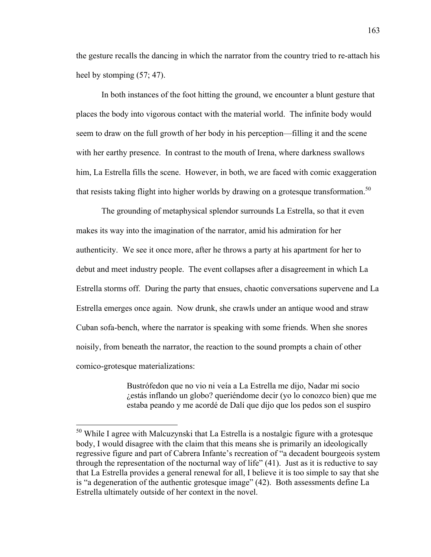the gesture recalls the dancing in which the narrator from the country tried to re-attach his heel by stomping  $(57; 47)$ .

In both instances of the foot hitting the ground, we encounter a blunt gesture that places the body into vigorous contact with the material world. The infinite body would seem to draw on the full growth of her body in his perception—filling it and the scene with her earthy presence. In contrast to the mouth of Irena, where darkness swallows him, La Estrella fills the scene. However, in both, we are faced with comic exaggeration that resists taking flight into higher worlds by drawing on a grotesque transformation.<sup>50</sup>

The grounding of metaphysical splendor surrounds La Estrella, so that it even makes its way into the imagination of the narrator, amid his admiration for her authenticity. We see it once more, after he throws a party at his apartment for her to debut and meet industry people. The event collapses after a disagreement in which La Estrella storms off. During the party that ensues, chaotic conversations supervene and La Estrella emerges once again. Now drunk, she crawls under an antique wood and straw Cuban sofa-bench, where the narrator is speaking with some friends. When she snores noisily, from beneath the narrator, the reaction to the sound prompts a chain of other comico-grotesque materializations:

> Bustrófedon que no vio ni veía a La Estrella me dijo, Nadar mi socio ¿estás inflando un globo? queriéndome decir (yo lo conozco bien) que me estaba peando y me acordé de Dalí que dijo que los pedos son el suspiro

<sup>&</sup>lt;sup>50</sup> While I agree with Malcuzynski that La Estrella is a nostalgic figure with a grotesque body, I would disagree with the claim that this means she is primarily an ideologically regressive figure and part of Cabrera Infante's recreation of "a decadent bourgeois system through the representation of the nocturnal way of life" (41). Just as it is reductive to say that La Estrella provides a general renewal for all, I believe it is too simple to say that she is "a degeneration of the authentic grotesque image" (42). Both assessments define La Estrella ultimately outside of her context in the novel.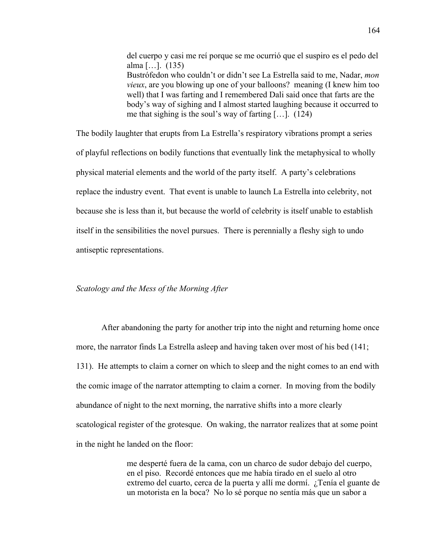del cuerpo y casi me reí porque se me ocurrió que el suspiro es el pedo del alma […]. (135) Bustrófedon who couldn't or didn't see La Estrella said to me, Nadar, *mon vieux*, are you blowing up one of your balloons? meaning (I knew him too well) that I was farting and I remembered Dali said once that farts are the body's way of sighing and I almost started laughing because it occurred to me that sighing is the soul's way of farting […]. (124)

The bodily laughter that erupts from La Estrella's respiratory vibrations prompt a series of playful reflections on bodily functions that eventually link the metaphysical to wholly physical material elements and the world of the party itself. A party's celebrations replace the industry event. That event is unable to launch La Estrella into celebrity, not because she is less than it, but because the world of celebrity is itself unable to establish itself in the sensibilities the novel pursues. There is perennially a fleshy sigh to undo antiseptic representations.

#### *Scatology and the Mess of the Morning After*

After abandoning the party for another trip into the night and returning home once more, the narrator finds La Estrella asleep and having taken over most of his bed (141; 131). He attempts to claim a corner on which to sleep and the night comes to an end with the comic image of the narrator attempting to claim a corner. In moving from the bodily abundance of night to the next morning, the narrative shifts into a more clearly scatological register of the grotesque. On waking, the narrator realizes that at some point in the night he landed on the floor:

> me desperté fuera de la cama, con un charco de sudor debajo del cuerpo, en el piso. Recordé entonces que me había tirado en el suelo al otro extremo del cuarto, cerca de la puerta y allí me dormí. ¿Tenía el guante de un motorista en la boca? No lo sé porque no sentía más que un sabor a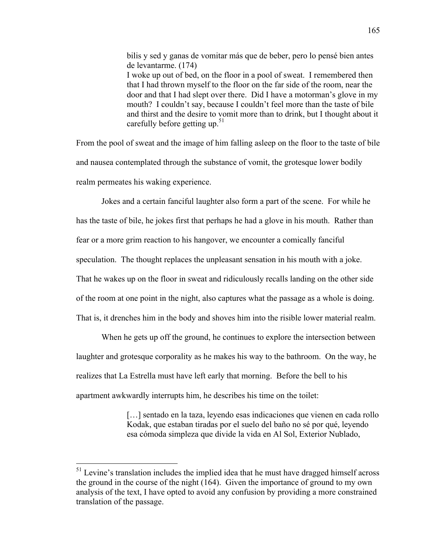bilis y sed y ganas de vomitar más que de beber, pero lo pensé bien antes de levantarme. (174) I woke up out of bed, on the floor in a pool of sweat. I remembered then that I had thrown myself to the floor on the far side of the room, near the door and that I had slept over there. Did I have a motorman's glove in my mouth? I couldn't say, because I couldn't feel more than the taste of bile and thirst and the desire to vomit more than to drink, but I thought about it carefully before getting up.<sup>51</sup>

From the pool of sweat and the image of him falling asleep on the floor to the taste of bile and nausea contemplated through the substance of vomit, the grotesque lower bodily realm permeates his waking experience.

Jokes and a certain fanciful laughter also form a part of the scene. For while he has the taste of bile, he jokes first that perhaps he had a glove in his mouth. Rather than fear or a more grim reaction to his hangover, we encounter a comically fanciful speculation. The thought replaces the unpleasant sensation in his mouth with a joke. That he wakes up on the floor in sweat and ridiculously recalls landing on the other side of the room at one point in the night, also captures what the passage as a whole is doing. That is, it drenches him in the body and shoves him into the risible lower material realm.

When he gets up off the ground, he continues to explore the intersection between laughter and grotesque corporality as he makes his way to the bathroom. On the way, he realizes that La Estrella must have left early that morning. Before the bell to his apartment awkwardly interrupts him, he describes his time on the toilet:

> [...] sentado en la taza, leyendo esas indicaciones que vienen en cada rollo Kodak, que estaban tiradas por el suelo del baño no sé por qué, leyendo esa cómoda simpleza que divide la vida en Al Sol, Exterior Nublado,

 $<sup>51</sup>$  Levine's translation includes the implied idea that he must have dragged himself across</sup> the ground in the course of the night (164). Given the importance of ground to my own analysis of the text, I have opted to avoid any confusion by providing a more constrained translation of the passage.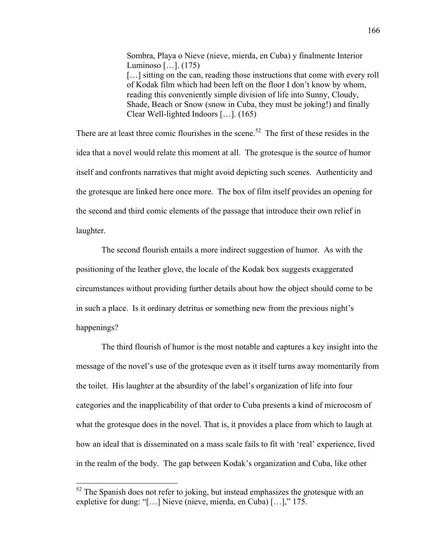Sombra, Playa o Nieve (nieve, mierda, en Cuba) y finalmente Interior Luminoso […]. (175) [...] sitting on the can, reading those instructions that come with every roll of Kodak film which had been left on the floor I don't know by whom, reading this conveniently simple division of life into Sunny, Cloudy, Shade, Beach or Snow (snow in Cuba, they must be joking!) and finally Clear Well-lighted Indoors […]. (165)

There are at least three comic flourishes in the scene.<sup>52</sup> The first of these resides in the idea that a novel would relate this moment at all. The grotesque is the source of humor itself and confronts narratives that might avoid depicting such scenes. Authenticity and the grotesque are linked here once more. The box of film itself provides an opening for the second and third comic elements of the passage that introduce their own relief in laughter.

The second flourish entails a more indirect suggestion of humor. As with the positioning of the leather glove, the locale of the Kodak box suggests exaggerated circumstances without providing further details about how the object should come to be in such a place. Is it ordinary detritus or something new from the previous night's happenings?

The third flourish of humor is the most notable and captures a key insight into the message of the novel's use of the grotesque even as it itself turns away momentarily from the toilet. His laughter at the absurdity of the label's organization of life into four categories and the inapplicability of that order to Cuba presents a kind of microcosm of what the grotesque does in the novel. That is, it provides a place from which to laugh at how an ideal that is disseminated on a mass scale fails to fit with 'real' experience, lived in the realm of the body. The gap between Kodak's organization and Cuba, like other

 $52$  The Spanish does not refer to joking, but instead emphasizes the grotesque with an expletive for dung: "[…] Nieve (nieve, mierda, en Cuba) […]," 175.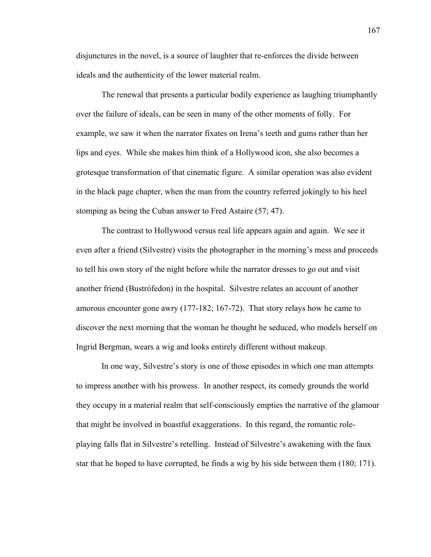disjunctures in the novel, is a source of laughter that re-enforces the divide between ideals and the authenticity of the lower material realm.

The renewal that presents a particular bodily experience as laughing triumphantly over the failure of ideals, can be seen in many of the other moments of folly. For example, we saw it when the narrator fixates on Irena's teeth and gums rather than her lips and eyes. While she makes him think of a Hollywood icon, she also becomes a grotesque transformation of that cinematic figure. A similar operation was also evident in the black page chapter, when the man from the country referred jokingly to his heel stomping as being the Cuban answer to Fred Astaire (57; 47).

The contrast to Hollywood versus real life appears again and again. We see it even after a friend (Silvestre) visits the photographer in the morning's mess and proceeds to tell his own story of the night before while the narrator dresses to go out and visit another friend (Bustrófedon) in the hospital. Silvestre relates an account of another amorous encounter gone awry (177-182; 167-72). That story relays how he came to discover the next morning that the woman he thought he seduced, who models herself on Ingrid Bergman, wears a wig and looks entirely different without makeup.

In one way, Silvestre's story is one of those episodes in which one man attempts to impress another with his prowess. In another respect, its comedy grounds the world they occupy in a material realm that self-consciously empties the narrative of the glamour that might be involved in boastful exaggerations. In this regard, the romantic roleplaying falls flat in Silvestre's retelling. Instead of Silvestre's awakening with the faux star that he hoped to have corrupted, he finds a wig by his side between them (180; 171).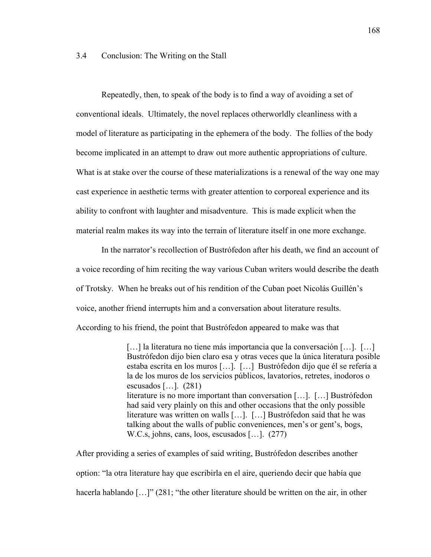## 3.4 Conclusion: The Writing on the Stall

Repeatedly, then, to speak of the body is to find a way of avoiding a set of conventional ideals. Ultimately, the novel replaces otherworldly cleanliness with a model of literature as participating in the ephemera of the body. The follies of the body become implicated in an attempt to draw out more authentic appropriations of culture. What is at stake over the course of these materializations is a renewal of the way one may cast experience in aesthetic terms with greater attention to corporeal experience and its ability to confront with laughter and misadventure. This is made explicit when the material realm makes its way into the terrain of literature itself in one more exchange.

In the narrator's recollection of Bustrófedon after his death, we find an account of a voice recording of him reciting the way various Cuban writers would describe the death of Trotsky. When he breaks out of his rendition of the Cuban poet Nicolás Guillén's voice, another friend interrupts him and a conversation about literature results. According to his friend, the point that Bustrófedon appeared to make was that

> […] la literatura no tiene más importancia que la conversación […]. […] Bustrófedon dijo bien claro esa y otras veces que la única literatura posible estaba escrita en los muros […]. […] Bustrófedon dijo que él se refería a la de los muros de los servicios públicos, lavatorios, retretes, inodoros o escusados […]. (281) literature is no more important than conversation […]. […] Bustrófedon had said very plainly on this and other occasions that the only possible literature was written on walls […]. […] Bustrófedon said that he was talking about the walls of public conveniences, men's or gent's, bogs, W.C.s, johns, cans, loos, escusados […]. (277)

After providing a series of examples of said writing, Bustrófedon describes another option: "la otra literature hay que escribirla en el aire, queriendo decir que había que hacerla hablando [...]" (281; "the other literature should be written on the air, in other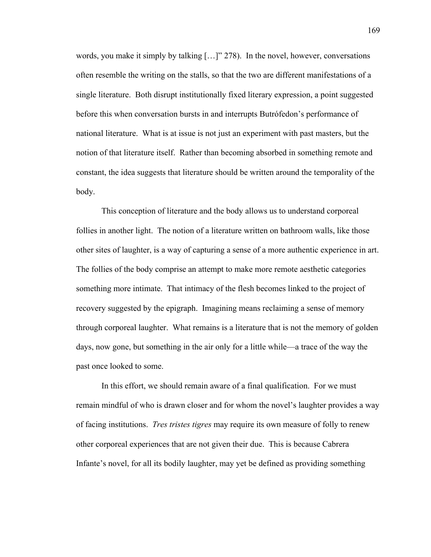words, you make it simply by talking […]" 278). In the novel, however, conversations often resemble the writing on the stalls, so that the two are different manifestations of a single literature. Both disrupt institutionally fixed literary expression, a point suggested before this when conversation bursts in and interrupts Butrófedon's performance of national literature. What is at issue is not just an experiment with past masters, but the notion of that literature itself. Rather than becoming absorbed in something remote and constant, the idea suggests that literature should be written around the temporality of the body.

This conception of literature and the body allows us to understand corporeal follies in another light. The notion of a literature written on bathroom walls, like those other sites of laughter, is a way of capturing a sense of a more authentic experience in art. The follies of the body comprise an attempt to make more remote aesthetic categories something more intimate. That intimacy of the flesh becomes linked to the project of recovery suggested by the epigraph. Imagining means reclaiming a sense of memory through corporeal laughter. What remains is a literature that is not the memory of golden days, now gone, but something in the air only for a little while—a trace of the way the past once looked to some.

In this effort, we should remain aware of a final qualification. For we must remain mindful of who is drawn closer and for whom the novel's laughter provides a way of facing institutions. *Tres tristes tigres* may require its own measure of folly to renew other corporeal experiences that are not given their due. This is because Cabrera Infante's novel, for all its bodily laughter, may yet be defined as providing something

169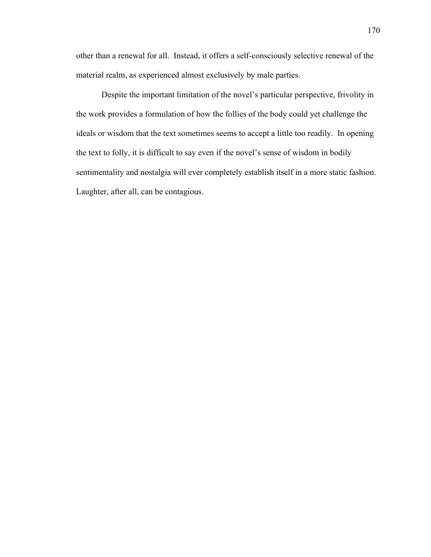other than a renewal for all. Instead, it offers a self-consciously selective renewal of the material realm, as experienced almost exclusively by male parties.

Despite the important limitation of the novel's particular perspective, frivolity in the work provides a formulation of how the follies of the body could yet challenge the ideals or wisdom that the text sometimes seems to accept a little too readily. In opening the text to folly, it is difficult to say even if the novel's sense of wisdom in bodily sentimentality and nostalgia will ever completely establish itself in a more static fashion. Laughter, after all, can be contagious.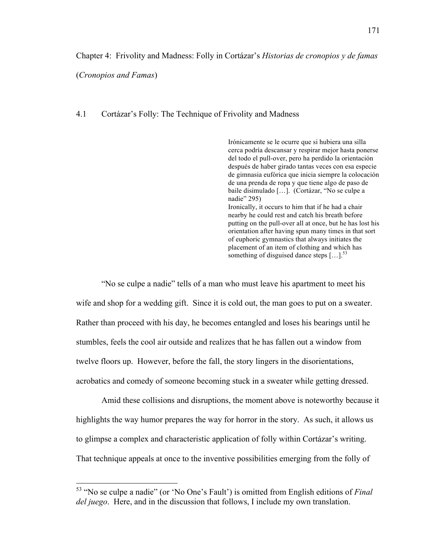Chapter 4: Frivolity and Madness: Folly in Cortázar's *Historias de cronopios y de famas*

(*Cronopios and Famas*)

## 4.1 Cortázar's Folly: The Technique of Frivolity and Madness

Irónicamente se le ocurre que si hubiera una silla cerca podría descansar y respirar mejor hasta ponerse del todo el pull-over, pero ha perdido la orientación después de haber girado tantas veces con esa especie de gimnasia eufórica que inicia siempre la colocación de una prenda de ropa y que tiene algo de paso de baile disimulado […]. (Cortázar, "No se culpe a nadie" 295) Ironically, it occurs to him that if he had a chair nearby he could rest and catch his breath before putting on the pull-over all at once, but he has lost his orientation after having spun many times in that sort of euphoric gymnastics that always initiates the placement of an item of clothing and which has something of disguised dance steps  $\left[ \ldots \right]$ .<sup>53</sup>

"No se culpe a nadie" tells of a man who must leave his apartment to meet his wife and shop for a wedding gift. Since it is cold out, the man goes to put on a sweater. Rather than proceed with his day, he becomes entangled and loses his bearings until he stumbles, feels the cool air outside and realizes that he has fallen out a window from twelve floors up. However, before the fall, the story lingers in the disorientations, acrobatics and comedy of someone becoming stuck in a sweater while getting dressed.

Amid these collisions and disruptions, the moment above is noteworthy because it highlights the way humor prepares the way for horror in the story. As such, it allows us to glimpse a complex and characteristic application of folly within Cortázar's writing. That technique appeals at once to the inventive possibilities emerging from the folly of

 <sup>53 &</sup>quot;No se culpe a nadie" (or 'No One's Fault') is omitted from English editions of *Final del juego*. Here, and in the discussion that follows, I include my own translation.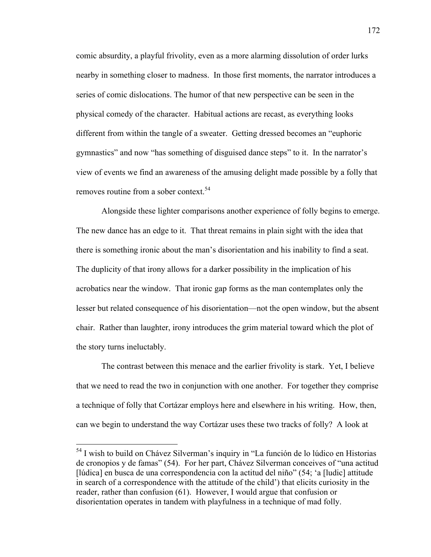comic absurdity, a playful frivolity, even as a more alarming dissolution of order lurks nearby in something closer to madness. In those first moments, the narrator introduces a series of comic dislocations. The humor of that new perspective can be seen in the physical comedy of the character. Habitual actions are recast, as everything looks different from within the tangle of a sweater. Getting dressed becomes an "euphoric gymnastics" and now "has something of disguised dance steps" to it. In the narrator's view of events we find an awareness of the amusing delight made possible by a folly that removes routine from a sober context.<sup>54</sup>

Alongside these lighter comparisons another experience of folly begins to emerge. The new dance has an edge to it. That threat remains in plain sight with the idea that there is something ironic about the man's disorientation and his inability to find a seat. The duplicity of that irony allows for a darker possibility in the implication of his acrobatics near the window. That ironic gap forms as the man contemplates only the lesser but related consequence of his disorientation—not the open window, but the absent chair. Rather than laughter, irony introduces the grim material toward which the plot of the story turns ineluctably.

The contrast between this menace and the earlier frivolity is stark. Yet, I believe that we need to read the two in conjunction with one another. For together they comprise a technique of folly that Cortázar employs here and elsewhere in his writing. How, then, can we begin to understand the way Cortázar uses these two tracks of folly? A look at

 <sup>54</sup> I wish to build on Chávez Silverman's inquiry in "La función de lo lúdico en Historias de cronopios y de famas" (54). For her part, Chávez Silverman conceives of "una actitud [lúdica] en busca de una correspondencia con la actitud del niño" (54; 'a [ludic] attitude in search of a correspondence with the attitude of the child') that elicits curiosity in the reader, rather than confusion (61). However, I would argue that confusion or disorientation operates in tandem with playfulness in a technique of mad folly.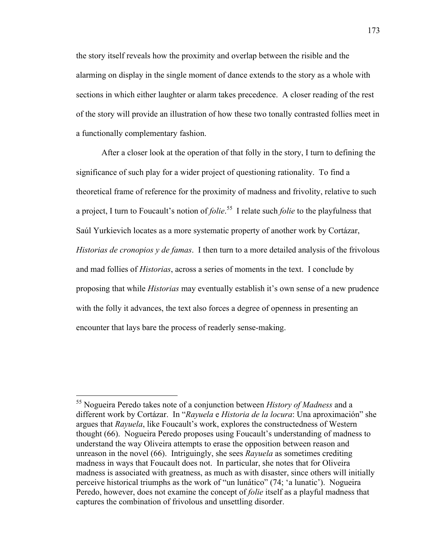the story itself reveals how the proximity and overlap between the risible and the alarming on display in the single moment of dance extends to the story as a whole with sections in which either laughter or alarm takes precedence. A closer reading of the rest of the story will provide an illustration of how these two tonally contrasted follies meet in a functionally complementary fashion.

After a closer look at the operation of that folly in the story, I turn to defining the significance of such play for a wider project of questioning rationality. To find a theoretical frame of reference for the proximity of madness and frivolity, relative to such a project, I turn to Foucault's notion of *folie*. 55 I relate such *folie* to the playfulness that Saúl Yurkievich locates as a more systematic property of another work by Cortázar, *Historias de cronopios y de famas*. I then turn to a more detailed analysis of the frivolous and mad follies of *Historias*, across a series of moments in the text. I conclude by proposing that while *Historias* may eventually establish it's own sense of a new prudence with the folly it advances, the text also forces a degree of openness in presenting an encounter that lays bare the process of readerly sense-making.

 <sup>55</sup> Nogueira Peredo takes note of a conjunction between *History of Madness* and a different work by Cortázar. In "*Rayuela* e *Historia de la locura*: Una aproximación" she argues that *Rayuela*, like Foucault's work, explores the constructedness of Western thought (66). Nogueira Peredo proposes using Foucault's understanding of madness to understand the way Oliveira attempts to erase the opposition between reason and unreason in the novel (66). Intriguingly, she sees *Rayuela* as sometimes crediting madness in ways that Foucault does not. In particular, she notes that for Oliveira madness is associated with greatness, as much as with disaster, since others will initially perceive historical triumphs as the work of "un lunático" (74; 'a lunatic'). Nogueira Peredo, however, does not examine the concept of *folie* itself as a playful madness that captures the combination of frivolous and unsettling disorder.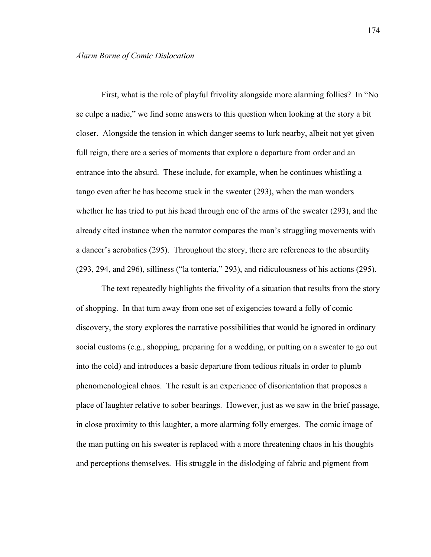First, what is the role of playful frivolity alongside more alarming follies? In "No se culpe a nadie," we find some answers to this question when looking at the story a bit closer. Alongside the tension in which danger seems to lurk nearby, albeit not yet given full reign, there are a series of moments that explore a departure from order and an entrance into the absurd. These include, for example, when he continues whistling a tango even after he has become stuck in the sweater (293), when the man wonders whether he has tried to put his head through one of the arms of the sweater (293), and the already cited instance when the narrator compares the man's struggling movements with a dancer's acrobatics (295). Throughout the story, there are references to the absurdity (293, 294, and 296), silliness ("la tontería," 293), and ridiculousness of his actions (295).

The text repeatedly highlights the frivolity of a situation that results from the story of shopping. In that turn away from one set of exigencies toward a folly of comic discovery, the story explores the narrative possibilities that would be ignored in ordinary social customs (e.g., shopping, preparing for a wedding, or putting on a sweater to go out into the cold) and introduces a basic departure from tedious rituals in order to plumb phenomenological chaos. The result is an experience of disorientation that proposes a place of laughter relative to sober bearings. However, just as we saw in the brief passage, in close proximity to this laughter, a more alarming folly emerges. The comic image of the man putting on his sweater is replaced with a more threatening chaos in his thoughts and perceptions themselves. His struggle in the dislodging of fabric and pigment from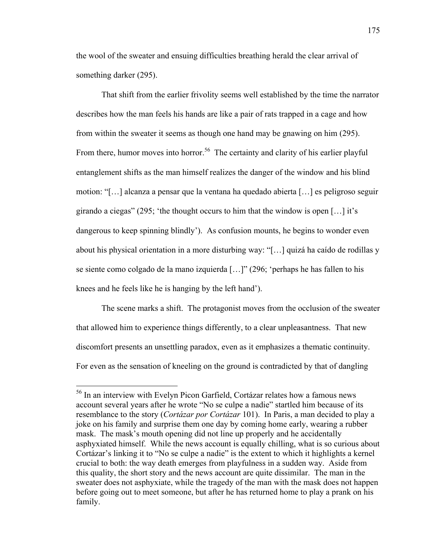the wool of the sweater and ensuing difficulties breathing herald the clear arrival of something darker (295).

That shift from the earlier frivolity seems well established by the time the narrator describes how the man feels his hands are like a pair of rats trapped in a cage and how from within the sweater it seems as though one hand may be gnawing on him (295). From there, humor moves into horror.<sup>56</sup> The certainty and clarity of his earlier playful entanglement shifts as the man himself realizes the danger of the window and his blind motion: "[…] alcanza a pensar que la ventana ha quedado abierta […] es peligroso seguir girando a ciegas" (295; 'the thought occurs to him that the window is open […] it's dangerous to keep spinning blindly'). As confusion mounts, he begins to wonder even about his physical orientation in a more disturbing way: "[…] quizá ha caído de rodillas y se siente como colgado de la mano izquierda […]" (296; 'perhaps he has fallen to his knees and he feels like he is hanging by the left hand').

The scene marks a shift. The protagonist moves from the occlusion of the sweater that allowed him to experience things differently, to a clear unpleasantness. That new discomfort presents an unsettling paradox, even as it emphasizes a thematic continuity. For even as the sensation of kneeling on the ground is contradicted by that of dangling

 <sup>56</sup> In an interview with Evelyn Picon Garfield, Cortázar relates how a famous news account several years after he wrote "No se culpe a nadie" startled him because of its resemblance to the story (*Cortázar por Cortázar* 101). In Paris, a man decided to play a joke on his family and surprise them one day by coming home early, wearing a rubber mask. The mask's mouth opening did not line up properly and he accidentally asphyxiated himself. While the news account is equally chilling, what is so curious about Cortázar's linking it to "No se culpe a nadie" is the extent to which it highlights a kernel crucial to both: the way death emerges from playfulness in a sudden way. Aside from this quality, the short story and the news account are quite dissimilar. The man in the sweater does not asphyxiate, while the tragedy of the man with the mask does not happen before going out to meet someone, but after he has returned home to play a prank on his family.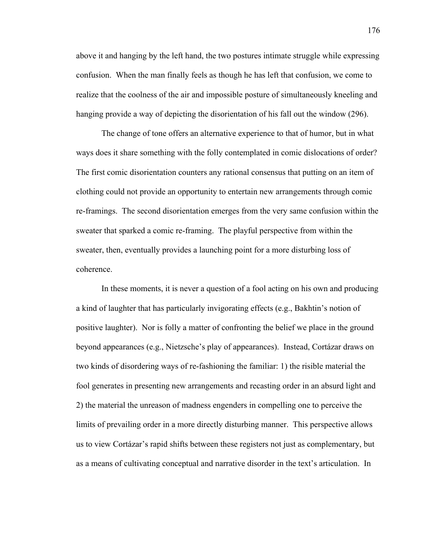above it and hanging by the left hand, the two postures intimate struggle while expressing confusion. When the man finally feels as though he has left that confusion, we come to realize that the coolness of the air and impossible posture of simultaneously kneeling and hanging provide a way of depicting the disorientation of his fall out the window (296).

The change of tone offers an alternative experience to that of humor, but in what ways does it share something with the folly contemplated in comic dislocations of order? The first comic disorientation counters any rational consensus that putting on an item of clothing could not provide an opportunity to entertain new arrangements through comic re-framings. The second disorientation emerges from the very same confusion within the sweater that sparked a comic re-framing. The playful perspective from within the sweater, then, eventually provides a launching point for a more disturbing loss of coherence.

In these moments, it is never a question of a fool acting on his own and producing a kind of laughter that has particularly invigorating effects (e.g., Bakhtin's notion of positive laughter). Nor is folly a matter of confronting the belief we place in the ground beyond appearances (e.g., Nietzsche's play of appearances). Instead, Cortázar draws on two kinds of disordering ways of re-fashioning the familiar: 1) the risible material the fool generates in presenting new arrangements and recasting order in an absurd light and 2) the material the unreason of madness engenders in compelling one to perceive the limits of prevailing order in a more directly disturbing manner. This perspective allows us to view Cortázar's rapid shifts between these registers not just as complementary, but as a means of cultivating conceptual and narrative disorder in the text's articulation. In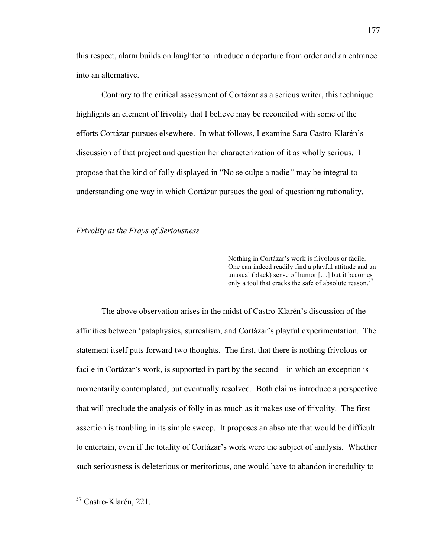this respect, alarm builds on laughter to introduce a departure from order and an entrance into an alternative.

Contrary to the critical assessment of Cortázar as a serious writer, this technique highlights an element of frivolity that I believe may be reconciled with some of the efforts Cortázar pursues elsewhere. In what follows, I examine Sara Castro-Klarén's discussion of that project and question her characterization of it as wholly serious. I propose that the kind of folly displayed in "No se culpe a nadie*"* may be integral to understanding one way in which Cortázar pursues the goal of questioning rationality.

# *Frivolity at the Frays of Seriousness*

Nothing in Cortázar's work is frivolous or facile. One can indeed readily find a playful attitude and an unusual (black) sense of humor […] but it becomes only a tool that cracks the safe of absolute reason.<sup>57</sup>

The above observation arises in the midst of Castro-Klarén's discussion of the affinities between 'pataphysics, surrealism, and Cortázar's playful experimentation. The statement itself puts forward two thoughts. The first, that there is nothing frivolous or facile in Cortázar's work, is supported in part by the second—in which an exception is momentarily contemplated, but eventually resolved. Both claims introduce a perspective that will preclude the analysis of folly in as much as it makes use of frivolity. The first assertion is troubling in its simple sweep. It proposes an absolute that would be difficult to entertain, even if the totality of Cortázar's work were the subject of analysis. Whether such seriousness is deleterious or meritorious, one would have to abandon incredulity to

 <sup>57</sup> Castro-Klarén, 221.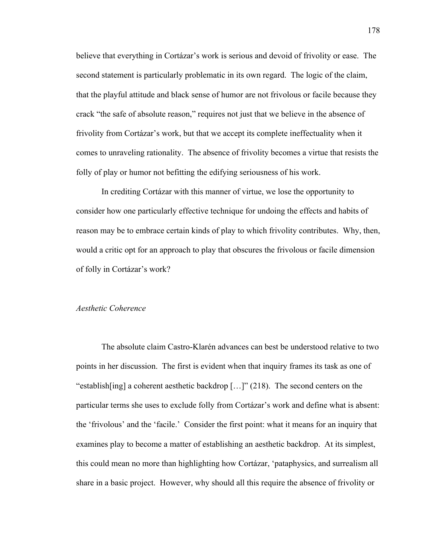believe that everything in Cortázar's work is serious and devoid of frivolity or ease. The second statement is particularly problematic in its own regard. The logic of the claim, that the playful attitude and black sense of humor are not frivolous or facile because they crack "the safe of absolute reason," requires not just that we believe in the absence of frivolity from Cortázar's work, but that we accept its complete ineffectuality when it comes to unraveling rationality. The absence of frivolity becomes a virtue that resists the folly of play or humor not befitting the edifying seriousness of his work.

In crediting Cortázar with this manner of virtue, we lose the opportunity to consider how one particularly effective technique for undoing the effects and habits of reason may be to embrace certain kinds of play to which frivolity contributes. Why, then, would a critic opt for an approach to play that obscures the frivolous or facile dimension of folly in Cortázar's work?

# *Aesthetic Coherence*

The absolute claim Castro-Klarén advances can best be understood relative to two points in her discussion. The first is evident when that inquiry frames its task as one of "establish[ing] a coherent aesthetic backdrop […]" (218). The second centers on the particular terms she uses to exclude folly from Cortázar's work and define what is absent: the 'frivolous' and the 'facile.' Consider the first point: what it means for an inquiry that examines play to become a matter of establishing an aesthetic backdrop. At its simplest, this could mean no more than highlighting how Cortázar, 'pataphysics, and surrealism all share in a basic project. However, why should all this require the absence of frivolity or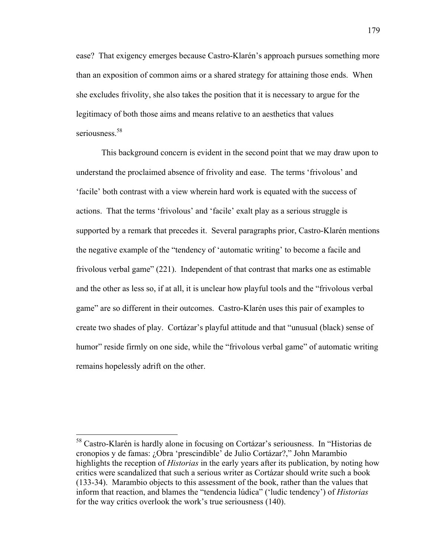ease? That exigency emerges because Castro-Klarén's approach pursues something more than an exposition of common aims or a shared strategy for attaining those ends. When she excludes frivolity, she also takes the position that it is necessary to argue for the legitimacy of both those aims and means relative to an aesthetics that values seriousness<sup>58</sup>

This background concern is evident in the second point that we may draw upon to understand the proclaimed absence of frivolity and ease. The terms 'frivolous' and 'facile' both contrast with a view wherein hard work is equated with the success of actions. That the terms 'frivolous' and 'facile' exalt play as a serious struggle is supported by a remark that precedes it. Several paragraphs prior, Castro-Klarén mentions the negative example of the "tendency of 'automatic writing' to become a facile and frivolous verbal game" (221). Independent of that contrast that marks one as estimable and the other as less so, if at all, it is unclear how playful tools and the "frivolous verbal game" are so different in their outcomes. Castro-Klarén uses this pair of examples to create two shades of play. Cortázar's playful attitude and that "unusual (black) sense of humor" reside firmly on one side, while the "frivolous verbal game" of automatic writing remains hopelessly adrift on the other.

 <sup>58</sup> Castro-Klarén is hardly alone in focusing on Cortázar's seriousness. In "Historias de cronopios y de famas: ¿Obra 'prescindible' de Julio Cortázar?," John Marambio highlights the reception of *Historias* in the early years after its publication, by noting how critics were scandalized that such a serious writer as Cortázar should write such a book (133-34). Marambio objects to this assessment of the book, rather than the values that inform that reaction, and blames the "tendencia lúdica" ('ludic tendency') of *Historias* for the way critics overlook the work's true seriousness (140).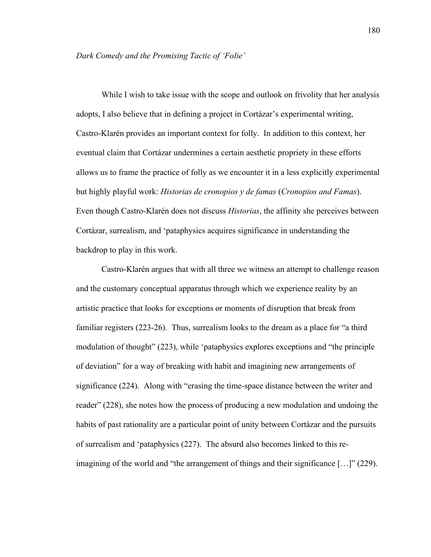While I wish to take issue with the scope and outlook on frivolity that her analysis adopts, I also believe that in defining a project in Cortázar's experimental writing, Castro-Klarén provides an important context for folly. In addition to this context, her eventual claim that Cortázar undermines a certain aesthetic propriety in these efforts allows us to frame the practice of folly as we encounter it in a less explicitly experimental but highly playful work: *Historias de cronopios y de famas* (*Cronopios and Famas*). Even though Castro-Klarén does not discuss *Historias*, the affinity she perceives between Cortázar, surrealism, and 'pataphysics acquires significance in understanding the backdrop to play in this work.

Castro-Klarén argues that with all three we witness an attempt to challenge reason and the customary conceptual apparatus through which we experience reality by an artistic practice that looks for exceptions or moments of disruption that break from familiar registers (223-26). Thus, surrealism looks to the dream as a place for "a third modulation of thought" (223), while 'pataphysics explores exceptions and "the principle of deviation" for a way of breaking with habit and imagining new arrangements of significance (224). Along with "erasing the time-space distance between the writer and reader" (228), she notes how the process of producing a new modulation and undoing the habits of past rationality are a particular point of unity between Cortázar and the pursuits of surrealism and 'pataphysics (227). The absurd also becomes linked to this reimagining of the world and "the arrangement of things and their significance […]" (229).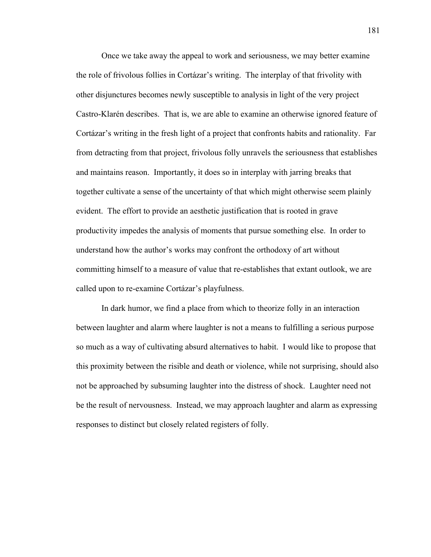Once we take away the appeal to work and seriousness, we may better examine the role of frivolous follies in Cortázar's writing. The interplay of that frivolity with other disjunctures becomes newly susceptible to analysis in light of the very project Castro-Klarén describes. That is, we are able to examine an otherwise ignored feature of Cortázar's writing in the fresh light of a project that confronts habits and rationality. Far from detracting from that project, frivolous folly unravels the seriousness that establishes and maintains reason. Importantly, it does so in interplay with jarring breaks that together cultivate a sense of the uncertainty of that which might otherwise seem plainly evident. The effort to provide an aesthetic justification that is rooted in grave productivity impedes the analysis of moments that pursue something else. In order to understand how the author's works may confront the orthodoxy of art without committing himself to a measure of value that re-establishes that extant outlook, we are called upon to re-examine Cortázar's playfulness.

In dark humor, we find a place from which to theorize folly in an interaction between laughter and alarm where laughter is not a means to fulfilling a serious purpose so much as a way of cultivating absurd alternatives to habit. I would like to propose that this proximity between the risible and death or violence, while not surprising, should also not be approached by subsuming laughter into the distress of shock. Laughter need not be the result of nervousness. Instead, we may approach laughter and alarm as expressing responses to distinct but closely related registers of folly.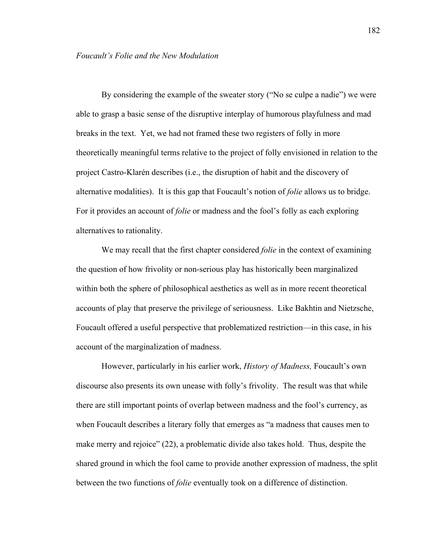By considering the example of the sweater story ("No se culpe a nadie") we were able to grasp a basic sense of the disruptive interplay of humorous playfulness and mad breaks in the text. Yet, we had not framed these two registers of folly in more theoretically meaningful terms relative to the project of folly envisioned in relation to the project Castro-Klarén describes (i.e., the disruption of habit and the discovery of alternative modalities). It is this gap that Foucault's notion of *folie* allows us to bridge. For it provides an account of *folie* or madness and the fool's folly as each exploring alternatives to rationality.

We may recall that the first chapter considered *folie* in the context of examining the question of how frivolity or non-serious play has historically been marginalized within both the sphere of philosophical aesthetics as well as in more recent theoretical accounts of play that preserve the privilege of seriousness. Like Bakhtin and Nietzsche, Foucault offered a useful perspective that problematized restriction—in this case, in his account of the marginalization of madness.

However, particularly in his earlier work, *History of Madness,* Foucault's own discourse also presents its own unease with folly's frivolity. The result was that while there are still important points of overlap between madness and the fool's currency, as when Foucault describes a literary folly that emerges as "a madness that causes men to make merry and rejoice" (22), a problematic divide also takes hold. Thus, despite the shared ground in which the fool came to provide another expression of madness, the split between the two functions of *folie* eventually took on a difference of distinction.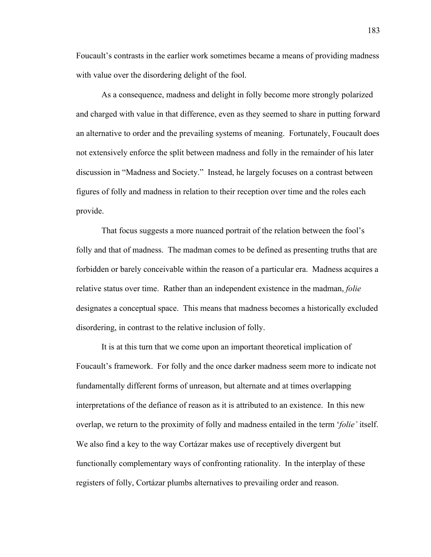Foucault's contrasts in the earlier work sometimes became a means of providing madness with value over the disordering delight of the fool.

As a consequence, madness and delight in folly become more strongly polarized and charged with value in that difference, even as they seemed to share in putting forward an alternative to order and the prevailing systems of meaning. Fortunately, Foucault does not extensively enforce the split between madness and folly in the remainder of his later discussion in "Madness and Society." Instead, he largely focuses on a contrast between figures of folly and madness in relation to their reception over time and the roles each provide.

That focus suggests a more nuanced portrait of the relation between the fool's folly and that of madness. The madman comes to be defined as presenting truths that are forbidden or barely conceivable within the reason of a particular era. Madness acquires a relative status over time. Rather than an independent existence in the madman, *folie* designates a conceptual space. This means that madness becomes a historically excluded disordering, in contrast to the relative inclusion of folly.

It is at this turn that we come upon an important theoretical implication of Foucault's framework. For folly and the once darker madness seem more to indicate not fundamentally different forms of unreason, but alternate and at times overlapping interpretations of the defiance of reason as it is attributed to an existence. In this new overlap, we return to the proximity of folly and madness entailed in the term '*folie'* itself. We also find a key to the way Cortázar makes use of receptively divergent but functionally complementary ways of confronting rationality. In the interplay of these registers of folly, Cortázar plumbs alternatives to prevailing order and reason.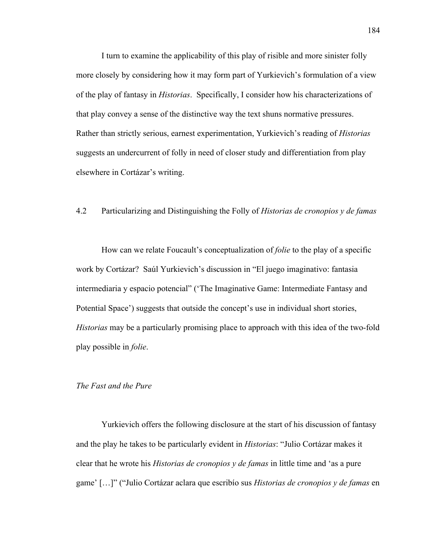I turn to examine the applicability of this play of risible and more sinister folly more closely by considering how it may form part of Yurkievich's formulation of a view of the play of fantasy in *Historias*. Specifically, I consider how his characterizations of that play convey a sense of the distinctive way the text shuns normative pressures. Rather than strictly serious, earnest experimentation, Yurkievich's reading of *Historias* suggests an undercurrent of folly in need of closer study and differentiation from play elsewhere in Cortázar's writing.

# 4.2 Particularizing and Distinguishing the Folly of *Historias de cronopios y de famas*

How can we relate Foucault's conceptualization of *folie* to the play of a specific work by Cortázar? Saúl Yurkievich's discussion in "El juego imaginativo: fantasia intermediaria y espacio potencial" ('The Imaginative Game: Intermediate Fantasy and Potential Space') suggests that outside the concept's use in individual short stories, *Historias* may be a particularly promising place to approach with this idea of the two-fold play possible in *folie*.

# *The Fast and the Pure*

Yurkievich offers the following disclosure at the start of his discussion of fantasy and the play he takes to be particularly evident in *Historias*: "Julio Cortázar makes it clear that he wrote his *Historias de cronopios y de famas* in little time and 'as a pure game' […]" ("Julio Cortázar aclara que escribío sus *Historias de cronopios y de famas* en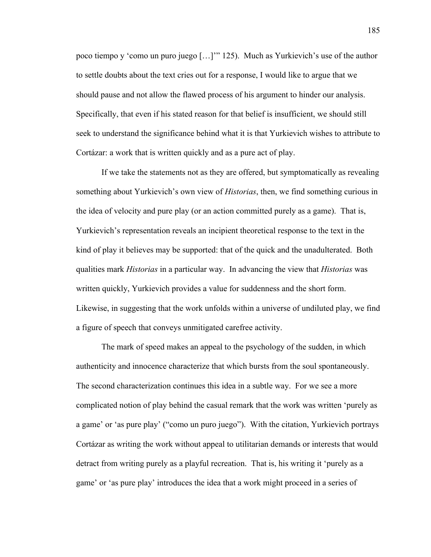poco tiempo y 'como un puro juego […]'" 125). Much as Yurkievich's use of the author to settle doubts about the text cries out for a response, I would like to argue that we should pause and not allow the flawed process of his argument to hinder our analysis. Specifically, that even if his stated reason for that belief is insufficient, we should still seek to understand the significance behind what it is that Yurkievich wishes to attribute to Cortázar: a work that is written quickly and as a pure act of play.

If we take the statements not as they are offered, but symptomatically as revealing something about Yurkievich's own view of *Historias*, then, we find something curious in the idea of velocity and pure play (or an action committed purely as a game). That is, Yurkievich's representation reveals an incipient theoretical response to the text in the kind of play it believes may be supported: that of the quick and the unadulterated. Both qualities mark *Historias* in a particular way. In advancing the view that *Historias* was written quickly, Yurkievich provides a value for suddenness and the short form. Likewise, in suggesting that the work unfolds within a universe of undiluted play, we find a figure of speech that conveys unmitigated carefree activity.

The mark of speed makes an appeal to the psychology of the sudden, in which authenticity and innocence characterize that which bursts from the soul spontaneously. The second characterization continues this idea in a subtle way. For we see a more complicated notion of play behind the casual remark that the work was written 'purely as a game' or 'as pure play' ("como un puro juego"). With the citation, Yurkievich portrays Cortázar as writing the work without appeal to utilitarian demands or interests that would detract from writing purely as a playful recreation. That is, his writing it 'purely as a game' or 'as pure play' introduces the idea that a work might proceed in a series of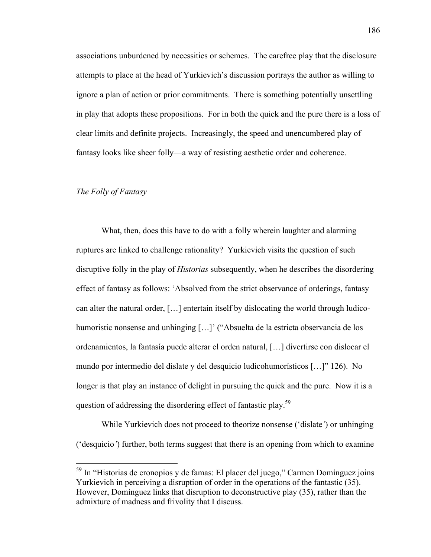associations unburdened by necessities or schemes. The carefree play that the disclosure attempts to place at the head of Yurkievich's discussion portrays the author as willing to ignore a plan of action or prior commitments. There is something potentially unsettling in play that adopts these propositions. For in both the quick and the pure there is a loss of clear limits and definite projects. Increasingly, the speed and unencumbered play of fantasy looks like sheer folly—a way of resisting aesthetic order and coherence.

# *The Folly of Fantasy*

What, then, does this have to do with a folly wherein laughter and alarming ruptures are linked to challenge rationality? Yurkievich visits the question of such disruptive folly in the play of *Historias* subsequently, when he describes the disordering effect of fantasy as follows: 'Absolved from the strict observance of orderings, fantasy can alter the natural order, […] entertain itself by dislocating the world through ludicohumoristic nonsense and unhinging [...]' ("Absuelta de la estricta observancia de los ordenamientos, la fantasía puede alterar el orden natural, […] divertirse con dislocar el mundo por intermedio del dislate y del desquicio ludicohumorísticos […]" 126). No longer is that play an instance of delight in pursuing the quick and the pure. Now it is a question of addressing the disordering effect of fantastic play.59

While Yurkievich does not proceed to theorize nonsense ('dislate*'*) or unhinging ('desquicio*'*) further, both terms suggest that there is an opening from which to examine

 <sup>59</sup> In "Historias de cronopios y de famas: El placer del juego," Carmen Domínguez joins Yurkievich in perceiving a disruption of order in the operations of the fantastic (35). However, Domínguez links that disruption to deconstructive play (35), rather than the admixture of madness and frivolity that I discuss.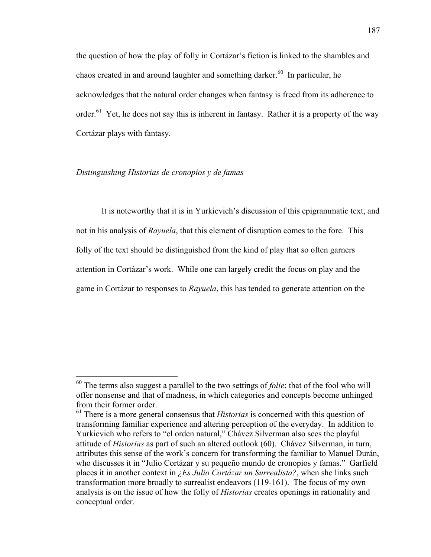the question of how the play of folly in Cortázar's fiction is linked to the shambles and chaos created in and around laughter and something darker.<sup>60</sup> In particular, he acknowledges that the natural order changes when fantasy is freed from its adherence to order.<sup>61</sup> Yet, he does not say this is inherent in fantasy. Rather it is a property of the way Cortázar plays with fantasy.

# *Distinguishing Historias de cronopios y de famas*

It is noteworthy that it is in Yurkievich's discussion of this epigrammatic text, and not in his analysis of *Rayuela*, that this element of disruption comes to the fore. This folly of the text should be distinguished from the kind of play that so often garners attention in Cortázar's work. While one can largely credit the focus on play and the game in Cortázar to responses to *Rayuela*, this has tended to generate attention on the

 <sup>60</sup> The terms also suggest a parallel to the two settings of *folie*: that of the fool who will offer nonsense and that of madness, in which categories and concepts become unhinged from their former order.

<sup>&</sup>lt;sup>61</sup> There is a more general consensus that *Historias* is concerned with this question of transforming familiar experience and altering perception of the everyday. In addition to Yurkievich who refers to "el orden natural," Chávez Silverman also sees the playful attitude of *Historias* as part of such an altered outlook (60). Chávez Silverman, in turn, attributes this sense of the work's concern for transforming the familiar to Manuel Durán, who discusses it in "Julio Cortázar y su pequeño mundo de cronopios y famas." Garfield places it in another context in *¿Es Julio Cortázar un Surrealista?*, when she links such transformation more broadly to surrealist endeavors (119-161). The focus of my own analysis is on the issue of how the folly of *Historias* creates openings in rationality and conceptual order.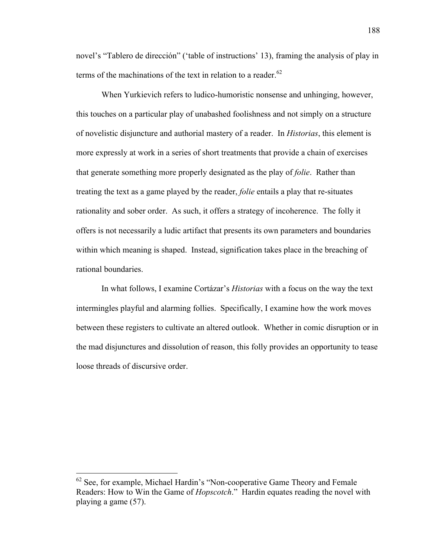novel's "Tablero de dirección" ('table of instructions' 13), framing the analysis of play in terms of the machinations of the text in relation to a reader. $62$ 

When Yurkievich refers to ludico-humoristic nonsense and unhinging, however, this touches on a particular play of unabashed foolishness and not simply on a structure of novelistic disjuncture and authorial mastery of a reader. In *Historias*, this element is more expressly at work in a series of short treatments that provide a chain of exercises that generate something more properly designated as the play of *folie*. Rather than treating the text as a game played by the reader, *folie* entails a play that re-situates rationality and sober order. As such, it offers a strategy of incoherence. The folly it offers is not necessarily a ludic artifact that presents its own parameters and boundaries within which meaning is shaped. Instead, signification takes place in the breaching of rational boundaries.

In what follows, I examine Cortázar's *Historias* with a focus on the way the text intermingles playful and alarming follies. Specifically, I examine how the work moves between these registers to cultivate an altered outlook. Whether in comic disruption or in the mad disjunctures and dissolution of reason, this folly provides an opportunity to tease loose threads of discursive order.

 $62$  See, for example, Michael Hardin's "Non-cooperative Game Theory and Female Readers: How to Win the Game of *Hopscotch*." Hardin equates reading the novel with playing a game (57).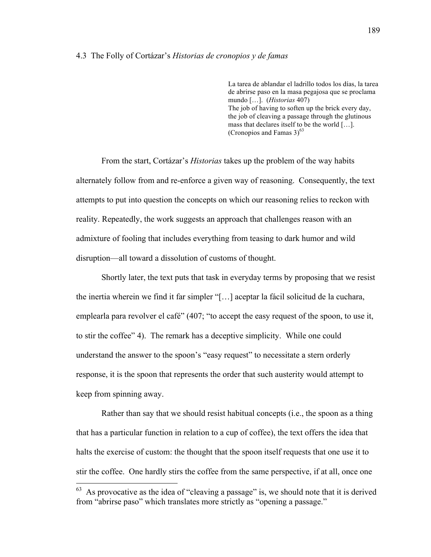#### 4.3 The Folly of Cortázar's *Historias de cronopios y de famas*

La tarea de ablandar el ladrillo todos los días, la tarea de abrirse paso en la masa pegajosa que se proclama mundo […]. (*Historias* 407) The job of having to soften up the brick every day, the job of cleaving a passage through the glutinous mass that declares itself to be the world […]. (Cronopios and Famas  $3)^{63}$ 

From the start, Cortázar's *Historias* takes up the problem of the way habits alternately follow from and re-enforce a given way of reasoning. Consequently, the text attempts to put into question the concepts on which our reasoning relies to reckon with reality. Repeatedly, the work suggests an approach that challenges reason with an admixture of fooling that includes everything from teasing to dark humor and wild disruption—all toward a dissolution of customs of thought.

Shortly later, the text puts that task in everyday terms by proposing that we resist the inertia wherein we find it far simpler "[…] aceptar la fácil solicitud de la cuchara, emplearla para revolver el café" (407; "to accept the easy request of the spoon, to use it, to stir the coffee" 4). The remark has a deceptive simplicity. While one could understand the answer to the spoon's "easy request" to necessitate a stern orderly response, it is the spoon that represents the order that such austerity would attempt to keep from spinning away.

Rather than say that we should resist habitual concepts (i.e., the spoon as a thing that has a particular function in relation to a cup of coffee), the text offers the idea that halts the exercise of custom: the thought that the spoon itself requests that one use it to stir the coffee. One hardly stirs the coffee from the same perspective, if at all, once one

 $63$  As provocative as the idea of "cleaving a passage" is, we should note that it is derived from "abrirse paso" which translates more strictly as "opening a passage."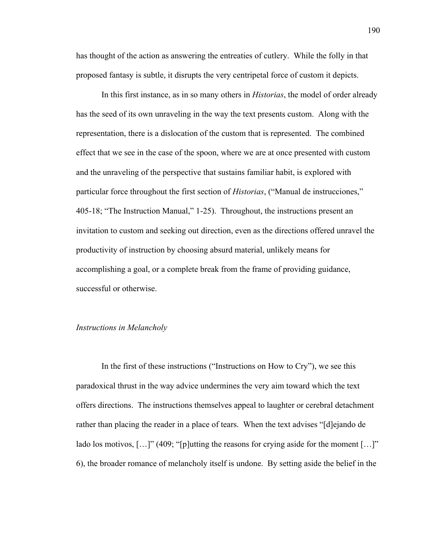has thought of the action as answering the entreaties of cutlery. While the folly in that proposed fantasy is subtle, it disrupts the very centripetal force of custom it depicts.

In this first instance, as in so many others in *Historias*, the model of order already has the seed of its own unraveling in the way the text presents custom. Along with the representation, there is a dislocation of the custom that is represented. The combined effect that we see in the case of the spoon, where we are at once presented with custom and the unraveling of the perspective that sustains familiar habit, is explored with particular force throughout the first section of *Historias*, ("Manual de instrucciones," 405-18; "The Instruction Manual," 1-25). Throughout, the instructions present an invitation to custom and seeking out direction, even as the directions offered unravel the productivity of instruction by choosing absurd material, unlikely means for accomplishing a goal, or a complete break from the frame of providing guidance, successful or otherwise.

# *Instructions in Melancholy*

In the first of these instructions ("Instructions on How to Cry"), we see this paradoxical thrust in the way advice undermines the very aim toward which the text offers directions. The instructions themselves appeal to laughter or cerebral detachment rather than placing the reader in a place of tears. When the text advises "[d]ejando de lado los motivos, [...]" (409; "[p]utting the reasons for crying aside for the moment [...]" 6), the broader romance of melancholy itself is undone. By setting aside the belief in the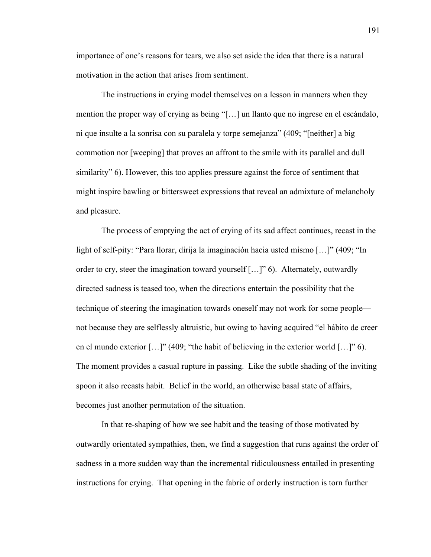importance of one's reasons for tears, we also set aside the idea that there is a natural motivation in the action that arises from sentiment.

The instructions in crying model themselves on a lesson in manners when they mention the proper way of crying as being "[…] un llanto que no ingrese en el escándalo, ni que insulte a la sonrisa con su paralela y torpe semejanza" (409; "[neither] a big commotion nor [weeping] that proves an affront to the smile with its parallel and dull similarity" 6). However, this too applies pressure against the force of sentiment that might inspire bawling or bittersweet expressions that reveal an admixture of melancholy and pleasure.

The process of emptying the act of crying of its sad affect continues, recast in the light of self-pity: "Para llorar, dirija la imaginación hacia usted mismo […]" (409; "In order to cry, steer the imagination toward yourself […]" 6). Alternately, outwardly directed sadness is teased too, when the directions entertain the possibility that the technique of steering the imagination towards oneself may not work for some people not because they are selflessly altruistic, but owing to having acquired "el hábito de creer en el mundo exterior […]" (409; "the habit of believing in the exterior world […]" 6). The moment provides a casual rupture in passing. Like the subtle shading of the inviting spoon it also recasts habit. Belief in the world, an otherwise basal state of affairs, becomes just another permutation of the situation.

In that re-shaping of how we see habit and the teasing of those motivated by outwardly orientated sympathies, then, we find a suggestion that runs against the order of sadness in a more sudden way than the incremental ridiculousness entailed in presenting instructions for crying. That opening in the fabric of orderly instruction is torn further

191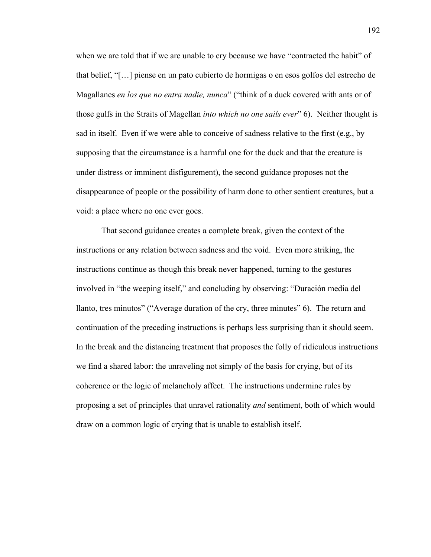when we are told that if we are unable to cry because we have "contracted the habit" of that belief, "[…] piense en un pato cubierto de hormigas o en esos golfos del estrecho de Magallanes *en los que no entra nadie, nunca*" ("think of a duck covered with ants or of those gulfs in the Straits of Magellan *into which no one sails ever*" 6). Neither thought is sad in itself. Even if we were able to conceive of sadness relative to the first (e.g., by supposing that the circumstance is a harmful one for the duck and that the creature is under distress or imminent disfigurement), the second guidance proposes not the disappearance of people or the possibility of harm done to other sentient creatures, but a void: a place where no one ever goes.

That second guidance creates a complete break, given the context of the instructions or any relation between sadness and the void. Even more striking, the instructions continue as though this break never happened, turning to the gestures involved in "the weeping itself," and concluding by observing: "Duración media del llanto, tres minutos" ("Average duration of the cry, three minutes" 6). The return and continuation of the preceding instructions is perhaps less surprising than it should seem. In the break and the distancing treatment that proposes the folly of ridiculous instructions we find a shared labor: the unraveling not simply of the basis for crying, but of its coherence or the logic of melancholy affect. The instructions undermine rules by proposing a set of principles that unravel rationality *and* sentiment, both of which would draw on a common logic of crying that is unable to establish itself.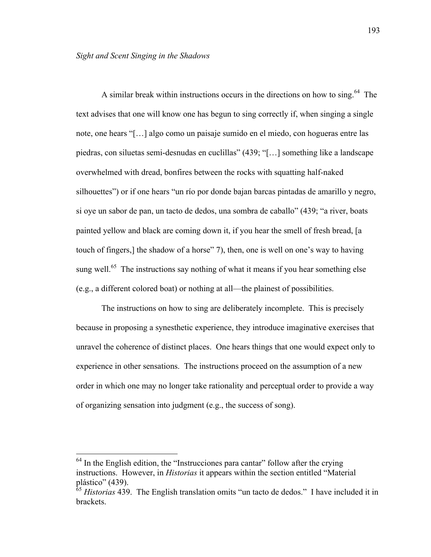A similar break within instructions occurs in the directions on how to sing.64 The text advises that one will know one has begun to sing correctly if, when singing a single note, one hears "[…] algo como un paisaje sumido en el miedo, con hogueras entre las piedras, con siluetas semi-desnudas en cuclillas" (439; "[…] something like a landscape overwhelmed with dread, bonfires between the rocks with squatting half-naked silhouettes") or if one hears "un río por donde bajan barcas pintadas de amarillo y negro, si oye un sabor de pan, un tacto de dedos, una sombra de caballo" (439; "a river, boats painted yellow and black are coming down it, if you hear the smell of fresh bread, [a touch of fingers,] the shadow of a horse" 7), then, one is well on one's way to having sung well.<sup>65</sup> The instructions say nothing of what it means if you hear something else (e.g., a different colored boat) or nothing at all—the plainest of possibilities.

The instructions on how to sing are deliberately incomplete. This is precisely because in proposing a synesthetic experience, they introduce imaginative exercises that unravel the coherence of distinct places. One hears things that one would expect only to experience in other sensations. The instructions proceed on the assumption of a new order in which one may no longer take rationality and perceptual order to provide a way of organizing sensation into judgment (e.g., the success of song).

 $<sup>64</sup>$  In the English edition, the "Instrucciones para cantar" follow after the crying</sup> instructions. However, in *Historias* it appears within the section entitled "Material plástico" (439).

<sup>&</sup>lt;sup>65</sup> *Historias* 439. The English translation omits "un tacto de dedos." I have included it in brackets.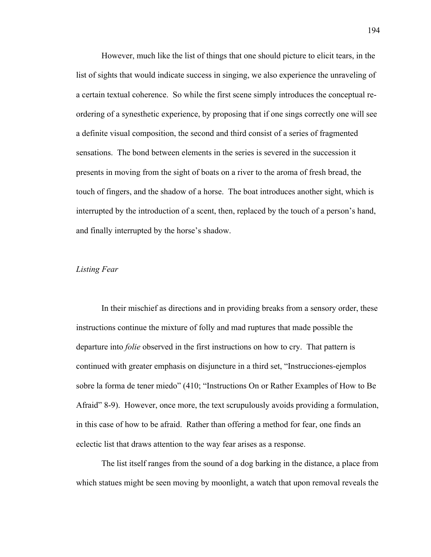However, much like the list of things that one should picture to elicit tears, in the list of sights that would indicate success in singing, we also experience the unraveling of a certain textual coherence. So while the first scene simply introduces the conceptual reordering of a synesthetic experience, by proposing that if one sings correctly one will see a definite visual composition, the second and third consist of a series of fragmented sensations. The bond between elements in the series is severed in the succession it presents in moving from the sight of boats on a river to the aroma of fresh bread, the touch of fingers, and the shadow of a horse. The boat introduces another sight, which is interrupted by the introduction of a scent, then, replaced by the touch of a person's hand, and finally interrupted by the horse's shadow.

#### *Listing Fear*

In their mischief as directions and in providing breaks from a sensory order, these instructions continue the mixture of folly and mad ruptures that made possible the departure into *folie* observed in the first instructions on how to cry. That pattern is continued with greater emphasis on disjuncture in a third set, "Instrucciones-ejemplos sobre la forma de tener miedo" (410; "Instructions On or Rather Examples of How to Be Afraid" 8-9). However, once more, the text scrupulously avoids providing a formulation, in this case of how to be afraid. Rather than offering a method for fear, one finds an eclectic list that draws attention to the way fear arises as a response.

The list itself ranges from the sound of a dog barking in the distance, a place from which statues might be seen moving by moonlight, a watch that upon removal reveals the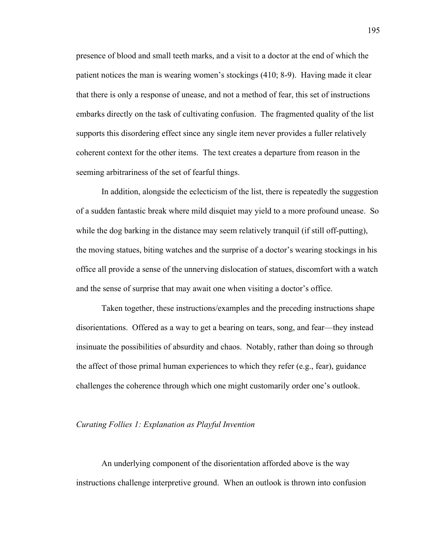presence of blood and small teeth marks, and a visit to a doctor at the end of which the patient notices the man is wearing women's stockings (410; 8-9). Having made it clear that there is only a response of unease, and not a method of fear, this set of instructions embarks directly on the task of cultivating confusion. The fragmented quality of the list supports this disordering effect since any single item never provides a fuller relatively coherent context for the other items. The text creates a departure from reason in the seeming arbitrariness of the set of fearful things.

In addition, alongside the eclecticism of the list, there is repeatedly the suggestion of a sudden fantastic break where mild disquiet may yield to a more profound unease. So while the dog barking in the distance may seem relatively tranquil (if still off-putting), the moving statues, biting watches and the surprise of a doctor's wearing stockings in his office all provide a sense of the unnerving dislocation of statues, discomfort with a watch and the sense of surprise that may await one when visiting a doctor's office.

Taken together, these instructions/examples and the preceding instructions shape disorientations. Offered as a way to get a bearing on tears, song, and fear—they instead insinuate the possibilities of absurdity and chaos. Notably, rather than doing so through the affect of those primal human experiences to which they refer (e.g., fear), guidance challenges the coherence through which one might customarily order one's outlook.

#### *Curating Follies 1: Explanation as Playful Invention*

An underlying component of the disorientation afforded above is the way instructions challenge interpretive ground. When an outlook is thrown into confusion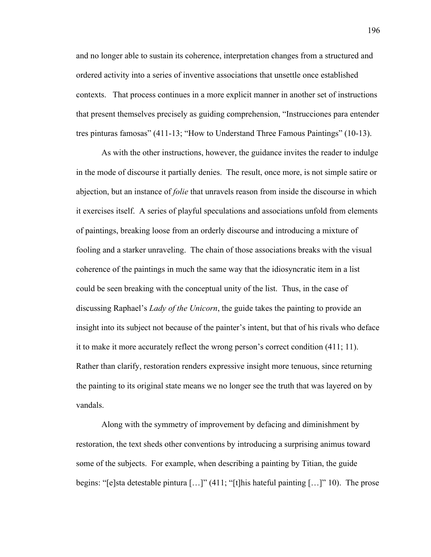and no longer able to sustain its coherence, interpretation changes from a structured and ordered activity into a series of inventive associations that unsettle once established contexts. That process continues in a more explicit manner in another set of instructions that present themselves precisely as guiding comprehension, "Instrucciones para entender tres pinturas famosas" (411-13; "How to Understand Three Famous Paintings" (10-13).

As with the other instructions, however, the guidance invites the reader to indulge in the mode of discourse it partially denies. The result, once more, is not simple satire or abjection, but an instance of *folie* that unravels reason from inside the discourse in which it exercises itself. A series of playful speculations and associations unfold from elements of paintings, breaking loose from an orderly discourse and introducing a mixture of fooling and a starker unraveling. The chain of those associations breaks with the visual coherence of the paintings in much the same way that the idiosyncratic item in a list could be seen breaking with the conceptual unity of the list. Thus, in the case of discussing Raphael's *Lady of the Unicorn*, the guide takes the painting to provide an insight into its subject not because of the painter's intent, but that of his rivals who deface it to make it more accurately reflect the wrong person's correct condition (411; 11). Rather than clarify, restoration renders expressive insight more tenuous, since returning the painting to its original state means we no longer see the truth that was layered on by vandals.

Along with the symmetry of improvement by defacing and diminishment by restoration, the text sheds other conventions by introducing a surprising animus toward some of the subjects. For example, when describing a painting by Titian, the guide begins: "[e]sta detestable pintura […]" (411; "[t]his hateful painting […]" 10). The prose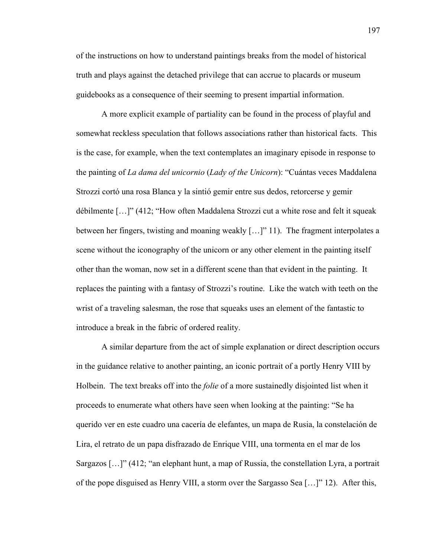of the instructions on how to understand paintings breaks from the model of historical truth and plays against the detached privilege that can accrue to placards or museum guidebooks as a consequence of their seeming to present impartial information.

A more explicit example of partiality can be found in the process of playful and somewhat reckless speculation that follows associations rather than historical facts. This is the case, for example, when the text contemplates an imaginary episode in response to the painting of *La dama del unicornio* (*Lady of the Unicorn*): "Cuántas veces Maddalena Strozzi cortó una rosa Blanca y la sintió gemir entre sus dedos, retorcerse y gemir débilmente […]" (412; "How often Maddalena Strozzi cut a white rose and felt it squeak between her fingers, twisting and moaning weakly […]" 11). The fragment interpolates a scene without the iconography of the unicorn or any other element in the painting itself other than the woman, now set in a different scene than that evident in the painting. It replaces the painting with a fantasy of Strozzi's routine. Like the watch with teeth on the wrist of a traveling salesman, the rose that squeaks uses an element of the fantastic to introduce a break in the fabric of ordered reality.

A similar departure from the act of simple explanation or direct description occurs in the guidance relative to another painting, an iconic portrait of a portly Henry VIII by Holbein. The text breaks off into the *folie* of a more sustainedly disjointed list when it proceeds to enumerate what others have seen when looking at the painting: "Se ha querido ver en este cuadro una cacería de elefantes, un mapa de Rusia, la constelación de Lira, el retrato de un papa disfrazado de Enrique VIII, una tormenta en el mar de los Sargazos […]" (412; "an elephant hunt, a map of Russia, the constellation Lyra, a portrait of the pope disguised as Henry VIII, a storm over the Sargasso Sea […]" 12). After this,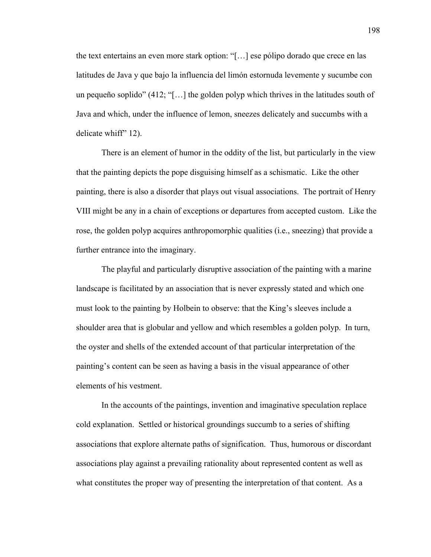the text entertains an even more stark option: "[…] ese pólipo dorado que crece en las latitudes de Java y que bajo la influencia del limón estornuda levemente y sucumbe con un pequeño soplido" (412; "[…] the golden polyp which thrives in the latitudes south of Java and which, under the influence of lemon, sneezes delicately and succumbs with a delicate whiff" 12).

There is an element of humor in the oddity of the list, but particularly in the view that the painting depicts the pope disguising himself as a schismatic. Like the other painting, there is also a disorder that plays out visual associations. The portrait of Henry VIII might be any in a chain of exceptions or departures from accepted custom. Like the rose, the golden polyp acquires anthropomorphic qualities (i.e., sneezing) that provide a further entrance into the imaginary.

The playful and particularly disruptive association of the painting with a marine landscape is facilitated by an association that is never expressly stated and which one must look to the painting by Holbein to observe: that the King's sleeves include a shoulder area that is globular and yellow and which resembles a golden polyp. In turn, the oyster and shells of the extended account of that particular interpretation of the painting's content can be seen as having a basis in the visual appearance of other elements of his vestment.

In the accounts of the paintings, invention and imaginative speculation replace cold explanation. Settled or historical groundings succumb to a series of shifting associations that explore alternate paths of signification. Thus, humorous or discordant associations play against a prevailing rationality about represented content as well as what constitutes the proper way of presenting the interpretation of that content. As a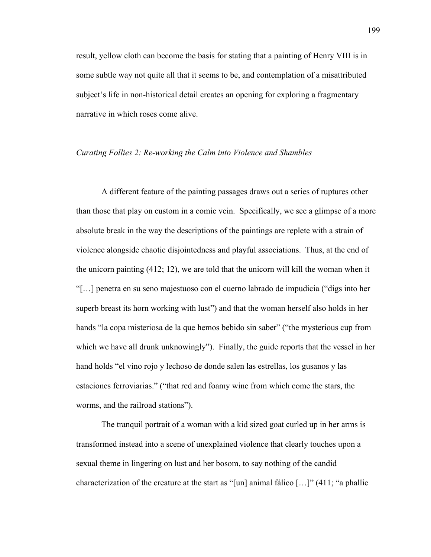result, yellow cloth can become the basis for stating that a painting of Henry VIII is in some subtle way not quite all that it seems to be, and contemplation of a misattributed subject's life in non-historical detail creates an opening for exploring a fragmentary narrative in which roses come alive.

## *Curating Follies 2: Re-working the Calm into Violence and Shambles*

A different feature of the painting passages draws out a series of ruptures other than those that play on custom in a comic vein. Specifically, we see a glimpse of a more absolute break in the way the descriptions of the paintings are replete with a strain of violence alongside chaotic disjointedness and playful associations. Thus, at the end of the unicorn painting (412; 12), we are told that the unicorn will kill the woman when it "[…] penetra en su seno majestuoso con el cuerno labrado de impudicia ("digs into her superb breast its horn working with lust") and that the woman herself also holds in her hands "la copa misteriosa de la que hemos bebido sin saber" ("the mysterious cup from which we have all drunk unknowingly"). Finally, the guide reports that the vessel in her hand holds "el vino rojo y lechoso de donde salen las estrellas, los gusanos y las estaciones ferroviarias." ("that red and foamy wine from which come the stars, the worms, and the railroad stations").

The tranquil portrait of a woman with a kid sized goat curled up in her arms is transformed instead into a scene of unexplained violence that clearly touches upon a sexual theme in lingering on lust and her bosom, to say nothing of the candid characterization of the creature at the start as "[un] animal fálico […]" (411; "a phallic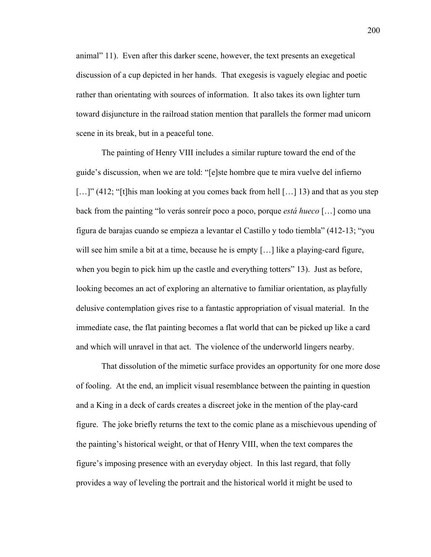animal" 11). Even after this darker scene, however, the text presents an exegetical discussion of a cup depicted in her hands. That exegesis is vaguely elegiac and poetic rather than orientating with sources of information. It also takes its own lighter turn toward disjuncture in the railroad station mention that parallels the former mad unicorn scene in its break, but in a peaceful tone.

The painting of Henry VIII includes a similar rupture toward the end of the guide's discussion, when we are told: "[e]ste hombre que te mira vuelve del infierno [...]" (412; "[t]his man looking at you comes back from hell [...] 13) and that as you step back from the painting "lo verás sonreír poco a poco, porque *está hueco* […] como una figura de barajas cuando se empieza a levantar el Castillo y todo tiembla" (412-13; "you will see him smile a bit at a time, because he is empty [...] like a playing-card figure, when you begin to pick him up the castle and everything totters" 13). Just as before, looking becomes an act of exploring an alternative to familiar orientation, as playfully delusive contemplation gives rise to a fantastic appropriation of visual material. In the immediate case, the flat painting becomes a flat world that can be picked up like a card and which will unravel in that act. The violence of the underworld lingers nearby.

That dissolution of the mimetic surface provides an opportunity for one more dose of fooling. At the end, an implicit visual resemblance between the painting in question and a King in a deck of cards creates a discreet joke in the mention of the play-card figure. The joke briefly returns the text to the comic plane as a mischievous upending of the painting's historical weight, or that of Henry VIII, when the text compares the figure's imposing presence with an everyday object. In this last regard, that folly provides a way of leveling the portrait and the historical world it might be used to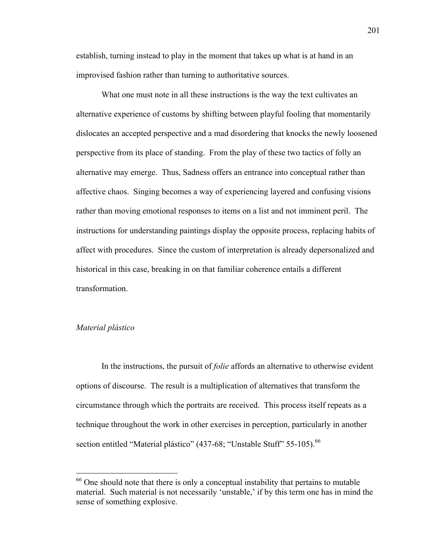establish, turning instead to play in the moment that takes up what is at hand in an improvised fashion rather than turning to authoritative sources.

What one must note in all these instructions is the way the text cultivates an alternative experience of customs by shifting between playful fooling that momentarily dislocates an accepted perspective and a mad disordering that knocks the newly loosened perspective from its place of standing. From the play of these two tactics of folly an alternative may emerge. Thus, Sadness offers an entrance into conceptual rather than affective chaos. Singing becomes a way of experiencing layered and confusing visions rather than moving emotional responses to items on a list and not imminent peril. The instructions for understanding paintings display the opposite process, replacing habits of affect with procedures. Since the custom of interpretation is already depersonalized and historical in this case, breaking in on that familiar coherence entails a different transformation.

#### *Material plástico*

In the instructions, the pursuit of *folie* affords an alternative to otherwise evident options of discourse. The result is a multiplication of alternatives that transform the circumstance through which the portraits are received. This process itself repeats as a technique throughout the work in other exercises in perception, particularly in another section entitled "Material plástico" (437-68; "Unstable Stuff" 55-105).<sup>66</sup>

 $66$  One should note that there is only a conceptual instability that pertains to mutable material. Such material is not necessarily 'unstable,' if by this term one has in mind the sense of something explosive.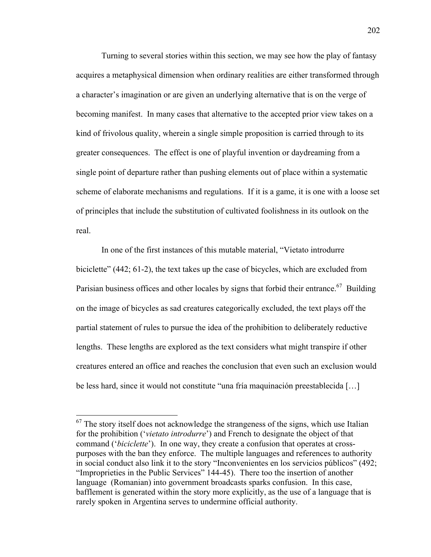Turning to several stories within this section, we may see how the play of fantasy acquires a metaphysical dimension when ordinary realities are either transformed through a character's imagination or are given an underlying alternative that is on the verge of becoming manifest. In many cases that alternative to the accepted prior view takes on a kind of frivolous quality, wherein a single simple proposition is carried through to its greater consequences. The effect is one of playful invention or daydreaming from a single point of departure rather than pushing elements out of place within a systematic scheme of elaborate mechanisms and regulations. If it is a game, it is one with a loose set of principles that include the substitution of cultivated foolishness in its outlook on the real.

In one of the first instances of this mutable material, "Vietato introdurre biciclette" (442; 61-2), the text takes up the case of bicycles, which are excluded from Parisian business offices and other locales by signs that forbid their entrance.<sup>67</sup> Building on the image of bicycles as sad creatures categorically excluded, the text plays off the partial statement of rules to pursue the idea of the prohibition to deliberately reductive lengths. These lengths are explored as the text considers what might transpire if other creatures entered an office and reaches the conclusion that even such an exclusion would be less hard, since it would not constitute "una fría maquinación preestablecida […]

 $67$  The story itself does not acknowledge the strangeness of the signs, which use Italian for the prohibition ('*vietato introdurre*') and French to designate the object of that command ('*biciclette*'). In one way, they create a confusion that operates at crosspurposes with the ban they enforce. The multiple languages and references to authority in social conduct also link it to the story "Inconvenientes en los servicios públicos" (492; "Improprieties in the Public Services" 144-45). There too the insertion of another language (Romanian) into government broadcasts sparks confusion. In this case, bafflement is generated within the story more explicitly, as the use of a language that is rarely spoken in Argentina serves to undermine official authority.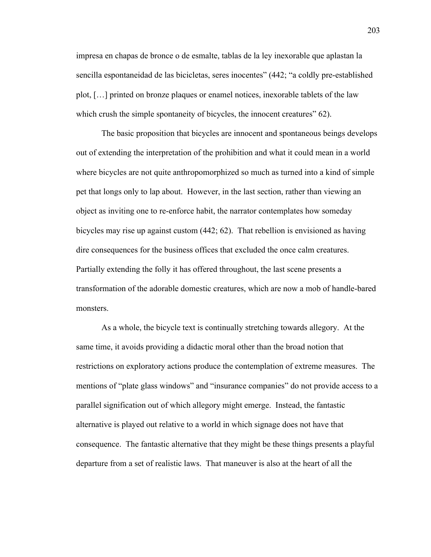impresa en chapas de bronce o de esmalte, tablas de la ley inexorable que aplastan la sencilla espontaneidad de las bicicletas, seres inocentes" (442; "a coldly pre-established plot, […] printed on bronze plaques or enamel notices, inexorable tablets of the law which crush the simple spontaneity of bicycles, the innocent creatures" 62).

The basic proposition that bicycles are innocent and spontaneous beings develops out of extending the interpretation of the prohibition and what it could mean in a world where bicycles are not quite anthropomorphized so much as turned into a kind of simple pet that longs only to lap about. However, in the last section, rather than viewing an object as inviting one to re-enforce habit, the narrator contemplates how someday bicycles may rise up against custom (442; 62). That rebellion is envisioned as having dire consequences for the business offices that excluded the once calm creatures. Partially extending the folly it has offered throughout, the last scene presents a transformation of the adorable domestic creatures, which are now a mob of handle-bared monsters.

As a whole, the bicycle text is continually stretching towards allegory. At the same time, it avoids providing a didactic moral other than the broad notion that restrictions on exploratory actions produce the contemplation of extreme measures. The mentions of "plate glass windows" and "insurance companies" do not provide access to a parallel signification out of which allegory might emerge. Instead, the fantastic alternative is played out relative to a world in which signage does not have that consequence. The fantastic alternative that they might be these things presents a playful departure from a set of realistic laws. That maneuver is also at the heart of all the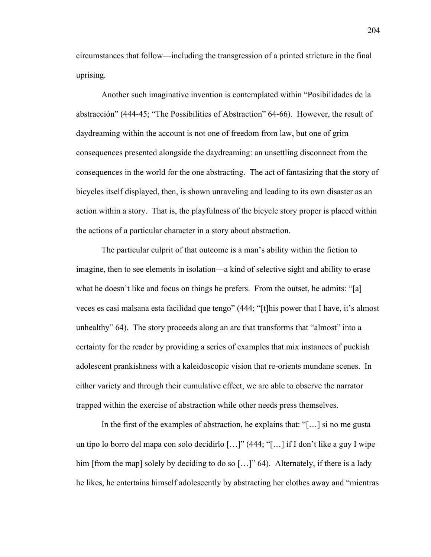circumstances that follow—including the transgression of a printed stricture in the final uprising.

Another such imaginative invention is contemplated within "Posibilidades de la abstracción" (444-45; "The Possibilities of Abstraction" 64-66). However, the result of daydreaming within the account is not one of freedom from law, but one of grim consequences presented alongside the daydreaming: an unsettling disconnect from the consequences in the world for the one abstracting. The act of fantasizing that the story of bicycles itself displayed, then, is shown unraveling and leading to its own disaster as an action within a story. That is, the playfulness of the bicycle story proper is placed within the actions of a particular character in a story about abstraction.

The particular culprit of that outcome is a man's ability within the fiction to imagine, then to see elements in isolation—a kind of selective sight and ability to erase what he doesn't like and focus on things he prefers. From the outset, he admits: "[a] veces es casi malsana esta facilidad que tengo" (444; "[t]his power that I have, it's almost unhealthy" 64). The story proceeds along an arc that transforms that "almost" into a certainty for the reader by providing a series of examples that mix instances of puckish adolescent prankishness with a kaleidoscopic vision that re-orients mundane scenes. In either variety and through their cumulative effect, we are able to observe the narrator trapped within the exercise of abstraction while other needs press themselves.

In the first of the examples of abstraction, he explains that: "[...] si no me gusta un tipo lo borro del mapa con solo decidirlo […]" (444; "[…] if I don't like a guy I wipe him [from the map] solely by deciding to do so [...]" 64). Alternately, if there is a lady he likes, he entertains himself adolescently by abstracting her clothes away and "mientras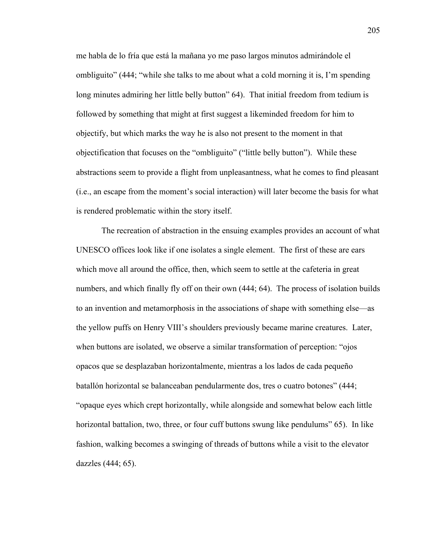me habla de lo fría que está la mañana yo me paso largos minutos admirándole el ombliguito" (444; "while she talks to me about what a cold morning it is, I'm spending long minutes admiring her little belly button" 64). That initial freedom from tedium is followed by something that might at first suggest a likeminded freedom for him to objectify, but which marks the way he is also not present to the moment in that objectification that focuses on the "ombliguito" ("little belly button"). While these abstractions seem to provide a flight from unpleasantness, what he comes to find pleasant (i.e., an escape from the moment's social interaction) will later become the basis for what is rendered problematic within the story itself.

The recreation of abstraction in the ensuing examples provides an account of what UNESCO offices look like if one isolates a single element. The first of these are ears which move all around the office, then, which seem to settle at the cafeteria in great numbers, and which finally fly off on their own (444; 64). The process of isolation builds to an invention and metamorphosis in the associations of shape with something else—as the yellow puffs on Henry VIII's shoulders previously became marine creatures. Later, when buttons are isolated, we observe a similar transformation of perception: "ojos opacos que se desplazaban horizontalmente, mientras a los lados de cada pequeño batallón horizontal se balanceaban pendularmente dos, tres o cuatro botones" (444; "opaque eyes which crept horizontally, while alongside and somewhat below each little horizontal battalion, two, three, or four cuff buttons swung like pendulums" 65). In like fashion, walking becomes a swinging of threads of buttons while a visit to the elevator dazzles (444; 65).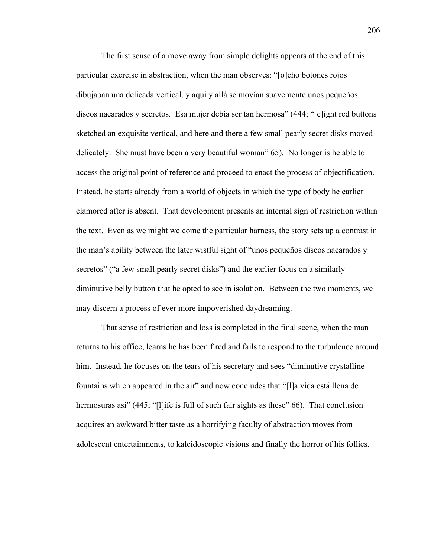The first sense of a move away from simple delights appears at the end of this particular exercise in abstraction, when the man observes: "[o]cho botones rojos dibujaban una delicada vertical, y aquí y allá se movían suavemente unos pequeños discos nacarados y secretos. Esa mujer debía ser tan hermosa" (444; "[e]ight red buttons sketched an exquisite vertical, and here and there a few small pearly secret disks moved delicately. She must have been a very beautiful woman" 65). No longer is he able to access the original point of reference and proceed to enact the process of objectification. Instead, he starts already from a world of objects in which the type of body he earlier clamored after is absent. That development presents an internal sign of restriction within the text. Even as we might welcome the particular harness, the story sets up a contrast in the man's ability between the later wistful sight of "unos pequeños discos nacarados y secretos" ("a few small pearly secret disks") and the earlier focus on a similarly diminutive belly button that he opted to see in isolation. Between the two moments, we may discern a process of ever more impoverished daydreaming.

That sense of restriction and loss is completed in the final scene, when the man returns to his office, learns he has been fired and fails to respond to the turbulence around him. Instead, he focuses on the tears of his secretary and sees "diminutive crystalline fountains which appeared in the air" and now concludes that "[l]a vida está llena de hermosuras así" (445; "[l]ife is full of such fair sights as these" 66). That conclusion acquires an awkward bitter taste as a horrifying faculty of abstraction moves from adolescent entertainments, to kaleidoscopic visions and finally the horror of his follies.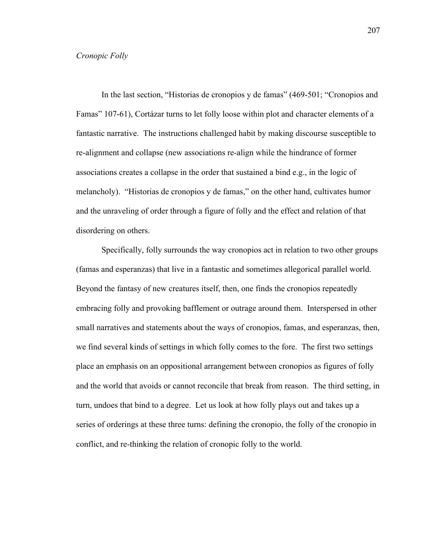#### *Cronopic Folly*

In the last section, "Historias de cronopios y de famas" (469-501; "Cronopios and Famas" 107-61), Cortázar turns to let folly loose within plot and character elements of a fantastic narrative. The instructions challenged habit by making discourse susceptible to re-alignment and collapse (new associations re-align while the hindrance of former associations creates a collapse in the order that sustained a bind e.g., in the logic of melancholy). "Historias de cronopios y de famas," on the other hand, cultivates humor and the unraveling of order through a figure of folly and the effect and relation of that disordering on others.

Specifically, folly surrounds the way cronopios act in relation to two other groups (famas and esperanzas) that live in a fantastic and sometimes allegorical parallel world. Beyond the fantasy of new creatures itself, then, one finds the cronopios repeatedly embracing folly and provoking bafflement or outrage around them. Interspersed in other small narratives and statements about the ways of cronopios, famas, and esperanzas, then, we find several kinds of settings in which folly comes to the fore. The first two settings place an emphasis on an oppositional arrangement between cronopios as figures of folly and the world that avoids or cannot reconcile that break from reason. The third setting, in turn, undoes that bind to a degree. Let us look at how folly plays out and takes up a series of orderings at these three turns: defining the cronopio, the folly of the cronopio in conflict, and re-thinking the relation of cronopic folly to the world.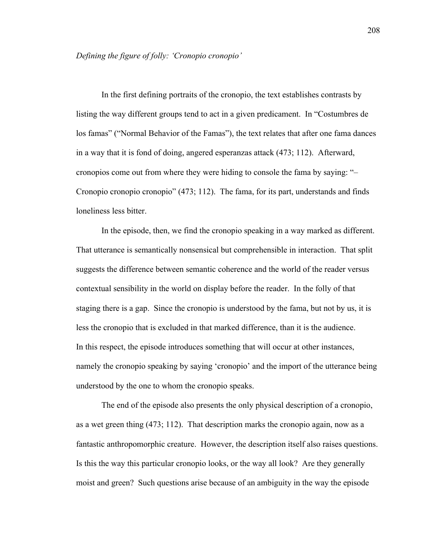In the first defining portraits of the cronopio, the text establishes contrasts by listing the way different groups tend to act in a given predicament. In "Costumbres de los famas" ("Normal Behavior of the Famas"), the text relates that after one fama dances in a way that it is fond of doing, angered esperanzas attack (473; 112). Afterward, cronopios come out from where they were hiding to console the fama by saying: "– Cronopio cronopio cronopio" (473; 112). The fama, for its part, understands and finds loneliness less bitter.

In the episode, then, we find the cronopio speaking in a way marked as different. That utterance is semantically nonsensical but comprehensible in interaction. That split suggests the difference between semantic coherence and the world of the reader versus contextual sensibility in the world on display before the reader. In the folly of that staging there is a gap. Since the cronopio is understood by the fama, but not by us, it is less the cronopio that is excluded in that marked difference, than it is the audience. In this respect, the episode introduces something that will occur at other instances, namely the cronopio speaking by saying 'cronopio' and the import of the utterance being understood by the one to whom the cronopio speaks.

The end of the episode also presents the only physical description of a cronopio, as a wet green thing (473; 112). That description marks the cronopio again, now as a fantastic anthropomorphic creature. However, the description itself also raises questions. Is this the way this particular cronopio looks, or the way all look? Are they generally moist and green? Such questions arise because of an ambiguity in the way the episode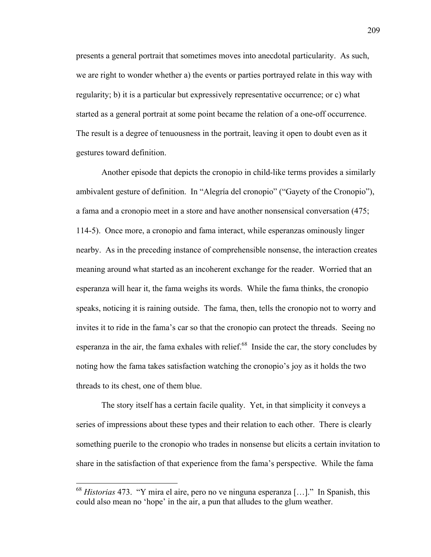presents a general portrait that sometimes moves into anecdotal particularity. As such, we are right to wonder whether a) the events or parties portrayed relate in this way with regularity; b) it is a particular but expressively representative occurrence; or c) what started as a general portrait at some point became the relation of a one-off occurrence. The result is a degree of tenuousness in the portrait, leaving it open to doubt even as it gestures toward definition.

Another episode that depicts the cronopio in child-like terms provides a similarly ambivalent gesture of definition. In "Alegría del cronopio" ("Gayety of the Cronopio"), a fama and a cronopio meet in a store and have another nonsensical conversation (475; 114-5). Once more, a cronopio and fama interact, while esperanzas ominously linger nearby. As in the preceding instance of comprehensible nonsense, the interaction creates meaning around what started as an incoherent exchange for the reader. Worried that an esperanza will hear it, the fama weighs its words. While the fama thinks, the cronopio speaks, noticing it is raining outside. The fama, then, tells the cronopio not to worry and invites it to ride in the fama's car so that the cronopio can protect the threads. Seeing no esperanza in the air, the fama exhales with relief. $68$  Inside the car, the story concludes by noting how the fama takes satisfaction watching the cronopio's joy as it holds the two threads to its chest, one of them blue.

The story itself has a certain facile quality. Yet, in that simplicity it conveys a series of impressions about these types and their relation to each other. There is clearly something puerile to the cronopio who trades in nonsense but elicits a certain invitation to share in the satisfaction of that experience from the fama's perspective. While the fama

 <sup>68</sup> *Historias* 473. "Y mira el aire, pero no ve ninguna esperanza […]." In Spanish, this could also mean no 'hope' in the air, a pun that alludes to the glum weather.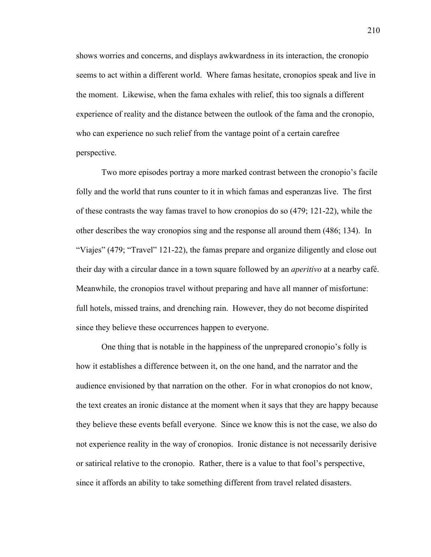shows worries and concerns, and displays awkwardness in its interaction, the cronopio seems to act within a different world. Where famas hesitate, cronopios speak and live in the moment. Likewise, when the fama exhales with relief, this too signals a different experience of reality and the distance between the outlook of the fama and the cronopio, who can experience no such relief from the vantage point of a certain carefree perspective.

Two more episodes portray a more marked contrast between the cronopio's facile folly and the world that runs counter to it in which famas and esperanzas live. The first of these contrasts the way famas travel to how cronopios do so (479; 121-22), while the other describes the way cronopios sing and the response all around them (486; 134). In "Viajes" (479; "Travel" 121-22), the famas prepare and organize diligently and close out their day with a circular dance in a town square followed by an *aperitivo* at a nearby café. Meanwhile, the cronopios travel without preparing and have all manner of misfortune: full hotels, missed trains, and drenching rain. However, they do not become dispirited since they believe these occurrences happen to everyone.

One thing that is notable in the happiness of the unprepared cronopio's folly is how it establishes a difference between it, on the one hand, and the narrator and the audience envisioned by that narration on the other. For in what cronopios do not know, the text creates an ironic distance at the moment when it says that they are happy because they believe these events befall everyone. Since we know this is not the case, we also do not experience reality in the way of cronopios. Ironic distance is not necessarily derisive or satirical relative to the cronopio. Rather, there is a value to that fool's perspective, since it affords an ability to take something different from travel related disasters.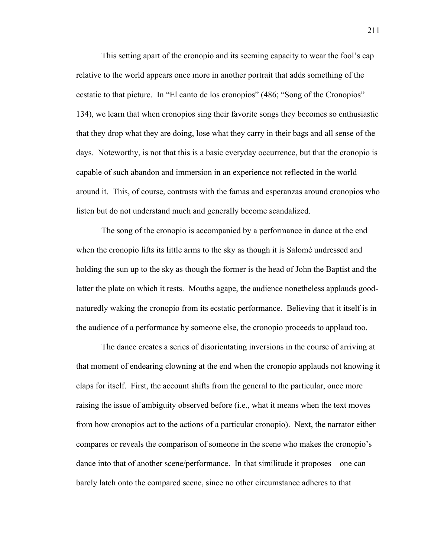This setting apart of the cronopio and its seeming capacity to wear the fool's cap relative to the world appears once more in another portrait that adds something of the ecstatic to that picture. In "El canto de los cronopios" (486; "Song of the Cronopios" 134), we learn that when cronopios sing their favorite songs they becomes so enthusiastic that they drop what they are doing, lose what they carry in their bags and all sense of the days. Noteworthy, is not that this is a basic everyday occurrence, but that the cronopio is capable of such abandon and immersion in an experience not reflected in the world around it. This, of course, contrasts with the famas and esperanzas around cronopios who listen but do not understand much and generally become scandalized.

The song of the cronopio is accompanied by a performance in dance at the end when the cronopio lifts its little arms to the sky as though it is Salomé undressed and holding the sun up to the sky as though the former is the head of John the Baptist and the latter the plate on which it rests. Mouths agape, the audience nonetheless applauds goodnaturedly waking the cronopio from its ecstatic performance. Believing that it itself is in the audience of a performance by someone else, the cronopio proceeds to applaud too.

The dance creates a series of disorientating inversions in the course of arriving at that moment of endearing clowning at the end when the cronopio applauds not knowing it claps for itself. First, the account shifts from the general to the particular, once more raising the issue of ambiguity observed before (i.e., what it means when the text moves from how cronopios act to the actions of a particular cronopio). Next, the narrator either compares or reveals the comparison of someone in the scene who makes the cronopio's dance into that of another scene/performance. In that similitude it proposes—one can barely latch onto the compared scene, since no other circumstance adheres to that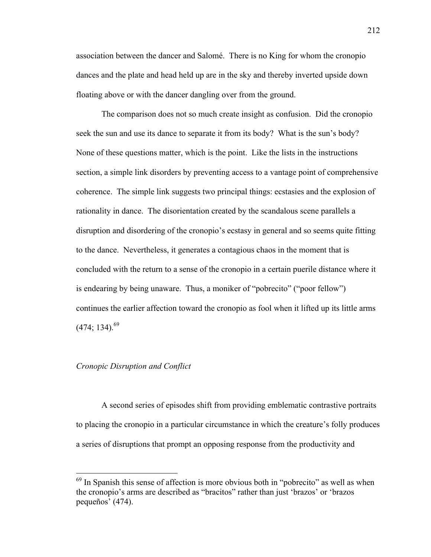association between the dancer and Salomé. There is no King for whom the cronopio dances and the plate and head held up are in the sky and thereby inverted upside down floating above or with the dancer dangling over from the ground.

The comparison does not so much create insight as confusion. Did the cronopio seek the sun and use its dance to separate it from its body? What is the sun's body? None of these questions matter, which is the point. Like the lists in the instructions section, a simple link disorders by preventing access to a vantage point of comprehensive coherence. The simple link suggests two principal things: ecstasies and the explosion of rationality in dance. The disorientation created by the scandalous scene parallels a disruption and disordering of the cronopio's ecstasy in general and so seems quite fitting to the dance. Nevertheless, it generates a contagious chaos in the moment that is concluded with the return to a sense of the cronopio in a certain puerile distance where it is endearing by being unaware. Thus, a moniker of "pobrecito" ("poor fellow") continues the earlier affection toward the cronopio as fool when it lifted up its little arms  $(474; 134)$ <sup>69</sup>

# *Cronopic Disruption and Conflict*

A second series of episodes shift from providing emblematic contrastive portraits to placing the cronopio in a particular circumstance in which the creature's folly produces a series of disruptions that prompt an opposing response from the productivity and

 $<sup>69</sup>$  In Spanish this sense of affection is more obvious both in "pobrecito" as well as when</sup> the cronopio's arms are described as "bracitos" rather than just 'brazos' or 'brazos pequeños' (474).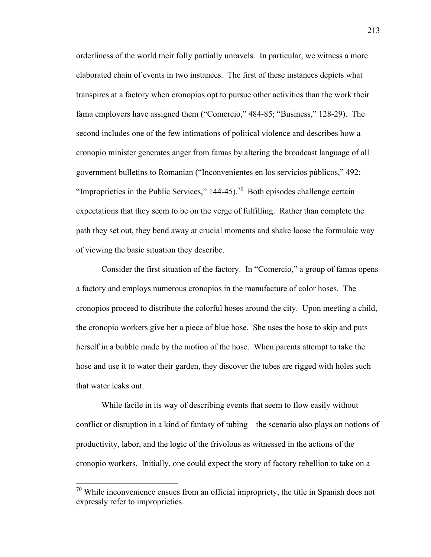orderliness of the world their folly partially unravels. In particular, we witness a more elaborated chain of events in two instances. The first of these instances depicts what transpires at a factory when cronopios opt to pursue other activities than the work their fama employers have assigned them ("Comercio," 484-85; "Business," 128-29). The second includes one of the few intimations of political violence and describes how a cronopio minister generates anger from famas by altering the broadcast language of all government bulletins to Romanian ("Inconvenientes en los servicios públicos," 492; "Improprieties in the Public Services,"  $144-45$ ).<sup>70</sup> Both episodes challenge certain expectations that they seem to be on the verge of fulfilling. Rather than complete the path they set out, they bend away at crucial moments and shake loose the formulaic way of viewing the basic situation they describe.

Consider the first situation of the factory. In "Comercio," a group of famas opens a factory and employs numerous cronopios in the manufacture of color hoses. The cronopios proceed to distribute the colorful hoses around the city. Upon meeting a child, the cronopio workers give her a piece of blue hose. She uses the hose to skip and puts herself in a bubble made by the motion of the hose. When parents attempt to take the hose and use it to water their garden, they discover the tubes are rigged with holes such that water leaks out.

While facile in its way of describing events that seem to flow easily without conflict or disruption in a kind of fantasy of tubing—the scenario also plays on notions of productivity, labor, and the logic of the frivolous as witnessed in the actions of the cronopio workers. Initially, one could expect the story of factory rebellion to take on a

 $70$  While inconvenience ensues from an official impropriety, the title in Spanish does not expressly refer to improprieties.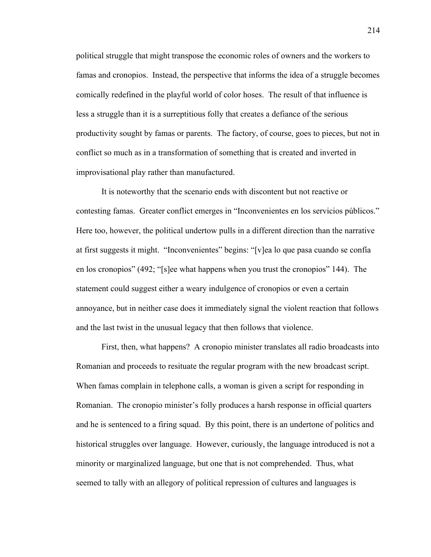political struggle that might transpose the economic roles of owners and the workers to famas and cronopios. Instead, the perspective that informs the idea of a struggle becomes comically redefined in the playful world of color hoses. The result of that influence is less a struggle than it is a surreptitious folly that creates a defiance of the serious productivity sought by famas or parents. The factory, of course, goes to pieces, but not in conflict so much as in a transformation of something that is created and inverted in improvisational play rather than manufactured.

It is noteworthy that the scenario ends with discontent but not reactive or contesting famas. Greater conflict emerges in "Inconvenientes en los servicios públicos." Here too, however, the political undertow pulls in a different direction than the narrative at first suggests it might. "Inconvenientes" begins: "[v]ea lo que pasa cuando se confía en los cronopios" (492; "[s]ee what happens when you trust the cronopios" 144). The statement could suggest either a weary indulgence of cronopios or even a certain annoyance, but in neither case does it immediately signal the violent reaction that follows and the last twist in the unusual legacy that then follows that violence.

First, then, what happens? A cronopio minister translates all radio broadcasts into Romanian and proceeds to resituate the regular program with the new broadcast script. When famas complain in telephone calls, a woman is given a script for responding in Romanian. The cronopio minister's folly produces a harsh response in official quarters and he is sentenced to a firing squad. By this point, there is an undertone of politics and historical struggles over language. However, curiously, the language introduced is not a minority or marginalized language, but one that is not comprehended. Thus, what seemed to tally with an allegory of political repression of cultures and languages is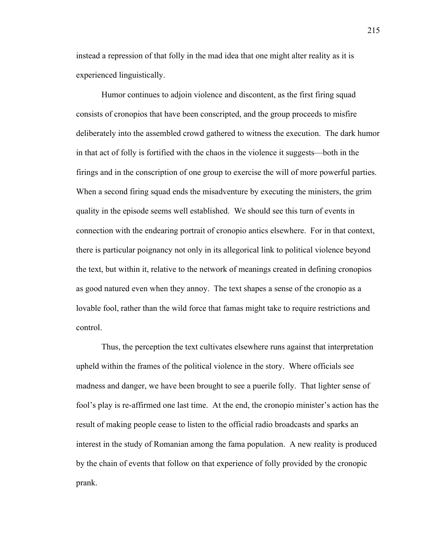instead a repression of that folly in the mad idea that one might alter reality as it is experienced linguistically.

Humor continues to adjoin violence and discontent, as the first firing squad consists of cronopios that have been conscripted, and the group proceeds to misfire deliberately into the assembled crowd gathered to witness the execution. The dark humor in that act of folly is fortified with the chaos in the violence it suggests—both in the firings and in the conscription of one group to exercise the will of more powerful parties. When a second firing squad ends the misadventure by executing the ministers, the grim quality in the episode seems well established. We should see this turn of events in connection with the endearing portrait of cronopio antics elsewhere. For in that context, there is particular poignancy not only in its allegorical link to political violence beyond the text, but within it, relative to the network of meanings created in defining cronopios as good natured even when they annoy. The text shapes a sense of the cronopio as a lovable fool, rather than the wild force that famas might take to require restrictions and control.

Thus, the perception the text cultivates elsewhere runs against that interpretation upheld within the frames of the political violence in the story. Where officials see madness and danger, we have been brought to see a puerile folly. That lighter sense of fool's play is re-affirmed one last time. At the end, the cronopio minister's action has the result of making people cease to listen to the official radio broadcasts and sparks an interest in the study of Romanian among the fama population. A new reality is produced by the chain of events that follow on that experience of folly provided by the cronopic prank.

215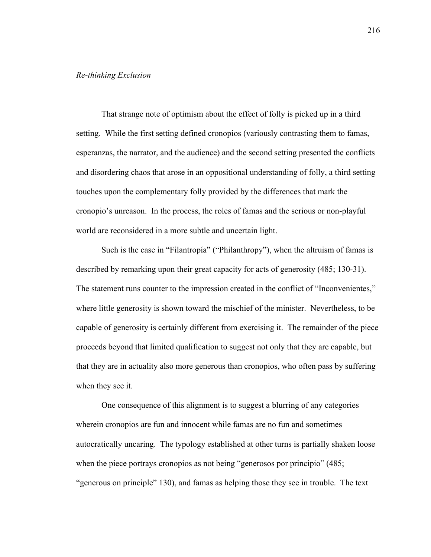# *Re-thinking Exclusion*

That strange note of optimism about the effect of folly is picked up in a third setting. While the first setting defined cronopios (variously contrasting them to famas, esperanzas, the narrator, and the audience) and the second setting presented the conflicts and disordering chaos that arose in an oppositional understanding of folly, a third setting touches upon the complementary folly provided by the differences that mark the cronopio's unreason. In the process, the roles of famas and the serious or non-playful world are reconsidered in a more subtle and uncertain light.

Such is the case in "Filantropía" ("Philanthropy"), when the altruism of famas is described by remarking upon their great capacity for acts of generosity (485; 130-31). The statement runs counter to the impression created in the conflict of "Inconvenientes," where little generosity is shown toward the mischief of the minister. Nevertheless, to be capable of generosity is certainly different from exercising it. The remainder of the piece proceeds beyond that limited qualification to suggest not only that they are capable, but that they are in actuality also more generous than cronopios, who often pass by suffering when they see it.

One consequence of this alignment is to suggest a blurring of any categories wherein cronopios are fun and innocent while famas are no fun and sometimes autocratically uncaring. The typology established at other turns is partially shaken loose when the piece portrays cronopios as not being "generosos por principio" (485; "generous on principle" 130), and famas as helping those they see in trouble. The text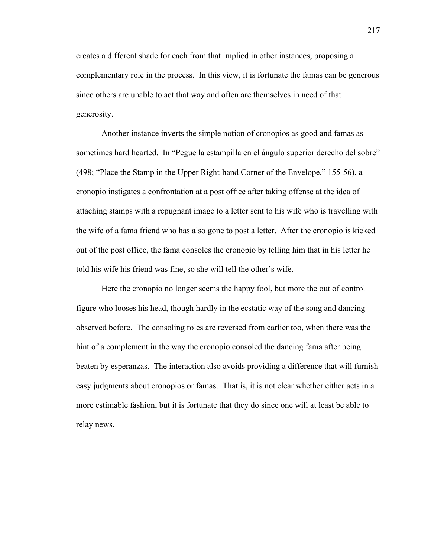creates a different shade for each from that implied in other instances, proposing a complementary role in the process. In this view, it is fortunate the famas can be generous since others are unable to act that way and often are themselves in need of that generosity.

Another instance inverts the simple notion of cronopios as good and famas as sometimes hard hearted. In "Pegue la estampilla en el ángulo superior derecho del sobre" (498; "Place the Stamp in the Upper Right-hand Corner of the Envelope," 155-56), a cronopio instigates a confrontation at a post office after taking offense at the idea of attaching stamps with a repugnant image to a letter sent to his wife who is travelling with the wife of a fama friend who has also gone to post a letter. After the cronopio is kicked out of the post office, the fama consoles the cronopio by telling him that in his letter he told his wife his friend was fine, so she will tell the other's wife.

Here the cronopio no longer seems the happy fool, but more the out of control figure who looses his head, though hardly in the ecstatic way of the song and dancing observed before. The consoling roles are reversed from earlier too, when there was the hint of a complement in the way the cronopio consoled the dancing fama after being beaten by esperanzas. The interaction also avoids providing a difference that will furnish easy judgments about cronopios or famas. That is, it is not clear whether either acts in a more estimable fashion, but it is fortunate that they do since one will at least be able to relay news.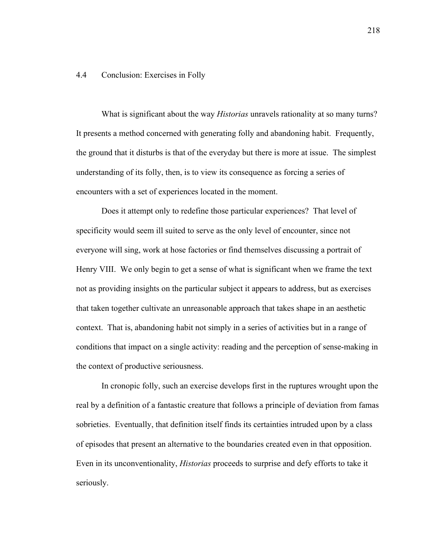### 4.4 Conclusion: Exercises in Folly

What is significant about the way *Historias* unravels rationality at so many turns? It presents a method concerned with generating folly and abandoning habit. Frequently, the ground that it disturbs is that of the everyday but there is more at issue. The simplest understanding of its folly, then, is to view its consequence as forcing a series of encounters with a set of experiences located in the moment.

Does it attempt only to redefine those particular experiences? That level of specificity would seem ill suited to serve as the only level of encounter, since not everyone will sing, work at hose factories or find themselves discussing a portrait of Henry VIII. We only begin to get a sense of what is significant when we frame the text not as providing insights on the particular subject it appears to address, but as exercises that taken together cultivate an unreasonable approach that takes shape in an aesthetic context. That is, abandoning habit not simply in a series of activities but in a range of conditions that impact on a single activity: reading and the perception of sense-making in the context of productive seriousness.

In cronopic folly, such an exercise develops first in the ruptures wrought upon the real by a definition of a fantastic creature that follows a principle of deviation from famas sobrieties. Eventually, that definition itself finds its certainties intruded upon by a class of episodes that present an alternative to the boundaries created even in that opposition. Even in its unconventionality, *Historias* proceeds to surprise and defy efforts to take it seriously.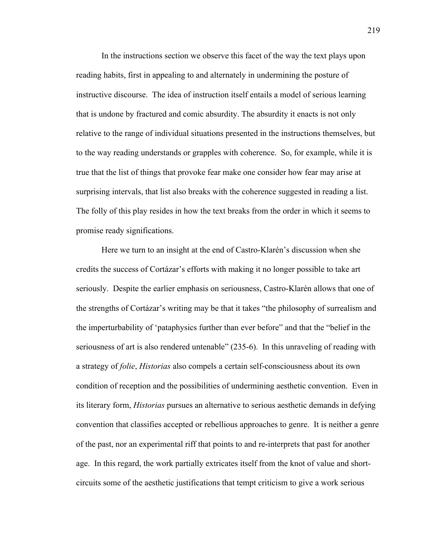In the instructions section we observe this facet of the way the text plays upon reading habits, first in appealing to and alternately in undermining the posture of instructive discourse. The idea of instruction itself entails a model of serious learning that is undone by fractured and comic absurdity. The absurdity it enacts is not only relative to the range of individual situations presented in the instructions themselves, but to the way reading understands or grapples with coherence. So, for example, while it is true that the list of things that provoke fear make one consider how fear may arise at surprising intervals, that list also breaks with the coherence suggested in reading a list. The folly of this play resides in how the text breaks from the order in which it seems to promise ready significations.

Here we turn to an insight at the end of Castro-Klarén's discussion when she credits the success of Cortázar's efforts with making it no longer possible to take art seriously. Despite the earlier emphasis on seriousness, Castro-Klarén allows that one of the strengths of Cortázar's writing may be that it takes "the philosophy of surrealism and the imperturbability of 'pataphysics further than ever before" and that the "belief in the seriousness of art is also rendered untenable" (235-6). In this unraveling of reading with a strategy of *folie*, *Historias* also compels a certain self-consciousness about its own condition of reception and the possibilities of undermining aesthetic convention. Even in its literary form, *Historias* pursues an alternative to serious aesthetic demands in defying convention that classifies accepted or rebellious approaches to genre. It is neither a genre of the past, nor an experimental riff that points to and re-interprets that past for another age. In this regard, the work partially extricates itself from the knot of value and shortcircuits some of the aesthetic justifications that tempt criticism to give a work serious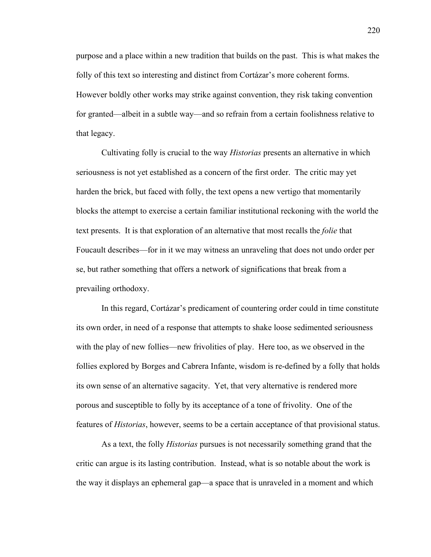purpose and a place within a new tradition that builds on the past. This is what makes the folly of this text so interesting and distinct from Cortázar's more coherent forms. However boldly other works may strike against convention, they risk taking convention for granted—albeit in a subtle way—and so refrain from a certain foolishness relative to that legacy.

Cultivating folly is crucial to the way *Historias* presents an alternative in which seriousness is not yet established as a concern of the first order. The critic may yet harden the brick, but faced with folly, the text opens a new vertigo that momentarily blocks the attempt to exercise a certain familiar institutional reckoning with the world the text presents. It is that exploration of an alternative that most recalls the *folie* that Foucault describes—for in it we may witness an unraveling that does not undo order per se, but rather something that offers a network of significations that break from a prevailing orthodoxy.

In this regard, Cortázar's predicament of countering order could in time constitute its own order, in need of a response that attempts to shake loose sedimented seriousness with the play of new follies—new frivolities of play. Here too, as we observed in the follies explored by Borges and Cabrera Infante, wisdom is re-defined by a folly that holds its own sense of an alternative sagacity. Yet, that very alternative is rendered more porous and susceptible to folly by its acceptance of a tone of frivolity. One of the features of *Historias*, however, seems to be a certain acceptance of that provisional status.

As a text, the folly *Historias* pursues is not necessarily something grand that the critic can argue is its lasting contribution. Instead, what is so notable about the work is the way it displays an ephemeral gap—a space that is unraveled in a moment and which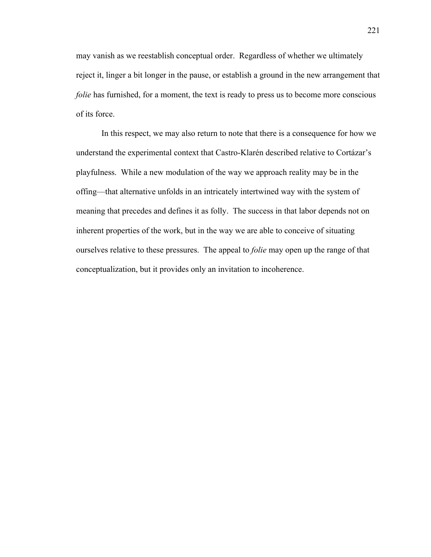may vanish as we reestablish conceptual order. Regardless of whether we ultimately reject it, linger a bit longer in the pause, or establish a ground in the new arrangement that *folie* has furnished, for a moment, the text is ready to press us to become more conscious of its force.

In this respect, we may also return to note that there is a consequence for how we understand the experimental context that Castro-Klarén described relative to Cortázar's playfulness. While a new modulation of the way we approach reality may be in the offing—that alternative unfolds in an intricately intertwined way with the system of meaning that precedes and defines it as folly. The success in that labor depends not on inherent properties of the work, but in the way we are able to conceive of situating ourselves relative to these pressures. The appeal to *folie* may open up the range of that conceptualization, but it provides only an invitation to incoherence.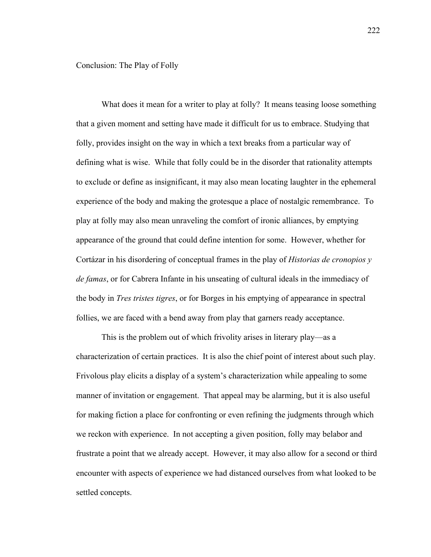What does it mean for a writer to play at folly? It means teasing loose something that a given moment and setting have made it difficult for us to embrace. Studying that folly, provides insight on the way in which a text breaks from a particular way of defining what is wise. While that folly could be in the disorder that rationality attempts to exclude or define as insignificant, it may also mean locating laughter in the ephemeral experience of the body and making the grotesque a place of nostalgic remembrance. To play at folly may also mean unraveling the comfort of ironic alliances, by emptying appearance of the ground that could define intention for some. However, whether for Cortázar in his disordering of conceptual frames in the play of *Historias de cronopios y de famas*, or for Cabrera Infante in his unseating of cultural ideals in the immediacy of the body in *Tres tristes tigres*, or for Borges in his emptying of appearance in spectral follies, we are faced with a bend away from play that garners ready acceptance.

This is the problem out of which frivolity arises in literary play—as a characterization of certain practices. It is also the chief point of interest about such play. Frivolous play elicits a display of a system's characterization while appealing to some manner of invitation or engagement. That appeal may be alarming, but it is also useful for making fiction a place for confronting or even refining the judgments through which we reckon with experience. In not accepting a given position, folly may belabor and frustrate a point that we already accept. However, it may also allow for a second or third encounter with aspects of experience we had distanced ourselves from what looked to be settled concepts.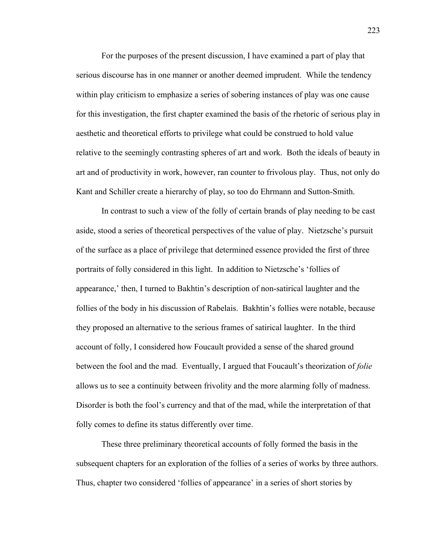For the purposes of the present discussion, I have examined a part of play that serious discourse has in one manner or another deemed imprudent. While the tendency within play criticism to emphasize a series of sobering instances of play was one cause for this investigation, the first chapter examined the basis of the rhetoric of serious play in aesthetic and theoretical efforts to privilege what could be construed to hold value relative to the seemingly contrasting spheres of art and work. Both the ideals of beauty in art and of productivity in work, however, ran counter to frivolous play. Thus, not only do Kant and Schiller create a hierarchy of play, so too do Ehrmann and Sutton-Smith.

In contrast to such a view of the folly of certain brands of play needing to be cast aside, stood a series of theoretical perspectives of the value of play. Nietzsche's pursuit of the surface as a place of privilege that determined essence provided the first of three portraits of folly considered in this light. In addition to Nietzsche's 'follies of appearance,' then, I turned to Bakhtin's description of non-satirical laughter and the follies of the body in his discussion of Rabelais. Bakhtin's follies were notable, because they proposed an alternative to the serious frames of satirical laughter. In the third account of folly, I considered how Foucault provided a sense of the shared ground between the fool and the mad. Eventually, I argued that Foucault's theorization of *folie* allows us to see a continuity between frivolity and the more alarming folly of madness. Disorder is both the fool's currency and that of the mad, while the interpretation of that folly comes to define its status differently over time.

These three preliminary theoretical accounts of folly formed the basis in the subsequent chapters for an exploration of the follies of a series of works by three authors. Thus, chapter two considered 'follies of appearance' in a series of short stories by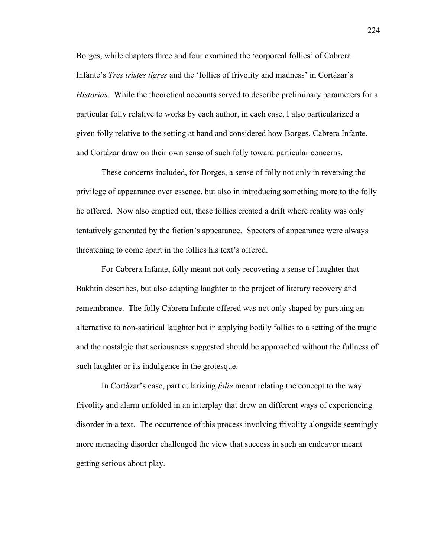Borges, while chapters three and four examined the 'corporeal follies' of Cabrera Infante's *Tres tristes tigres* and the 'follies of frivolity and madness' in Cortázar's *Historias*. While the theoretical accounts served to describe preliminary parameters for a particular folly relative to works by each author, in each case, I also particularized a given folly relative to the setting at hand and considered how Borges, Cabrera Infante, and Cortázar draw on their own sense of such folly toward particular concerns.

These concerns included, for Borges, a sense of folly not only in reversing the privilege of appearance over essence, but also in introducing something more to the folly he offered. Now also emptied out, these follies created a drift where reality was only tentatively generated by the fiction's appearance. Specters of appearance were always threatening to come apart in the follies his text's offered.

For Cabrera Infante, folly meant not only recovering a sense of laughter that Bakhtin describes, but also adapting laughter to the project of literary recovery and remembrance. The folly Cabrera Infante offered was not only shaped by pursuing an alternative to non-satirical laughter but in applying bodily follies to a setting of the tragic and the nostalgic that seriousness suggested should be approached without the fullness of such laughter or its indulgence in the grotesque.

In Cortázar's case, particularizing *folie* meant relating the concept to the way frivolity and alarm unfolded in an interplay that drew on different ways of experiencing disorder in a text. The occurrence of this process involving frivolity alongside seemingly more menacing disorder challenged the view that success in such an endeavor meant getting serious about play.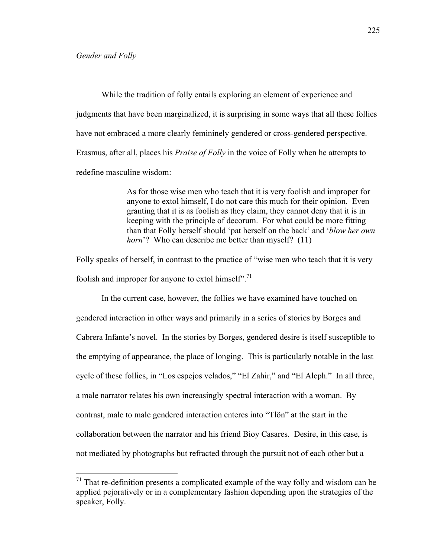While the tradition of folly entails exploring an element of experience and judgments that have been marginalized, it is surprising in some ways that all these follies have not embraced a more clearly femininely gendered or cross-gendered perspective. Erasmus, after all, places his *Praise of Folly* in the voice of Folly when he attempts to redefine masculine wisdom:

> As for those wise men who teach that it is very foolish and improper for anyone to extol himself, I do not care this much for their opinion. Even granting that it is as foolish as they claim, they cannot deny that it is in keeping with the principle of decorum. For what could be more fitting than that Folly herself should 'pat herself on the back' and '*blow her own horn*'? Who can describe me better than myself? (11)

Folly speaks of herself, in contrast to the practice of "wise men who teach that it is very foolish and improper for anyone to extol himself".<sup>71</sup>

In the current case, however, the follies we have examined have touched on gendered interaction in other ways and primarily in a series of stories by Borges and Cabrera Infante's novel. In the stories by Borges, gendered desire is itself susceptible to the emptying of appearance, the place of longing. This is particularly notable in the last cycle of these follies, in "Los espejos velados," "El Zahir," and "El Aleph." In all three, a male narrator relates his own increasingly spectral interaction with a woman. By contrast, male to male gendered interaction enteres into "Tlön" at the start in the collaboration between the narrator and his friend Bioy Casares. Desire, in this case, is not mediated by photographs but refracted through the pursuit not of each other but a

 $<sup>71</sup>$  That re-definition presents a complicated example of the way folly and wisdom can be</sup> applied pejoratively or in a complementary fashion depending upon the strategies of the speaker, Folly.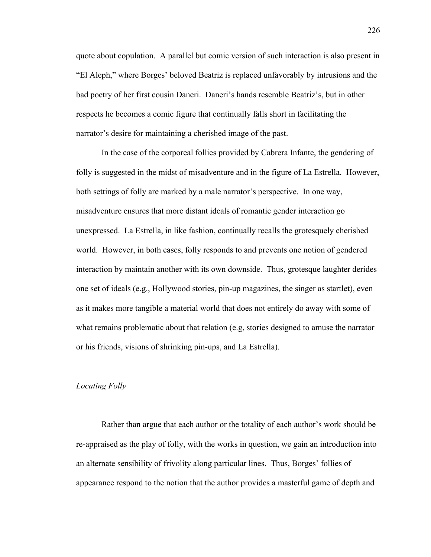quote about copulation. A parallel but comic version of such interaction is also present in "El Aleph," where Borges' beloved Beatriz is replaced unfavorably by intrusions and the bad poetry of her first cousin Daneri. Daneri's hands resemble Beatriz's, but in other respects he becomes a comic figure that continually falls short in facilitating the narrator's desire for maintaining a cherished image of the past.

In the case of the corporeal follies provided by Cabrera Infante, the gendering of folly is suggested in the midst of misadventure and in the figure of La Estrella. However, both settings of folly are marked by a male narrator's perspective. In one way, misadventure ensures that more distant ideals of romantic gender interaction go unexpressed. La Estrella, in like fashion, continually recalls the grotesquely cherished world. However, in both cases, folly responds to and prevents one notion of gendered interaction by maintain another with its own downside. Thus, grotesque laughter derides one set of ideals (e.g., Hollywood stories, pin-up magazines, the singer as startlet), even as it makes more tangible a material world that does not entirely do away with some of what remains problematic about that relation (e.g, stories designed to amuse the narrator or his friends, visions of shrinking pin-ups, and La Estrella).

#### *Locating Folly*

Rather than argue that each author or the totality of each author's work should be re-appraised as the play of folly, with the works in question, we gain an introduction into an alternate sensibility of frivolity along particular lines. Thus, Borges' follies of appearance respond to the notion that the author provides a masterful game of depth and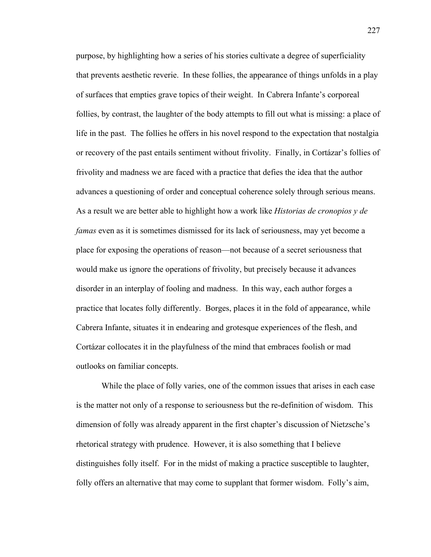purpose, by highlighting how a series of his stories cultivate a degree of superficiality that prevents aesthetic reverie. In these follies, the appearance of things unfolds in a play of surfaces that empties grave topics of their weight. In Cabrera Infante's corporeal follies, by contrast, the laughter of the body attempts to fill out what is missing: a place of life in the past. The follies he offers in his novel respond to the expectation that nostalgia or recovery of the past entails sentiment without frivolity. Finally, in Cortázar's follies of frivolity and madness we are faced with a practice that defies the idea that the author advances a questioning of order and conceptual coherence solely through serious means. As a result we are better able to highlight how a work like *Historias de cronopios y de famas* even as it is sometimes dismissed for its lack of seriousness, may yet become a place for exposing the operations of reason—not because of a secret seriousness that would make us ignore the operations of frivolity, but precisely because it advances disorder in an interplay of fooling and madness. In this way, each author forges a practice that locates folly differently. Borges, places it in the fold of appearance, while Cabrera Infante, situates it in endearing and grotesque experiences of the flesh, and Cortázar collocates it in the playfulness of the mind that embraces foolish or mad outlooks on familiar concepts.

While the place of folly varies, one of the common issues that arises in each case is the matter not only of a response to seriousness but the re-definition of wisdom. This dimension of folly was already apparent in the first chapter's discussion of Nietzsche's rhetorical strategy with prudence. However, it is also something that I believe distinguishes folly itself. For in the midst of making a practice susceptible to laughter, folly offers an alternative that may come to supplant that former wisdom. Folly's aim,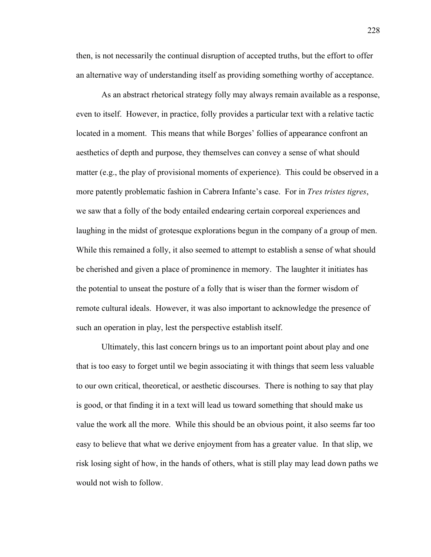then, is not necessarily the continual disruption of accepted truths, but the effort to offer an alternative way of understanding itself as providing something worthy of acceptance.

As an abstract rhetorical strategy folly may always remain available as a response, even to itself. However, in practice, folly provides a particular text with a relative tactic located in a moment. This means that while Borges' follies of appearance confront an aesthetics of depth and purpose, they themselves can convey a sense of what should matter (e.g., the play of provisional moments of experience). This could be observed in a more patently problematic fashion in Cabrera Infante's case. For in *Tres tristes tigres*, we saw that a folly of the body entailed endearing certain corporeal experiences and laughing in the midst of grotesque explorations begun in the company of a group of men. While this remained a folly, it also seemed to attempt to establish a sense of what should be cherished and given a place of prominence in memory. The laughter it initiates has the potential to unseat the posture of a folly that is wiser than the former wisdom of remote cultural ideals. However, it was also important to acknowledge the presence of such an operation in play, lest the perspective establish itself.

Ultimately, this last concern brings us to an important point about play and one that is too easy to forget until we begin associating it with things that seem less valuable to our own critical, theoretical, or aesthetic discourses. There is nothing to say that play is good, or that finding it in a text will lead us toward something that should make us value the work all the more. While this should be an obvious point, it also seems far too easy to believe that what we derive enjoyment from has a greater value. In that slip, we risk losing sight of how, in the hands of others, what is still play may lead down paths we would not wish to follow.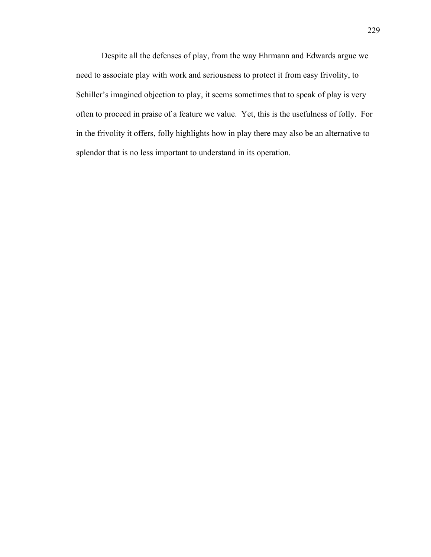Despite all the defenses of play, from the way Ehrmann and Edwards argue we need to associate play with work and seriousness to protect it from easy frivolity, to Schiller's imagined objection to play, it seems sometimes that to speak of play is very often to proceed in praise of a feature we value. Yet, this is the usefulness of folly. For in the frivolity it offers, folly highlights how in play there may also be an alternative to splendor that is no less important to understand in its operation.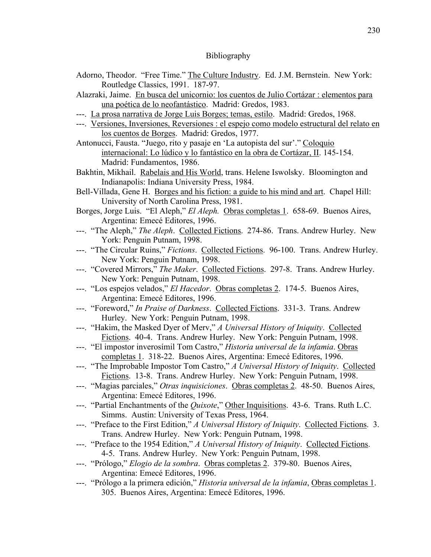### Bibliography

- Adorno, Theodor. "Free Time." The Culture Industry. Ed. J.M. Bernstein. New York: Routledge Classics, 1991. 187-97.
- Alazraki, Jaime. En busca del unicornio: los cuentos de Julio Cortázar : elementos para una poética de lo neofantástico. Madrid: Gredos, 1983.
- ---. La prosa narrativa de Jorge Luis Borges; temas, estilo. Madrid: Gredos, 1968.
- ---. Versiones, Inversiones, Reversiones : el espejo como modelo estructural del relato en los cuentos de Borges. Madrid: Gredos, 1977.
- Antonucci, Fausta. "Juego, rito y pasaje en 'La autopista del sur'." Coloquio internacional: Lo lúdico y lo fantástico en la obra de Cortázar, II. 145-154. Madrid: Fundamentos, 1986.
- Bakhtin, Mikhail. Rabelais and His World, trans. Helene Iswolsky. Bloomington and Indianapolis: Indiana University Press, 1984.
- Bell-Villada, Gene H. Borges and his fiction: a guide to his mind and art. Chapel Hill: University of North Carolina Press, 1981.
- Borges, Jorge Luis. "El Aleph," *El Aleph.* Obras completas 1. 658-69. Buenos Aires, Argentina: Emecé Editores, 1996.
- ---. "The Aleph," *The Aleph*. Collected Fictions. 274-86. Trans. Andrew Hurley. New York: Penguin Putnam, 1998.
- ---. "The Circular Ruins," *Fictions*. Collected Fictions. 96-100. Trans. Andrew Hurley. New York: Penguin Putnam, 1998.
- ---. "Covered Mirrors," *The Maker*. Collected Fictions. 297-8. Trans. Andrew Hurley. New York: Penguin Putnam, 1998.
- ---. "Los espejos velados," *El Hacedor*. Obras completas 2. 174-5. Buenos Aires, Argentina: Emecé Editores, 1996.
- ---. "Foreword," *In Praise of Darkness*. Collected Fictions. 331-3. Trans. Andrew Hurley. New York: Penguin Putnam, 1998.
- ---. "Hakim, the Masked Dyer of Merv," *A Universal History of Iniquity*. Collected Fictions. 40-4. Trans. Andrew Hurley. New York: Penguin Putnam, 1998.
- ---. "El impostor inverosímil Tom Castro," *Historia universal de la infamia*. Obras completas 1. 318-22. Buenos Aires, Argentina: Emecé Editores, 1996.
- ---. "The Improbable Impostor Tom Castro," *A Universal History of Iniquity*. Collected Fictions. 13-8. Trans. Andrew Hurley. New York: Penguin Putnam, 1998.
- ---. "Magias parciales," *Otras inquisiciones*. Obras completas 2. 48-50. Buenos Aires, Argentina: Emecé Editores, 1996.
- ---. "Partial Enchantments of the *Quixote*," Other Inquisitions. 43-6. Trans. Ruth L.C. Simms. Austin: University of Texas Press, 1964.
- ---. "Preface to the First Edition," *A Universal History of Iniquity*. Collected Fictions. 3. Trans. Andrew Hurley. New York: Penguin Putnam, 1998.
- ---. "Preface to the 1954 Edition," *A Universal History of Iniquity*. Collected Fictions. 4-5. Trans. Andrew Hurley. New York: Penguin Putnam, 1998.
- ---. "Prólogo," *Elogio de la sombra*. Obras completas 2. 379-80. Buenos Aires, Argentina: Emecé Editores, 1996.
- ---. "Prólogo a la primera edición," *Historia universal de la infamia*, Obras completas 1. 305. Buenos Aires, Argentina: Emecé Editores, 1996.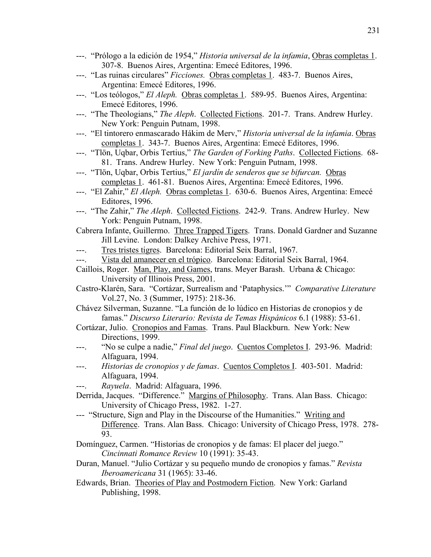- ---. "Prólogo a la edición de 1954," *Historia universal de la infamia*, Obras completas 1. 307-8. Buenos Aires, Argentina: Emecé Editores, 1996.
- ---. "Las ruinas circulares" *Ficciones.* Obras completas 1. 483-7. Buenos Aires, Argentina: Emecé Editores, 1996.
- ---. "Los teólogos," *El Aleph.* Obras completas 1. 589-95. Buenos Aires, Argentina: Emecé Editores, 1996.
- ---. "The Theologians," *The Aleph*. Collected Fictions. 201-7. Trans. Andrew Hurley. New York: Penguin Putnam, 1998.
- ---. "El tintorero enmascarado Hákim de Merv," *Historia universal de la infamia*. Obras completas 1. 343-7. Buenos Aires, Argentina: Emecé Editores, 1996.
- ---. "Tlön, Uqbar, Orbis Tertius," *The Garden of Forking Paths*. Collected Fictions. 68- 81. Trans. Andrew Hurley. New York: Penguin Putnam, 1998.
- ---. "Tlön, Uqbar, Orbis Tertius," *El jardín de senderos que se bifurcan.* Obras completas 1. 461-81. Buenos Aires, Argentina: Emecé Editores, 1996.
- ---. "El Zahir," *El Aleph.* Obras completas 1. 630-6. Buenos Aires, Argentina: Emecé Editores, 1996.
- ---. "The Zahir," *The Aleph*. Collected Fictions. 242-9. Trans. Andrew Hurley. New York: Penguin Putnam, 1998.
- Cabrera Infante, Guillermo. Three Trapped Tigers. Trans. Donald Gardner and Suzanne Jill Levine. London: Dalkey Archive Press, 1971.
- ---. Tres tristes tigres. Barcelona: Editorial Seix Barral, 1967.
- ---. Vista del amanecer en el trópico. Barcelona: Editorial Seix Barral, 1964.
- Caillois, Roger. Man, Play, and Games, trans. Meyer Barash. Urbana & Chicago: University of Illinois Press, 2001.
- Castro-Klarén, Sara. "Cortázar, Surrealism and 'Pataphysics.'" *Comparative Literature*  Vol.27, No. 3 (Summer, 1975): 218-36.
- Chávez Silverman, Suzanne. "La función de lo lúdico en Historias de cronopios y de famas." *Discurso Literario: Revista de Temas Hispánicos* 6.1 (1988): 53-61.
- Cortázar, Julio. Cronopios and Famas. Trans. Paul Blackburn. New York: New Directions, 1999.
- ---. "No se culpe a nadie," *Final del juego*. Cuentos Completos I. 293-96. Madrid: Alfaguara, 1994.
- ---. *Historias de cronopios y de famas*. Cuentos Completos I. 403-501. Madrid: Alfaguara, 1994.
- ---. *Rayuela*. Madrid: Alfaguara, 1996.
- Derrida, Jacques. "Difference." Margins of Philosophy. Trans. Alan Bass. Chicago: University of Chicago Press, 1982. 1-27.
- --- "Structure, Sign and Play in the Discourse of the Humanities." Writing and Difference. Trans. Alan Bass. Chicago: University of Chicago Press, 1978. 278- 93.
- Domínguez, Carmen. "Historias de cronopios y de famas: El placer del juego." *Cincinnati Romance Review* 10 (1991): 35-43.
- Duran, Manuel. "Julio Cortázar y su pequeño mundo de cronopios y famas." *Revista Iberoamericana* 31 (1965): 33-46.
- Edwards, Brian. Theories of Play and Postmodern Fiction. New York: Garland Publishing, 1998.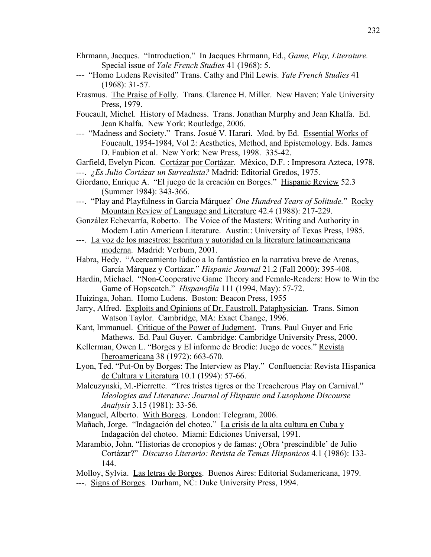- Ehrmann, Jacques. "Introduction." In Jacques Ehrmann, Ed., *Game, Play, Literature.* Special issue of *Yale French Studies* 41 (1968): 5.
- --- "Homo Ludens Revisited" Trans. Cathy and Phil Lewis. *Yale French Studies* 41 (1968): 31-57.
- Erasmus. The Praise of Folly. Trans. Clarence H. Miller. New Haven: Yale University Press, 1979.
- Foucault, Michel. History of Madness. Trans. Jonathan Murphy and Jean Khalfa. Ed. Jean Khalfa. New York: Routledge, 2006.
- --- "Madness and Society." Trans. Josué V. Harari. Mod. by Ed. Essential Works of Foucault, 1954-1984, Vol 2: Aesthetics, Method, and Epistemology. Eds. James D. Faubion et al. New York: New Press, 1998. 335-42.

Garfield, Evelyn Picon. Cortázar por Cortázar. México, D.F. : Impresora Azteca, 1978. ---. *¿Es Julio Cortázar un Surrealista?* Madrid: Editorial Gredos, 1975.

- Giordano, Enrique A. "El juego de la creación en Borges." Hispanic Review 52.3 (Summer 1984): 343-366.
- ---. "Play and Playfulness in García Márquez' *One Hundred Years of Solitude.*" Rocky Mountain Review of Language and Literature 42.4 (1988): 217-229.

González Echevarría, Roberto. The Voice of the Masters: Writing and Authority in Modern Latin American Literature. Austin:: University of Texas Press, 1985.

- ---. La voz de los maestros: Escritura y autoridad en la literature latinoamericana moderna. Madrid: Verbum, 2001.
- Habra, Hedy. "Acercamiento lúdico a lo fantástico en la narrativa breve de Arenas, García Márquez y Cortázar." *Hispanic Journal* 21.2 (Fall 2000): 395-408.
- Hardin, Michael. "Non-Cooperative Game Theory and Female-Readers: How to Win the Game of Hopscotch." *Hispanofila* 111 (1994, May): 57-72.
- Huizinga, Johan. Homo Ludens. Boston: Beacon Press, 1955
- Jarry, Alfred. Exploits and Opinions of Dr. Faustroll, Pataphysician. Trans. Simon Watson Taylor. Cambridge, MA: Exact Change, 1996.
- Kant, Immanuel. Critique of the Power of Judgment. Trans. Paul Guyer and Eric Mathews. Ed. Paul Guyer. Cambridge: Cambridge University Press, 2000.
- Kellerman, Owen L. "Borges y El informe de Brodie: Juego de voces." Revista Iberoamericana 38 (1972): 663-670.
- Lyon, Ted. "Put-On by Borges: The Interview as Play." Confluencia: Revista Hispanica de Cultura y Literatura 10.1 (1994): 57-66.
- Malcuzynski, M.-Pierrette. "Tres tristes tigres or the Treacherous Play on Carnival." *Ideologies and Literature: Journal of Hispanic and Lusophone Discourse Analysis* 3.15 (1981): 33-56.

Manguel, Alberto. With Borges. London: Telegram, 2006.

- Mañach, Jorge. "Indagación del choteo." La crisis de la alta cultura en Cuba y Indagación del choteo. Miami: Ediciones Universal, 1991.
- Marambio, John. "Historias de cronopios y de famas: ¿Obra 'prescindible' de Julio Cortázar?" *Discurso Literario: Revista de Temas Hispanicos* 4.1 (1986): 133- 144.
- Molloy, Sylvia. Las letras de Borges. Buenos Aires: Editorial Sudamericana, 1979. ---. Signs of Borges. Durham, NC: Duke University Press, 1994.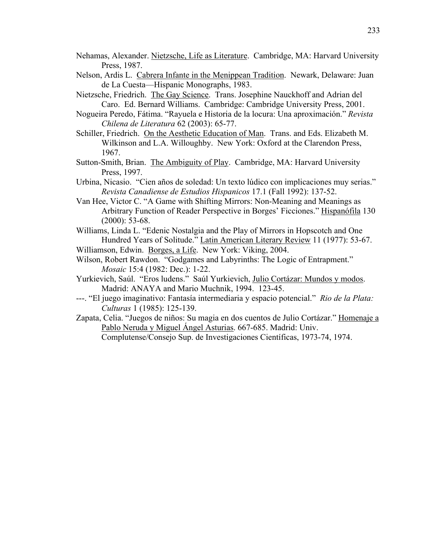- Nehamas, Alexander. Nietzsche, Life as Literature. Cambridge, MA: Harvard University Press, 1987.
- Nelson, Ardis L. Cabrera Infante in the Menippean Tradition. Newark, Delaware: Juan de La Cuesta—Hispanic Monographs, 1983.
- Nietzsche, Friedrich. The Gay Science. Trans. Josephine Nauckhoff and Adrian del Caro. Ed. Bernard Williams. Cambridge: Cambridge University Press, 2001.
- Nogueira Peredo, Fátima. "Rayuela e Historia de la locura: Una aproximación." *Revista Chilena de Literatura* 62 (2003): 65-77.
- Schiller, Friedrich. On the Aesthetic Education of Man. Trans. and Eds. Elizabeth M. Wilkinson and L.A. Willoughby. New York: Oxford at the Clarendon Press, 1967.
- Sutton-Smith, Brian. The Ambiguity of Play. Cambridge, MA: Harvard University Press, 1997.
- Urbina, Nicasio. "Cien años de soledad: Un texto lúdico con implicaciones muy serias." *Revista Canadiense de Estudios Hispanicos* 17.1 (Fall 1992): 137-52.
- Van Hee, Victor C. "A Game with Shifting Mirrors: Non-Meaning and Meanings as Arbitrary Function of Reader Perspective in Borges' Ficciones." Hispanófila 130 (2000): 53-68.
- Williams, Linda L. "Edenic Nostalgia and the Play of Mirrors in Hopscotch and One Hundred Years of Solitude." Latin American Literary Review 11 (1977): 53-67.
- Williamson, Edwin. Borges, a Life. New York: Viking, 2004.
- Wilson, Robert Rawdon. "Godgames and Labyrinths: The Logic of Entrapment." *Mosaic* 15:4 (1982: Dec.): 1-22.
- Yurkievich, Saúl. "Eros ludens." Saúl Yurkievich, Julio Cortázar: Mundos y modos. Madrid: ANAYA and Mario Muchnik, 1994. 123-45.
- ---. "El juego imaginativo: Fantasía intermediaria y espacio potencial." *Rio de la Plata: Culturas* 1 (1985): 125-139.
- Zapata, Celia. "Juegos de niños: Su magia en dos cuentos de Julio Cortázar." Homenaje a Pablo Neruda y Miguel Ángel Asturias. 667-685. Madrid: Univ. Complutense/Consejo Sup. de Investigaciones Científicas, 1973-74, 1974.